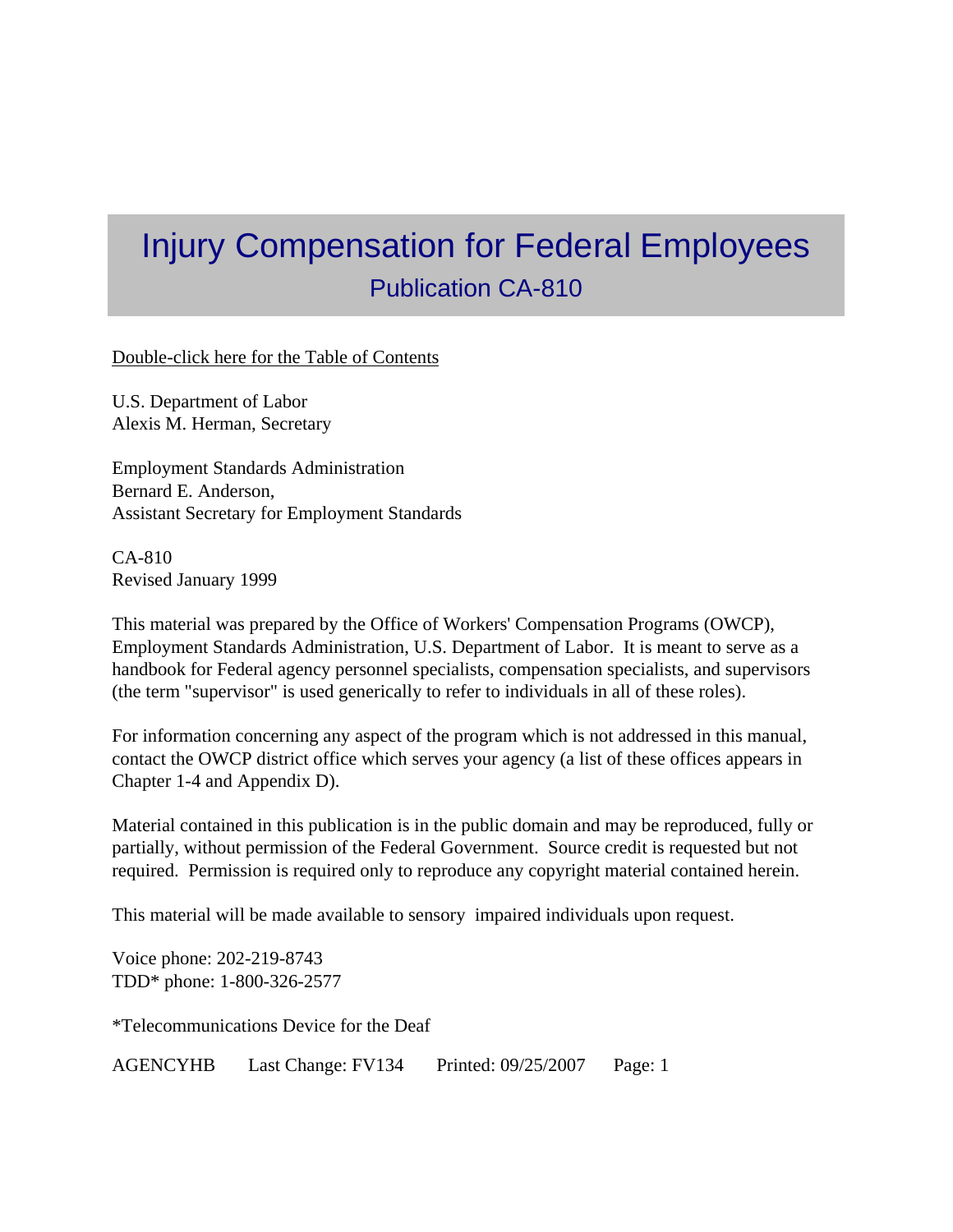# Injury Compensation for Federal Employees Publication CA-810

Double-click here for the Table of Contents

U.S. Department of Labor Alexis M. Herman, Secretary

Employment Standards Administration Bernard E. Anderson, Assistant Secretary for Employment Standards

CA-810 Revised January 1999

This material was prepared by the Office of Workers' Compensation Programs (OWCP), Employment Standards Administration, U.S. Department of Labor. It is meant to serve as a handbook for Federal agency personnel specialists, compensation specialists, and supervisors (the term "supervisor" is used generically to refer to individuals in all of these roles).

For information concerning any aspect of the program which is not addressed in this manual, contact the OWCP district office which serves your agency (a list of these offices appears in Chapter 1-4 and Appendix D).

Material contained in this publication is in the public domain and may be reproduced, fully or partially, without permission of the Federal Government. Source credit is requested but not required. Permission is required only to reproduce any copyright material contained herein.

This material will be made available to sensory impaired individuals upon request.

Voice phone: 202-219-8743 TDD\* phone: 1-800-326-2577

\*Telecommunications Device for the Deaf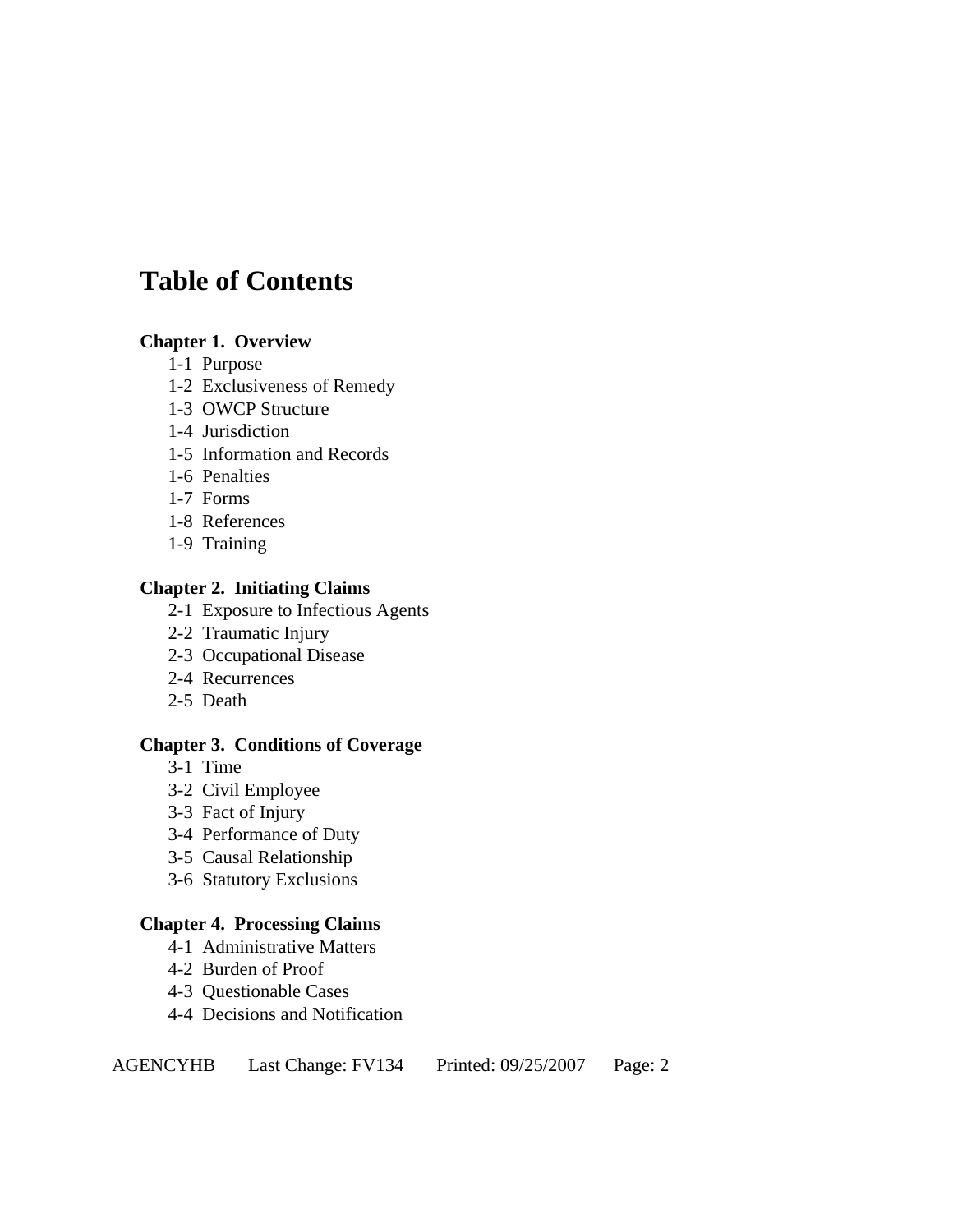## **Table of Contents**

### **Chapter 1. Overview**

- 1-1 Purpose
- 1-2 Exclusiveness of Remedy
- 1-3 OWCP Structure
- 1-4 Jurisdiction
- 1-5 Information and Records
- 1-6 Penalties
- 1-7 Forms
- 1-8 References
- 1-9 Training

### **Chapter 2. Initiating Claims**

- 2-1 Exposure to Infectious Agents
- 2-2 Traumatic Injury
- 2-3 Occupational Disease
- 2-4 Recurrences
- 2-5 Death

#### **Chapter 3. Conditions of Coverage**

- 3-1 Time
- 3-2 Civil Employee
- 3-3 Fact of Injury
- 3-4 Performance of Duty
- 3-5 Causal Relationship
- 3-6 Statutory Exclusions

## **Chapter 4. Processing Claims**

- 4-1 Administrative Matters
- 4-2 Burden of Proof
- 4-3 Questionable Cases
- 4-4 Decisions and Notification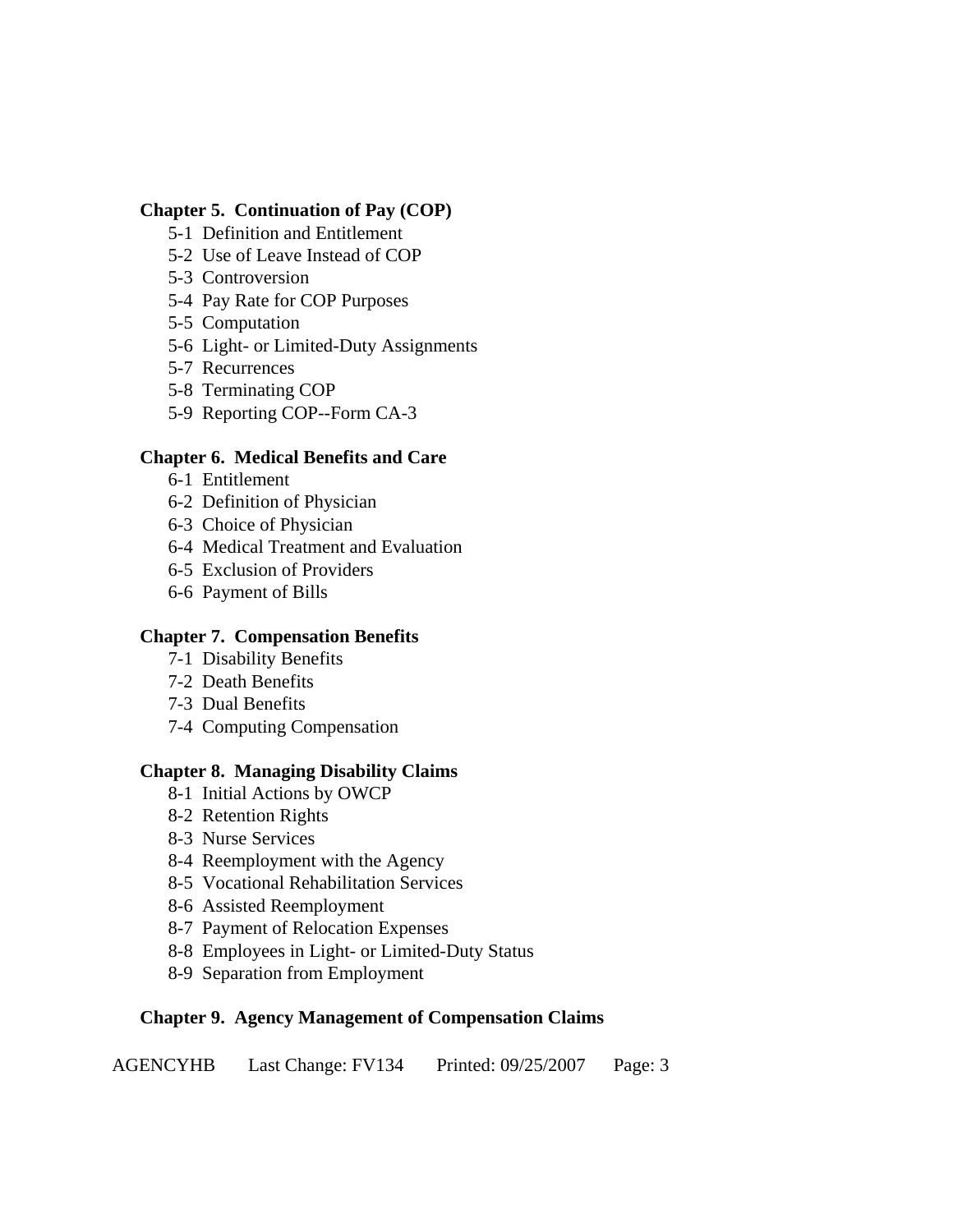#### **Chapter 5. Continuation of Pay (COP)**

- 5-1 Definition and Entitlement
- 5-2 Use of Leave Instead of COP
- 5-3 Controversion
- 5-4 Pay Rate for COP Purposes
- 5-5 Computation
- 5-6 Light- or Limited-Duty Assignments
- 5-7 Recurrences
- 5-8 Terminating COP
- 5-9 Reporting COP--Form CA-3

## **Chapter 6. Medical Benefits and Care**

- 6-1 Entitlement
- 6-2 Definition of Physician
- 6-3 Choice of Physician
- 6-4 Medical Treatment and Evaluation
- 6-5 Exclusion of Providers
- 6-6 Payment of Bills

## **Chapter 7. Compensation Benefits**

- 7-1 Disability Benefits
- 7-2 Death Benefits
- 7-3 Dual Benefits
- 7-4 Computing Compensation

## **Chapter 8. Managing Disability Claims**

- 8-1 Initial Actions by OWCP
- 8-2 Retention Rights
- 8-3 Nurse Services
- 8-4 Reemployment with the Agency
- 8-5 Vocational Rehabilitation Services
- 8-6 Assisted Reemployment
- 8-7 Payment of Relocation Expenses
- 8-8 Employees in Light- or Limited-Duty Status
- 8-9 Separation from Employment

## **Chapter 9. Agency Management of Compensation Claims**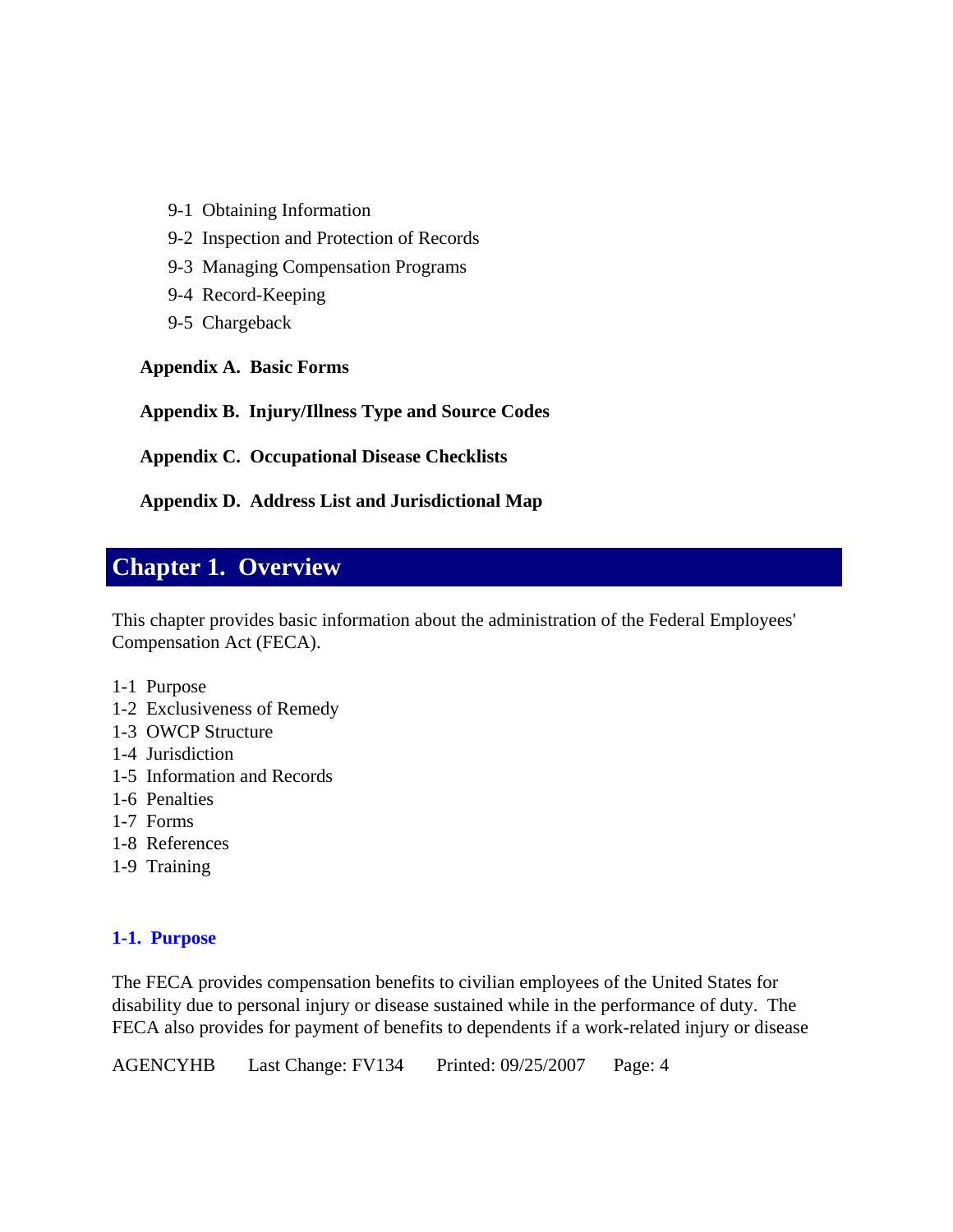- 9-1 Obtaining Information
- 9-2 Inspection and Protection of Records
- 9-3 Managing Compensation Programs
- 9-4 Record-Keeping
- 9-5 Chargeback

**Appendix A. Basic Forms**

**Appendix B. Injury/Illness Type and Source Codes**

**Appendix C. Occupational Disease Checklists**

**Appendix D. Address List and Jurisdictional Map**

## **Chapter 1. Overview**

This chapter provides basic information about the administration of the Federal Employees' Compensation Act (FECA).

- 1-1 Purpose
- 1-2 Exclusiveness of Remedy
- 1-3 OWCP Structure
- 1-4 Jurisdiction
- 1-5 Information and Records
- 1-6 Penalties
- 1-7 Forms
- 1-8 References
- 1-9 Training

#### **1-1. Purpose**

The FECA provides compensation benefits to civilian employees of the United States for disability due to personal injury or disease sustained while in the performance of duty. The FECA also provides for payment of benefits to dependents if a work-related injury or disease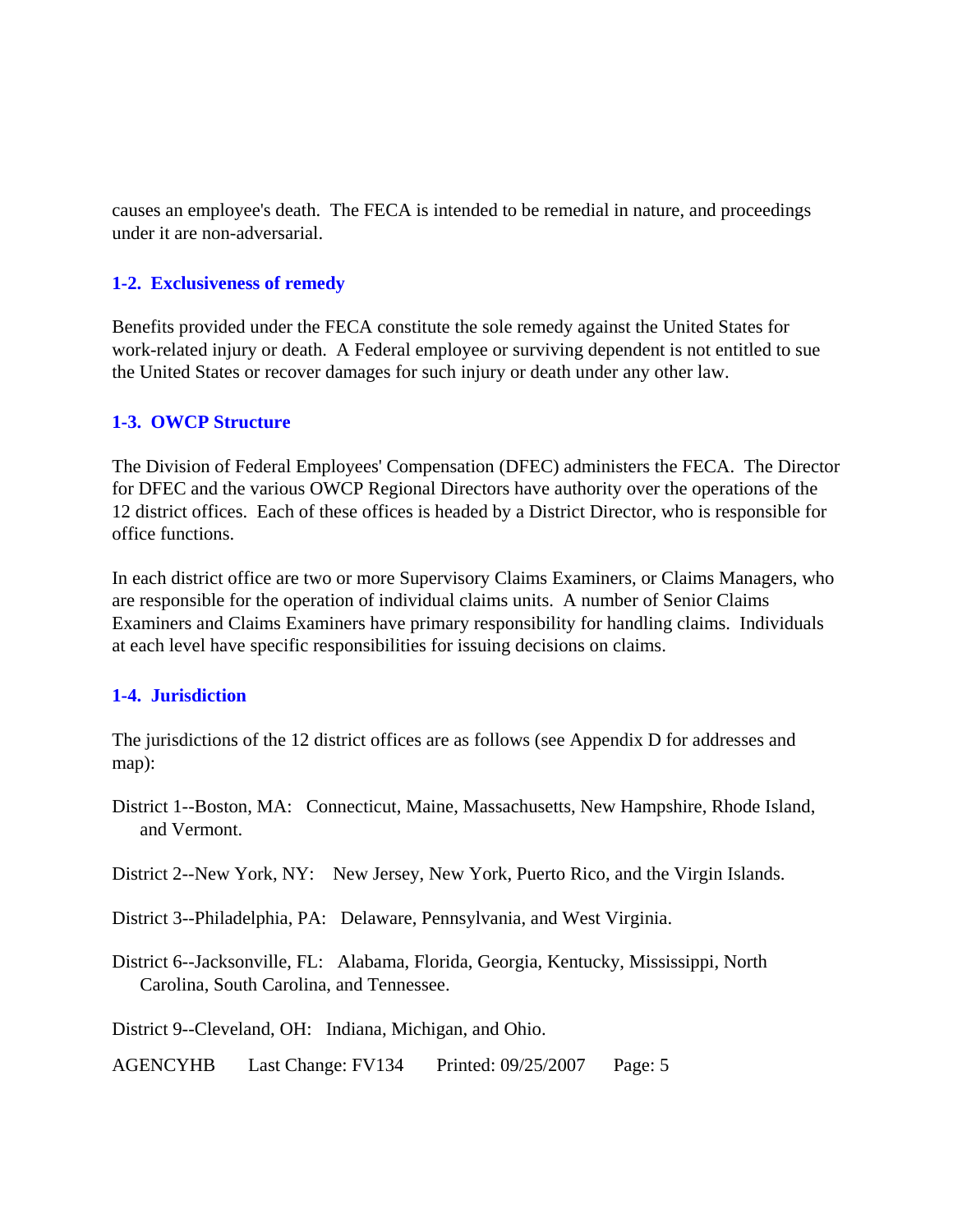causes an employee's death. The FECA is intended to be remedial in nature, and proceedings under it are non-adversarial.

#### **1-2. Exclusiveness of remedy**

Benefits provided under the FECA constitute the sole remedy against the United States for work-related injury or death. A Federal employee or surviving dependent is not entitled to sue the United States or recover damages for such injury or death under any other law.

## **1-3. OWCP Structure**

The Division of Federal Employees' Compensation (DFEC) administers the FECA. The Director for DFEC and the various OWCP Regional Directors have authority over the operations of the 12 district offices. Each of these offices is headed by a District Director, who is responsible for office functions.

In each district office are two or more Supervisory Claims Examiners, or Claims Managers, who are responsible for the operation of individual claims units. A number of Senior Claims Examiners and Claims Examiners have primary responsibility for handling claims. Individuals at each level have specific responsibilities for issuing decisions on claims.

## **1-4. Jurisdiction**

The jurisdictions of the 12 district offices are as follows (see Appendix D for addresses and map):

District 1--Boston, MA: Connecticut, Maine, Massachusetts, New Hampshire, Rhode Island, and Vermont.

District 2--New York, NY: New Jersey, New York, Puerto Rico, and the Virgin Islands.

District 3--Philadelphia, PA: Delaware, Pennsylvania, and West Virginia.

District 6--Jacksonville, FL: Alabama, Florida, Georgia, Kentucky, Mississippi, North Carolina, South Carolina, and Tennessee.

District 9--Cleveland, OH: Indiana, Michigan, and Ohio.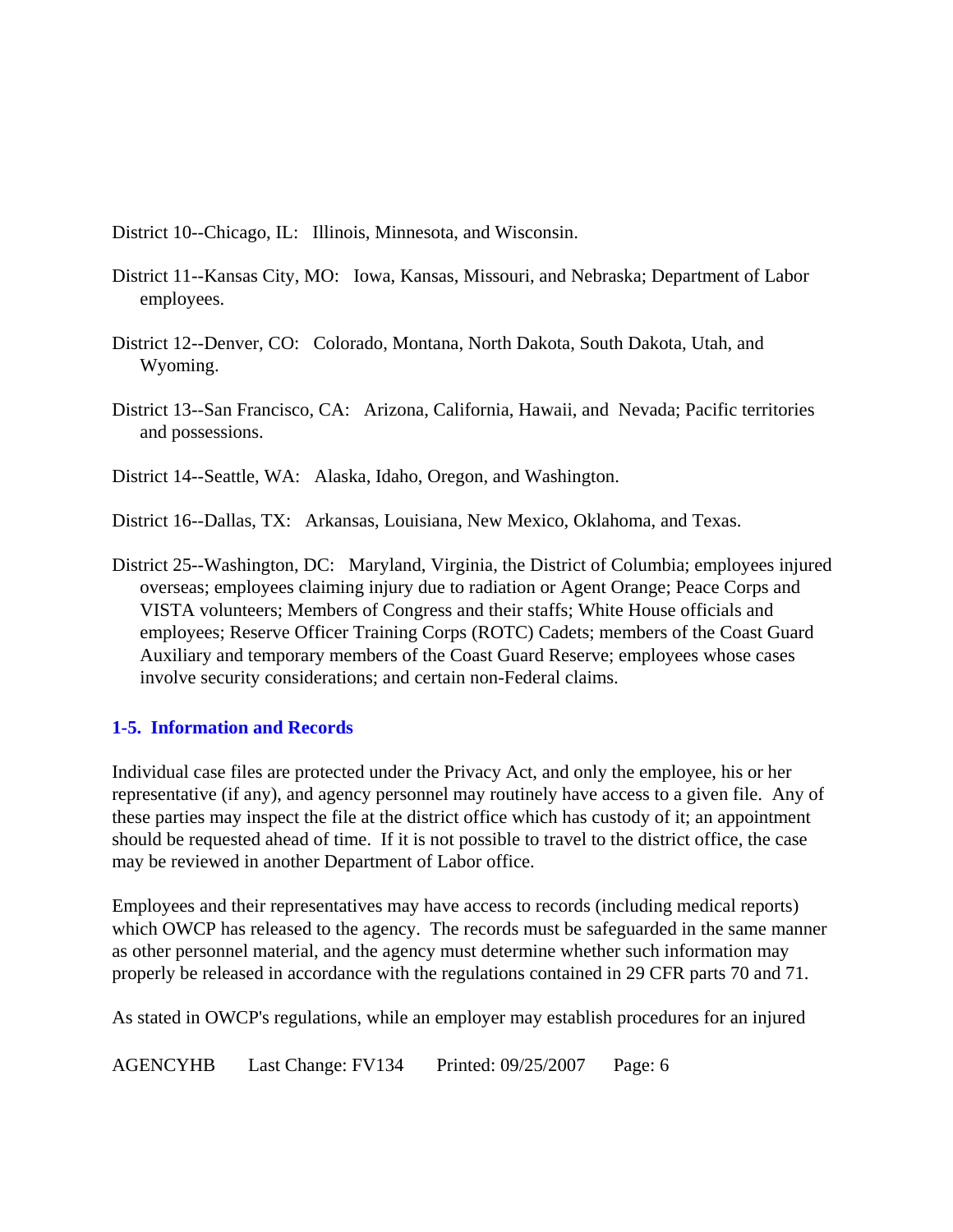District 10--Chicago, IL: Illinois, Minnesota, and Wisconsin.

- District 11--Kansas City, MO: Iowa, Kansas, Missouri, and Nebraska; Department of Labor employees.
- District 12--Denver, CO: Colorado, Montana, North Dakota, South Dakota, Utah, and Wyoming.
- District 13--San Francisco, CA: Arizona, California, Hawaii, and Nevada; Pacific territories and possessions.

District 14--Seattle, WA: Alaska, Idaho, Oregon, and Washington.

District 16--Dallas, TX: Arkansas, Louisiana, New Mexico, Oklahoma, and Texas.

District 25--Washington, DC: Maryland, Virginia, the District of Columbia; employees injured overseas; employees claiming injury due to radiation or Agent Orange; Peace Corps and VISTA volunteers; Members of Congress and their staffs; White House officials and employees; Reserve Officer Training Corps (ROTC) Cadets; members of the Coast Guard Auxiliary and temporary members of the Coast Guard Reserve; employees whose cases involve security considerations; and certain non-Federal claims.

## **1-5. Information and Records**

Individual case files are protected under the Privacy Act, and only the employee, his or her representative (if any), and agency personnel may routinely have access to a given file. Any of these parties may inspect the file at the district office which has custody of it; an appointment should be requested ahead of time. If it is not possible to travel to the district office, the case may be reviewed in another Department of Labor office.

Employees and their representatives may have access to records (including medical reports) which OWCP has released to the agency. The records must be safeguarded in the same manner as other personnel material, and the agency must determine whether such information may properly be released in accordance with the regulations contained in 29 CFR parts 70 and 71.

As stated in OWCP's regulations, while an employer may establish procedures for an injured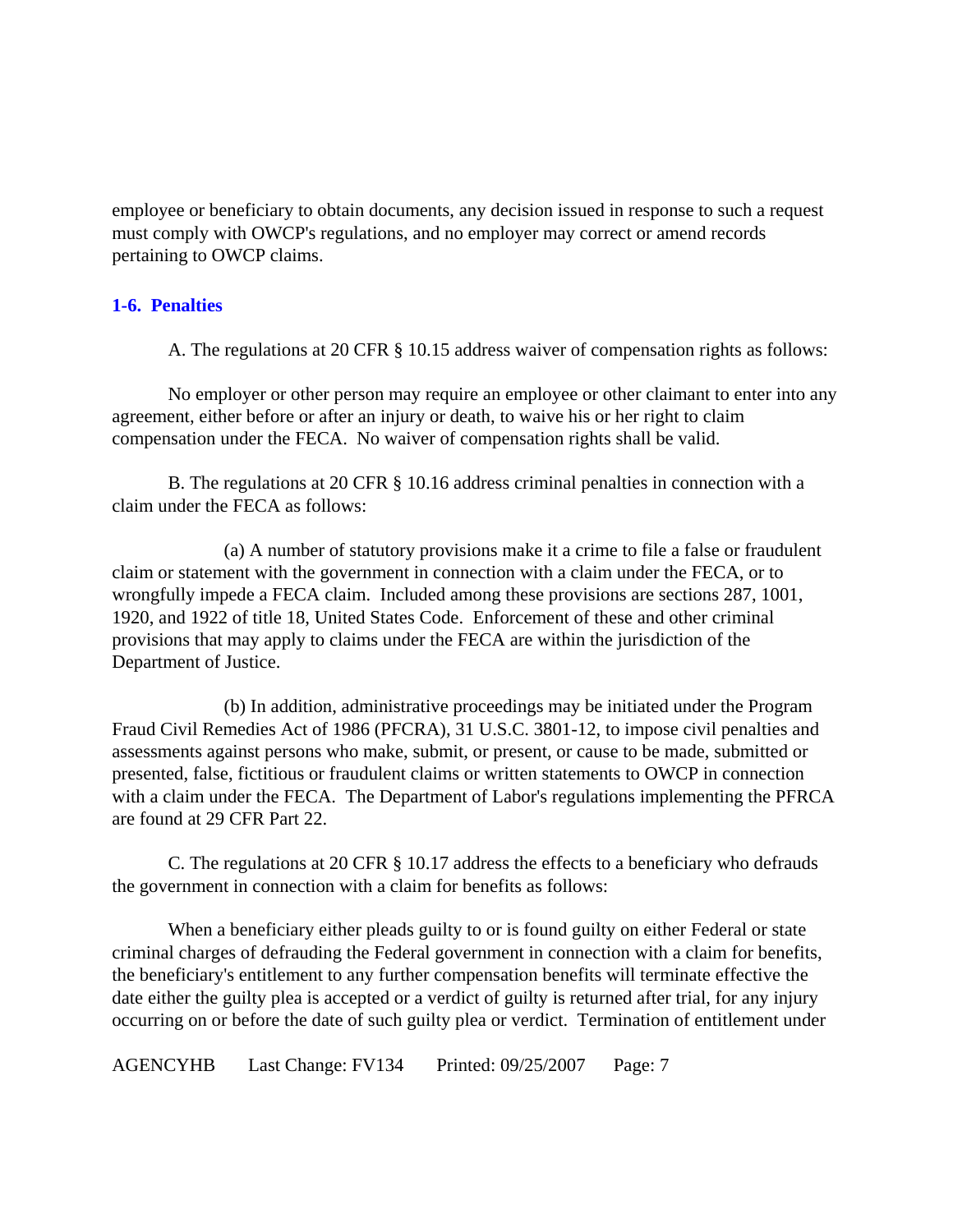employee or beneficiary to obtain documents, any decision issued in response to such a request must comply with OWCP's regulations, and no employer may correct or amend records pertaining to OWCP claims.

### **1-6. Penalties**

A. The regulations at 20 CFR § 10.15 address waiver of compensation rights as follows:

 No employer or other person may require an employee or other claimant to enter into any agreement, either before or after an injury or death, to waive his or her right to claim compensation under the FECA. No waiver of compensation rights shall be valid.

 B. The regulations at 20 CFR § 10.16 address criminal penalties in connection with a claim under the FECA as follows:

 (a) A number of statutory provisions make it a crime to file a false or fraudulent claim or statement with the government in connection with a claim under the FECA, or to wrongfully impede a FECA claim. Included among these provisions are sections 287, 1001, 1920, and 1922 of title 18, United States Code. Enforcement of these and other criminal provisions that may apply to claims under the FECA are within the jurisdiction of the Department of Justice.

 (b) In addition, administrative proceedings may be initiated under the Program Fraud Civil Remedies Act of 1986 (PFCRA), 31 U.S.C. 3801-12, to impose civil penalties and assessments against persons who make, submit, or present, or cause to be made, submitted or presented, false, fictitious or fraudulent claims or written statements to OWCP in connection with a claim under the FECA. The Department of Labor's regulations implementing the PFRCA are found at 29 CFR Part 22.

 C. The regulations at 20 CFR § 10.17 address the effects to a beneficiary who defrauds the government in connection with a claim for benefits as follows:

 When a beneficiary either pleads guilty to or is found guilty on either Federal or state criminal charges of defrauding the Federal government in connection with a claim for benefits, the beneficiary's entitlement to any further compensation benefits will terminate effective the date either the guilty plea is accepted or a verdict of guilty is returned after trial, for any injury occurring on or before the date of such guilty plea or verdict. Termination of entitlement under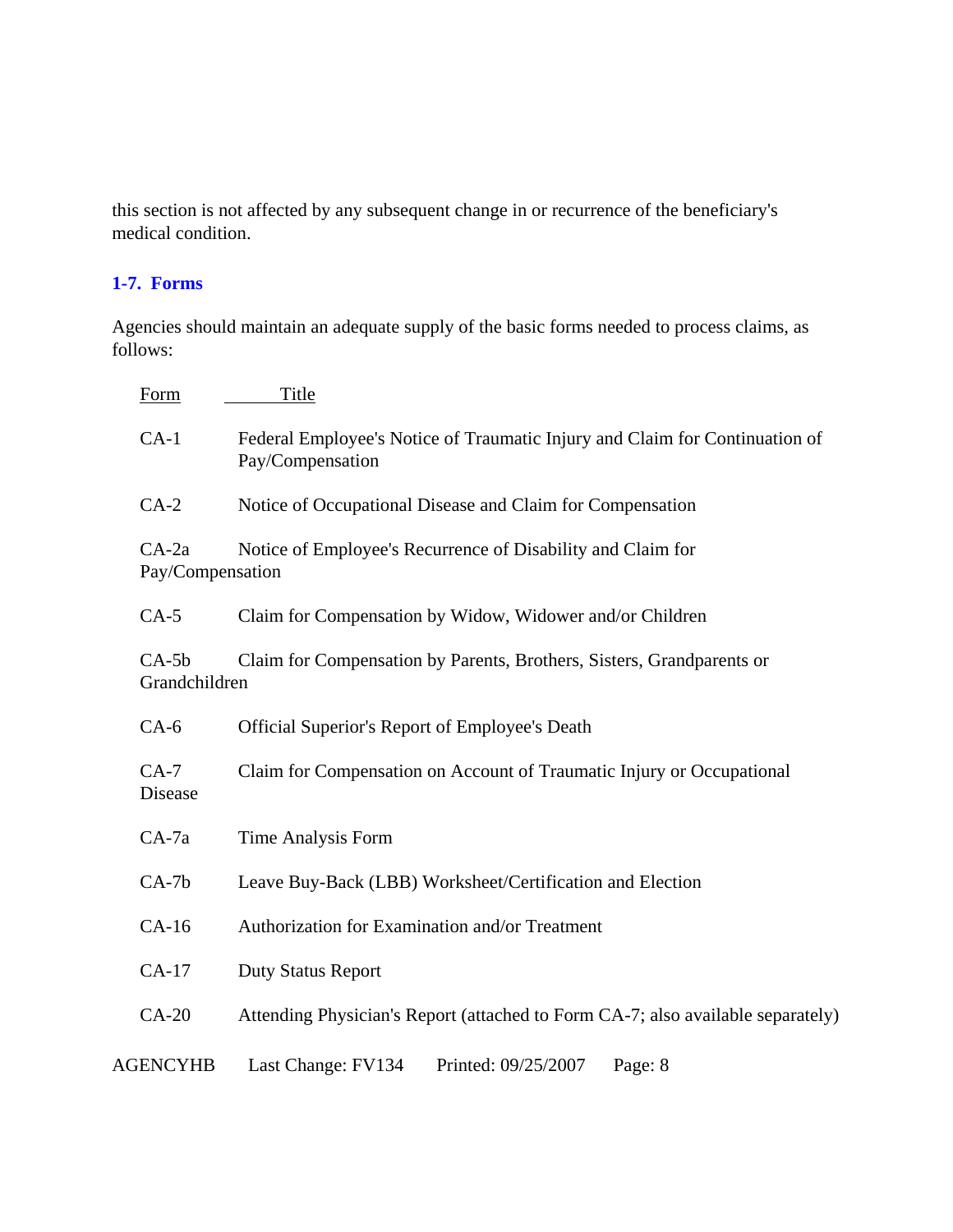this section is not affected by any subsequent change in or recurrence of the beneficiary's medical condition.

## **1-7. Forms**

Agencies should maintain an adequate supply of the basic forms needed to process claims, as follows:

| Form                        | Title                                                                                           |
|-----------------------------|-------------------------------------------------------------------------------------------------|
| $CA-1$                      | Federal Employee's Notice of Traumatic Injury and Claim for Continuation of<br>Pay/Compensation |
| $CA-2$                      | Notice of Occupational Disease and Claim for Compensation                                       |
| $CA-2a$<br>Pay/Compensation | Notice of Employee's Recurrence of Disability and Claim for                                     |
| $CA-5$                      | Claim for Compensation by Widow, Widower and/or Children                                        |
| $CA-5b$<br>Grandchildren    | Claim for Compensation by Parents, Brothers, Sisters, Grandparents or                           |
| $CA-6$                      | Official Superior's Report of Employee's Death                                                  |
| $CA-7$<br>Disease           | Claim for Compensation on Account of Traumatic Injury or Occupational                           |
| $CA-7a$                     | Time Analysis Form                                                                              |
| $CA-7b$                     | Leave Buy-Back (LBB) Worksheet/Certification and Election                                       |
| $CA-16$                     | Authorization for Examination and/or Treatment                                                  |
| $CA-17$                     | <b>Duty Status Report</b>                                                                       |
| $CA-20$                     | Attending Physician's Report (attached to Form CA-7; also available separately)                 |
| <b>AGENCYHB</b>             | Printed: 09/25/2007<br>Last Change: FV134<br>Page: 8                                            |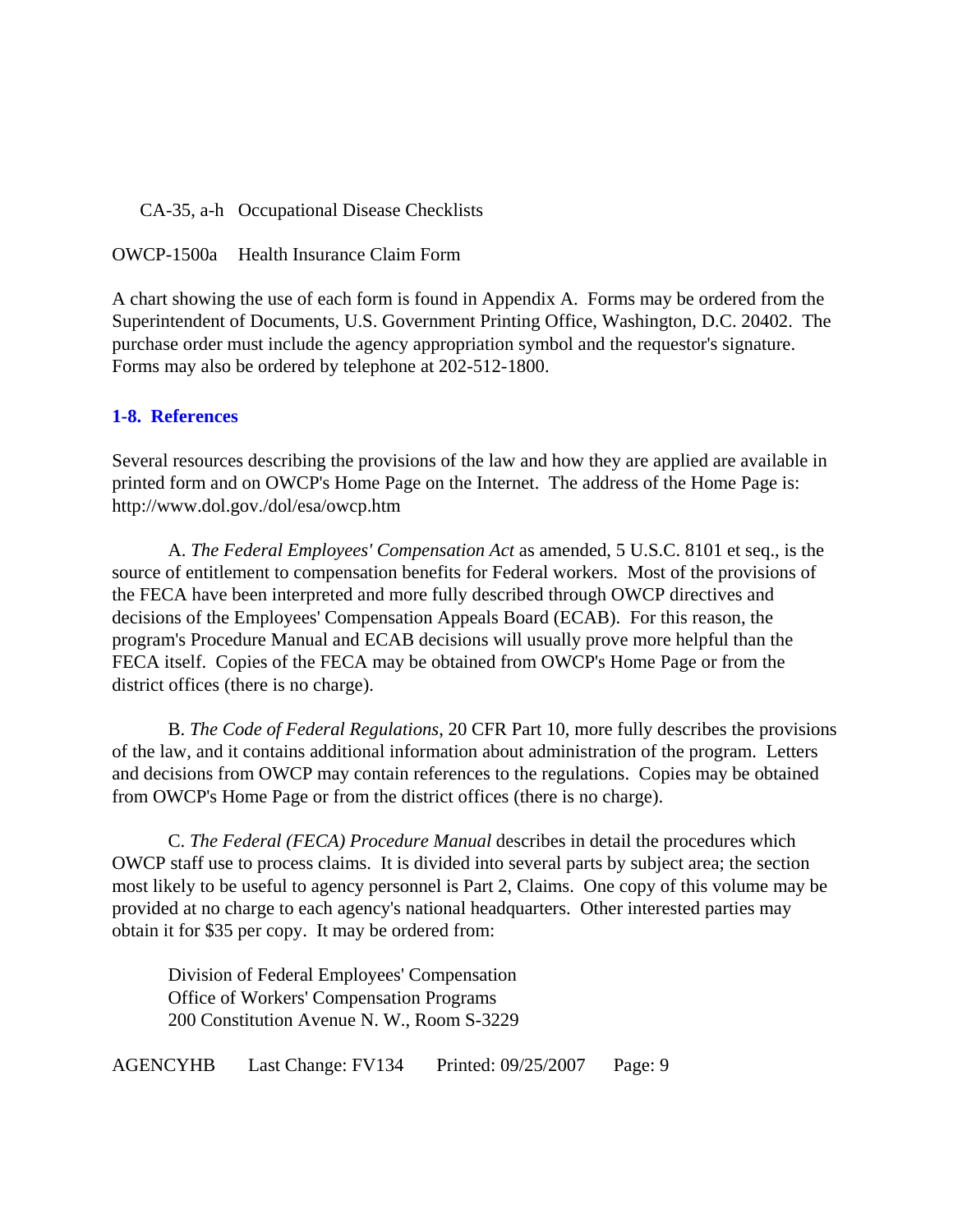CA-35, a-h Occupational Disease Checklists

#### OWCP-1500a Health Insurance Claim Form

A chart showing the use of each form is found in Appendix A. Forms may be ordered from the Superintendent of Documents, U.S. Government Printing Office, Washington, D.C. 20402. The purchase order must include the agency appropriation symbol and the requestor's signature. Forms may also be ordered by telephone at 202-512-1800.

#### **1-8. References**

Several resources describing the provisions of the law and how they are applied are available in printed form and on OWCP's Home Page on the Internet. The address of the Home Page is: http://www.dol.gov./dol/esa/owcp.htm

 A. *The Federal Employees' Compensation Act* as amended, 5 U.S.C. 8101 et seq., is the source of entitlement to compensation benefits for Federal workers. Most of the provisions of the FECA have been interpreted and more fully described through OWCP directives and decisions of the Employees' Compensation Appeals Board (ECAB). For this reason, the program's Procedure Manual and ECAB decisions will usually prove more helpful than the FECA itself. Copies of the FECA may be obtained from OWCP's Home Page or from the district offices (there is no charge).

 B. *The Code of Federal Regulations*, 20 CFR Part 10, more fully describes the provisions of the law, and it contains additional information about administration of the program. Letters and decisions from OWCP may contain references to the regulations. Copies may be obtained from OWCP's Home Page or from the district offices (there is no charge).

 C. *The Federal (FECA) Procedure Manual* describes in detail the procedures which OWCP staff use to process claims. It is divided into several parts by subject area; the section most likely to be useful to agency personnel is Part 2, Claims. One copy of this volume may be provided at no charge to each agency's national headquarters. Other interested parties may obtain it for \$35 per copy. It may be ordered from:

 Division of Federal Employees' Compensation Office of Workers' Compensation Programs 200 Constitution Avenue N. W., Room S-3229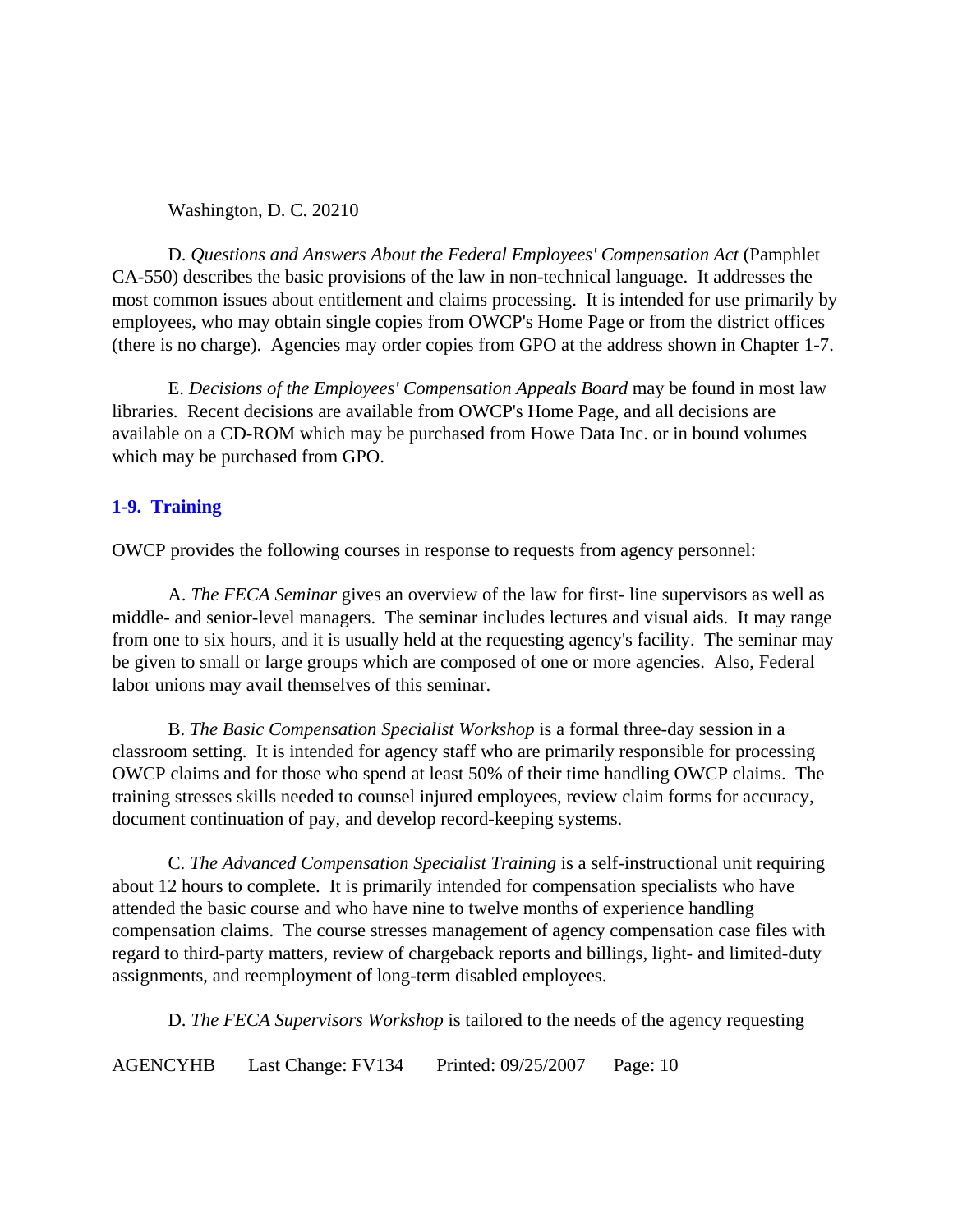Washington, D. C. 20210

 D. *Questions and Answers About the Federal Employees' Compensation Act* (Pamphlet CA-550) describes the basic provisions of the law in non-technical language. It addresses the most common issues about entitlement and claims processing. It is intended for use primarily by employees, who may obtain single copies from OWCP's Home Page or from the district offices (there is no charge). Agencies may order copies from GPO at the address shown in Chapter 1-7.

 E. *Decisions of the Employees' Compensation Appeals Board* may be found in most law libraries. Recent decisions are available from OWCP's Home Page, and all decisions are available on a CD-ROM which may be purchased from Howe Data Inc. or in bound volumes which may be purchased from GPO.

### **1-9. Training**

OWCP provides the following courses in response to requests from agency personnel:

 A. *The FECA Seminar* gives an overview of the law for first- line supervisors as well as middle- and senior-level managers. The seminar includes lectures and visual aids. It may range from one to six hours, and it is usually held at the requesting agency's facility. The seminar may be given to small or large groups which are composed of one or more agencies. Also, Federal labor unions may avail themselves of this seminar.

 B. *The Basic Compensation Specialist Workshop* is a formal three-day session in a classroom setting. It is intended for agency staff who are primarily responsible for processing OWCP claims and for those who spend at least 50% of their time handling OWCP claims. The training stresses skills needed to counsel injured employees, review claim forms for accuracy, document continuation of pay, and develop record-keeping systems.

 C. *The Advanced Compensation Specialist Training* is a self-instructional unit requiring about 12 hours to complete. It is primarily intended for compensation specialists who have attended the basic course and who have nine to twelve months of experience handling compensation claims. The course stresses management of agency compensation case files with regard to third-party matters, review of chargeback reports and billings, light- and limited-duty assignments, and reemployment of long-term disabled employees.

D. *The FECA Supervisors Workshop* is tailored to the needs of the agency requesting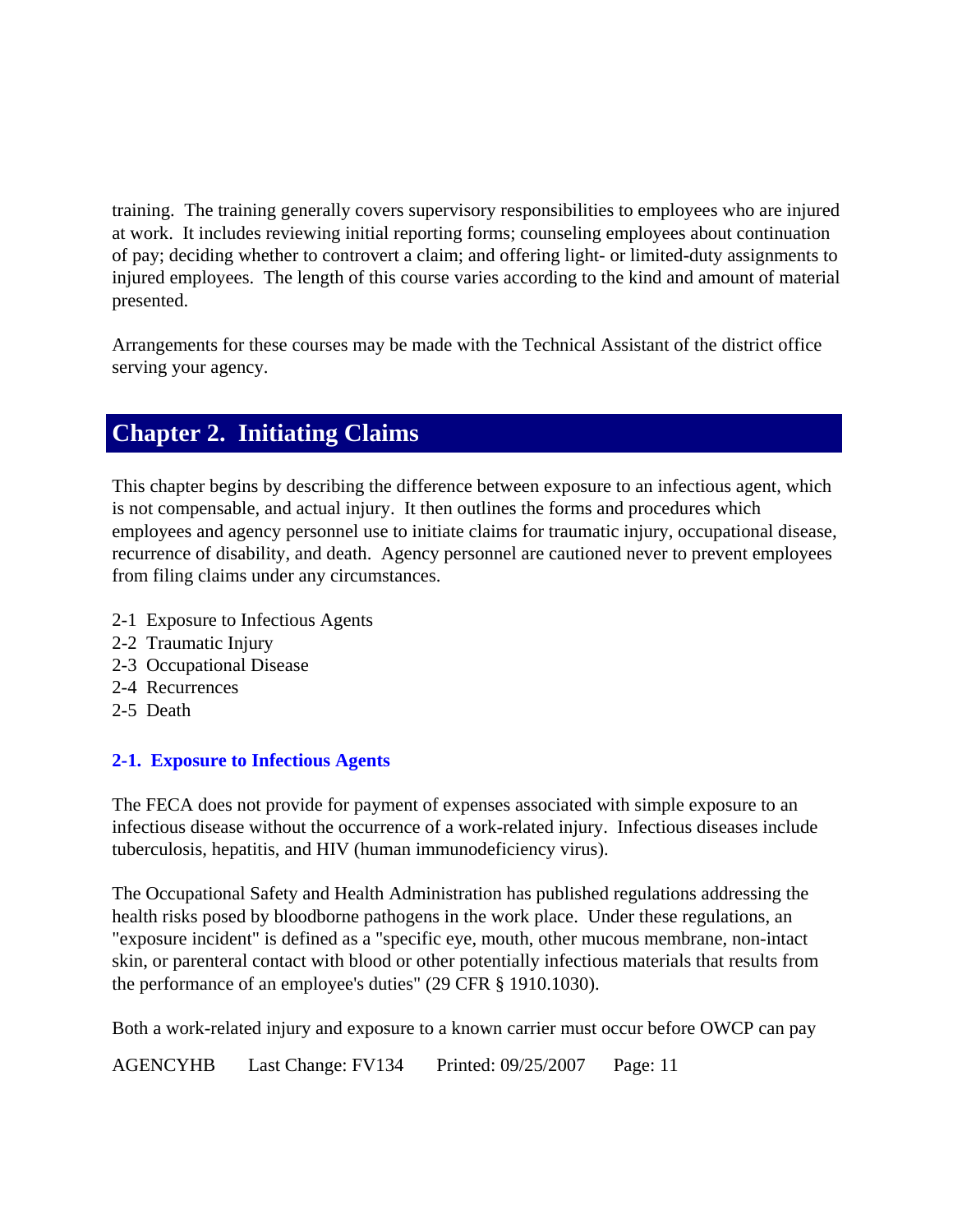training. The training generally covers supervisory responsibilities to employees who are injured at work. It includes reviewing initial reporting forms; counseling employees about continuation of pay; deciding whether to controvert a claim; and offering light- or limited-duty assignments to injured employees. The length of this course varies according to the kind and amount of material presented.

Arrangements for these courses may be made with the Technical Assistant of the district office serving your agency.

## **Chapter 2. Initiating Claims**

This chapter begins by describing the difference between exposure to an infectious agent, which is not compensable, and actual injury. It then outlines the forms and procedures which employees and agency personnel use to initiate claims for traumatic injury, occupational disease, recurrence of disability, and death. Agency personnel are cautioned never to prevent employees from filing claims under any circumstances.

- 2-1 Exposure to Infectious Agents
- 2-2 Traumatic Injury
- 2-3 Occupational Disease
- 2-4 Recurrences
- 2-5 Death

## **2-1. Exposure to Infectious Agents**

The FECA does not provide for payment of expenses associated with simple exposure to an infectious disease without the occurrence of a work-related injury. Infectious diseases include tuberculosis, hepatitis, and HIV (human immunodeficiency virus).

The Occupational Safety and Health Administration has published regulations addressing the health risks posed by bloodborne pathogens in the work place. Under these regulations, an "exposure incident" is defined as a "specific eye, mouth, other mucous membrane, non-intact skin, or parenteral contact with blood or other potentially infectious materials that results from the performance of an employee's duties" (29 CFR § 1910.1030).

Both a work-related injury and exposure to a known carrier must occur before OWCP can pay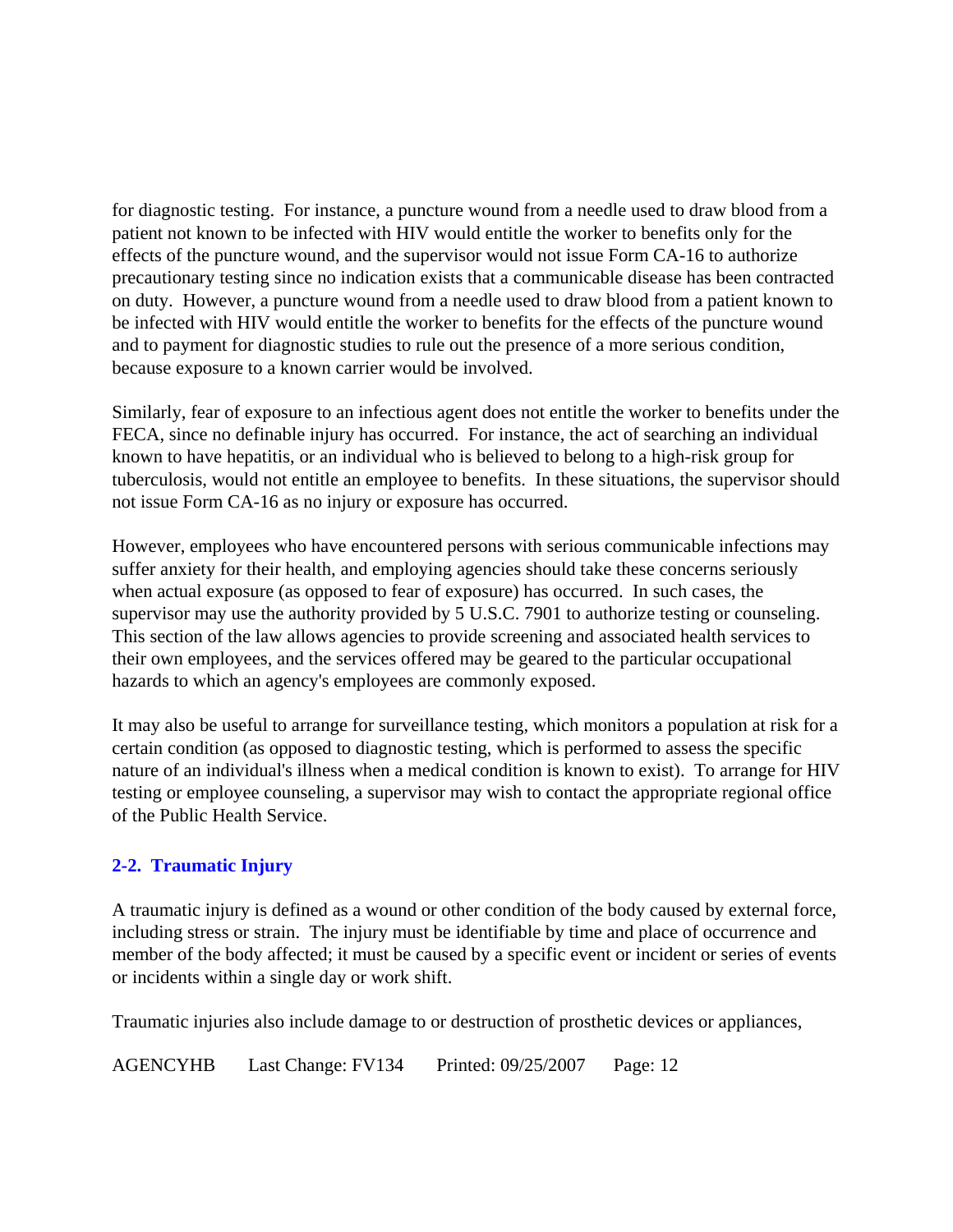for diagnostic testing. For instance, a puncture wound from a needle used to draw blood from a patient not known to be infected with HIV would entitle the worker to benefits only for the effects of the puncture wound, and the supervisor would not issue Form CA-16 to authorize precautionary testing since no indication exists that a communicable disease has been contracted on duty. However, a puncture wound from a needle used to draw blood from a patient known to be infected with HIV would entitle the worker to benefits for the effects of the puncture wound and to payment for diagnostic studies to rule out the presence of a more serious condition, because exposure to a known carrier would be involved.

Similarly, fear of exposure to an infectious agent does not entitle the worker to benefits under the FECA, since no definable injury has occurred. For instance, the act of searching an individual known to have hepatitis, or an individual who is believed to belong to a high-risk group for tuberculosis, would not entitle an employee to benefits. In these situations, the supervisor should not issue Form CA-16 as no injury or exposure has occurred.

However, employees who have encountered persons with serious communicable infections may suffer anxiety for their health, and employing agencies should take these concerns seriously when actual exposure (as opposed to fear of exposure) has occurred. In such cases, the supervisor may use the authority provided by 5 U.S.C. 7901 to authorize testing or counseling. This section of the law allows agencies to provide screening and associated health services to their own employees, and the services offered may be geared to the particular occupational hazards to which an agency's employees are commonly exposed.

It may also be useful to arrange for surveillance testing, which monitors a population at risk for a certain condition (as opposed to diagnostic testing, which is performed to assess the specific nature of an individual's illness when a medical condition is known to exist). To arrange for HIV testing or employee counseling, a supervisor may wish to contact the appropriate regional office of the Public Health Service.

## **2-2. Traumatic Injury**

A traumatic injury is defined as a wound or other condition of the body caused by external force, including stress or strain. The injury must be identifiable by time and place of occurrence and member of the body affected; it must be caused by a specific event or incident or series of events or incidents within a single day or work shift.

Traumatic injuries also include damage to or destruction of prosthetic devices or appliances,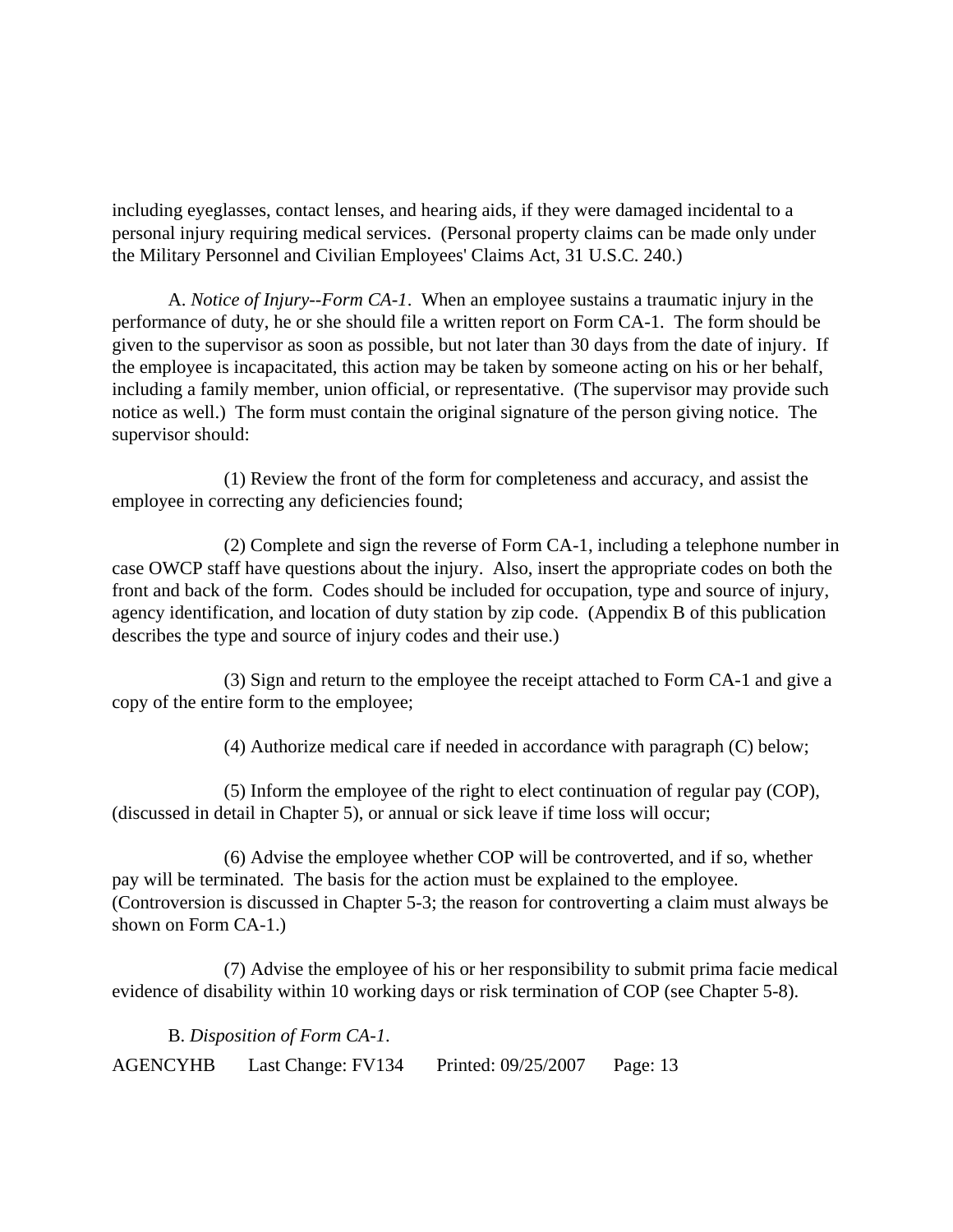including eyeglasses, contact lenses, and hearing aids, if they were damaged incidental to a personal injury requiring medical services. (Personal property claims can be made only under the Military Personnel and Civilian Employees' Claims Act, 31 U.S.C. 240.)

 A. *Notice of Injury--Form CA-1*. When an employee sustains a traumatic injury in the performance of duty, he or she should file a written report on Form CA-1. The form should be given to the supervisor as soon as possible, but not later than 30 days from the date of injury. If the employee is incapacitated, this action may be taken by someone acting on his or her behalf, including a family member, union official, or representative. (The supervisor may provide such notice as well.) The form must contain the original signature of the person giving notice. The supervisor should:

 (1) Review the front of the form for completeness and accuracy, and assist the employee in correcting any deficiencies found;

 (2) Complete and sign the reverse of Form CA-1, including a telephone number in case OWCP staff have questions about the injury. Also, insert the appropriate codes on both the front and back of the form. Codes should be included for occupation, type and source of injury, agency identification, and location of duty station by zip code. (Appendix B of this publication describes the type and source of injury codes and their use.)

 (3) Sign and return to the employee the receipt attached to Form CA-1 and give a copy of the entire form to the employee;

(4) Authorize medical care if needed in accordance with paragraph (C) below;

 (5) Inform the employee of the right to elect continuation of regular pay (COP), (discussed in detail in Chapter 5), or annual or sick leave if time loss will occur;

 (6) Advise the employee whether COP will be controverted, and if so, whether pay will be terminated. The basis for the action must be explained to the employee. (Controversion is discussed in Chapter 5-3; the reason for controverting a claim must always be shown on Form CA-1.)

 (7) Advise the employee of his or her responsibility to submit prima facie medical evidence of disability within 10 working days or risk termination of COP (see Chapter 5-8).

AGENCYHB Last Change: FV134 Printed: 09/25/2007 Page: 13 B. *Disposition of Form CA-1*.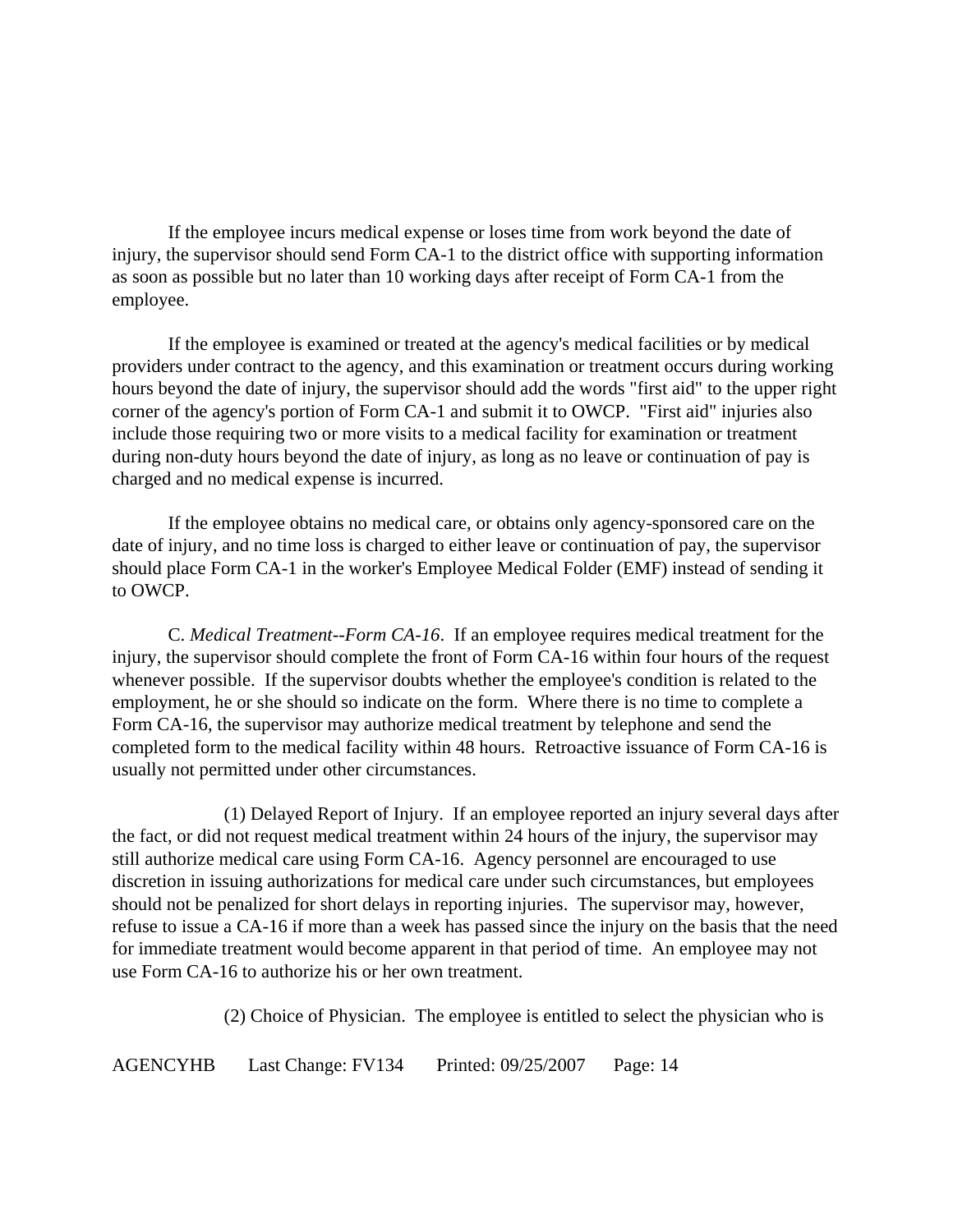If the employee incurs medical expense or loses time from work beyond the date of injury, the supervisor should send Form CA-1 to the district office with supporting information as soon as possible but no later than 10 working days after receipt of Form CA-1 from the employee.

 If the employee is examined or treated at the agency's medical facilities or by medical providers under contract to the agency, and this examination or treatment occurs during working hours beyond the date of injury, the supervisor should add the words "first aid" to the upper right corner of the agency's portion of Form CA-1 and submit it to OWCP. "First aid" injuries also include those requiring two or more visits to a medical facility for examination or treatment during non-duty hours beyond the date of injury, as long as no leave or continuation of pay is charged and no medical expense is incurred.

 If the employee obtains no medical care, or obtains only agency-sponsored care on the date of injury, and no time loss is charged to either leave or continuation of pay, the supervisor should place Form CA-1 in the worker's Employee Medical Folder (EMF) instead of sending it to OWCP.

 C. *Medical Treatment--Form CA-16*. If an employee requires medical treatment for the injury, the supervisor should complete the front of Form CA-16 within four hours of the request whenever possible. If the supervisor doubts whether the employee's condition is related to the employment, he or she should so indicate on the form. Where there is no time to complete a Form CA-16, the supervisor may authorize medical treatment by telephone and send the completed form to the medical facility within 48 hours. Retroactive issuance of Form CA-16 is usually not permitted under other circumstances.

 (1) Delayed Report of Injury. If an employee reported an injury several days after the fact, or did not request medical treatment within 24 hours of the injury, the supervisor may still authorize medical care using Form CA-16. Agency personnel are encouraged to use discretion in issuing authorizations for medical care under such circumstances, but employees should not be penalized for short delays in reporting injuries. The supervisor may, however, refuse to issue a CA-16 if more than a week has passed since the injury on the basis that the need for immediate treatment would become apparent in that period of time. An employee may not use Form CA-16 to authorize his or her own treatment.

(2) Choice of Physician. The employee is entitled to select the physician who is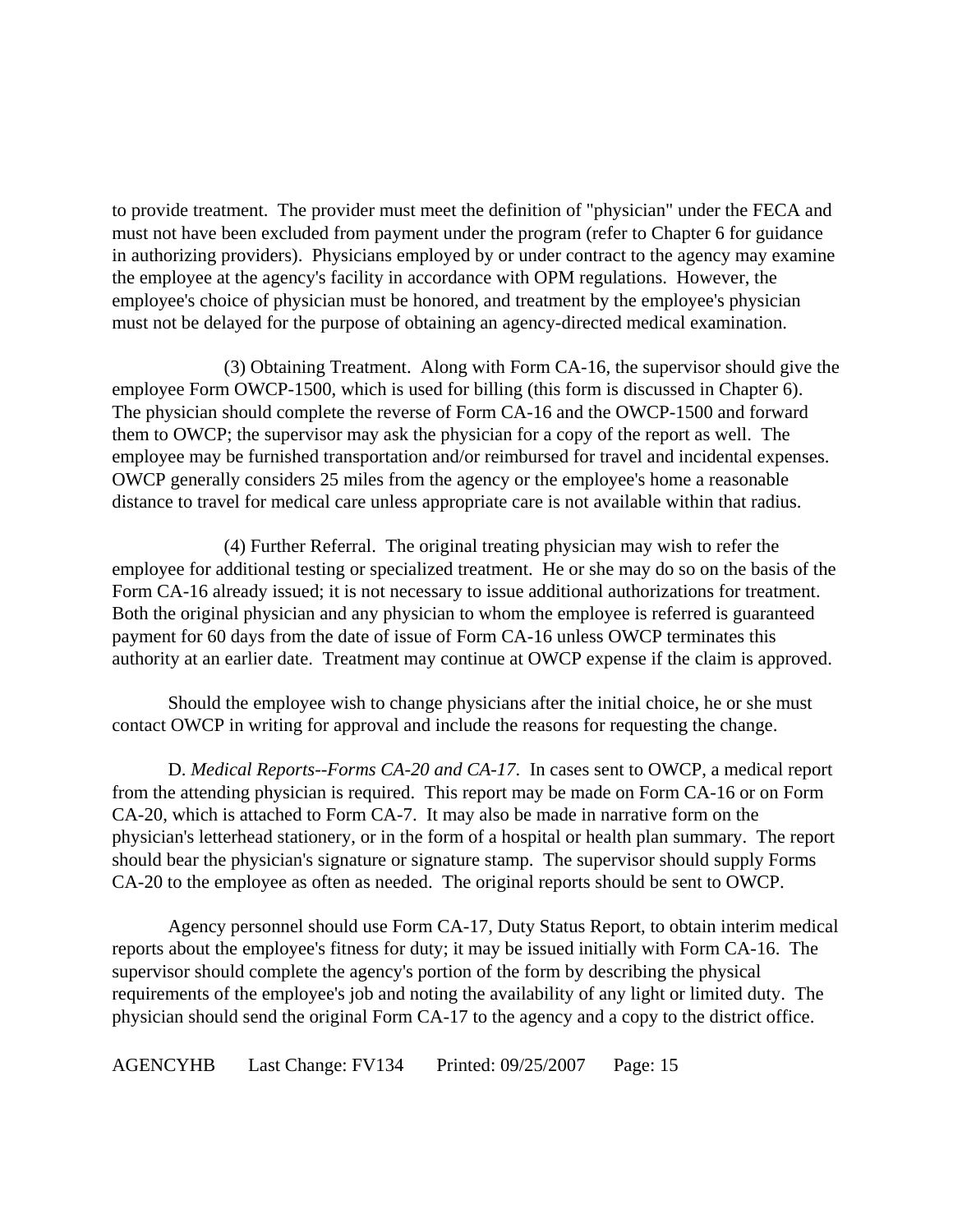to provide treatment. The provider must meet the definition of "physician" under the FECA and must not have been excluded from payment under the program (refer to Chapter 6 for guidance in authorizing providers). Physicians employed by or under contract to the agency may examine the employee at the agency's facility in accordance with OPM regulations. However, the employee's choice of physician must be honored, and treatment by the employee's physician must not be delayed for the purpose of obtaining an agency-directed medical examination.

 (3) Obtaining Treatment. Along with Form CA-16, the supervisor should give the employee Form OWCP-1500, which is used for billing (this form is discussed in Chapter 6). The physician should complete the reverse of Form CA-16 and the OWCP-1500 and forward them to OWCP; the supervisor may ask the physician for a copy of the report as well. The employee may be furnished transportation and/or reimbursed for travel and incidental expenses. OWCP generally considers 25 miles from the agency or the employee's home a reasonable distance to travel for medical care unless appropriate care is not available within that radius.

 (4) Further Referral. The original treating physician may wish to refer the employee for additional testing or specialized treatment. He or she may do so on the basis of the Form CA-16 already issued; it is not necessary to issue additional authorizations for treatment. Both the original physician and any physician to whom the employee is referred is guaranteed payment for 60 days from the date of issue of Form CA-16 unless OWCP terminates this authority at an earlier date. Treatment may continue at OWCP expense if the claim is approved.

 Should the employee wish to change physicians after the initial choice, he or she must contact OWCP in writing for approval and include the reasons for requesting the change.

 D. *Medical Reports--Forms CA-20 and CA-17*. In cases sent to OWCP, a medical report from the attending physician is required. This report may be made on Form CA-16 or on Form CA-20, which is attached to Form CA-7. It may also be made in narrative form on the physician's letterhead stationery, or in the form of a hospital or health plan summary. The report should bear the physician's signature or signature stamp. The supervisor should supply Forms CA-20 to the employee as often as needed. The original reports should be sent to OWCP.

 Agency personnel should use Form CA-17, Duty Status Report, to obtain interim medical reports about the employee's fitness for duty; it may be issued initially with Form CA-16. The supervisor should complete the agency's portion of the form by describing the physical requirements of the employee's job and noting the availability of any light or limited duty. The physician should send the original Form CA-17 to the agency and a copy to the district office.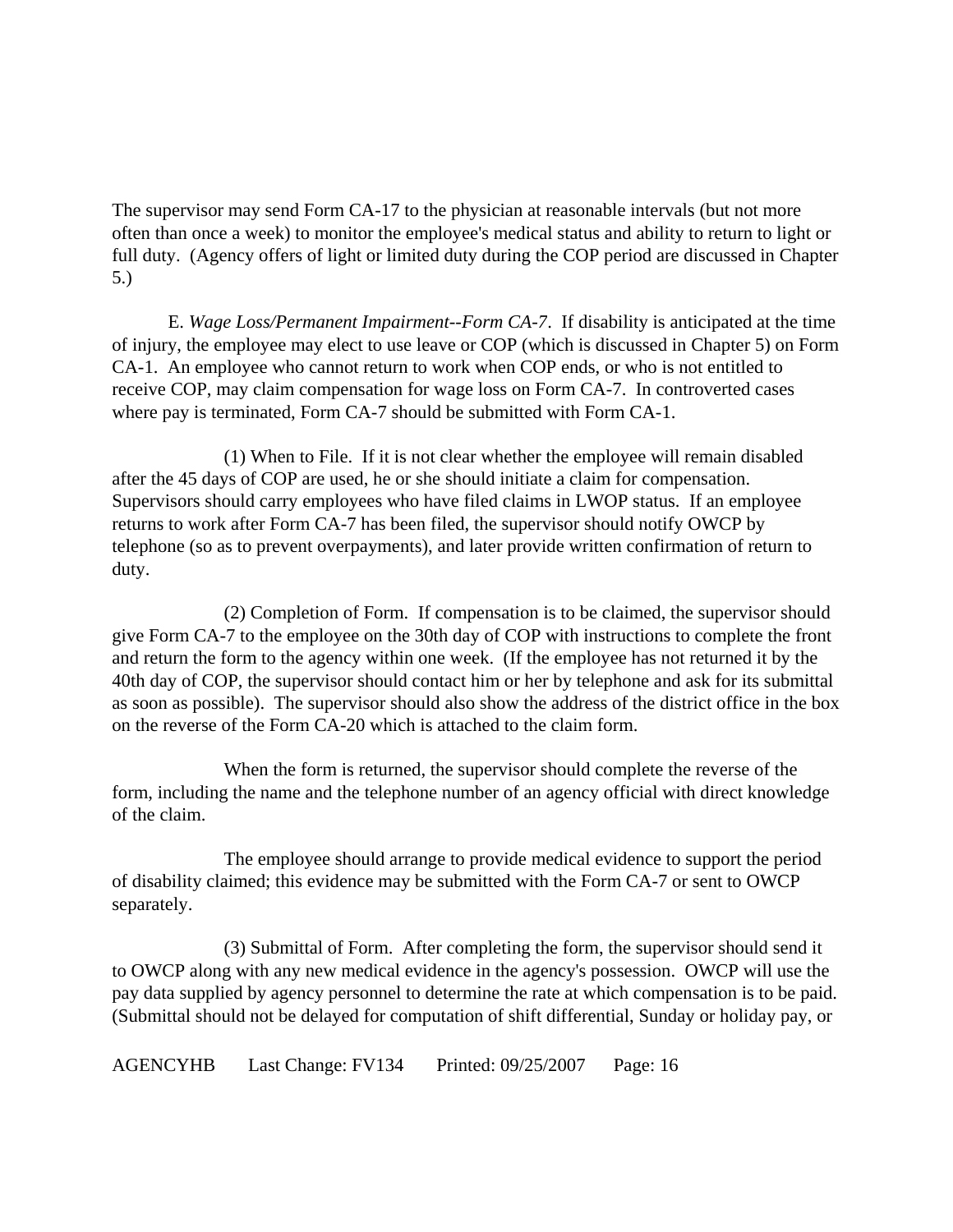The supervisor may send Form CA-17 to the physician at reasonable intervals (but not more often than once a week) to monitor the employee's medical status and ability to return to light or full duty. (Agency offers of light or limited duty during the COP period are discussed in Chapter 5.)

 E. *Wage Loss/Permanent Impairment--Form CA-7*. If disability is anticipated at the time of injury, the employee may elect to use leave or COP (which is discussed in Chapter 5) on Form CA-1. An employee who cannot return to work when COP ends, or who is not entitled to receive COP, may claim compensation for wage loss on Form CA-7. In controverted cases where pay is terminated, Form CA-7 should be submitted with Form CA-1.

 (1) When to File. If it is not clear whether the employee will remain disabled after the 45 days of COP are used, he or she should initiate a claim for compensation. Supervisors should carry employees who have filed claims in LWOP status. If an employee returns to work after Form CA-7 has been filed, the supervisor should notify OWCP by telephone (so as to prevent overpayments), and later provide written confirmation of return to duty.

 (2) Completion of Form. If compensation is to be claimed, the supervisor should give Form CA-7 to the employee on the 30th day of COP with instructions to complete the front and return the form to the agency within one week. (If the employee has not returned it by the 40th day of COP, the supervisor should contact him or her by telephone and ask for its submittal as soon as possible). The supervisor should also show the address of the district office in the box on the reverse of the Form CA-20 which is attached to the claim form.

 When the form is returned, the supervisor should complete the reverse of the form, including the name and the telephone number of an agency official with direct knowledge of the claim.

 The employee should arrange to provide medical evidence to support the period of disability claimed; this evidence may be submitted with the Form CA-7 or sent to OWCP separately.

 (3) Submittal of Form. After completing the form, the supervisor should send it to OWCP along with any new medical evidence in the agency's possession. OWCP will use the pay data supplied by agency personnel to determine the rate at which compensation is to be paid. (Submittal should not be delayed for computation of shift differential, Sunday or holiday pay, or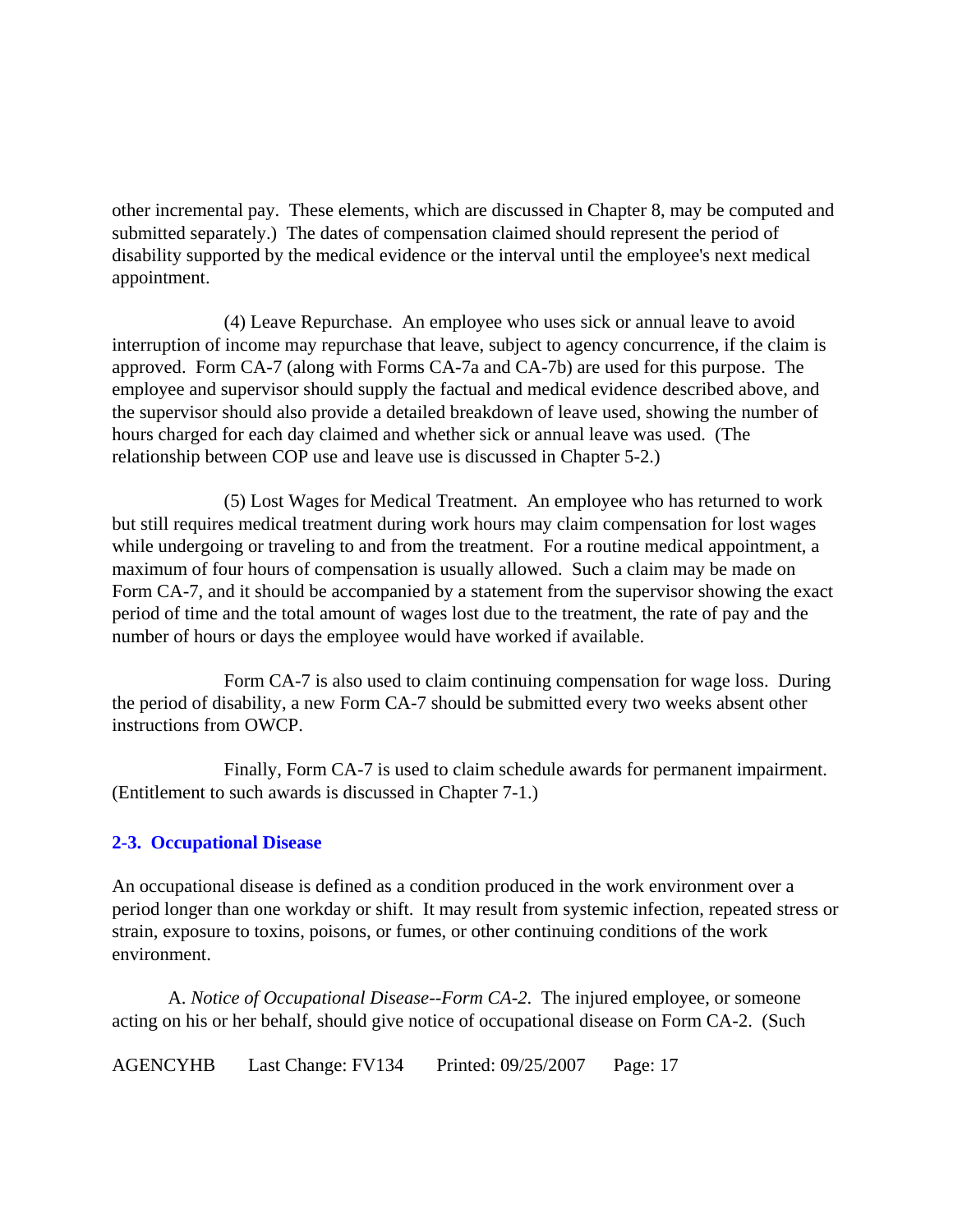other incremental pay. These elements, which are discussed in Chapter 8, may be computed and submitted separately.) The dates of compensation claimed should represent the period of disability supported by the medical evidence or the interval until the employee's next medical appointment.

 (4) Leave Repurchase. An employee who uses sick or annual leave to avoid interruption of income may repurchase that leave, subject to agency concurrence, if the claim is approved. Form CA-7 (along with Forms CA-7a and CA-7b) are used for this purpose. The employee and supervisor should supply the factual and medical evidence described above, and the supervisor should also provide a detailed breakdown of leave used, showing the number of hours charged for each day claimed and whether sick or annual leave was used. (The relationship between COP use and leave use is discussed in Chapter 5-2.)

 (5) Lost Wages for Medical Treatment. An employee who has returned to work but still requires medical treatment during work hours may claim compensation for lost wages while undergoing or traveling to and from the treatment. For a routine medical appointment, a maximum of four hours of compensation is usually allowed. Such a claim may be made on Form CA-7, and it should be accompanied by a statement from the supervisor showing the exact period of time and the total amount of wages lost due to the treatment, the rate of pay and the number of hours or days the employee would have worked if available.

 Form CA-7 is also used to claim continuing compensation for wage loss. During the period of disability, a new Form CA-7 should be submitted every two weeks absent other instructions from OWCP.

 Finally, Form CA-7 is used to claim schedule awards for permanent impairment. (Entitlement to such awards is discussed in Chapter 7-1.)

## **2-3. Occupational Disease**

An occupational disease is defined as a condition produced in the work environment over a period longer than one workday or shift. It may result from systemic infection, repeated stress or strain, exposure to toxins, poisons, or fumes, or other continuing conditions of the work environment.

 A. *Notice of Occupational Disease--Form CA-2*. The injured employee, or someone acting on his or her behalf, should give notice of occupational disease on Form CA-2. (Such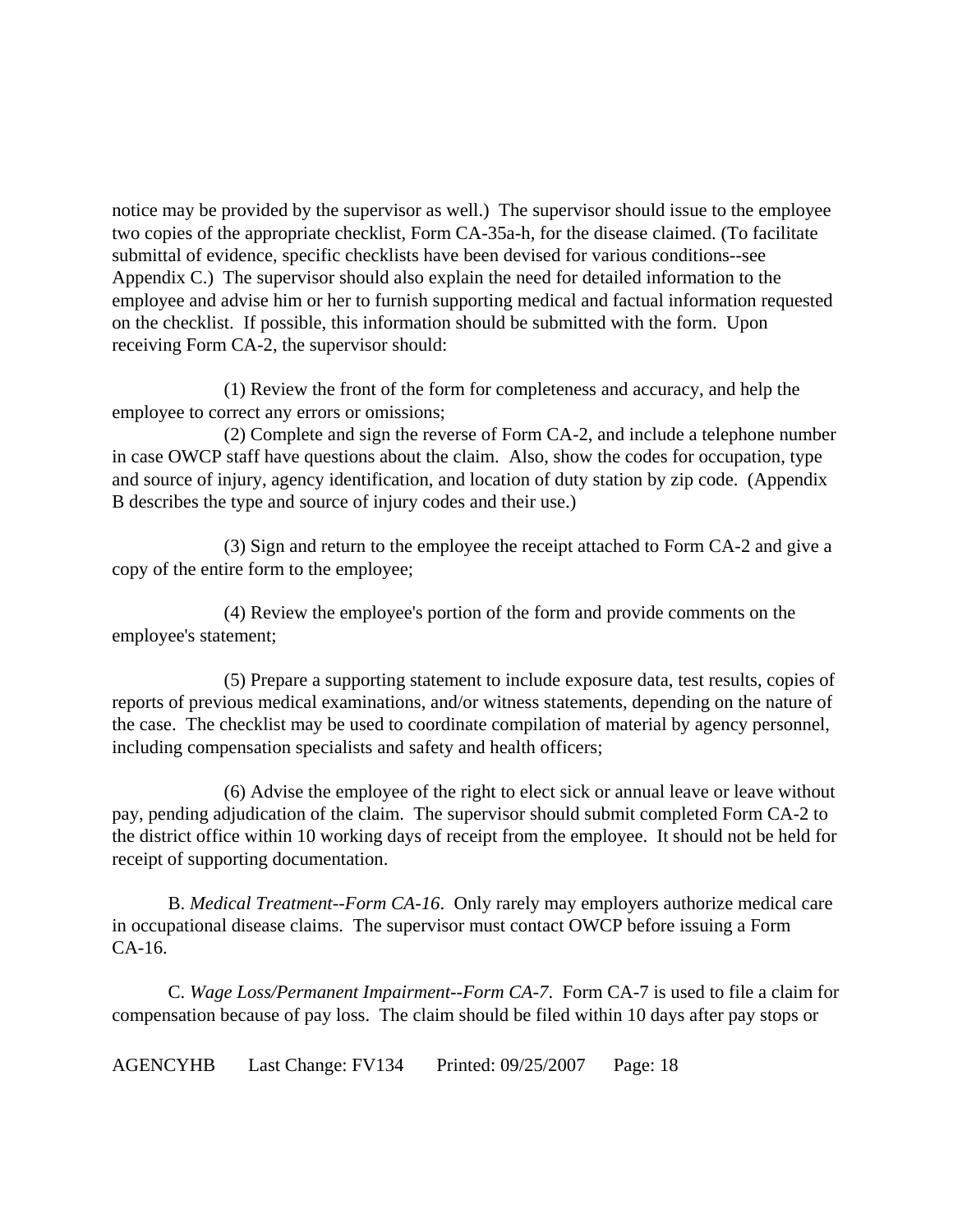notice may be provided by the supervisor as well.) The supervisor should issue to the employee two copies of the appropriate checklist, Form CA-35a-h, for the disease claimed. (To facilitate submittal of evidence, specific checklists have been devised for various conditions--see Appendix C.) The supervisor should also explain the need for detailed information to the employee and advise him or her to furnish supporting medical and factual information requested on the checklist. If possible, this information should be submitted with the form. Upon receiving Form CA-2, the supervisor should:

 (1) Review the front of the form for completeness and accuracy, and help the employee to correct any errors or omissions;

 (2) Complete and sign the reverse of Form CA-2, and include a telephone number in case OWCP staff have questions about the claim. Also, show the codes for occupation, type and source of injury, agency identification, and location of duty station by zip code. (Appendix B describes the type and source of injury codes and their use.)

 (3) Sign and return to the employee the receipt attached to Form CA-2 and give a copy of the entire form to the employee;

 (4) Review the employee's portion of the form and provide comments on the employee's statement;

 (5) Prepare a supporting statement to include exposure data, test results, copies of reports of previous medical examinations, and/or witness statements, depending on the nature of the case. The checklist may be used to coordinate compilation of material by agency personnel, including compensation specialists and safety and health officers;

 (6) Advise the employee of the right to elect sick or annual leave or leave without pay, pending adjudication of the claim. The supervisor should submit completed Form CA-2 to the district office within 10 working days of receipt from the employee. It should not be held for receipt of supporting documentation.

 B. *Medical Treatment--Form CA-16*. Only rarely may employers authorize medical care in occupational disease claims. The supervisor must contact OWCP before issuing a Form CA-16.

 C. *Wage Loss/Permanent Impairment--Form CA-7*. Form CA-7 is used to file a claim for compensation because of pay loss. The claim should be filed within 10 days after pay stops or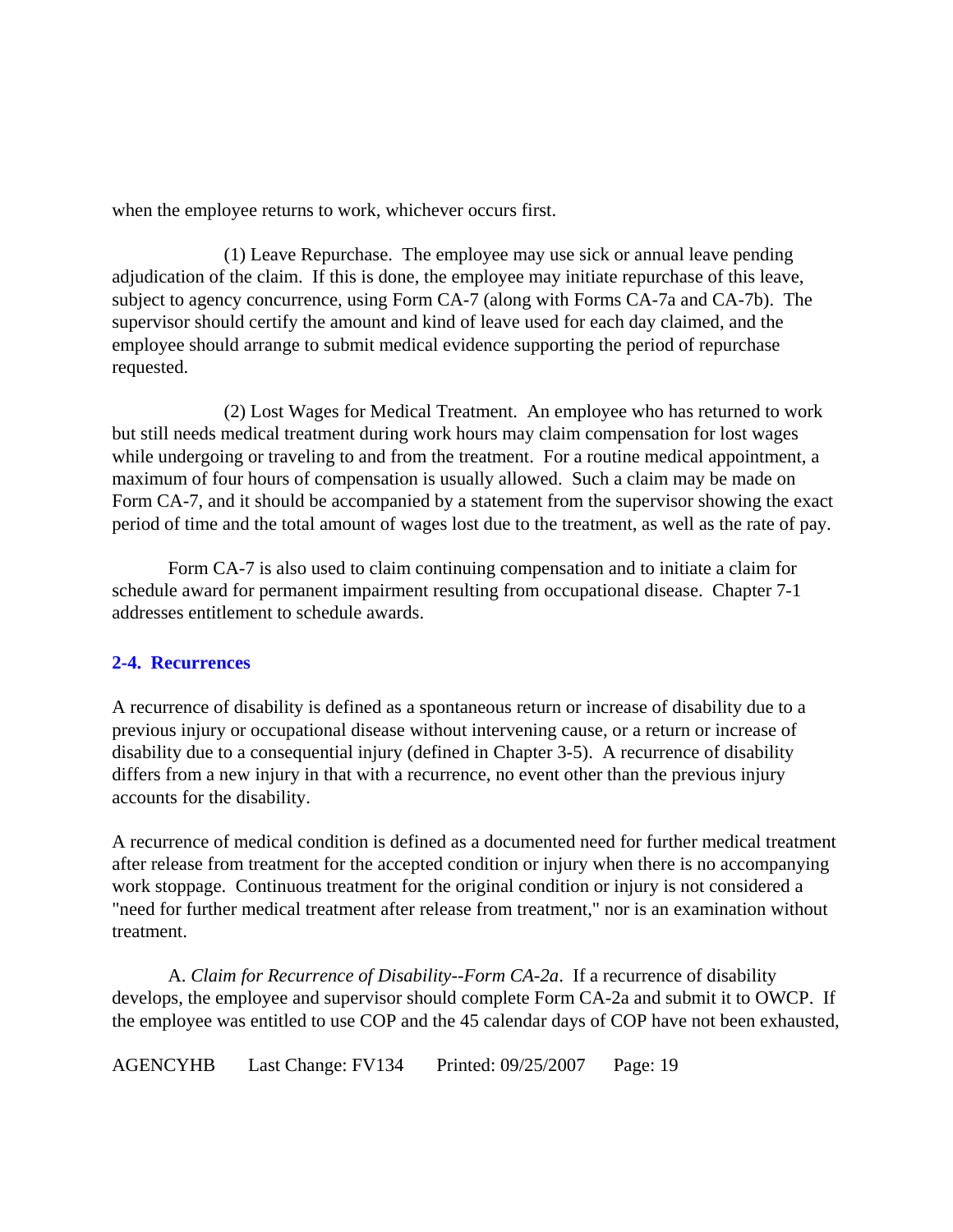when the employee returns to work, whichever occurs first.

 (1) Leave Repurchase. The employee may use sick or annual leave pending adjudication of the claim. If this is done, the employee may initiate repurchase of this leave, subject to agency concurrence, using Form CA-7 (along with Forms CA-7a and CA-7b). The supervisor should certify the amount and kind of leave used for each day claimed, and the employee should arrange to submit medical evidence supporting the period of repurchase requested.

 (2) Lost Wages for Medical Treatment. An employee who has returned to work but still needs medical treatment during work hours may claim compensation for lost wages while undergoing or traveling to and from the treatment. For a routine medical appointment, a maximum of four hours of compensation is usually allowed. Such a claim may be made on Form CA-7, and it should be accompanied by a statement from the supervisor showing the exact period of time and the total amount of wages lost due to the treatment, as well as the rate of pay.

 Form CA-7 is also used to claim continuing compensation and to initiate a claim for schedule award for permanent impairment resulting from occupational disease. Chapter 7-1 addresses entitlement to schedule awards.

## **2-4. Recurrences**

A recurrence of disability is defined as a spontaneous return or increase of disability due to a previous injury or occupational disease without intervening cause, or a return or increase of disability due to a consequential injury (defined in Chapter 3-5). A recurrence of disability differs from a new injury in that with a recurrence, no event other than the previous injury accounts for the disability.

A recurrence of medical condition is defined as a documented need for further medical treatment after release from treatment for the accepted condition or injury when there is no accompanying work stoppage. Continuous treatment for the original condition or injury is not considered a "need for further medical treatment after release from treatment," nor is an examination without treatment.

 A. *Claim for Recurrence of Disability--Form CA-2a*. If a recurrence of disability develops, the employee and supervisor should complete Form CA-2a and submit it to OWCP. If the employee was entitled to use COP and the 45 calendar days of COP have not been exhausted,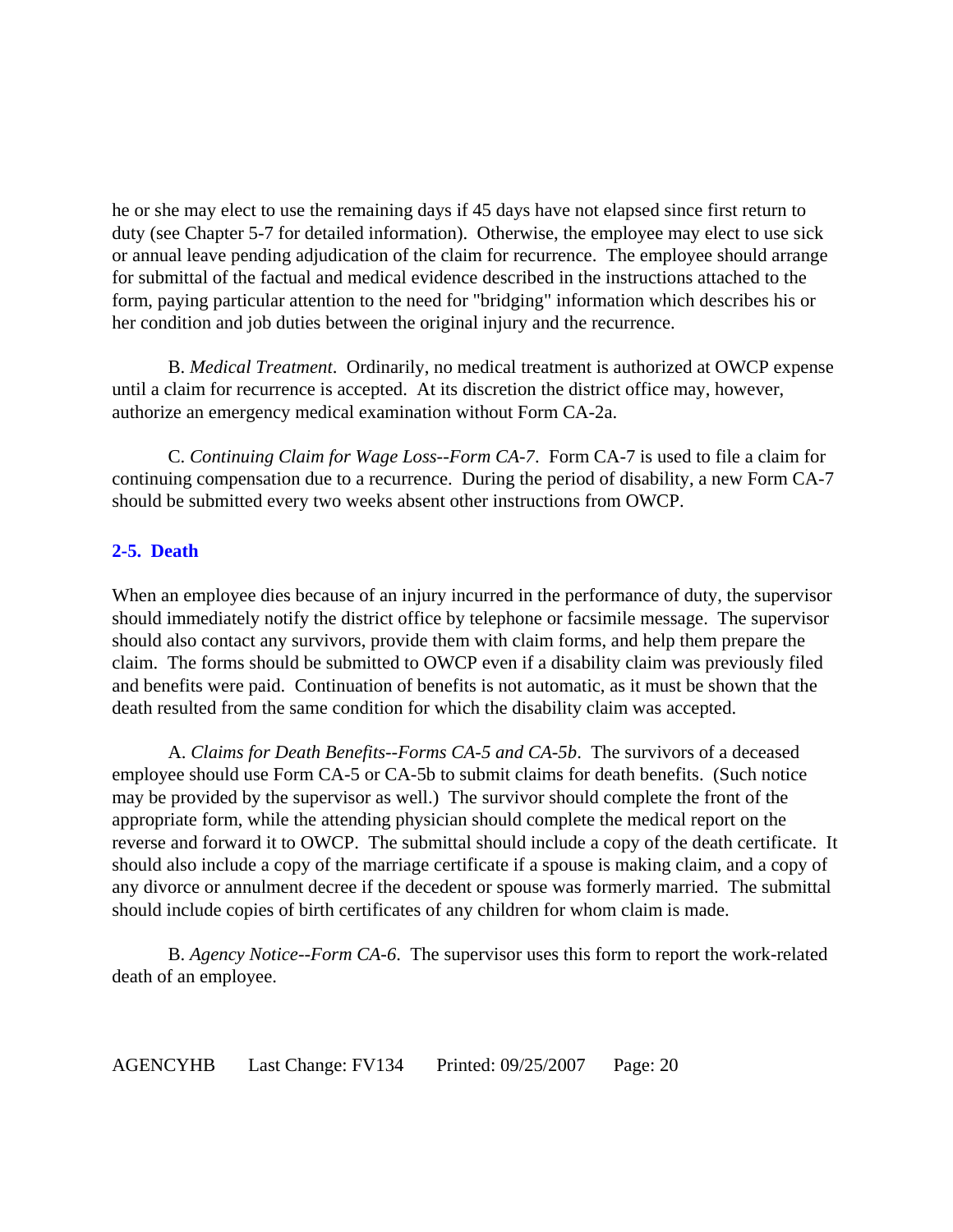he or she may elect to use the remaining days if 45 days have not elapsed since first return to duty (see Chapter 5-7 for detailed information). Otherwise, the employee may elect to use sick or annual leave pending adjudication of the claim for recurrence. The employee should arrange for submittal of the factual and medical evidence described in the instructions attached to the form, paying particular attention to the need for "bridging" information which describes his or her condition and job duties between the original injury and the recurrence.

 B. *Medical Treatment*. Ordinarily, no medical treatment is authorized at OWCP expense until a claim for recurrence is accepted. At its discretion the district office may, however, authorize an emergency medical examination without Form CA-2a.

 C. *Continuing Claim for Wage Loss--Form CA-7*. Form CA-7 is used to file a claim for continuing compensation due to a recurrence. During the period of disability, a new Form CA-7 should be submitted every two weeks absent other instructions from OWCP.

### **2-5. Death**

When an employee dies because of an injury incurred in the performance of duty, the supervisor should immediately notify the district office by telephone or facsimile message. The supervisor should also contact any survivors, provide them with claim forms, and help them prepare the claim. The forms should be submitted to OWCP even if a disability claim was previously filed and benefits were paid. Continuation of benefits is not automatic, as it must be shown that the death resulted from the same condition for which the disability claim was accepted.

 A. *Claims for Death Benefits--Forms CA-5 and CA-5b*. The survivors of a deceased employee should use Form CA-5 or CA-5b to submit claims for death benefits. (Such notice may be provided by the supervisor as well.) The survivor should complete the front of the appropriate form, while the attending physician should complete the medical report on the reverse and forward it to OWCP. The submittal should include a copy of the death certificate. It should also include a copy of the marriage certificate if a spouse is making claim, and a copy of any divorce or annulment decree if the decedent or spouse was formerly married. The submittal should include copies of birth certificates of any children for whom claim is made.

 B. *Agency Notice--Form CA-6*. The supervisor uses this form to report the work-related death of an employee.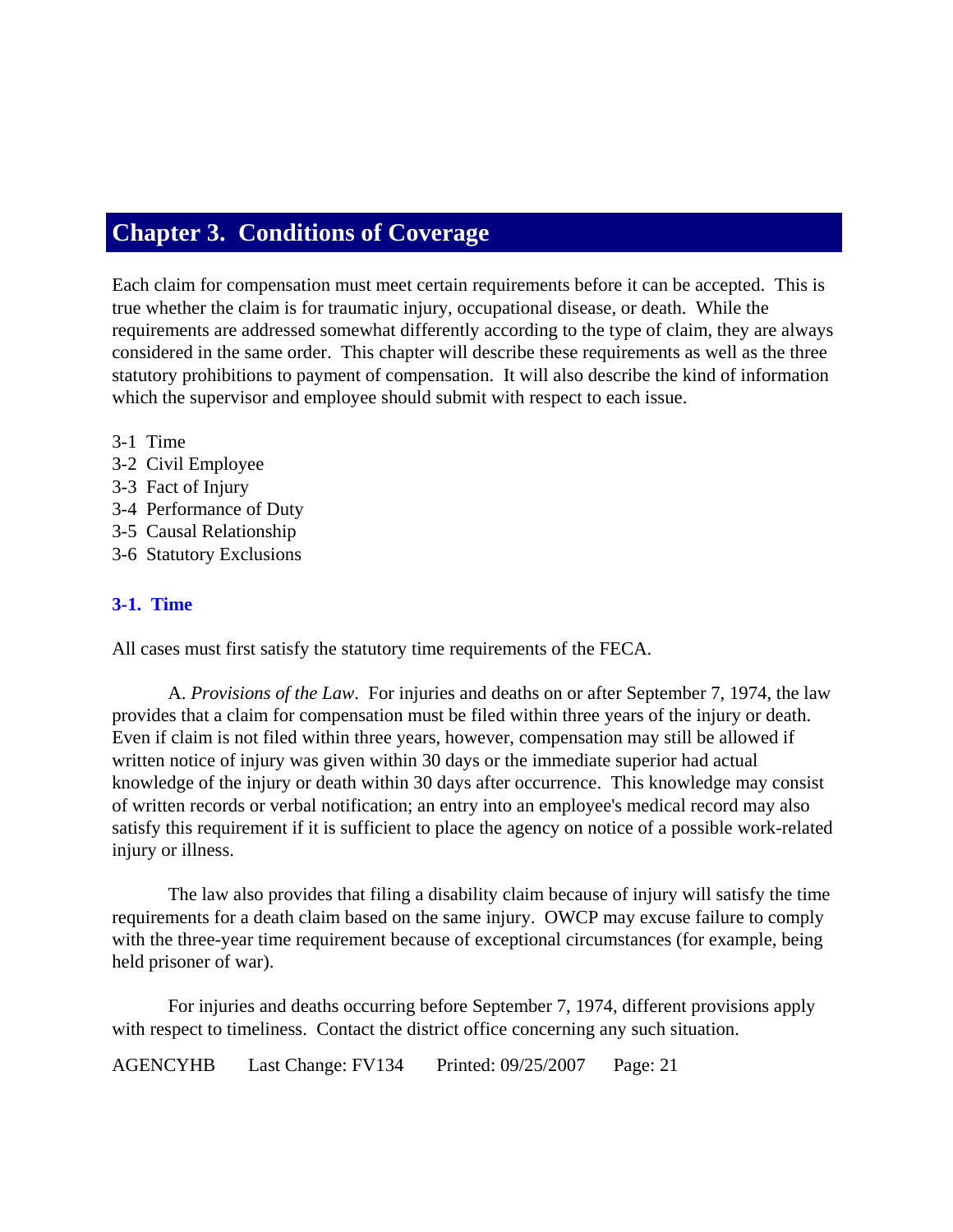## **Chapter 3. Conditions of Coverage**

Each claim for compensation must meet certain requirements before it can be accepted. This is true whether the claim is for traumatic injury, occupational disease, or death. While the requirements are addressed somewhat differently according to the type of claim, they are always considered in the same order. This chapter will describe these requirements as well as the three statutory prohibitions to payment of compensation. It will also describe the kind of information which the supervisor and employee should submit with respect to each issue.

- 3-1 Time
- 3-2 Civil Employee
- 3-3 Fact of Injury
- 3-4 Performance of Duty
- 3-5 Causal Relationship
- 3-6 Statutory Exclusions

### **3-1. Time**

All cases must first satisfy the statutory time requirements of the FECA.

 A. *Provisions of the Law*. For injuries and deaths on or after September 7, 1974, the law provides that a claim for compensation must be filed within three years of the injury or death. Even if claim is not filed within three years, however, compensation may still be allowed if written notice of injury was given within 30 days or the immediate superior had actual knowledge of the injury or death within 30 days after occurrence. This knowledge may consist of written records or verbal notification; an entry into an employee's medical record may also satisfy this requirement if it is sufficient to place the agency on notice of a possible work-related injury or illness.

 The law also provides that filing a disability claim because of injury will satisfy the time requirements for a death claim based on the same injury. OWCP may excuse failure to comply with the three-year time requirement because of exceptional circumstances (for example, being held prisoner of war).

 For injuries and deaths occurring before September 7, 1974, different provisions apply with respect to timeliness. Contact the district office concerning any such situation.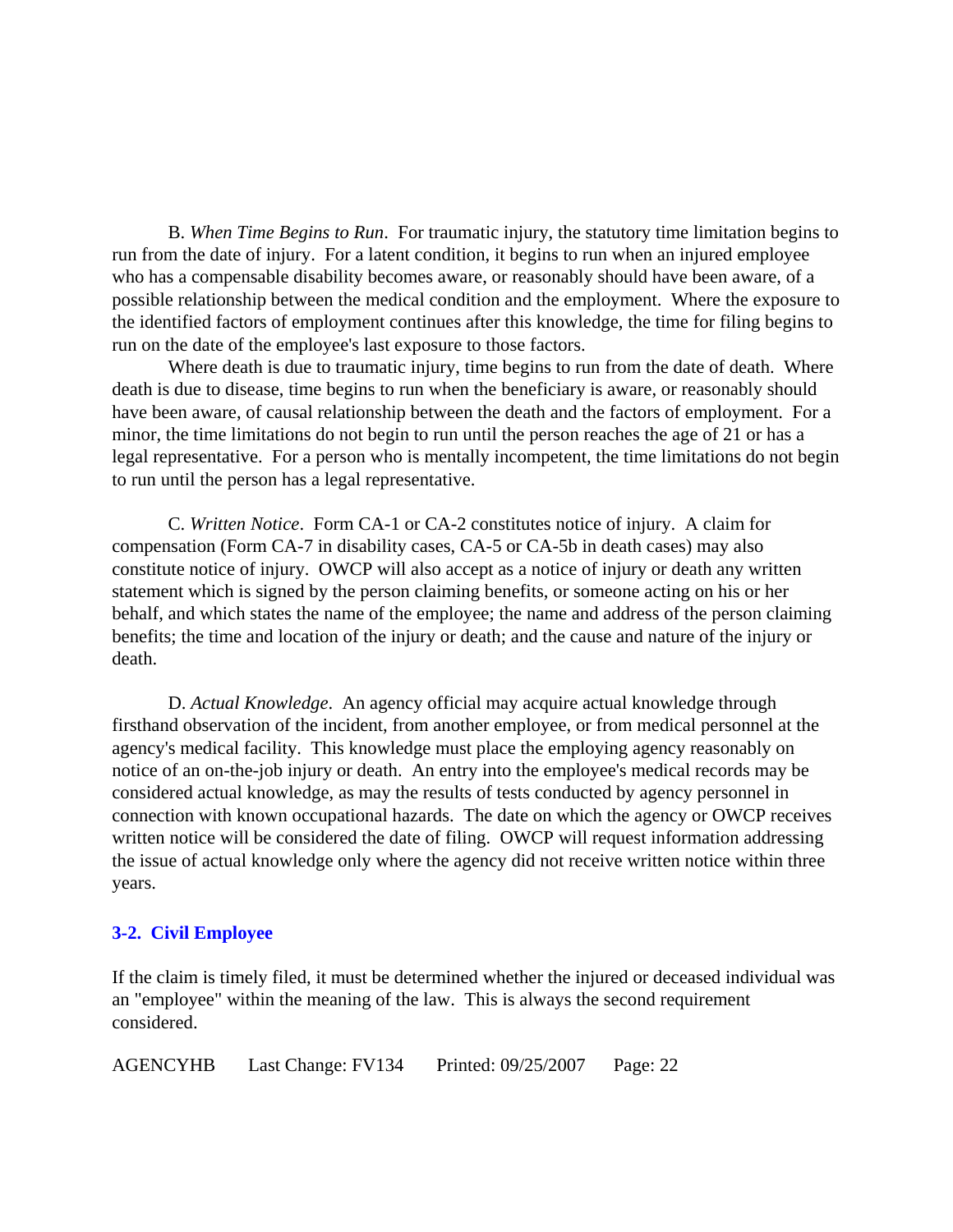B. *When Time Begins to Run*. For traumatic injury, the statutory time limitation begins to run from the date of injury. For a latent condition, it begins to run when an injured employee who has a compensable disability becomes aware, or reasonably should have been aware, of a possible relationship between the medical condition and the employment. Where the exposure to the identified factors of employment continues after this knowledge, the time for filing begins to run on the date of the employee's last exposure to those factors.

 Where death is due to traumatic injury, time begins to run from the date of death. Where death is due to disease, time begins to run when the beneficiary is aware, or reasonably should have been aware, of causal relationship between the death and the factors of employment. For a minor, the time limitations do not begin to run until the person reaches the age of 21 or has a legal representative. For a person who is mentally incompetent, the time limitations do not begin to run until the person has a legal representative.

 C. *Written Notice*. Form CA-1 or CA-2 constitutes notice of injury. A claim for compensation (Form CA-7 in disability cases, CA-5 or CA-5b in death cases) may also constitute notice of injury. OWCP will also accept as a notice of injury or death any written statement which is signed by the person claiming benefits, or someone acting on his or her behalf, and which states the name of the employee; the name and address of the person claiming benefits; the time and location of the injury or death; and the cause and nature of the injury or death.

 D. *Actual Knowledge*. An agency official may acquire actual knowledge through firsthand observation of the incident, from another employee, or from medical personnel at the agency's medical facility. This knowledge must place the employing agency reasonably on notice of an on-the-job injury or death. An entry into the employee's medical records may be considered actual knowledge, as may the results of tests conducted by agency personnel in connection with known occupational hazards. The date on which the agency or OWCP receives written notice will be considered the date of filing. OWCP will request information addressing the issue of actual knowledge only where the agency did not receive written notice within three years.

## **3-2. Civil Employee**

If the claim is timely filed, it must be determined whether the injured or deceased individual was an "employee" within the meaning of the law. This is always the second requirement considered.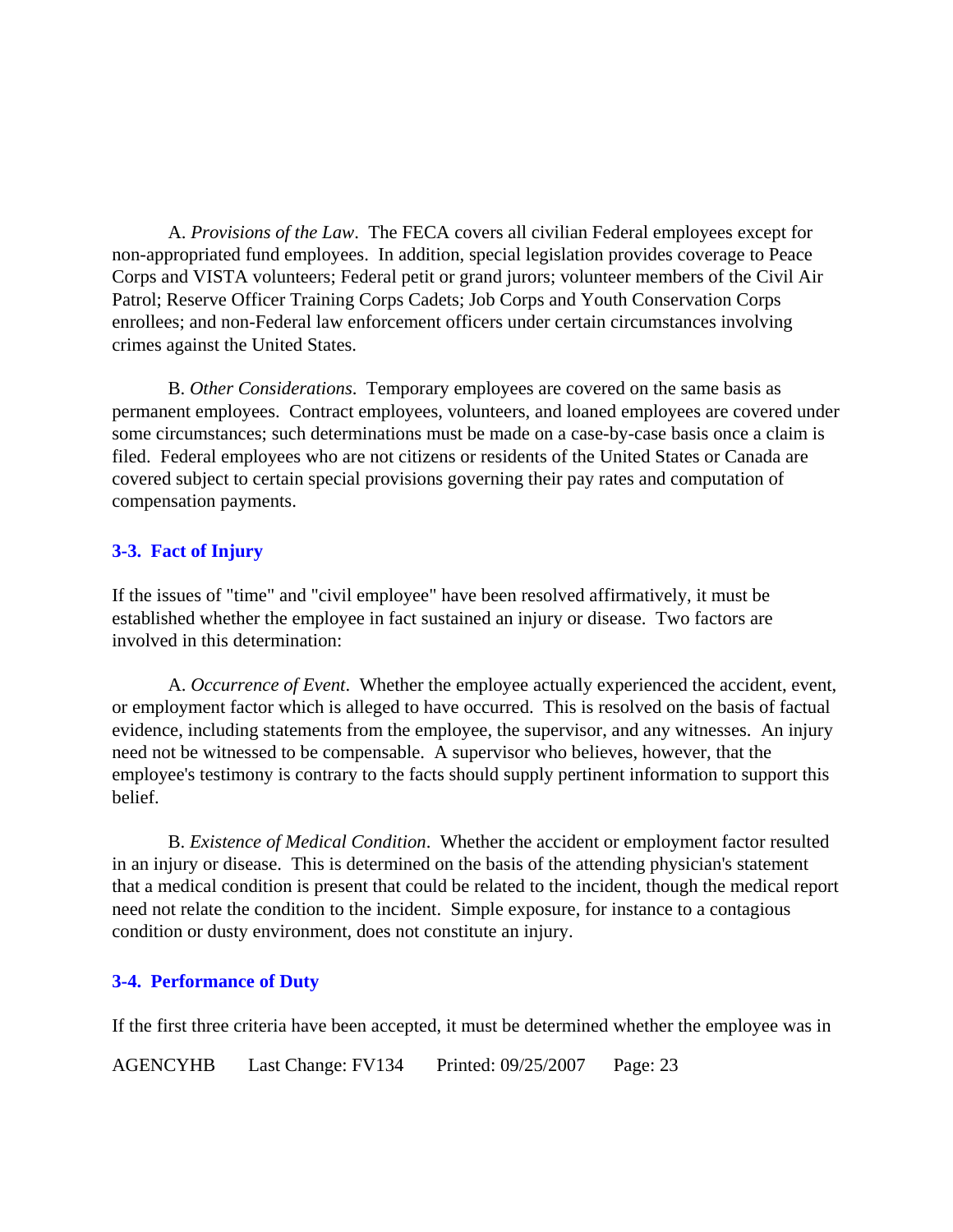A. *Provisions of the Law*. The FECA covers all civilian Federal employees except for non-appropriated fund employees. In addition, special legislation provides coverage to Peace Corps and VISTA volunteers; Federal petit or grand jurors; volunteer members of the Civil Air Patrol; Reserve Officer Training Corps Cadets; Job Corps and Youth Conservation Corps enrollees; and non-Federal law enforcement officers under certain circumstances involving crimes against the United States.

 B. *Other Considerations*. Temporary employees are covered on the same basis as permanent employees. Contract employees, volunteers, and loaned employees are covered under some circumstances; such determinations must be made on a case-by-case basis once a claim is filed. Federal employees who are not citizens or residents of the United States or Canada are covered subject to certain special provisions governing their pay rates and computation of compensation payments.

## **3-3. Fact of Injury**

If the issues of "time" and "civil employee" have been resolved affirmatively, it must be established whether the employee in fact sustained an injury or disease. Two factors are involved in this determination:

 A. *Occurrence of Event*. Whether the employee actually experienced the accident, event, or employment factor which is alleged to have occurred. This is resolved on the basis of factual evidence, including statements from the employee, the supervisor, and any witnesses. An injury need not be witnessed to be compensable. A supervisor who believes, however, that the employee's testimony is contrary to the facts should supply pertinent information to support this belief.

 B. *Existence of Medical Condition*. Whether the accident or employment factor resulted in an injury or disease. This is determined on the basis of the attending physician's statement that a medical condition is present that could be related to the incident, though the medical report need not relate the condition to the incident. Simple exposure, for instance to a contagious condition or dusty environment, does not constitute an injury.

## **3-4. Performance of Duty**

If the first three criteria have been accepted, it must be determined whether the employee was in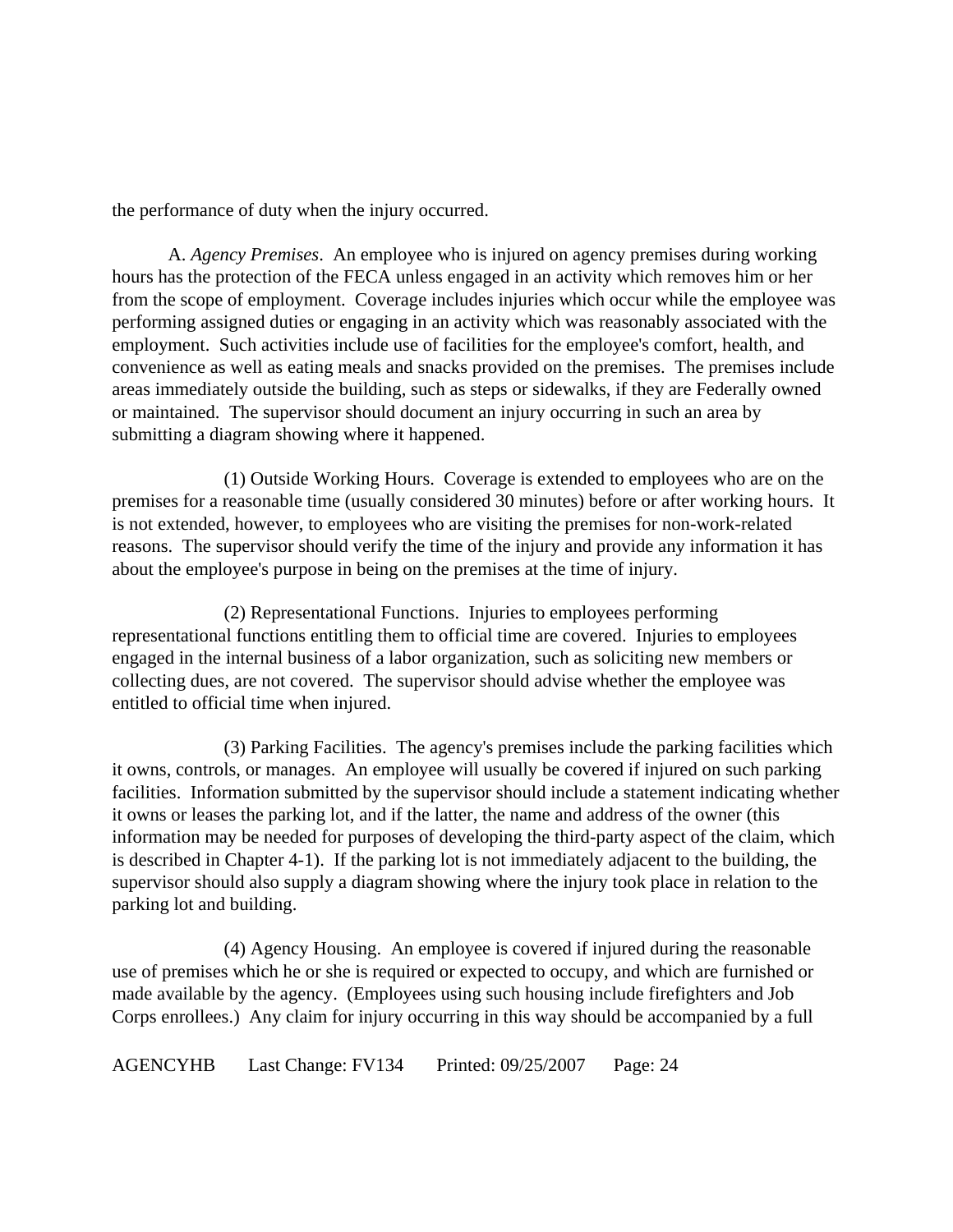the performance of duty when the injury occurred.

 A. *Agency Premises*. An employee who is injured on agency premises during working hours has the protection of the FECA unless engaged in an activity which removes him or her from the scope of employment. Coverage includes injuries which occur while the employee was performing assigned duties or engaging in an activity which was reasonably associated with the employment. Such activities include use of facilities for the employee's comfort, health, and convenience as well as eating meals and snacks provided on the premises. The premises include areas immediately outside the building, such as steps or sidewalks, if they are Federally owned or maintained. The supervisor should document an injury occurring in such an area by submitting a diagram showing where it happened.

 (1) Outside Working Hours. Coverage is extended to employees who are on the premises for a reasonable time (usually considered 30 minutes) before or after working hours. It is not extended, however, to employees who are visiting the premises for non-work-related reasons. The supervisor should verify the time of the injury and provide any information it has about the employee's purpose in being on the premises at the time of injury.

 (2) Representational Functions. Injuries to employees performing representational functions entitling them to official time are covered. Injuries to employees engaged in the internal business of a labor organization, such as soliciting new members or collecting dues, are not covered. The supervisor should advise whether the employee was entitled to official time when injured.

 (3) Parking Facilities. The agency's premises include the parking facilities which it owns, controls, or manages. An employee will usually be covered if injured on such parking facilities. Information submitted by the supervisor should include a statement indicating whether it owns or leases the parking lot, and if the latter, the name and address of the owner (this information may be needed for purposes of developing the third-party aspect of the claim, which is described in Chapter 4-1). If the parking lot is not immediately adjacent to the building, the supervisor should also supply a diagram showing where the injury took place in relation to the parking lot and building.

 (4) Agency Housing. An employee is covered if injured during the reasonable use of premises which he or she is required or expected to occupy, and which are furnished or made available by the agency. (Employees using such housing include firefighters and Job Corps enrollees.) Any claim for injury occurring in this way should be accompanied by a full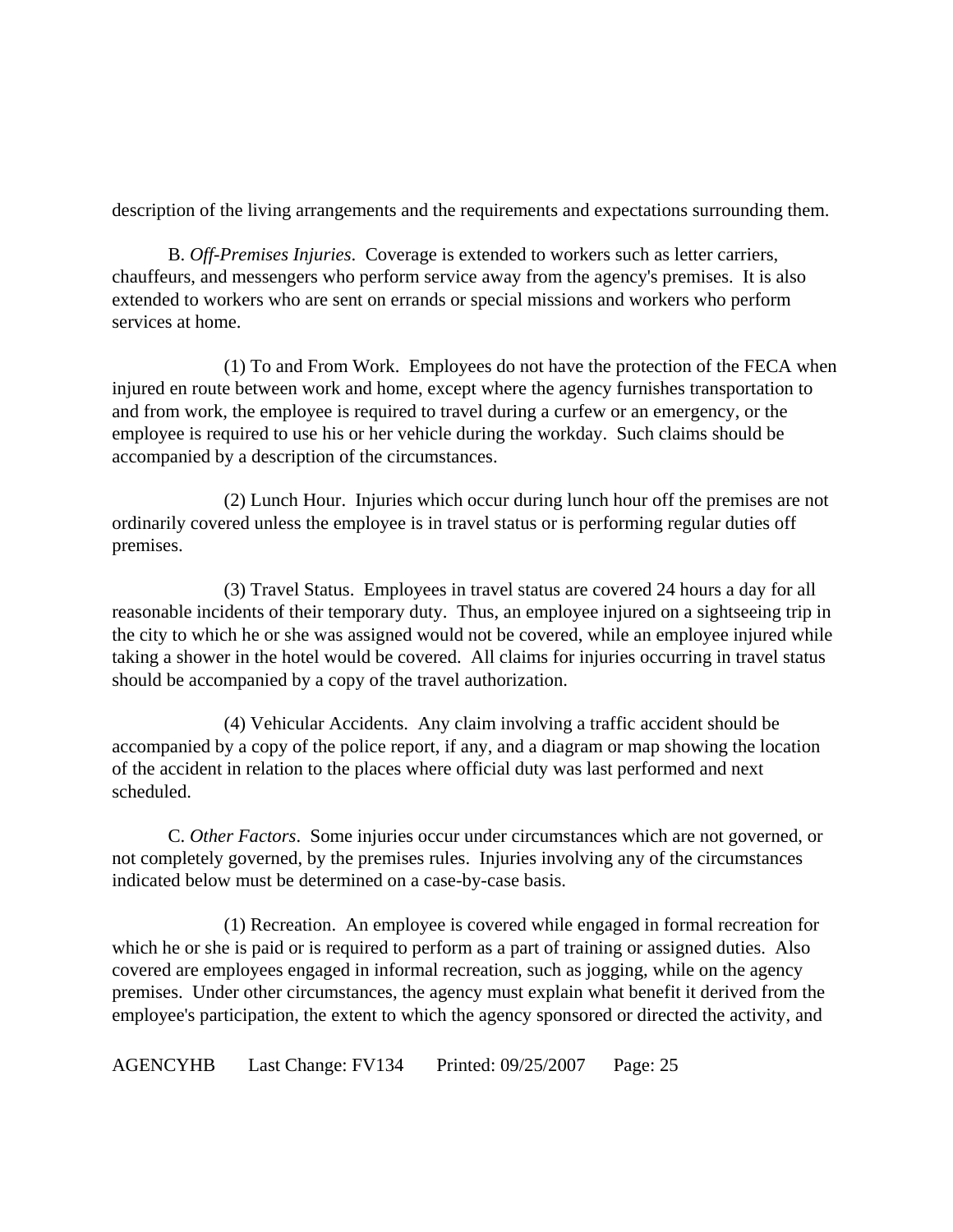description of the living arrangements and the requirements and expectations surrounding them.

 B. *Off-Premises Injuries*. Coverage is extended to workers such as letter carriers, chauffeurs, and messengers who perform service away from the agency's premises. It is also extended to workers who are sent on errands or special missions and workers who perform services at home.

 (1) To and From Work. Employees do not have the protection of the FECA when injured en route between work and home, except where the agency furnishes transportation to and from work, the employee is required to travel during a curfew or an emergency, or the employee is required to use his or her vehicle during the workday. Such claims should be accompanied by a description of the circumstances.

 (2) Lunch Hour. Injuries which occur during lunch hour off the premises are not ordinarily covered unless the employee is in travel status or is performing regular duties off premises.

 (3) Travel Status. Employees in travel status are covered 24 hours a day for all reasonable incidents of their temporary duty. Thus, an employee injured on a sightseeing trip in the city to which he or she was assigned would not be covered, while an employee injured while taking a shower in the hotel would be covered. All claims for injuries occurring in travel status should be accompanied by a copy of the travel authorization.

 (4) Vehicular Accidents. Any claim involving a traffic accident should be accompanied by a copy of the police report, if any, and a diagram or map showing the location of the accident in relation to the places where official duty was last performed and next scheduled.

 C. *Other Factors*. Some injuries occur under circumstances which are not governed, or not completely governed, by the premises rules. Injuries involving any of the circumstances indicated below must be determined on a case-by-case basis.

 (1) Recreation. An employee is covered while engaged in formal recreation for which he or she is paid or is required to perform as a part of training or assigned duties. Also covered are employees engaged in informal recreation, such as jogging, while on the agency premises. Under other circumstances, the agency must explain what benefit it derived from the employee's participation, the extent to which the agency sponsored or directed the activity, and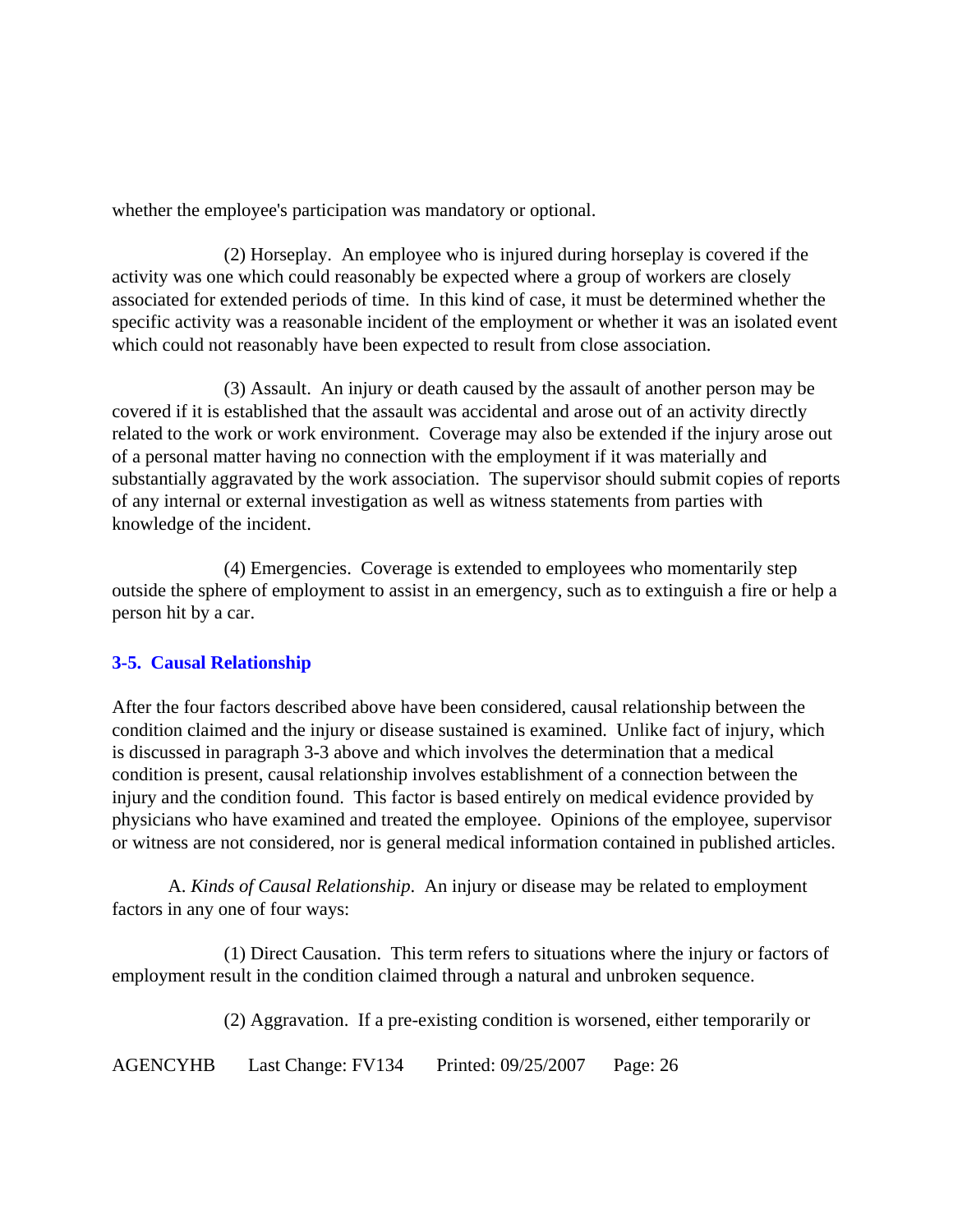whether the employee's participation was mandatory or optional.

 (2) Horseplay. An employee who is injured during horseplay is covered if the activity was one which could reasonably be expected where a group of workers are closely associated for extended periods of time. In this kind of case, it must be determined whether the specific activity was a reasonable incident of the employment or whether it was an isolated event which could not reasonably have been expected to result from close association.

 (3) Assault. An injury or death caused by the assault of another person may be covered if it is established that the assault was accidental and arose out of an activity directly related to the work or work environment. Coverage may also be extended if the injury arose out of a personal matter having no connection with the employment if it was materially and substantially aggravated by the work association. The supervisor should submit copies of reports of any internal or external investigation as well as witness statements from parties with knowledge of the incident.

 (4) Emergencies. Coverage is extended to employees who momentarily step outside the sphere of employment to assist in an emergency, such as to extinguish a fire or help a person hit by a car.

## **3-5. Causal Relationship**

After the four factors described above have been considered, causal relationship between the condition claimed and the injury or disease sustained is examined. Unlike fact of injury, which is discussed in paragraph 3-3 above and which involves the determination that a medical condition is present, causal relationship involves establishment of a connection between the injury and the condition found. This factor is based entirely on medical evidence provided by physicians who have examined and treated the employee. Opinions of the employee, supervisor or witness are not considered, nor is general medical information contained in published articles.

 A. *Kinds of Causal Relationship*. An injury or disease may be related to employment factors in any one of four ways:

 (1) Direct Causation. This term refers to situations where the injury or factors of employment result in the condition claimed through a natural and unbroken sequence.

(2) Aggravation. If a pre-existing condition is worsened, either temporarily or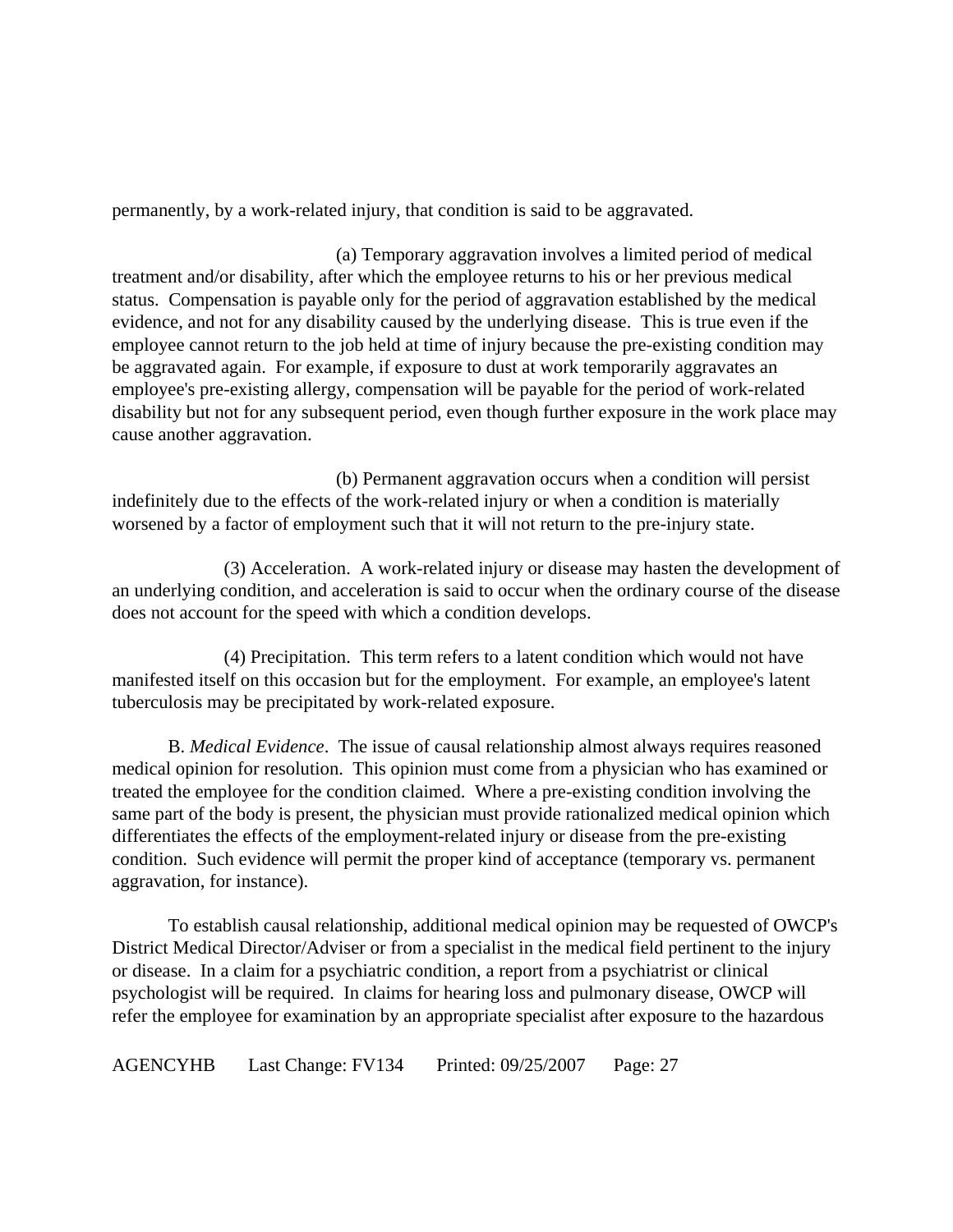permanently, by a work-related injury, that condition is said to be aggravated.

 (a) Temporary aggravation involves a limited period of medical treatment and/or disability, after which the employee returns to his or her previous medical status. Compensation is payable only for the period of aggravation established by the medical evidence, and not for any disability caused by the underlying disease. This is true even if the employee cannot return to the job held at time of injury because the pre-existing condition may be aggravated again. For example, if exposure to dust at work temporarily aggravates an employee's pre-existing allergy, compensation will be payable for the period of work-related disability but not for any subsequent period, even though further exposure in the work place may cause another aggravation.

 (b) Permanent aggravation occurs when a condition will persist indefinitely due to the effects of the work-related injury or when a condition is materially worsened by a factor of employment such that it will not return to the pre-injury state.

 (3) Acceleration. A work-related injury or disease may hasten the development of an underlying condition, and acceleration is said to occur when the ordinary course of the disease does not account for the speed with which a condition develops.

 (4) Precipitation. This term refers to a latent condition which would not have manifested itself on this occasion but for the employment. For example, an employee's latent tuberculosis may be precipitated by work-related exposure.

 B. *Medical Evidence*. The issue of causal relationship almost always requires reasoned medical opinion for resolution. This opinion must come from a physician who has examined or treated the employee for the condition claimed. Where a pre-existing condition involving the same part of the body is present, the physician must provide rationalized medical opinion which differentiates the effects of the employment-related injury or disease from the pre-existing condition. Such evidence will permit the proper kind of acceptance (temporary vs. permanent aggravation, for instance).

 To establish causal relationship, additional medical opinion may be requested of OWCP's District Medical Director/Adviser or from a specialist in the medical field pertinent to the injury or disease. In a claim for a psychiatric condition, a report from a psychiatrist or clinical psychologist will be required. In claims for hearing loss and pulmonary disease, OWCP will refer the employee for examination by an appropriate specialist after exposure to the hazardous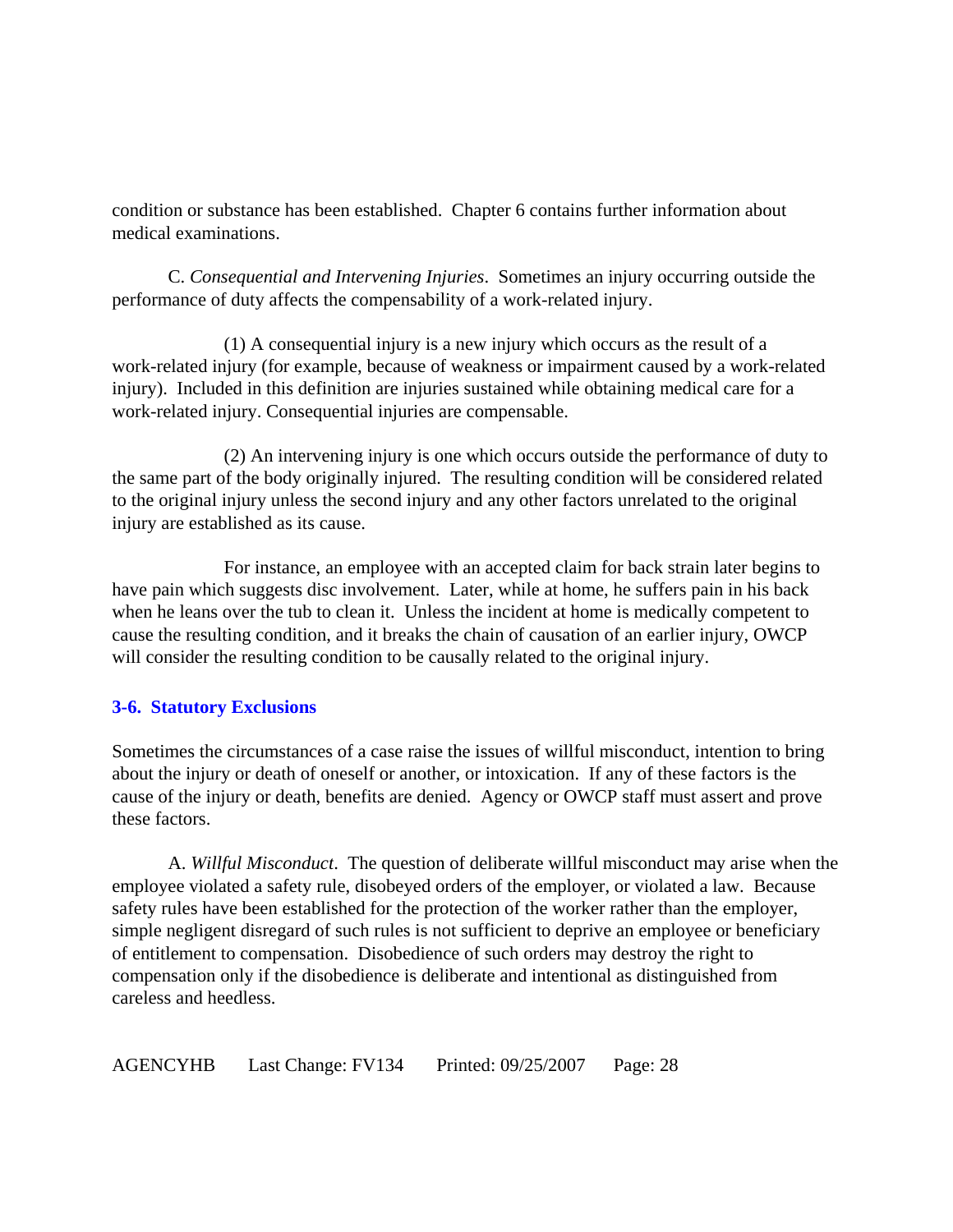condition or substance has been established. Chapter 6 contains further information about medical examinations.

 C. *Consequential and Intervening Injuries*. Sometimes an injury occurring outside the performance of duty affects the compensability of a work-related injury.

 (1) A consequential injury is a new injury which occurs as the result of a work-related injury (for example, because of weakness or impairment caused by a work-related injury). Included in this definition are injuries sustained while obtaining medical care for a work-related injury. Consequential injuries are compensable.

 (2) An intervening injury is one which occurs outside the performance of duty to the same part of the body originally injured. The resulting condition will be considered related to the original injury unless the second injury and any other factors unrelated to the original injury are established as its cause.

 For instance, an employee with an accepted claim for back strain later begins to have pain which suggests disc involvement. Later, while at home, he suffers pain in his back when he leans over the tub to clean it. Unless the incident at home is medically competent to cause the resulting condition, and it breaks the chain of causation of an earlier injury, OWCP will consider the resulting condition to be causally related to the original injury.

## **3-6. Statutory Exclusions**

Sometimes the circumstances of a case raise the issues of willful misconduct, intention to bring about the injury or death of oneself or another, or intoxication. If any of these factors is the cause of the injury or death, benefits are denied. Agency or OWCP staff must assert and prove these factors.

 A. *Willful Misconduct*. The question of deliberate willful misconduct may arise when the employee violated a safety rule, disobeyed orders of the employer, or violated a law. Because safety rules have been established for the protection of the worker rather than the employer, simple negligent disregard of such rules is not sufficient to deprive an employee or beneficiary of entitlement to compensation. Disobedience of such orders may destroy the right to compensation only if the disobedience is deliberate and intentional as distinguished from careless and heedless.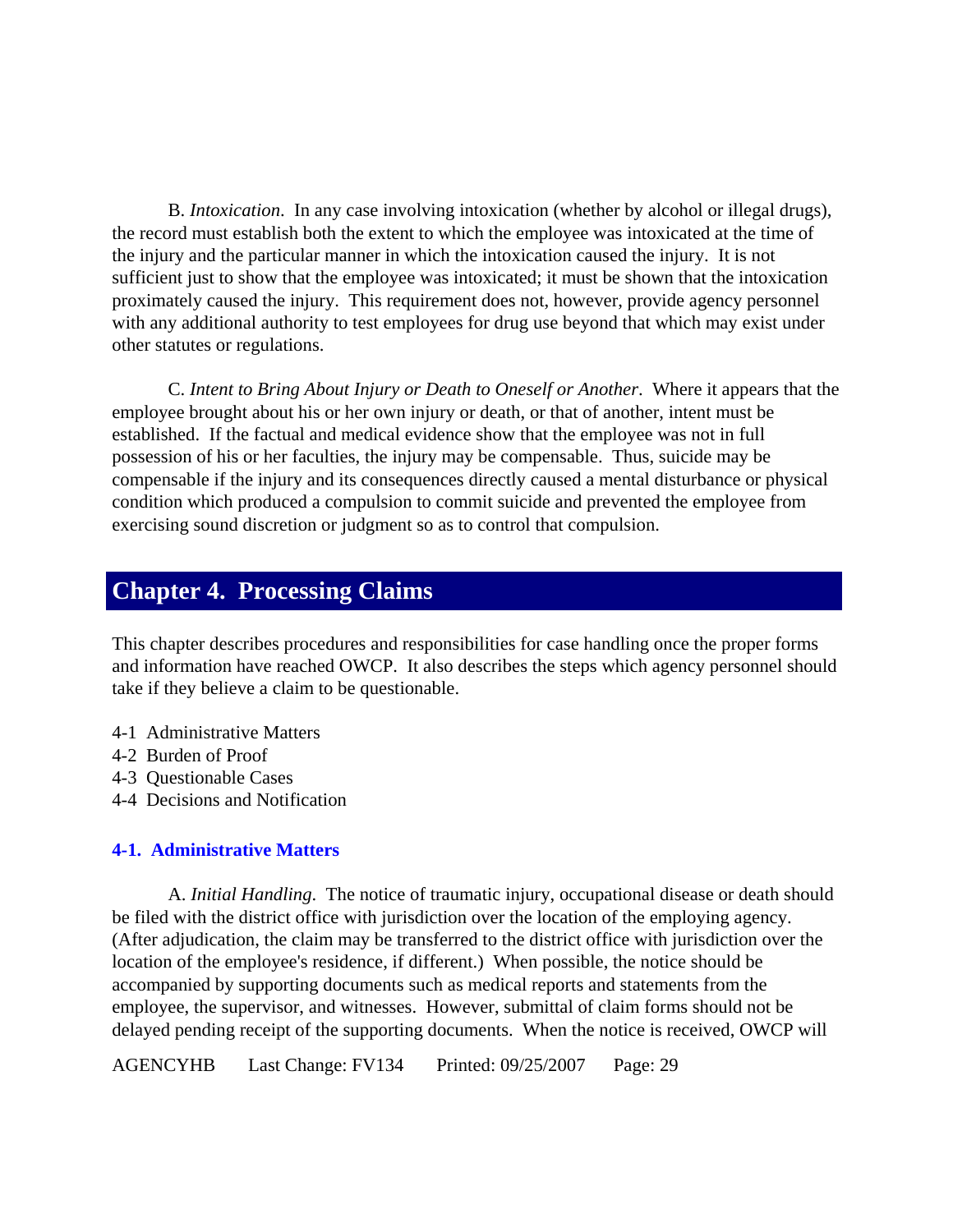B. *Intoxication*. In any case involving intoxication (whether by alcohol or illegal drugs), the record must establish both the extent to which the employee was intoxicated at the time of the injury and the particular manner in which the intoxication caused the injury. It is not sufficient just to show that the employee was intoxicated; it must be shown that the intoxication proximately caused the injury. This requirement does not, however, provide agency personnel with any additional authority to test employees for drug use beyond that which may exist under other statutes or regulations.

 C. *Intent to Bring About Injury or Death to Oneself or Another*. Where it appears that the employee brought about his or her own injury or death, or that of another, intent must be established. If the factual and medical evidence show that the employee was not in full possession of his or her faculties, the injury may be compensable. Thus, suicide may be compensable if the injury and its consequences directly caused a mental disturbance or physical condition which produced a compulsion to commit suicide and prevented the employee from exercising sound discretion or judgment so as to control that compulsion.

## **Chapter 4. Processing Claims**

This chapter describes procedures and responsibilities for case handling once the proper forms and information have reached OWCP. It also describes the steps which agency personnel should take if they believe a claim to be questionable.

- 4-1 Administrative Matters
- 4-2 Burden of Proof
- 4-3 Questionable Cases
- 4-4 Decisions and Notification

#### **4-1. Administrative Matters**

 A. *Initial Handling*. The notice of traumatic injury, occupational disease or death should be filed with the district office with jurisdiction over the location of the employing agency. (After adjudication, the claim may be transferred to the district office with jurisdiction over the location of the employee's residence, if different.) When possible, the notice should be accompanied by supporting documents such as medical reports and statements from the employee, the supervisor, and witnesses. However, submittal of claim forms should not be delayed pending receipt of the supporting documents. When the notice is received, OWCP will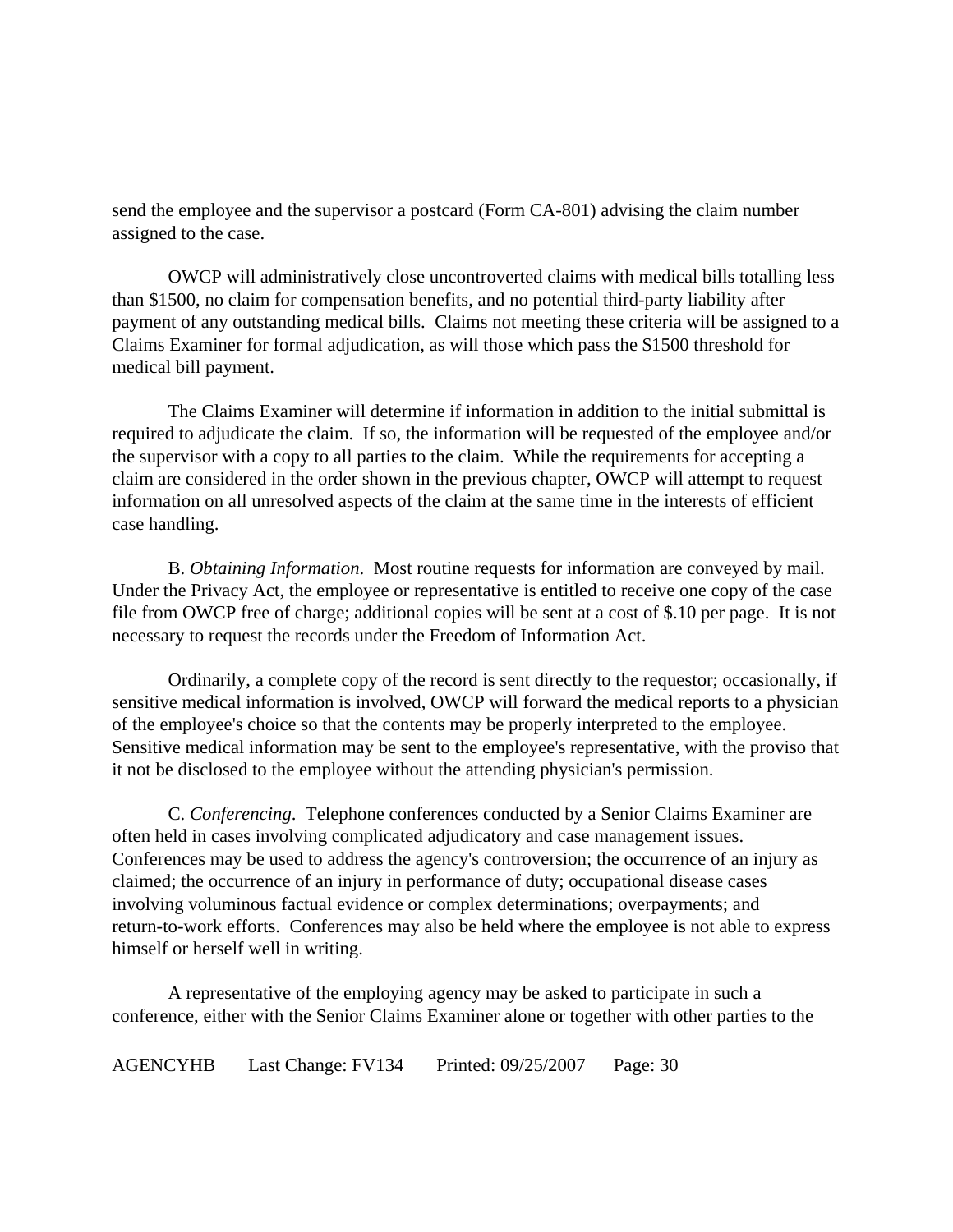send the employee and the supervisor a postcard (Form CA-801) advising the claim number assigned to the case.

 OWCP will administratively close uncontroverted claims with medical bills totalling less than \$1500, no claim for compensation benefits, and no potential third-party liability after payment of any outstanding medical bills. Claims not meeting these criteria will be assigned to a Claims Examiner for formal adjudication, as will those which pass the \$1500 threshold for medical bill payment.

 The Claims Examiner will determine if information in addition to the initial submittal is required to adjudicate the claim. If so, the information will be requested of the employee and/or the supervisor with a copy to all parties to the claim. While the requirements for accepting a claim are considered in the order shown in the previous chapter, OWCP will attempt to request information on all unresolved aspects of the claim at the same time in the interests of efficient case handling.

 B. *Obtaining Information*. Most routine requests for information are conveyed by mail. Under the Privacy Act, the employee or representative is entitled to receive one copy of the case file from OWCP free of charge; additional copies will be sent at a cost of \$.10 per page. It is not necessary to request the records under the Freedom of Information Act.

 Ordinarily, a complete copy of the record is sent directly to the requestor; occasionally, if sensitive medical information is involved, OWCP will forward the medical reports to a physician of the employee's choice so that the contents may be properly interpreted to the employee. Sensitive medical information may be sent to the employee's representative, with the proviso that it not be disclosed to the employee without the attending physician's permission.

 C. *Conferencing*. Telephone conferences conducted by a Senior Claims Examiner are often held in cases involving complicated adjudicatory and case management issues. Conferences may be used to address the agency's controversion; the occurrence of an injury as claimed; the occurrence of an injury in performance of duty; occupational disease cases involving voluminous factual evidence or complex determinations; overpayments; and return-to-work efforts. Conferences may also be held where the employee is not able to express himself or herself well in writing.

 A representative of the employing agency may be asked to participate in such a conference, either with the Senior Claims Examiner alone or together with other parties to the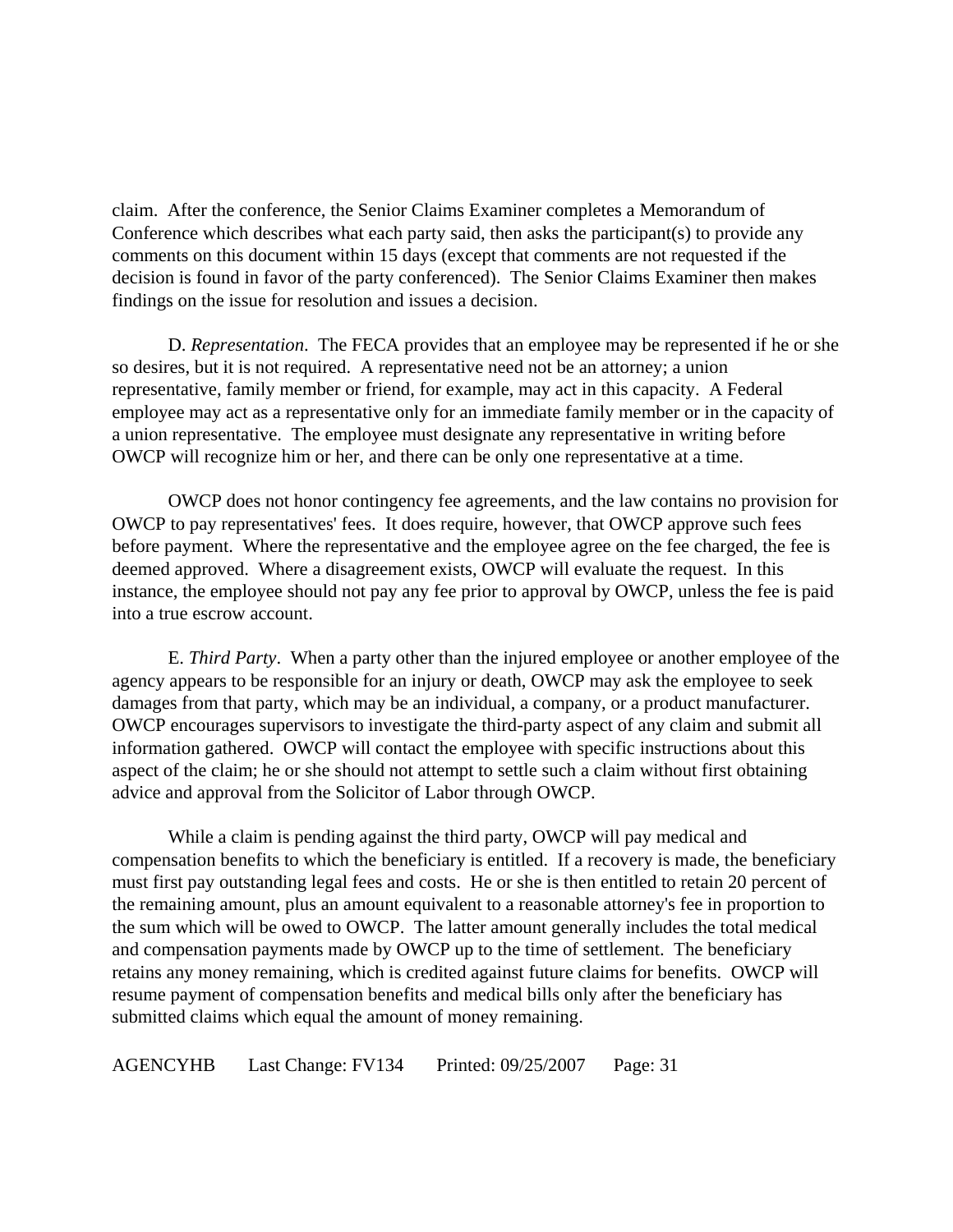claim. After the conference, the Senior Claims Examiner completes a Memorandum of Conference which describes what each party said, then asks the participant(s) to provide any comments on this document within 15 days (except that comments are not requested if the decision is found in favor of the party conferenced). The Senior Claims Examiner then makes findings on the issue for resolution and issues a decision.

 D. *Representation*. The FECA provides that an employee may be represented if he or she so desires, but it is not required. A representative need not be an attorney; a union representative, family member or friend, for example, may act in this capacity. A Federal employee may act as a representative only for an immediate family member or in the capacity of a union representative. The employee must designate any representative in writing before OWCP will recognize him or her, and there can be only one representative at a time.

 OWCP does not honor contingency fee agreements, and the law contains no provision for OWCP to pay representatives' fees. It does require, however, that OWCP approve such fees before payment. Where the representative and the employee agree on the fee charged, the fee is deemed approved. Where a disagreement exists, OWCP will evaluate the request. In this instance, the employee should not pay any fee prior to approval by OWCP, unless the fee is paid into a true escrow account.

 E. *Third Party*. When a party other than the injured employee or another employee of the agency appears to be responsible for an injury or death, OWCP may ask the employee to seek damages from that party, which may be an individual, a company, or a product manufacturer. OWCP encourages supervisors to investigate the third-party aspect of any claim and submit all information gathered. OWCP will contact the employee with specific instructions about this aspect of the claim; he or she should not attempt to settle such a claim without first obtaining advice and approval from the Solicitor of Labor through OWCP.

 While a claim is pending against the third party, OWCP will pay medical and compensation benefits to which the beneficiary is entitled. If a recovery is made, the beneficiary must first pay outstanding legal fees and costs. He or she is then entitled to retain 20 percent of the remaining amount, plus an amount equivalent to a reasonable attorney's fee in proportion to the sum which will be owed to OWCP. The latter amount generally includes the total medical and compensation payments made by OWCP up to the time of settlement. The beneficiary retains any money remaining, which is credited against future claims for benefits. OWCP will resume payment of compensation benefits and medical bills only after the beneficiary has submitted claims which equal the amount of money remaining.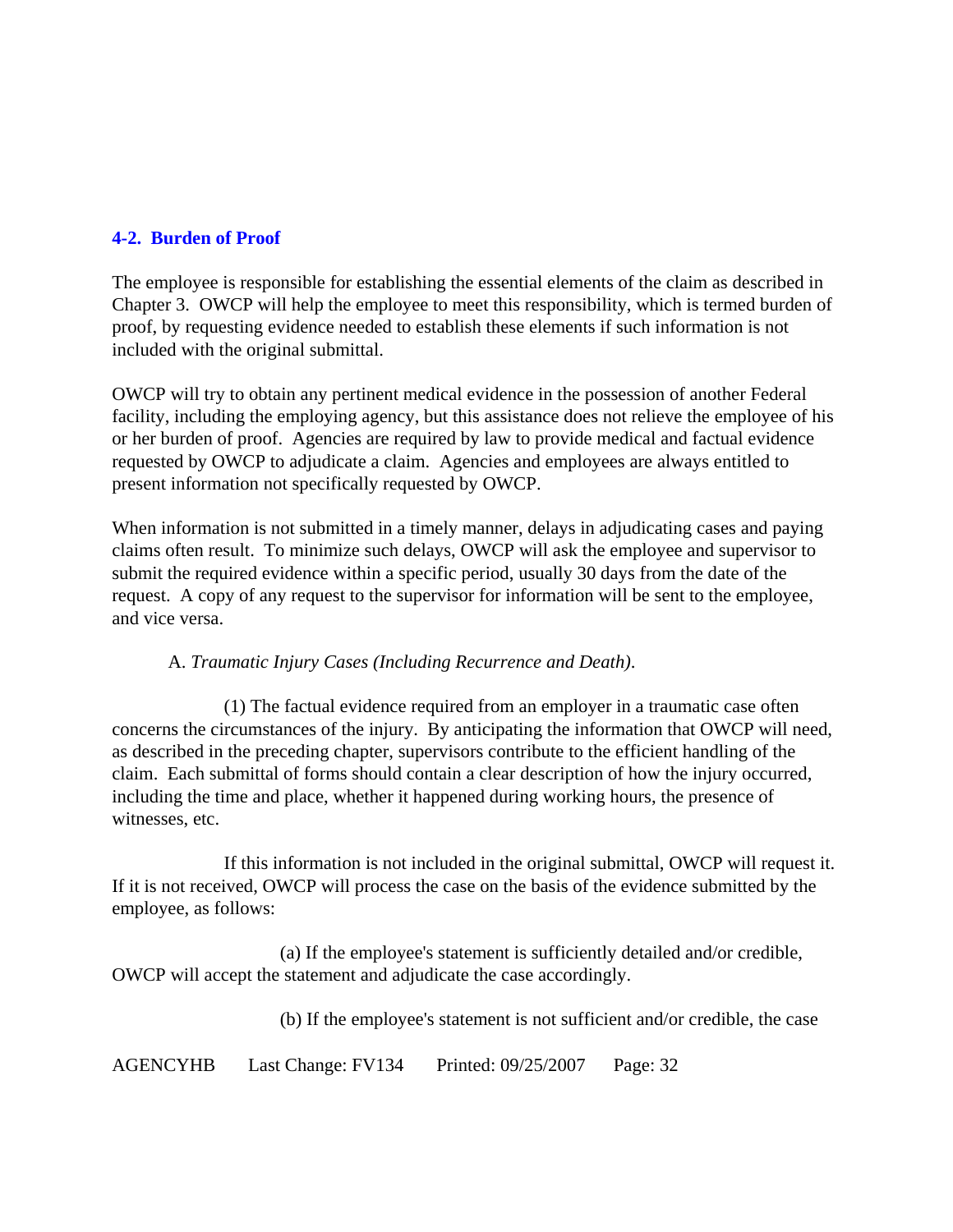## **4-2. Burden of Proof**

The employee is responsible for establishing the essential elements of the claim as described in Chapter 3. OWCP will help the employee to meet this responsibility, which is termed burden of proof, by requesting evidence needed to establish these elements if such information is not included with the original submittal.

OWCP will try to obtain any pertinent medical evidence in the possession of another Federal facility, including the employing agency, but this assistance does not relieve the employee of his or her burden of proof. Agencies are required by law to provide medical and factual evidence requested by OWCP to adjudicate a claim. Agencies and employees are always entitled to present information not specifically requested by OWCP.

When information is not submitted in a timely manner, delays in adjudicating cases and paying claims often result. To minimize such delays, OWCP will ask the employee and supervisor to submit the required evidence within a specific period, usually 30 days from the date of the request. A copy of any request to the supervisor for information will be sent to the employee, and vice versa.

## A. *Traumatic Injury Cases (Including Recurrence and Death)*.

 (1) The factual evidence required from an employer in a traumatic case often concerns the circumstances of the injury. By anticipating the information that OWCP will need, as described in the preceding chapter, supervisors contribute to the efficient handling of the claim. Each submittal of forms should contain a clear description of how the injury occurred, including the time and place, whether it happened during working hours, the presence of witnesses, etc.

 If this information is not included in the original submittal, OWCP will request it. If it is not received, OWCP will process the case on the basis of the evidence submitted by the employee, as follows:

 (a) If the employee's statement is sufficiently detailed and/or credible, OWCP will accept the statement and adjudicate the case accordingly.

(b) If the employee's statement is not sufficient and/or credible, the case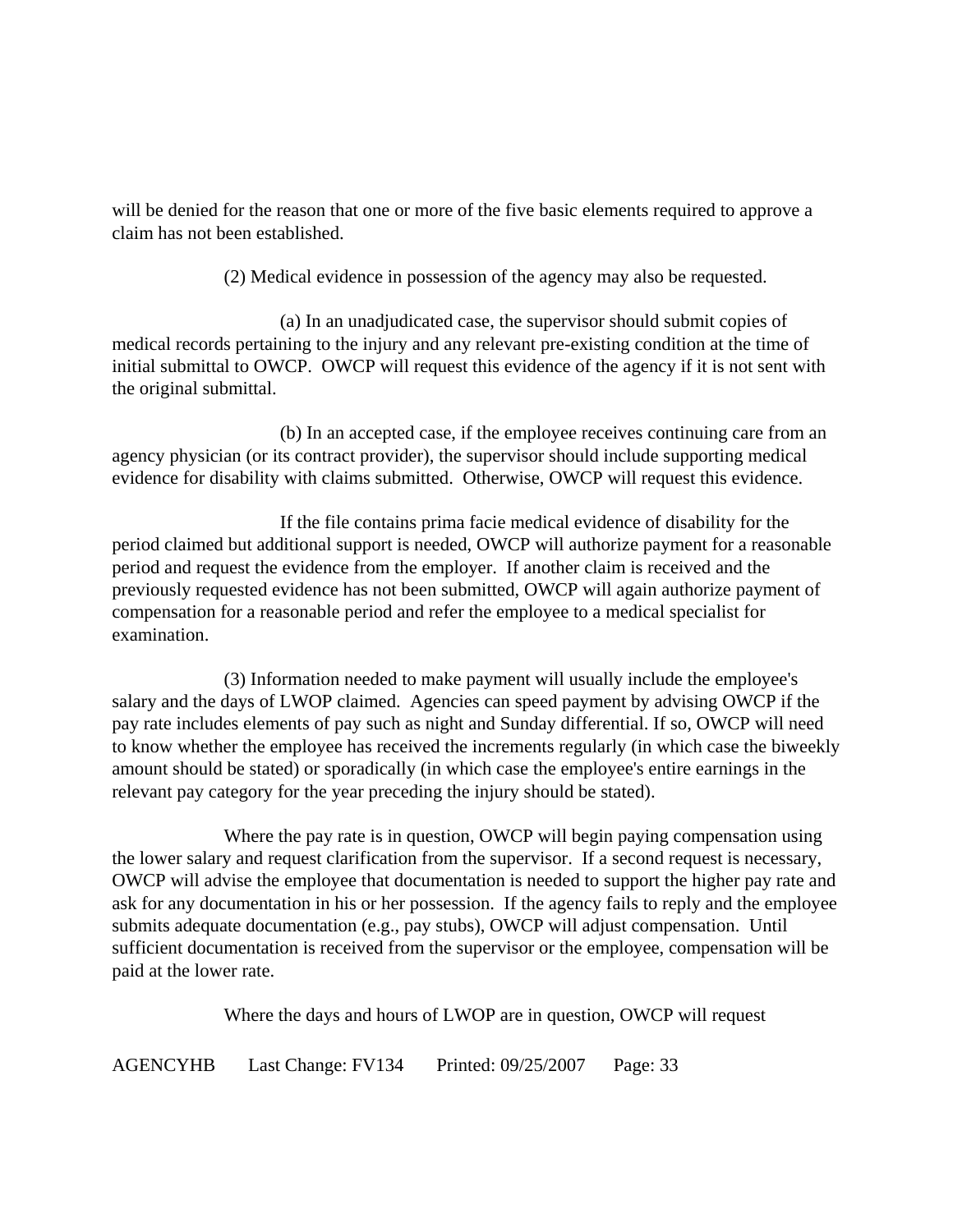will be denied for the reason that one or more of the five basic elements required to approve a claim has not been established.

(2) Medical evidence in possession of the agency may also be requested.

 (a) In an unadjudicated case, the supervisor should submit copies of medical records pertaining to the injury and any relevant pre-existing condition at the time of initial submittal to OWCP. OWCP will request this evidence of the agency if it is not sent with the original submittal.

 (b) In an accepted case, if the employee receives continuing care from an agency physician (or its contract provider), the supervisor should include supporting medical evidence for disability with claims submitted. Otherwise, OWCP will request this evidence.

 If the file contains prima facie medical evidence of disability for the period claimed but additional support is needed, OWCP will authorize payment for a reasonable period and request the evidence from the employer. If another claim is received and the previously requested evidence has not been submitted, OWCP will again authorize payment of compensation for a reasonable period and refer the employee to a medical specialist for examination.

 (3) Information needed to make payment will usually include the employee's salary and the days of LWOP claimed. Agencies can speed payment by advising OWCP if the pay rate includes elements of pay such as night and Sunday differential. If so, OWCP will need to know whether the employee has received the increments regularly (in which case the biweekly amount should be stated) or sporadically (in which case the employee's entire earnings in the relevant pay category for the year preceding the injury should be stated).

 Where the pay rate is in question, OWCP will begin paying compensation using the lower salary and request clarification from the supervisor. If a second request is necessary, OWCP will advise the employee that documentation is needed to support the higher pay rate and ask for any documentation in his or her possession. If the agency fails to reply and the employee submits adequate documentation (e.g., pay stubs), OWCP will adjust compensation. Until sufficient documentation is received from the supervisor or the employee, compensation will be paid at the lower rate.

Where the days and hours of LWOP are in question, OWCP will request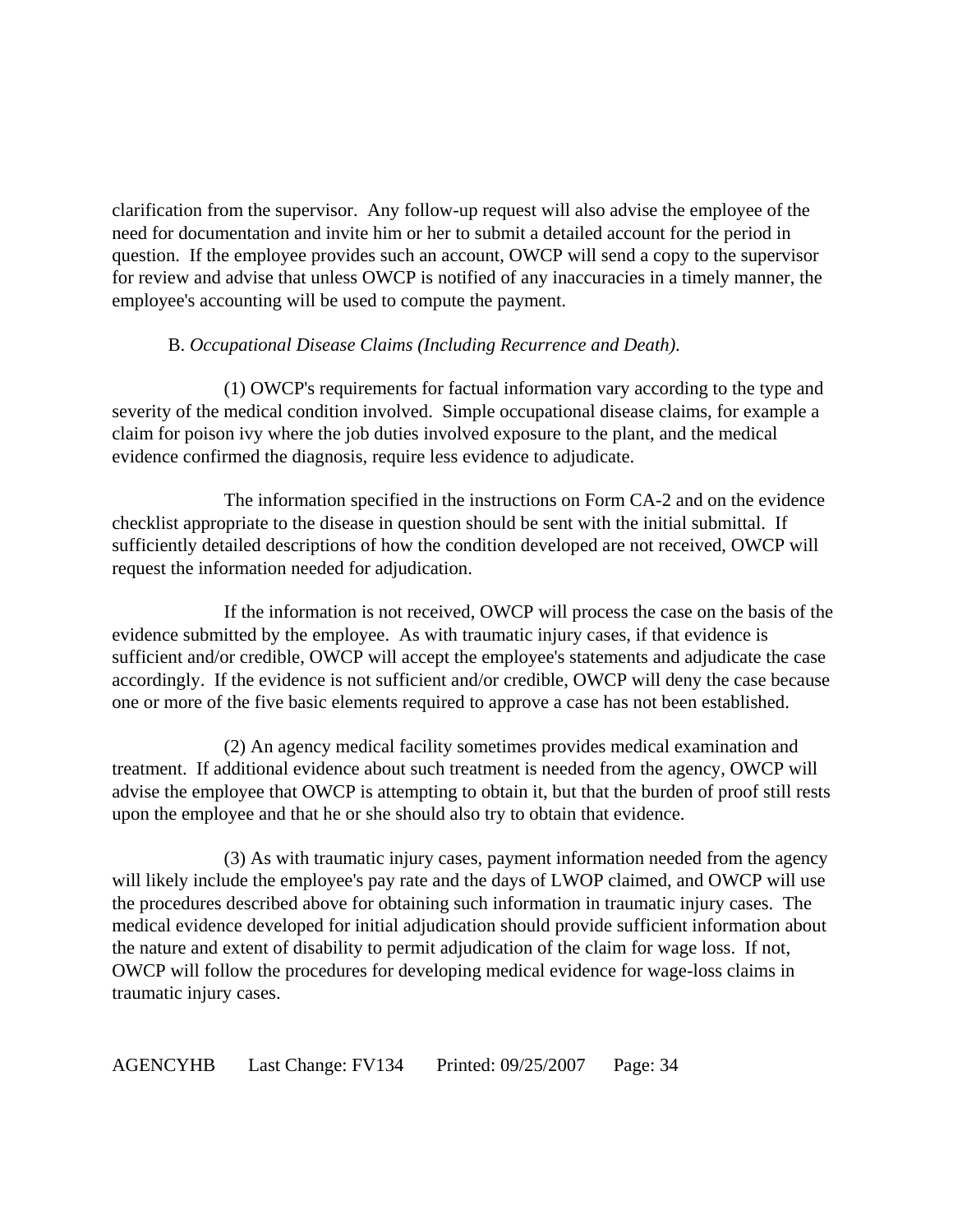clarification from the supervisor. Any follow-up request will also advise the employee of the need for documentation and invite him or her to submit a detailed account for the period in question. If the employee provides such an account, OWCP will send a copy to the supervisor for review and advise that unless OWCP is notified of any inaccuracies in a timely manner, the employee's accounting will be used to compute the payment.

## B. *Occupational Disease Claims (Including Recurrence and Death)*.

 (1) OWCP's requirements for factual information vary according to the type and severity of the medical condition involved. Simple occupational disease claims, for example a claim for poison ivy where the job duties involved exposure to the plant, and the medical evidence confirmed the diagnosis, require less evidence to adjudicate.

 The information specified in the instructions on Form CA-2 and on the evidence checklist appropriate to the disease in question should be sent with the initial submittal. If sufficiently detailed descriptions of how the condition developed are not received, OWCP will request the information needed for adjudication.

 If the information is not received, OWCP will process the case on the basis of the evidence submitted by the employee. As with traumatic injury cases, if that evidence is sufficient and/or credible, OWCP will accept the employee's statements and adjudicate the case accordingly. If the evidence is not sufficient and/or credible, OWCP will deny the case because one or more of the five basic elements required to approve a case has not been established.

 (2) An agency medical facility sometimes provides medical examination and treatment. If additional evidence about such treatment is needed from the agency, OWCP will advise the employee that OWCP is attempting to obtain it, but that the burden of proof still rests upon the employee and that he or she should also try to obtain that evidence.

 (3) As with traumatic injury cases, payment information needed from the agency will likely include the employee's pay rate and the days of LWOP claimed, and OWCP will use the procedures described above for obtaining such information in traumatic injury cases. The medical evidence developed for initial adjudication should provide sufficient information about the nature and extent of disability to permit adjudication of the claim for wage loss. If not, OWCP will follow the procedures for developing medical evidence for wage-loss claims in traumatic injury cases.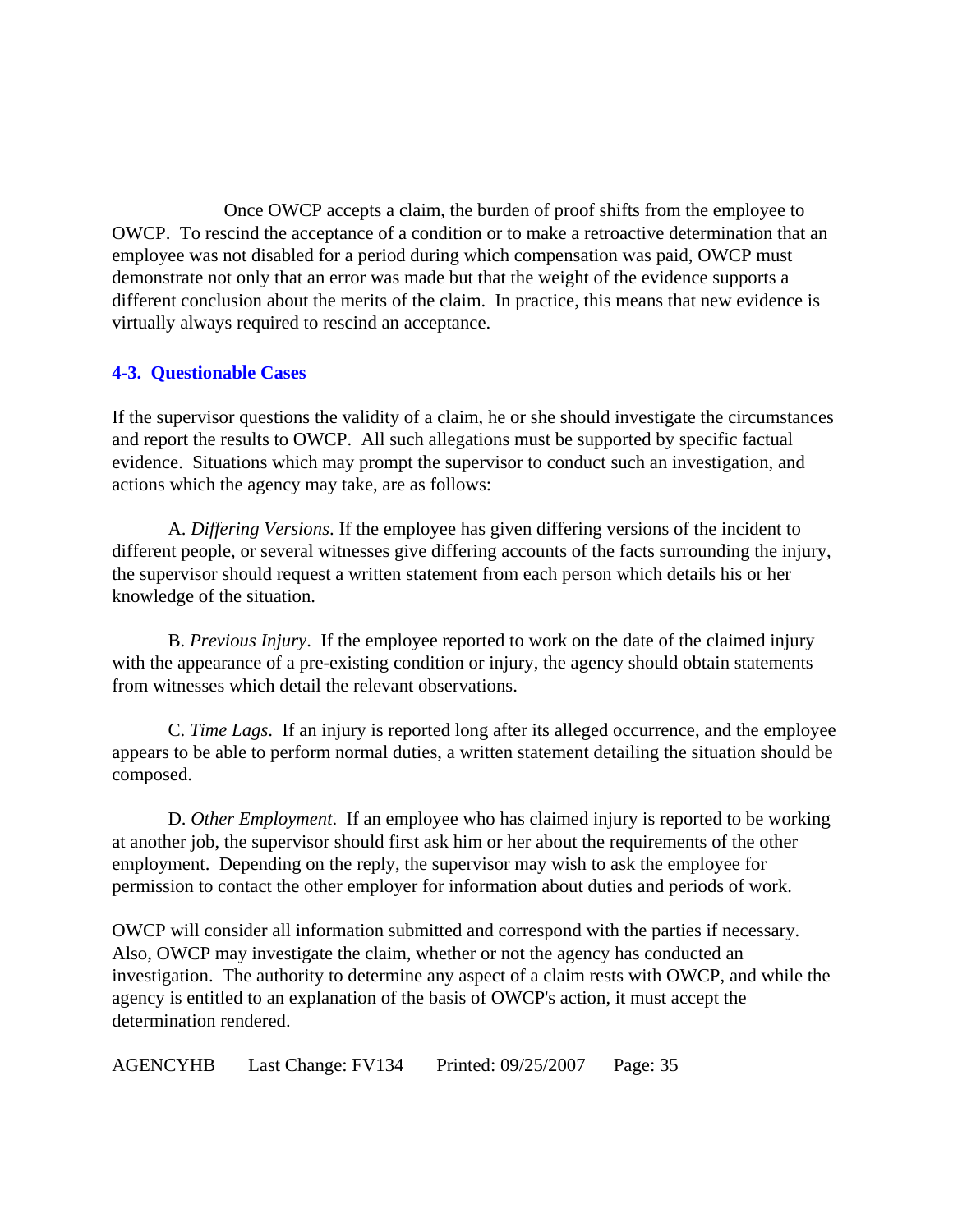Once OWCP accepts a claim, the burden of proof shifts from the employee to OWCP. To rescind the acceptance of a condition or to make a retroactive determination that an employee was not disabled for a period during which compensation was paid, OWCP must demonstrate not only that an error was made but that the weight of the evidence supports a different conclusion about the merits of the claim. In practice, this means that new evidence is virtually always required to rescind an acceptance.

## **4-3. Questionable Cases**

If the supervisor questions the validity of a claim, he or she should investigate the circumstances and report the results to OWCP. All such allegations must be supported by specific factual evidence. Situations which may prompt the supervisor to conduct such an investigation, and actions which the agency may take, are as follows:

 A. *Differing Versions*. If the employee has given differing versions of the incident to different people, or several witnesses give differing accounts of the facts surrounding the injury, the supervisor should request a written statement from each person which details his or her knowledge of the situation.

 B. *Previous Injury*. If the employee reported to work on the date of the claimed injury with the appearance of a pre-existing condition or injury, the agency should obtain statements from witnesses which detail the relevant observations.

 C. *Time Lags*. If an injury is reported long after its alleged occurrence, and the employee appears to be able to perform normal duties, a written statement detailing the situation should be composed.

 D. *Other Employment*. If an employee who has claimed injury is reported to be working at another job, the supervisor should first ask him or her about the requirements of the other employment. Depending on the reply, the supervisor may wish to ask the employee for permission to contact the other employer for information about duties and periods of work.

OWCP will consider all information submitted and correspond with the parties if necessary. Also, OWCP may investigate the claim, whether or not the agency has conducted an investigation. The authority to determine any aspect of a claim rests with OWCP, and while the agency is entitled to an explanation of the basis of OWCP's action, it must accept the determination rendered.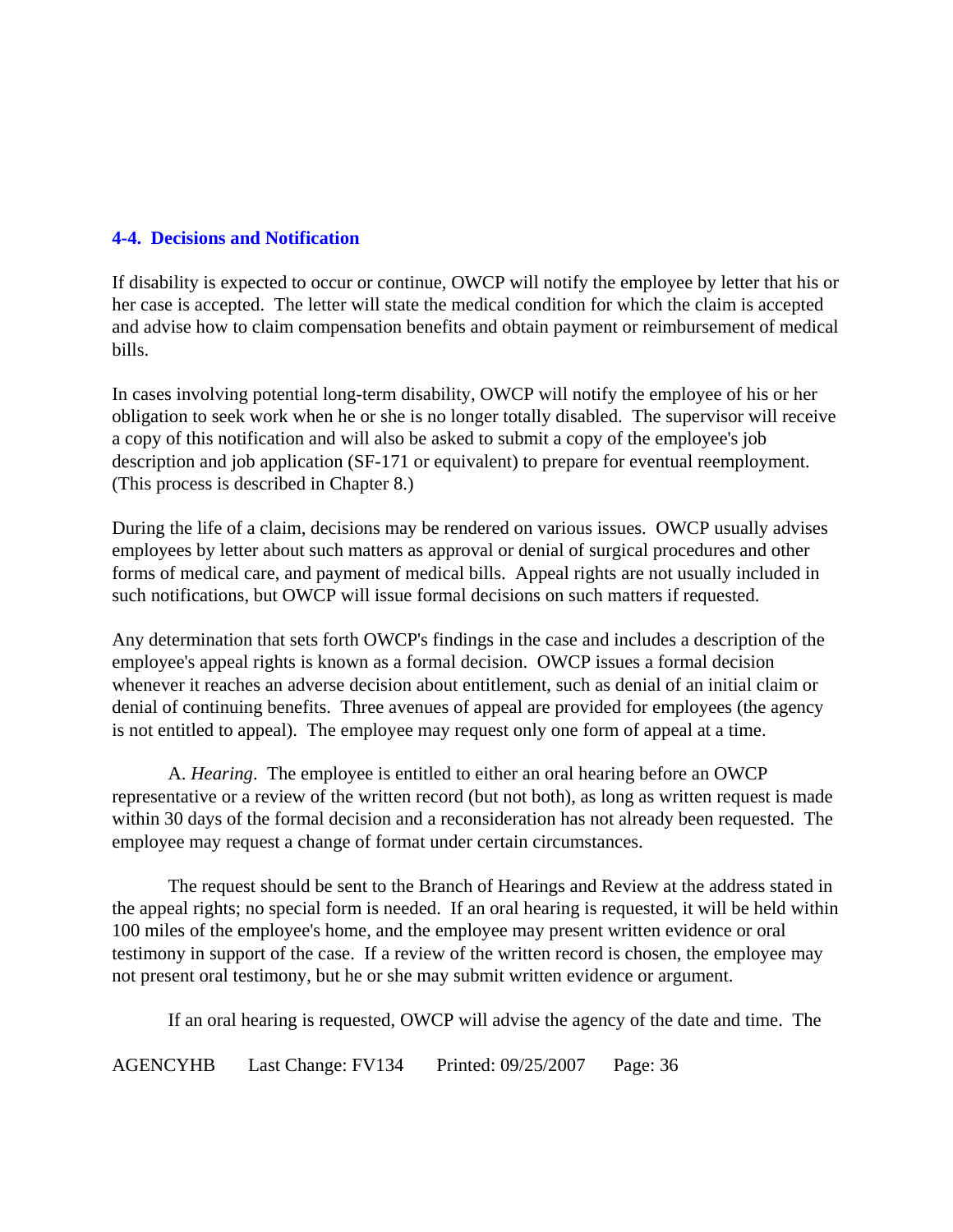### **4-4. Decisions and Notification**

If disability is expected to occur or continue, OWCP will notify the employee by letter that his or her case is accepted. The letter will state the medical condition for which the claim is accepted and advise how to claim compensation benefits and obtain payment or reimbursement of medical bills.

In cases involving potential long-term disability, OWCP will notify the employee of his or her obligation to seek work when he or she is no longer totally disabled. The supervisor will receive a copy of this notification and will also be asked to submit a copy of the employee's job description and job application (SF-171 or equivalent) to prepare for eventual reemployment. (This process is described in Chapter 8.)

During the life of a claim, decisions may be rendered on various issues. OWCP usually advises employees by letter about such matters as approval or denial of surgical procedures and other forms of medical care, and payment of medical bills. Appeal rights are not usually included in such notifications, but OWCP will issue formal decisions on such matters if requested.

Any determination that sets forth OWCP's findings in the case and includes a description of the employee's appeal rights is known as a formal decision. OWCP issues a formal decision whenever it reaches an adverse decision about entitlement, such as denial of an initial claim or denial of continuing benefits. Three avenues of appeal are provided for employees (the agency is not entitled to appeal). The employee may request only one form of appeal at a time.

 A. *Hearing*. The employee is entitled to either an oral hearing before an OWCP representative or a review of the written record (but not both), as long as written request is made within 30 days of the formal decision and a reconsideration has not already been requested. The employee may request a change of format under certain circumstances.

 The request should be sent to the Branch of Hearings and Review at the address stated in the appeal rights; no special form is needed. If an oral hearing is requested, it will be held within 100 miles of the employee's home, and the employee may present written evidence or oral testimony in support of the case. If a review of the written record is chosen, the employee may not present oral testimony, but he or she may submit written evidence or argument.

If an oral hearing is requested, OWCP will advise the agency of the date and time. The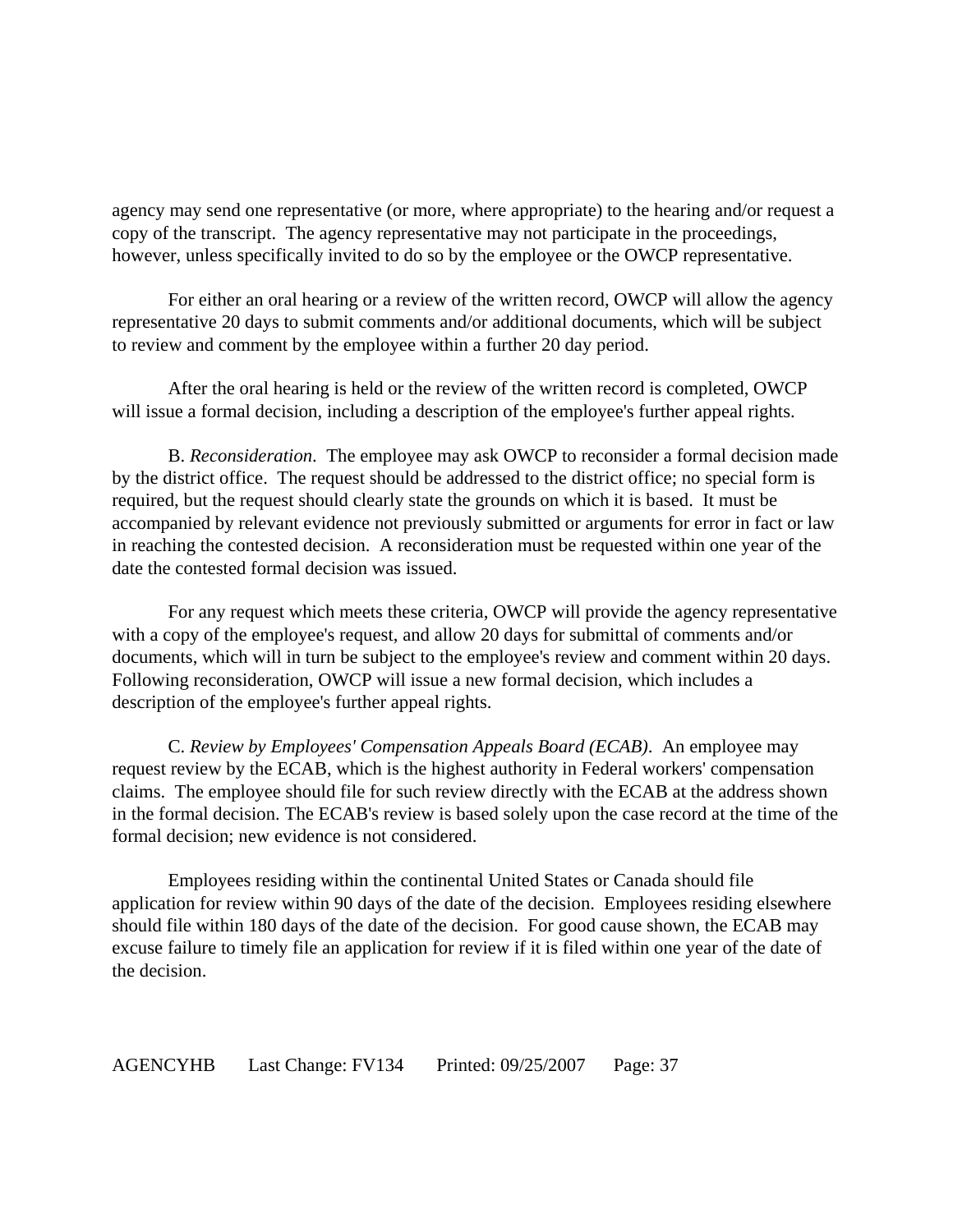agency may send one representative (or more, where appropriate) to the hearing and/or request a copy of the transcript. The agency representative may not participate in the proceedings, however, unless specifically invited to do so by the employee or the OWCP representative.

 For either an oral hearing or a review of the written record, OWCP will allow the agency representative 20 days to submit comments and/or additional documents, which will be subject to review and comment by the employee within a further 20 day period.

 After the oral hearing is held or the review of the written record is completed, OWCP will issue a formal decision, including a description of the employee's further appeal rights.

 B. *Reconsideration*. The employee may ask OWCP to reconsider a formal decision made by the district office. The request should be addressed to the district office; no special form is required, but the request should clearly state the grounds on which it is based. It must be accompanied by relevant evidence not previously submitted or arguments for error in fact or law in reaching the contested decision. A reconsideration must be requested within one year of the date the contested formal decision was issued.

 For any request which meets these criteria, OWCP will provide the agency representative with a copy of the employee's request, and allow 20 days for submittal of comments and/or documents, which will in turn be subject to the employee's review and comment within 20 days. Following reconsideration, OWCP will issue a new formal decision, which includes a description of the employee's further appeal rights.

 C. *Review by Employees' Compensation Appeals Board (ECAB)*. An employee may request review by the ECAB, which is the highest authority in Federal workers' compensation claims. The employee should file for such review directly with the ECAB at the address shown in the formal decision. The ECAB's review is based solely upon the case record at the time of the formal decision; new evidence is not considered.

 Employees residing within the continental United States or Canada should file application for review within 90 days of the date of the decision. Employees residing elsewhere should file within 180 days of the date of the decision. For good cause shown, the ECAB may excuse failure to timely file an application for review if it is filed within one year of the date of the decision.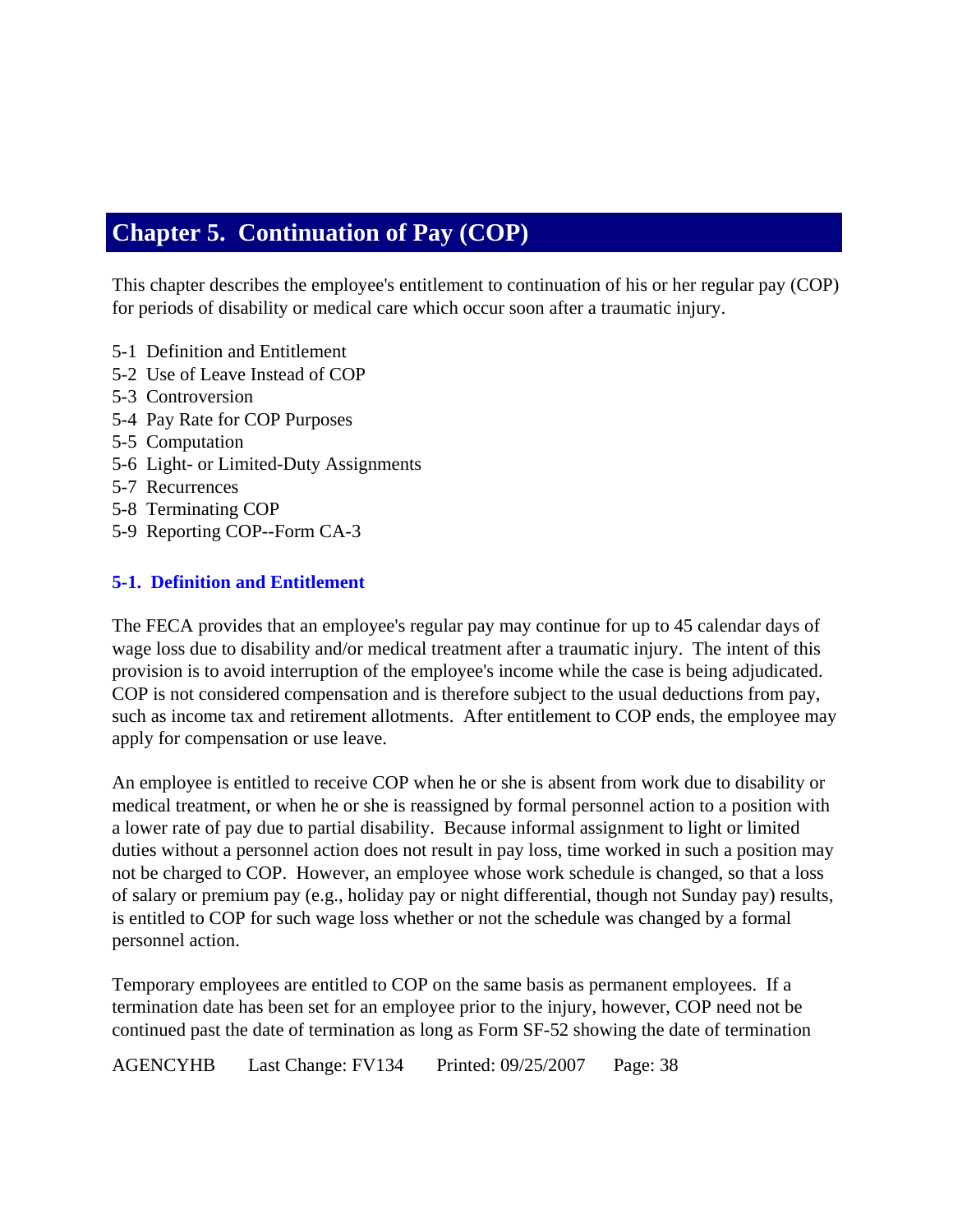# **Chapter 5. Continuation of Pay (COP)**

This chapter describes the employee's entitlement to continuation of his or her regular pay (COP) for periods of disability or medical care which occur soon after a traumatic injury.

- 5-1 Definition and Entitlement
- 5-2 Use of Leave Instead of COP
- 5-3 Controversion
- 5-4 Pay Rate for COP Purposes
- 5-5 Computation
- 5-6 Light- or Limited-Duty Assignments
- 5-7 Recurrences
- 5-8 Terminating COP
- 5-9 Reporting COP--Form CA-3

### **5-1. Definition and Entitlement**

The FECA provides that an employee's regular pay may continue for up to 45 calendar days of wage loss due to disability and/or medical treatment after a traumatic injury. The intent of this provision is to avoid interruption of the employee's income while the case is being adjudicated. COP is not considered compensation and is therefore subject to the usual deductions from pay, such as income tax and retirement allotments. After entitlement to COP ends, the employee may apply for compensation or use leave.

An employee is entitled to receive COP when he or she is absent from work due to disability or medical treatment, or when he or she is reassigned by formal personnel action to a position with a lower rate of pay due to partial disability. Because informal assignment to light or limited duties without a personnel action does not result in pay loss, time worked in such a position may not be charged to COP. However, an employee whose work schedule is changed, so that a loss of salary or premium pay (e.g., holiday pay or night differential, though not Sunday pay) results, is entitled to COP for such wage loss whether or not the schedule was changed by a formal personnel action.

Temporary employees are entitled to COP on the same basis as permanent employees. If a termination date has been set for an employee prior to the injury, however, COP need not be continued past the date of termination as long as Form SF-52 showing the date of termination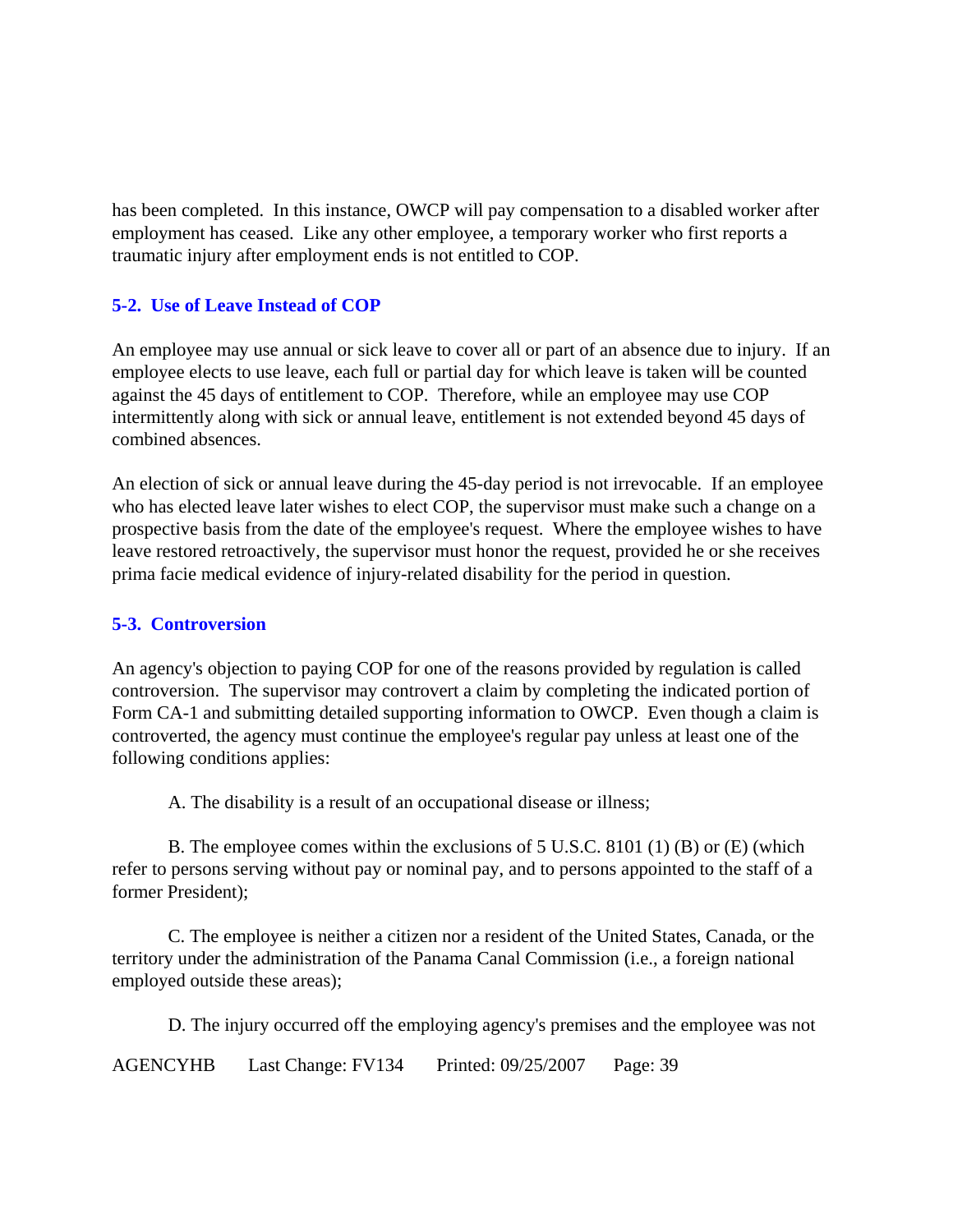has been completed. In this instance, OWCP will pay compensation to a disabled worker after employment has ceased. Like any other employee, a temporary worker who first reports a traumatic injury after employment ends is not entitled to COP.

## **5-2. Use of Leave Instead of COP**

An employee may use annual or sick leave to cover all or part of an absence due to injury. If an employee elects to use leave, each full or partial day for which leave is taken will be counted against the 45 days of entitlement to COP. Therefore, while an employee may use COP intermittently along with sick or annual leave, entitlement is not extended beyond 45 days of combined absences.

An election of sick or annual leave during the 45-day period is not irrevocable. If an employee who has elected leave later wishes to elect COP, the supervisor must make such a change on a prospective basis from the date of the employee's request. Where the employee wishes to have leave restored retroactively, the supervisor must honor the request, provided he or she receives prima facie medical evidence of injury-related disability for the period in question.

### **5-3. Controversion**

An agency's objection to paying COP for one of the reasons provided by regulation is called controversion. The supervisor may controvert a claim by completing the indicated portion of Form CA-1 and submitting detailed supporting information to OWCP. Even though a claim is controverted, the agency must continue the employee's regular pay unless at least one of the following conditions applies:

A. The disability is a result of an occupational disease or illness;

 B. The employee comes within the exclusions of 5 U.S.C. 8101 (1) (B) or (E) (which refer to persons serving without pay or nominal pay, and to persons appointed to the staff of a former President);

 C. The employee is neither a citizen nor a resident of the United States, Canada, or the territory under the administration of the Panama Canal Commission (i.e., a foreign national employed outside these areas);

D. The injury occurred off the employing agency's premises and the employee was not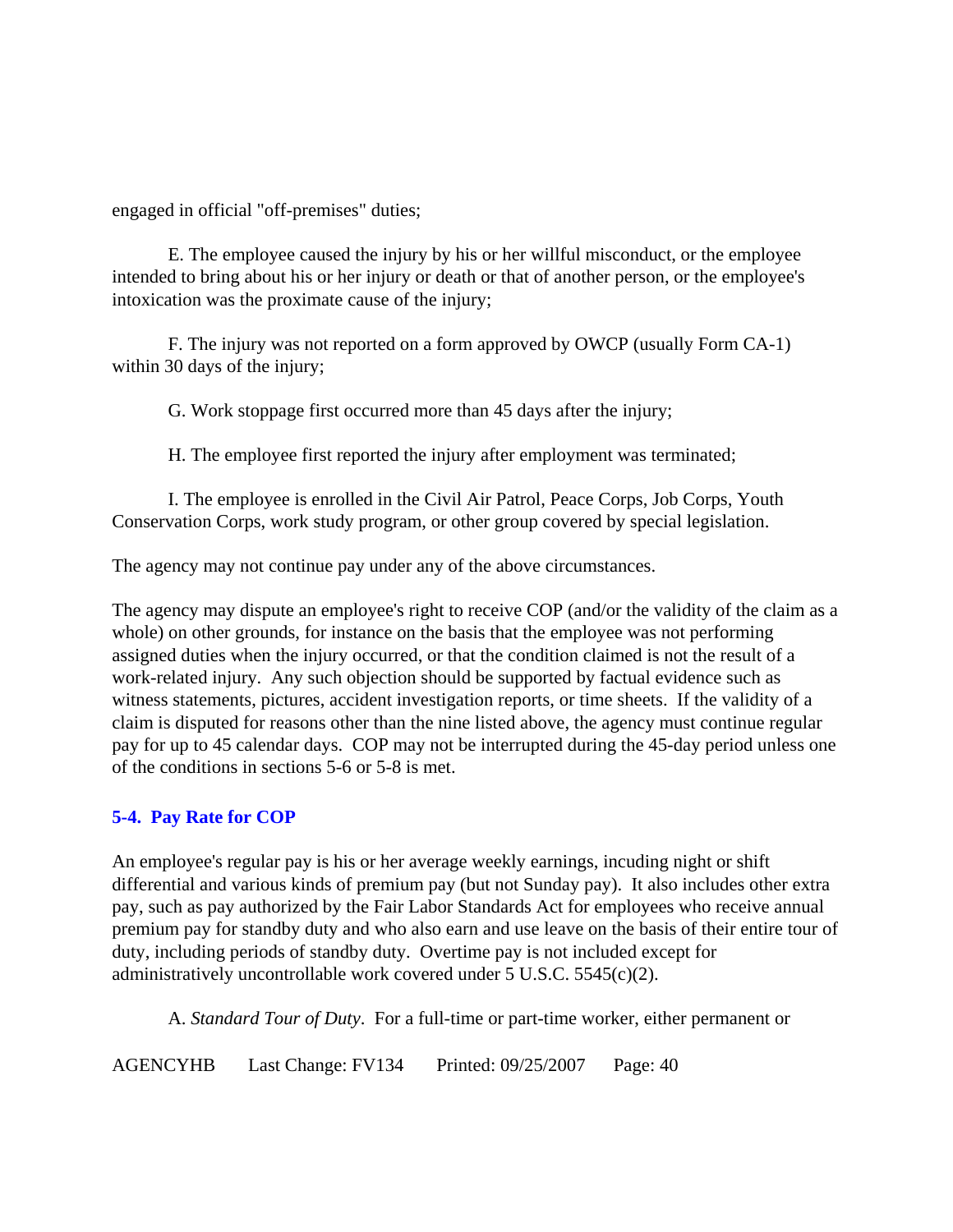engaged in official "off-premises" duties;

 E. The employee caused the injury by his or her willful misconduct, or the employee intended to bring about his or her injury or death or that of another person, or the employee's intoxication was the proximate cause of the injury;

 F. The injury was not reported on a form approved by OWCP (usually Form CA-1) within 30 days of the injury;

G. Work stoppage first occurred more than 45 days after the injury;

H. The employee first reported the injury after employment was terminated;

 I. The employee is enrolled in the Civil Air Patrol, Peace Corps, Job Corps, Youth Conservation Corps, work study program, or other group covered by special legislation.

The agency may not continue pay under any of the above circumstances.

The agency may dispute an employee's right to receive COP (and/or the validity of the claim as a whole) on other grounds, for instance on the basis that the employee was not performing assigned duties when the injury occurred, or that the condition claimed is not the result of a work-related injury. Any such objection should be supported by factual evidence such as witness statements, pictures, accident investigation reports, or time sheets. If the validity of a claim is disputed for reasons other than the nine listed above, the agency must continue regular pay for up to 45 calendar days. COP may not be interrupted during the 45-day period unless one of the conditions in sections 5-6 or 5-8 is met.

## **5-4. Pay Rate for COP**

An employee's regular pay is his or her average weekly earnings, incuding night or shift differential and various kinds of premium pay (but not Sunday pay). It also includes other extra pay, such as pay authorized by the Fair Labor Standards Act for employees who receive annual premium pay for standby duty and who also earn and use leave on the basis of their entire tour of duty, including periods of standby duty. Overtime pay is not included except for administratively uncontrollable work covered under 5 U.S.C. 5545(c)(2).

A. *Standard Tour of Duty*. For a full-time or part-time worker, either permanent or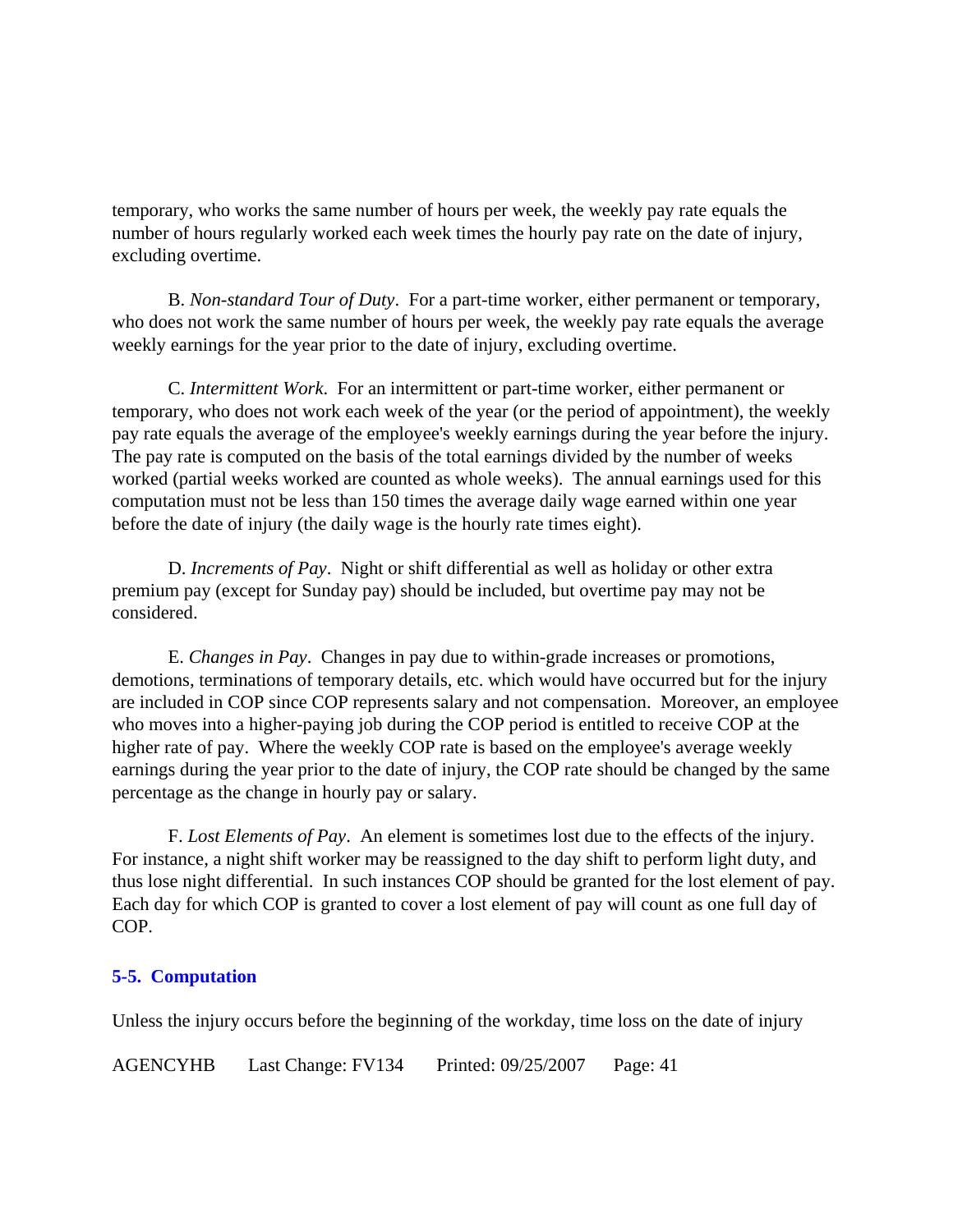temporary, who works the same number of hours per week, the weekly pay rate equals the number of hours regularly worked each week times the hourly pay rate on the date of injury, excluding overtime.

 B. *Non-standard Tour of Duty*. For a part-time worker, either permanent or temporary, who does not work the same number of hours per week, the weekly pay rate equals the average weekly earnings for the year prior to the date of injury, excluding overtime.

 C. *Intermittent Work*. For an intermittent or part-time worker, either permanent or temporary, who does not work each week of the year (or the period of appointment), the weekly pay rate equals the average of the employee's weekly earnings during the year before the injury. The pay rate is computed on the basis of the total earnings divided by the number of weeks worked (partial weeks worked are counted as whole weeks). The annual earnings used for this computation must not be less than 150 times the average daily wage earned within one year before the date of injury (the daily wage is the hourly rate times eight).

 D. *Increments of Pay*. Night or shift differential as well as holiday or other extra premium pay (except for Sunday pay) should be included, but overtime pay may not be considered.

 E. *Changes in Pay*. Changes in pay due to within-grade increases or promotions, demotions, terminations of temporary details, etc. which would have occurred but for the injury are included in COP since COP represents salary and not compensation. Moreover, an employee who moves into a higher-paying job during the COP period is entitled to receive COP at the higher rate of pay. Where the weekly COP rate is based on the employee's average weekly earnings during the year prior to the date of injury, the COP rate should be changed by the same percentage as the change in hourly pay or salary.

 F. *Lost Elements of Pay*. An element is sometimes lost due to the effects of the injury. For instance, a night shift worker may be reassigned to the day shift to perform light duty, and thus lose night differential. In such instances COP should be granted for the lost element of pay. Each day for which COP is granted to cover a lost element of pay will count as one full day of COP.

### **5-5. Computation**

Unless the injury occurs before the beginning of the workday, time loss on the date of injury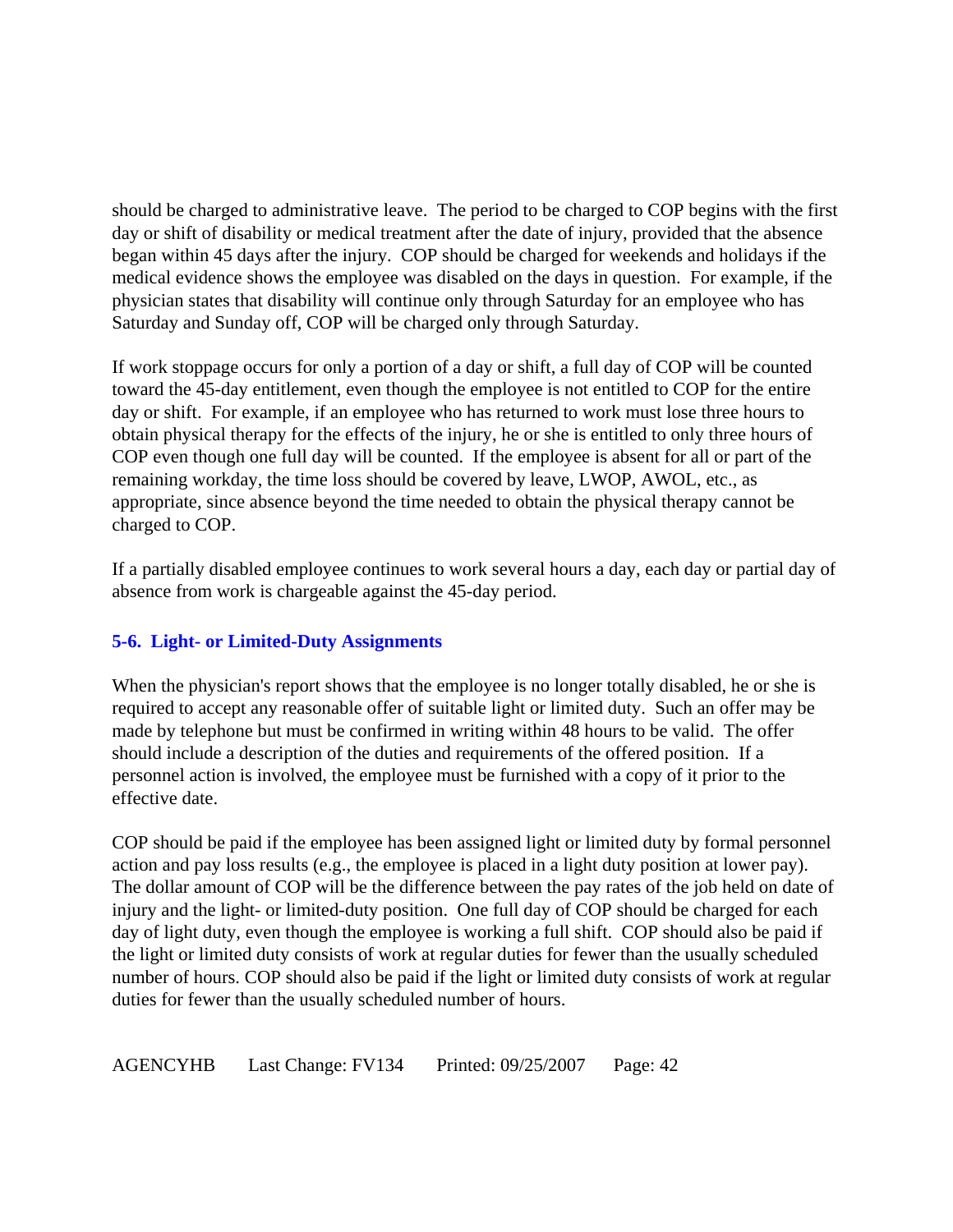should be charged to administrative leave. The period to be charged to COP begins with the first day or shift of disability or medical treatment after the date of injury, provided that the absence began within 45 days after the injury. COP should be charged for weekends and holidays if the medical evidence shows the employee was disabled on the days in question. For example, if the physician states that disability will continue only through Saturday for an employee who has Saturday and Sunday off, COP will be charged only through Saturday.

If work stoppage occurs for only a portion of a day or shift, a full day of COP will be counted toward the 45-day entitlement, even though the employee is not entitled to COP for the entire day or shift. For example, if an employee who has returned to work must lose three hours to obtain physical therapy for the effects of the injury, he or she is entitled to only three hours of COP even though one full day will be counted. If the employee is absent for all or part of the remaining workday, the time loss should be covered by leave, LWOP, AWOL, etc., as appropriate, since absence beyond the time needed to obtain the physical therapy cannot be charged to COP.

If a partially disabled employee continues to work several hours a day, each day or partial day of absence from work is chargeable against the 45-day period.

### **5-6. Light- or Limited-Duty Assignments**

When the physician's report shows that the employee is no longer totally disabled, he or she is required to accept any reasonable offer of suitable light or limited duty. Such an offer may be made by telephone but must be confirmed in writing within 48 hours to be valid. The offer should include a description of the duties and requirements of the offered position. If a personnel action is involved, the employee must be furnished with a copy of it prior to the effective date.

COP should be paid if the employee has been assigned light or limited duty by formal personnel action and pay loss results (e.g., the employee is placed in a light duty position at lower pay). The dollar amount of COP will be the difference between the pay rates of the job held on date of injury and the light- or limited-duty position. One full day of COP should be charged for each day of light duty, even though the employee is working a full shift. COP should also be paid if the light or limited duty consists of work at regular duties for fewer than the usually scheduled number of hours. COP should also be paid if the light or limited duty consists of work at regular duties for fewer than the usually scheduled number of hours.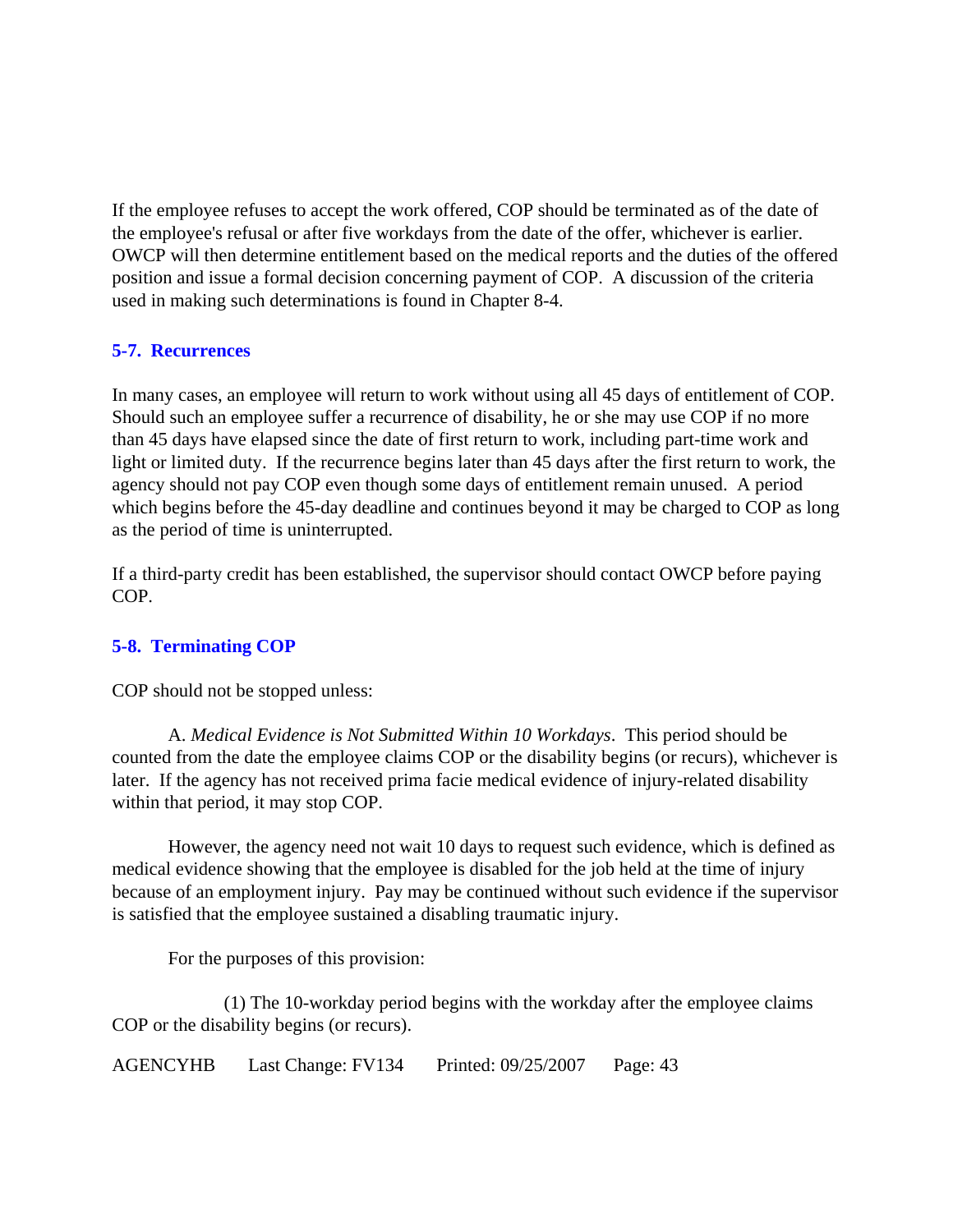If the employee refuses to accept the work offered, COP should be terminated as of the date of the employee's refusal or after five workdays from the date of the offer, whichever is earlier. OWCP will then determine entitlement based on the medical reports and the duties of the offered position and issue a formal decision concerning payment of COP. A discussion of the criteria used in making such determinations is found in Chapter 8-4.

### **5-7. Recurrences**

In many cases, an employee will return to work without using all 45 days of entitlement of COP. Should such an employee suffer a recurrence of disability, he or she may use COP if no more than 45 days have elapsed since the date of first return to work, including part-time work and light or limited duty. If the recurrence begins later than 45 days after the first return to work, the agency should not pay COP even though some days of entitlement remain unused. A period which begins before the 45-day deadline and continues beyond it may be charged to COP as long as the period of time is uninterrupted.

If a third-party credit has been established, the supervisor should contact OWCP before paying COP.

### **5-8. Terminating COP**

COP should not be stopped unless:

 A. *Medical Evidence is Not Submitted Within 10 Workdays*. This period should be counted from the date the employee claims COP or the disability begins (or recurs), whichever is later. If the agency has not received prima facie medical evidence of injury-related disability within that period, it may stop COP.

 However, the agency need not wait 10 days to request such evidence, which is defined as medical evidence showing that the employee is disabled for the job held at the time of injury because of an employment injury. Pay may be continued without such evidence if the supervisor is satisfied that the employee sustained a disabling traumatic injury.

For the purposes of this provision:

 (1) The 10-workday period begins with the workday after the employee claims COP or the disability begins (or recurs).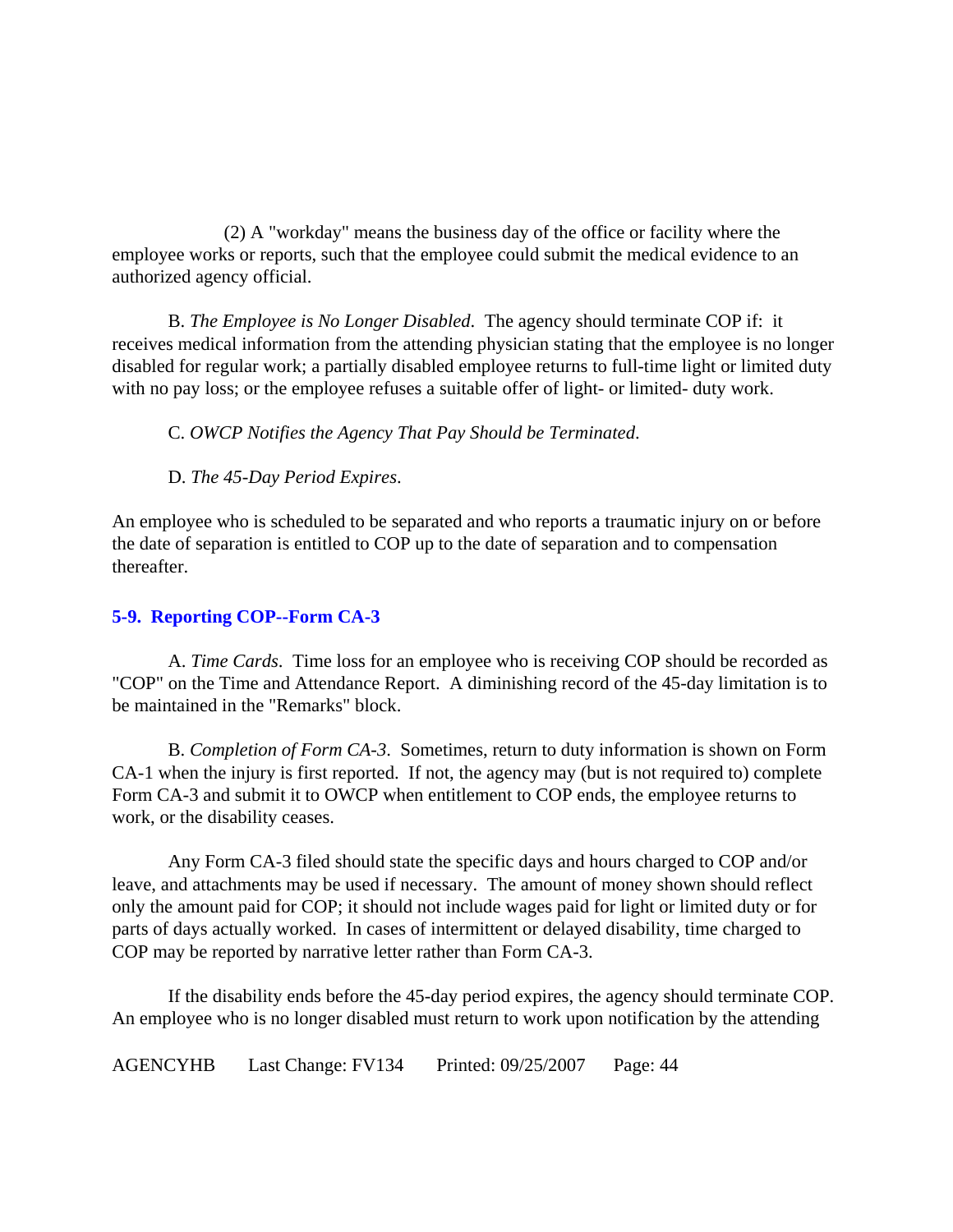(2) A "workday" means the business day of the office or facility where the employee works or reports, such that the employee could submit the medical evidence to an authorized agency official.

 B. *The Employee is No Longer Disabled*. The agency should terminate COP if: it receives medical information from the attending physician stating that the employee is no longer disabled for regular work; a partially disabled employee returns to full-time light or limited duty with no pay loss; or the employee refuses a suitable offer of light- or limited- duty work.

C. *OWCP Notifies the Agency That Pay Should be Terminated*.

D. *The 45-Day Period Expires*.

An employee who is scheduled to be separated and who reports a traumatic injury on or before the date of separation is entitled to COP up to the date of separation and to compensation thereafter.

### **5-9. Reporting COP--Form CA-3**

 A. *Time Cards*. Time loss for an employee who is receiving COP should be recorded as "COP" on the Time and Attendance Report. A diminishing record of the 45-day limitation is to be maintained in the "Remarks" block.

 B. *Completion of Form CA-3*. Sometimes, return to duty information is shown on Form CA-1 when the injury is first reported. If not, the agency may (but is not required to) complete Form CA-3 and submit it to OWCP when entitlement to COP ends, the employee returns to work, or the disability ceases.

 Any Form CA-3 filed should state the specific days and hours charged to COP and/or leave, and attachments may be used if necessary. The amount of money shown should reflect only the amount paid for COP; it should not include wages paid for light or limited duty or for parts of days actually worked. In cases of intermittent or delayed disability, time charged to COP may be reported by narrative letter rather than Form CA-3.

 If the disability ends before the 45-day period expires, the agency should terminate COP. An employee who is no longer disabled must return to work upon notification by the attending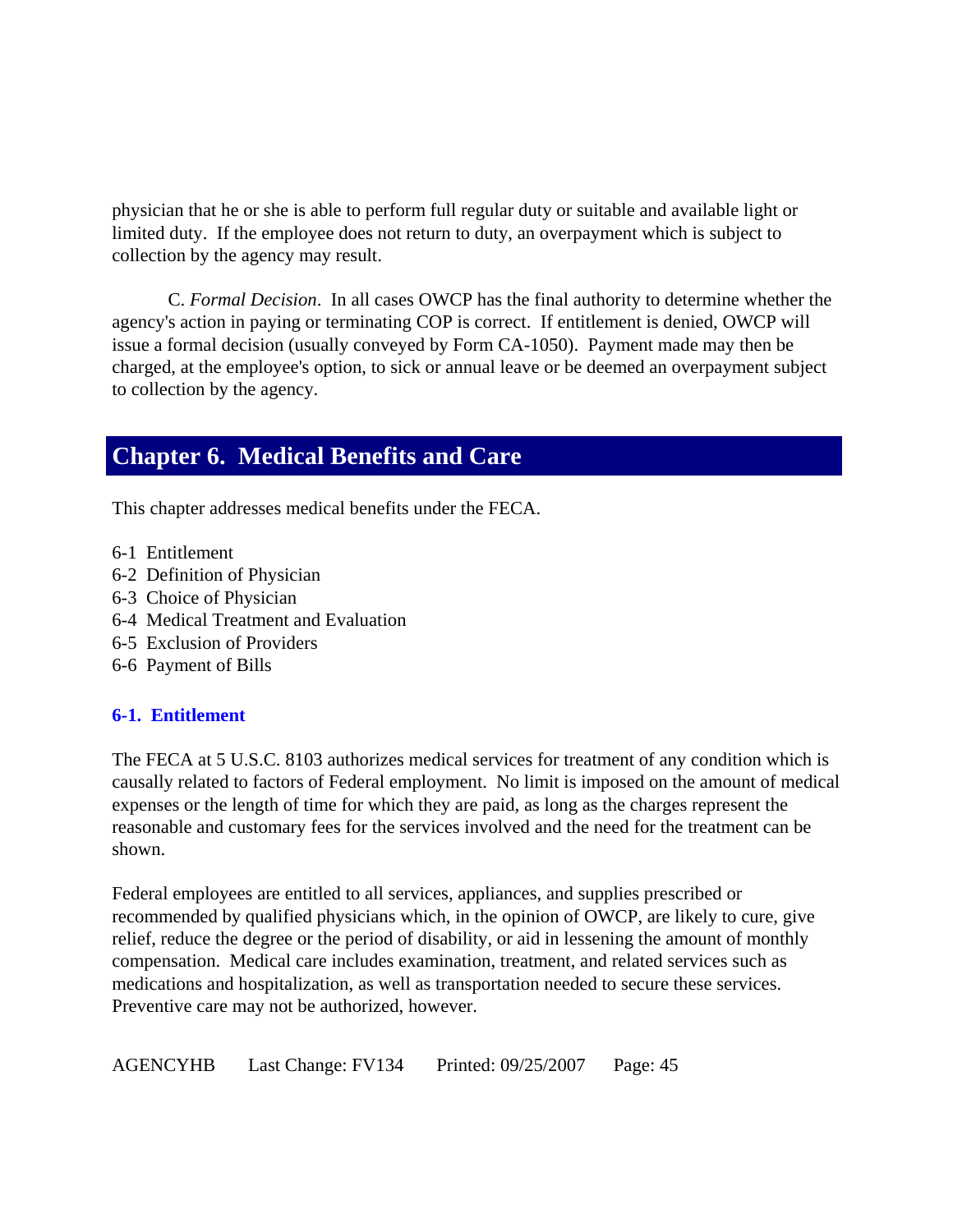physician that he or she is able to perform full regular duty or suitable and available light or limited duty. If the employee does not return to duty, an overpayment which is subject to collection by the agency may result.

 C. *Formal Decision*. In all cases OWCP has the final authority to determine whether the agency's action in paying or terminating COP is correct. If entitlement is denied, OWCP will issue a formal decision (usually conveyed by Form CA-1050). Payment made may then be charged, at the employee's option, to sick or annual leave or be deemed an overpayment subject to collection by the agency.

## **Chapter 6. Medical Benefits and Care**

This chapter addresses medical benefits under the FECA.

- 6-1 Entitlement
- 6-2 Definition of Physician
- 6-3 Choice of Physician
- 6-4 Medical Treatment and Evaluation
- 6-5 Exclusion of Providers
- 6-6 Payment of Bills

## **6-1. Entitlement**

The FECA at 5 U.S.C. 8103 authorizes medical services for treatment of any condition which is causally related to factors of Federal employment. No limit is imposed on the amount of medical expenses or the length of time for which they are paid, as long as the charges represent the reasonable and customary fees for the services involved and the need for the treatment can be shown.

Federal employees are entitled to all services, appliances, and supplies prescribed or recommended by qualified physicians which, in the opinion of OWCP, are likely to cure, give relief, reduce the degree or the period of disability, or aid in lessening the amount of monthly compensation. Medical care includes examination, treatment, and related services such as medications and hospitalization, as well as transportation needed to secure these services. Preventive care may not be authorized, however.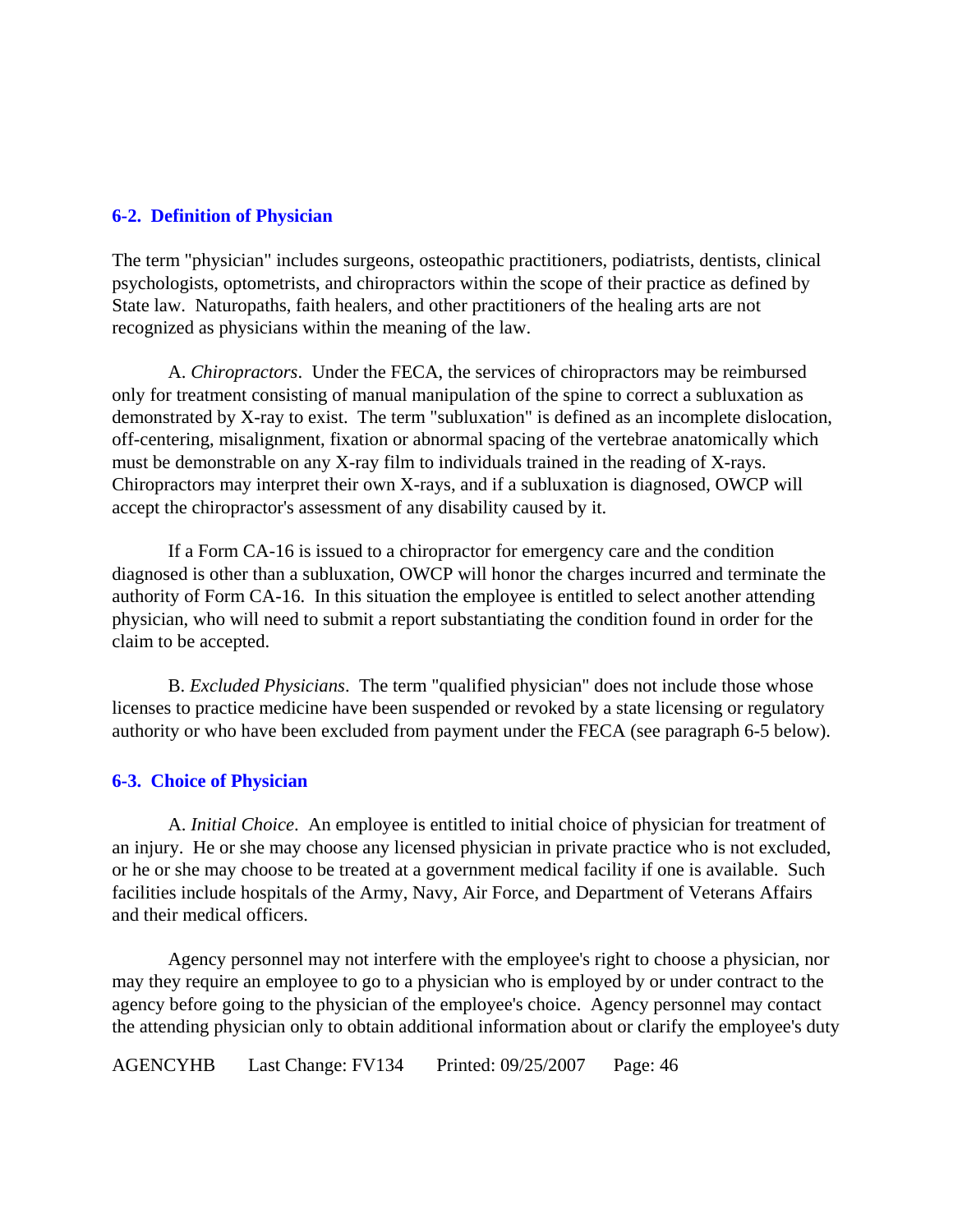#### **6-2. Definition of Physician**

The term "physician" includes surgeons, osteopathic practitioners, podiatrists, dentists, clinical psychologists, optometrists, and chiropractors within the scope of their practice as defined by State law. Naturopaths, faith healers, and other practitioners of the healing arts are not recognized as physicians within the meaning of the law.

 A. *Chiropractors*. Under the FECA, the services of chiropractors may be reimbursed only for treatment consisting of manual manipulation of the spine to correct a subluxation as demonstrated by X-ray to exist. The term "subluxation" is defined as an incomplete dislocation, off-centering, misalignment, fixation or abnormal spacing of the vertebrae anatomically which must be demonstrable on any X-ray film to individuals trained in the reading of X-rays. Chiropractors may interpret their own X-rays, and if a subluxation is diagnosed, OWCP will accept the chiropractor's assessment of any disability caused by it.

 If a Form CA-16 is issued to a chiropractor for emergency care and the condition diagnosed is other than a subluxation, OWCP will honor the charges incurred and terminate the authority of Form CA-16. In this situation the employee is entitled to select another attending physician, who will need to submit a report substantiating the condition found in order for the claim to be accepted.

 B. *Excluded Physicians*. The term "qualified physician" does not include those whose licenses to practice medicine have been suspended or revoked by a state licensing or regulatory authority or who have been excluded from payment under the FECA (see paragraph 6-5 below).

#### **6-3. Choice of Physician**

 A. *Initial Choice*. An employee is entitled to initial choice of physician for treatment of an injury. He or she may choose any licensed physician in private practice who is not excluded, or he or she may choose to be treated at a government medical facility if one is available. Such facilities include hospitals of the Army, Navy, Air Force, and Department of Veterans Affairs and their medical officers.

 Agency personnel may not interfere with the employee's right to choose a physician, nor may they require an employee to go to a physician who is employed by or under contract to the agency before going to the physician of the employee's choice. Agency personnel may contact the attending physician only to obtain additional information about or clarify the employee's duty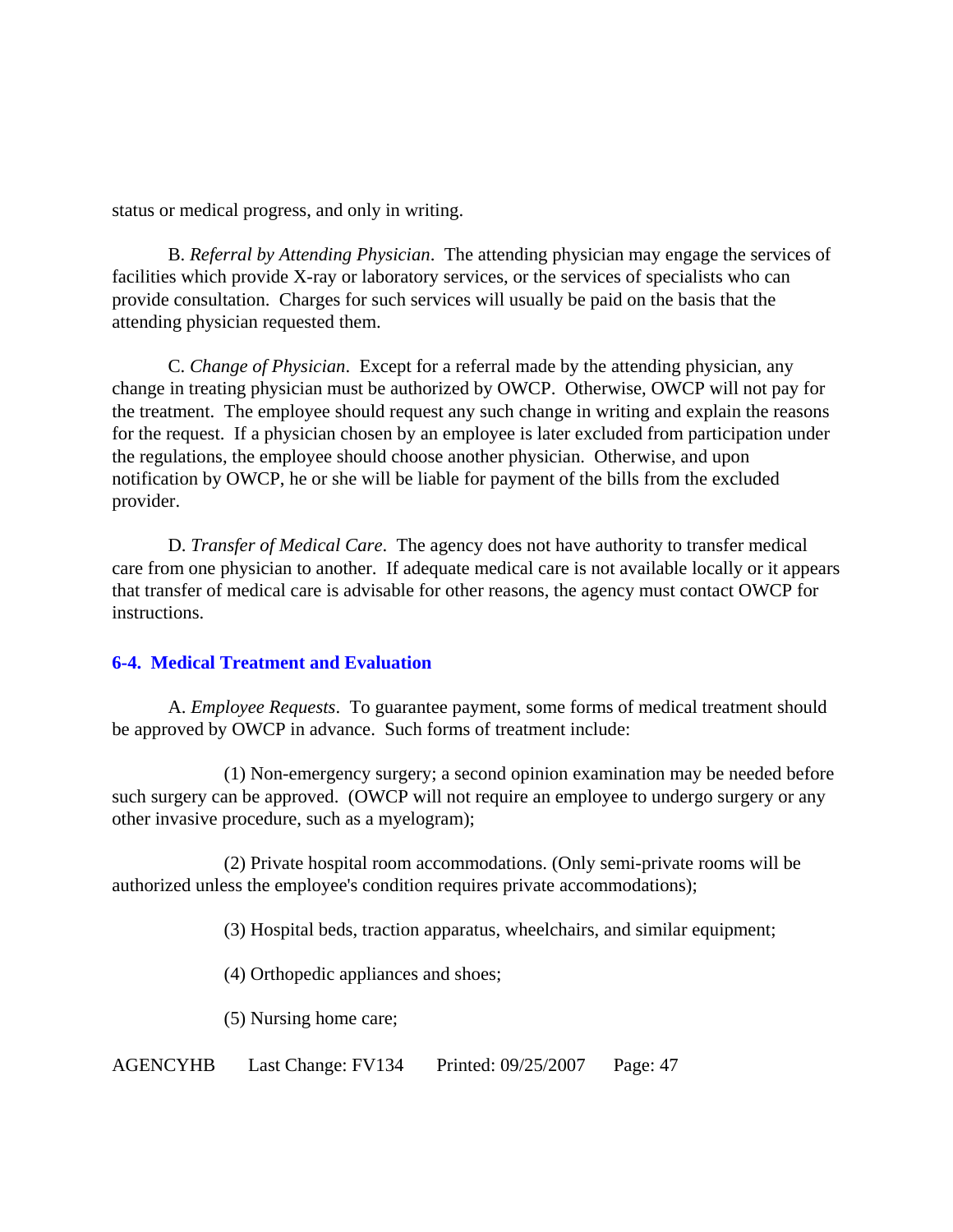status or medical progress, and only in writing.

 B. *Referral by Attending Physician*. The attending physician may engage the services of facilities which provide X-ray or laboratory services, or the services of specialists who can provide consultation. Charges for such services will usually be paid on the basis that the attending physician requested them.

 C. *Change of Physician*. Except for a referral made by the attending physician, any change in treating physician must be authorized by OWCP. Otherwise, OWCP will not pay for the treatment. The employee should request any such change in writing and explain the reasons for the request. If a physician chosen by an employee is later excluded from participation under the regulations, the employee should choose another physician. Otherwise, and upon notification by OWCP, he or she will be liable for payment of the bills from the excluded provider.

 D. *Transfer of Medical Care*. The agency does not have authority to transfer medical care from one physician to another. If adequate medical care is not available locally or it appears that transfer of medical care is advisable for other reasons, the agency must contact OWCP for instructions.

#### **6-4. Medical Treatment and Evaluation**

 A. *Employee Requests*. To guarantee payment, some forms of medical treatment should be approved by OWCP in advance. Such forms of treatment include:

 (1) Non-emergency surgery; a second opinion examination may be needed before such surgery can be approved. (OWCP will not require an employee to undergo surgery or any other invasive procedure, such as a myelogram);

 (2) Private hospital room accommodations. (Only semi-private rooms will be authorized unless the employee's condition requires private accommodations);

(3) Hospital beds, traction apparatus, wheelchairs, and similar equipment;

(4) Orthopedic appliances and shoes;

(5) Nursing home care;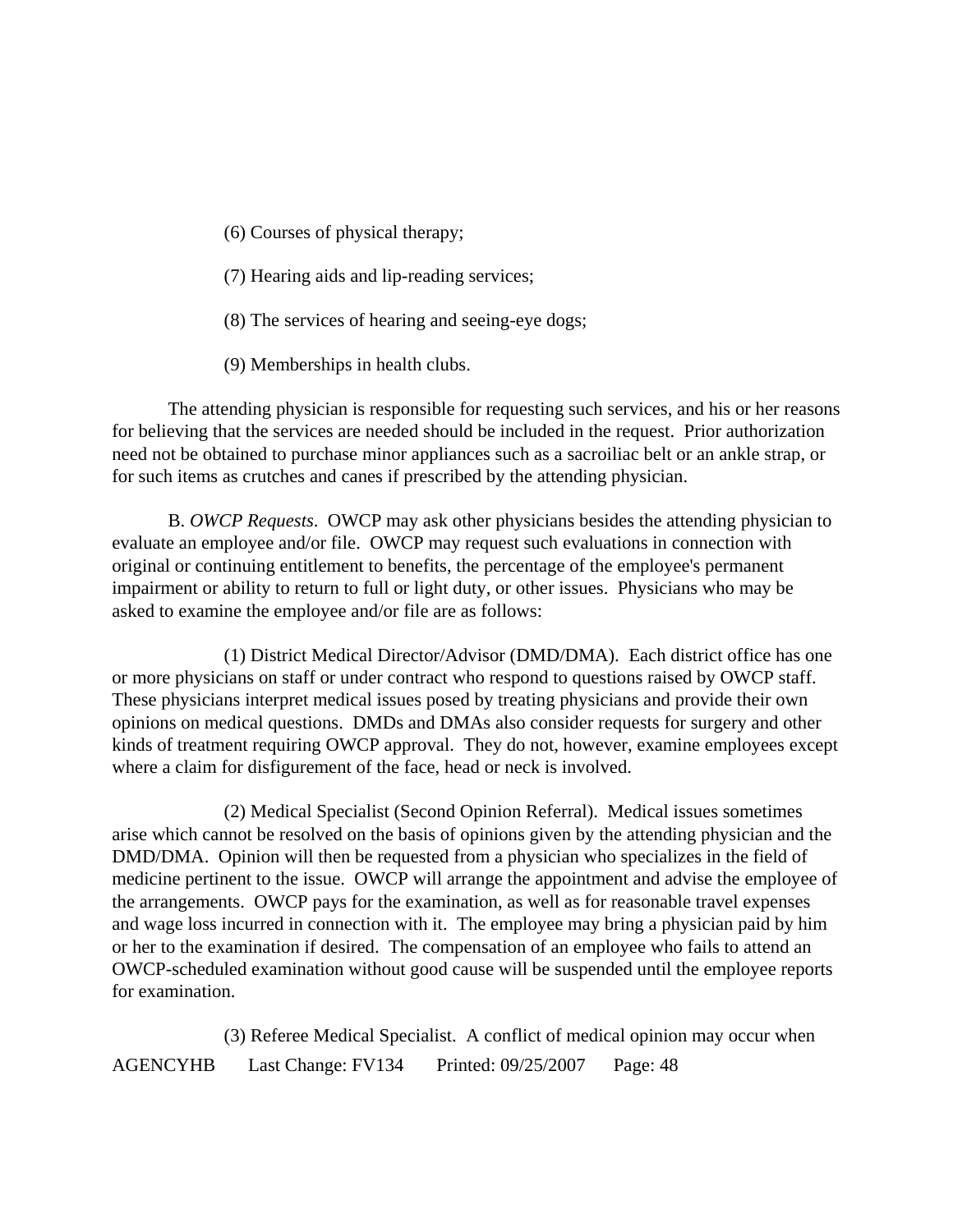(6) Courses of physical therapy;

(7) Hearing aids and lip-reading services;

(8) The services of hearing and seeing-eye dogs;

(9) Memberships in health clubs.

 The attending physician is responsible for requesting such services, and his or her reasons for believing that the services are needed should be included in the request. Prior authorization need not be obtained to purchase minor appliances such as a sacroiliac belt or an ankle strap, or for such items as crutches and canes if prescribed by the attending physician.

 B. *OWCP Requests*. OWCP may ask other physicians besides the attending physician to evaluate an employee and/or file. OWCP may request such evaluations in connection with original or continuing entitlement to benefits, the percentage of the employee's permanent impairment or ability to return to full or light duty, or other issues. Physicians who may be asked to examine the employee and/or file are as follows:

 (1) District Medical Director/Advisor (DMD/DMA). Each district office has one or more physicians on staff or under contract who respond to questions raised by OWCP staff. These physicians interpret medical issues posed by treating physicians and provide their own opinions on medical questions. DMDs and DMAs also consider requests for surgery and other kinds of treatment requiring OWCP approval. They do not, however, examine employees except where a claim for disfigurement of the face, head or neck is involved.

 (2) Medical Specialist (Second Opinion Referral). Medical issues sometimes arise which cannot be resolved on the basis of opinions given by the attending physician and the DMD/DMA. Opinion will then be requested from a physician who specializes in the field of medicine pertinent to the issue. OWCP will arrange the appointment and advise the employee of the arrangements. OWCP pays for the examination, as well as for reasonable travel expenses and wage loss incurred in connection with it. The employee may bring a physician paid by him or her to the examination if desired. The compensation of an employee who fails to attend an OWCP-scheduled examination without good cause will be suspended until the employee reports for examination.

AGENCYHB Last Change: FV134 Printed: 09/25/2007 Page: 48 (3) Referee Medical Specialist. A conflict of medical opinion may occur when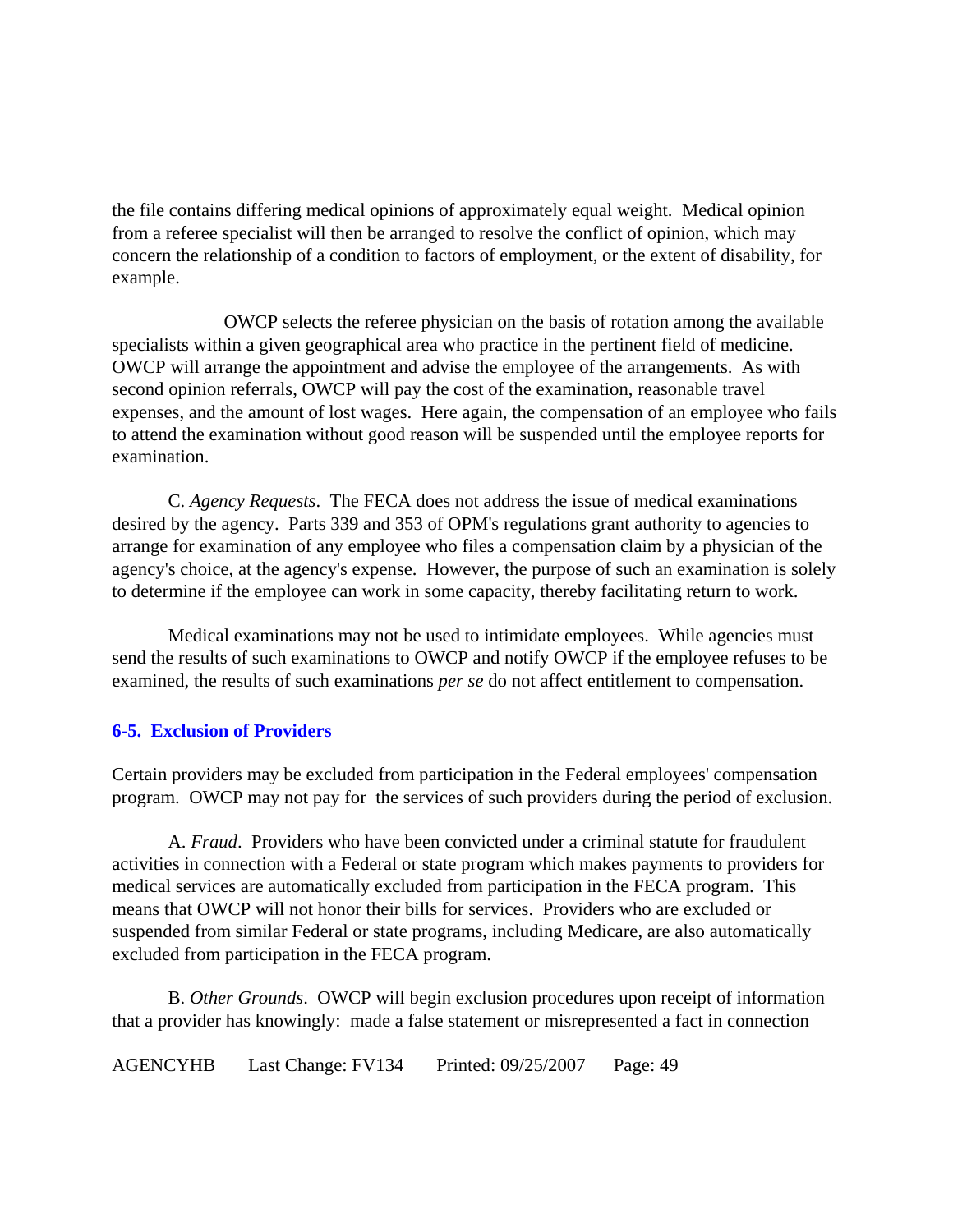the file contains differing medical opinions of approximately equal weight. Medical opinion from a referee specialist will then be arranged to resolve the conflict of opinion, which may concern the relationship of a condition to factors of employment, or the extent of disability, for example.

 OWCP selects the referee physician on the basis of rotation among the available specialists within a given geographical area who practice in the pertinent field of medicine. OWCP will arrange the appointment and advise the employee of the arrangements. As with second opinion referrals, OWCP will pay the cost of the examination, reasonable travel expenses, and the amount of lost wages. Here again, the compensation of an employee who fails to attend the examination without good reason will be suspended until the employee reports for examination.

 C. *Agency Requests*. The FECA does not address the issue of medical examinations desired by the agency. Parts 339 and 353 of OPM's regulations grant authority to agencies to arrange for examination of any employee who files a compensation claim by a physician of the agency's choice, at the agency's expense. However, the purpose of such an examination is solely to determine if the employee can work in some capacity, thereby facilitating return to work.

 Medical examinations may not be used to intimidate employees. While agencies must send the results of such examinations to OWCP and notify OWCP if the employee refuses to be examined, the results of such examinations *per se* do not affect entitlement to compensation.

### **6-5. Exclusion of Providers**

Certain providers may be excluded from participation in the Federal employees' compensation program. OWCP may not pay for the services of such providers during the period of exclusion.

 A. *Fraud*. Providers who have been convicted under a criminal statute for fraudulent activities in connection with a Federal or state program which makes payments to providers for medical services are automatically excluded from participation in the FECA program. This means that OWCP will not honor their bills for services. Providers who are excluded or suspended from similar Federal or state programs, including Medicare, are also automatically excluded from participation in the FECA program.

 B. *Other Grounds*. OWCP will begin exclusion procedures upon receipt of information that a provider has knowingly: made a false statement or misrepresented a fact in connection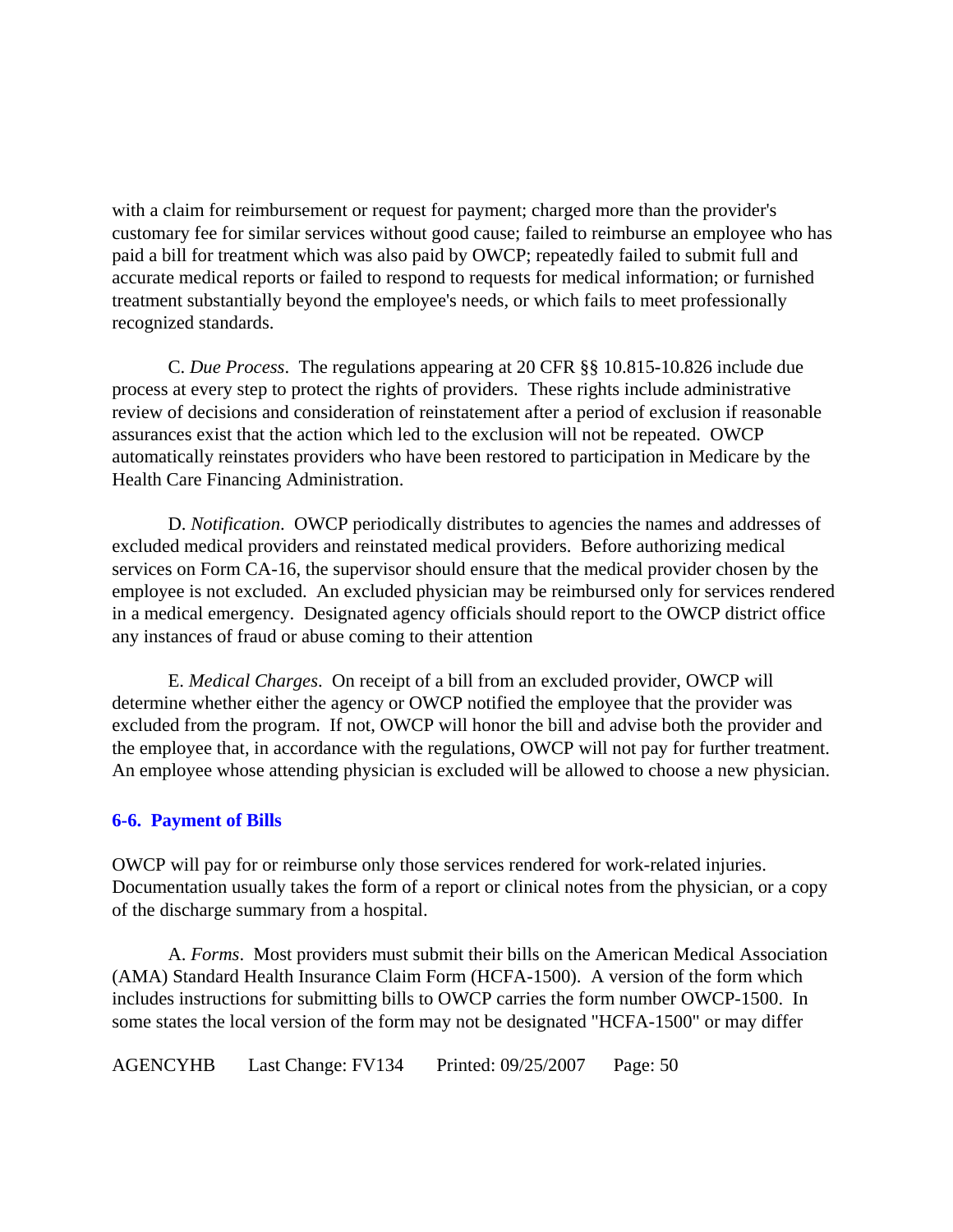with a claim for reimbursement or request for payment; charged more than the provider's customary fee for similar services without good cause; failed to reimburse an employee who has paid a bill for treatment which was also paid by OWCP; repeatedly failed to submit full and accurate medical reports or failed to respond to requests for medical information; or furnished treatment substantially beyond the employee's needs, or which fails to meet professionally recognized standards.

 C. *Due Process*. The regulations appearing at 20 CFR §§ 10.815-10.826 include due process at every step to protect the rights of providers. These rights include administrative review of decisions and consideration of reinstatement after a period of exclusion if reasonable assurances exist that the action which led to the exclusion will not be repeated. OWCP automatically reinstates providers who have been restored to participation in Medicare by the Health Care Financing Administration.

 D. *Notification*. OWCP periodically distributes to agencies the names and addresses of excluded medical providers and reinstated medical providers. Before authorizing medical services on Form CA-16, the supervisor should ensure that the medical provider chosen by the employee is not excluded. An excluded physician may be reimbursed only for services rendered in a medical emergency. Designated agency officials should report to the OWCP district office any instances of fraud or abuse coming to their attention

 E. *Medical Charges*. On receipt of a bill from an excluded provider, OWCP will determine whether either the agency or OWCP notified the employee that the provider was excluded from the program. If not, OWCP will honor the bill and advise both the provider and the employee that, in accordance with the regulations, OWCP will not pay for further treatment. An employee whose attending physician is excluded will be allowed to choose a new physician.

### **6-6. Payment of Bills**

OWCP will pay for or reimburse only those services rendered for work-related injuries. Documentation usually takes the form of a report or clinical notes from the physician, or a copy of the discharge summary from a hospital.

 A. *Forms*. Most providers must submit their bills on the American Medical Association (AMA) Standard Health Insurance Claim Form (HCFA-1500). A version of the form which includes instructions for submitting bills to OWCP carries the form number OWCP-1500. In some states the local version of the form may not be designated "HCFA-1500" or may differ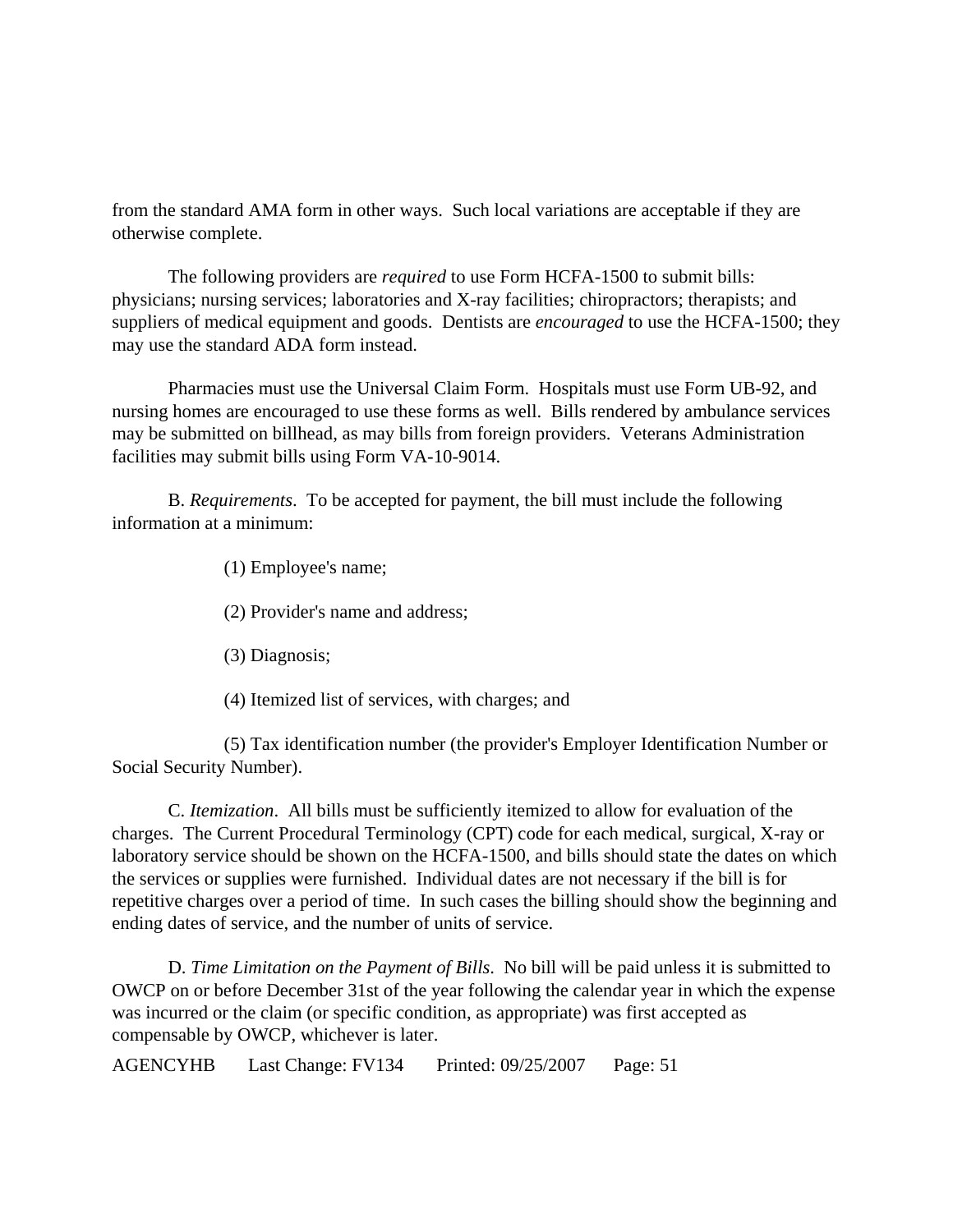from the standard AMA form in other ways. Such local variations are acceptable if they are otherwise complete.

 The following providers are *required* to use Form HCFA-1500 to submit bills: physicians; nursing services; laboratories and X-ray facilities; chiropractors; therapists; and suppliers of medical equipment and goods. Dentists are *encouraged* to use the HCFA-1500; they may use the standard ADA form instead.

 Pharmacies must use the Universal Claim Form. Hospitals must use Form UB-92, and nursing homes are encouraged to use these forms as well. Bills rendered by ambulance services may be submitted on billhead, as may bills from foreign providers. Veterans Administration facilities may submit bills using Form VA-10-9014.

 B. *Requirements*. To be accepted for payment, the bill must include the following information at a minimum:

(1) Employee's name;

(2) Provider's name and address;

(3) Diagnosis;

(4) Itemized list of services, with charges; and

 (5) Tax identification number (the provider's Employer Identification Number or Social Security Number).

 C. *Itemization*. All bills must be sufficiently itemized to allow for evaluation of the charges. The Current Procedural Terminology (CPT) code for each medical, surgical, X-ray or laboratory service should be shown on the HCFA-1500, and bills should state the dates on which the services or supplies were furnished. Individual dates are not necessary if the bill is for repetitive charges over a period of time. In such cases the billing should show the beginning and ending dates of service, and the number of units of service.

 D. *Time Limitation on the Payment of Bills*. No bill will be paid unless it is submitted to OWCP on or before December 31st of the year following the calendar year in which the expense was incurred or the claim (or specific condition, as appropriate) was first accepted as compensable by OWCP, whichever is later.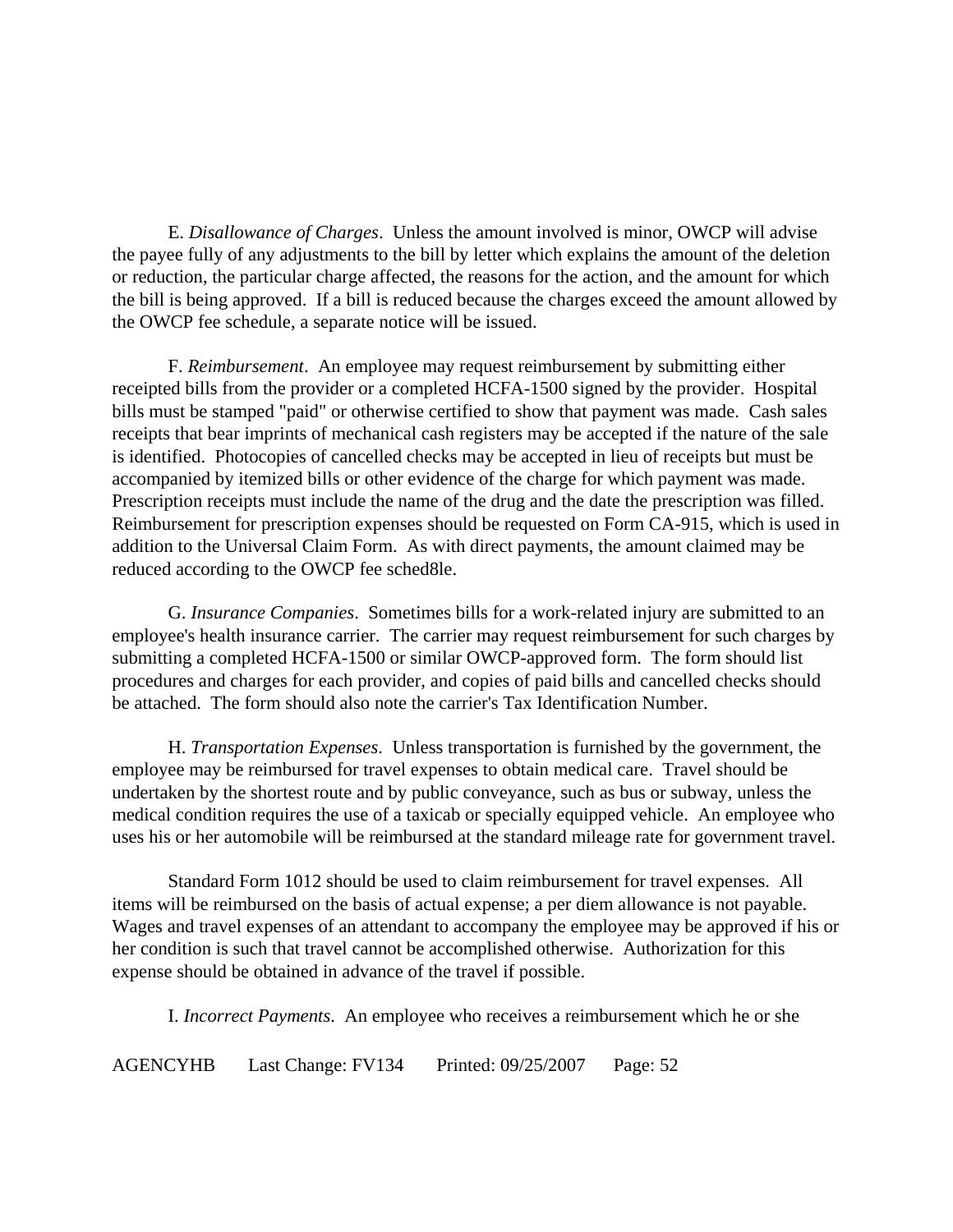E. *Disallowance of Charges*. Unless the amount involved is minor, OWCP will advise the payee fully of any adjustments to the bill by letter which explains the amount of the deletion or reduction, the particular charge affected, the reasons for the action, and the amount for which the bill is being approved. If a bill is reduced because the charges exceed the amount allowed by the OWCP fee schedule, a separate notice will be issued.

 F. *Reimbursement*. An employee may request reimbursement by submitting either receipted bills from the provider or a completed HCFA-1500 signed by the provider. Hospital bills must be stamped "paid" or otherwise certified to show that payment was made. Cash sales receipts that bear imprints of mechanical cash registers may be accepted if the nature of the sale is identified. Photocopies of cancelled checks may be accepted in lieu of receipts but must be accompanied by itemized bills or other evidence of the charge for which payment was made. Prescription receipts must include the name of the drug and the date the prescription was filled. Reimbursement for prescription expenses should be requested on Form CA-915, which is used in addition to the Universal Claim Form. As with direct payments, the amount claimed may be reduced according to the OWCP fee sched8le.

 G. *Insurance Companies*. Sometimes bills for a work-related injury are submitted to an employee's health insurance carrier. The carrier may request reimbursement for such charges by submitting a completed HCFA-1500 or similar OWCP-approved form. The form should list procedures and charges for each provider, and copies of paid bills and cancelled checks should be attached. The form should also note the carrier's Tax Identification Number.

 H. *Transportation Expenses*. Unless transportation is furnished by the government, the employee may be reimbursed for travel expenses to obtain medical care. Travel should be undertaken by the shortest route and by public conveyance, such as bus or subway, unless the medical condition requires the use of a taxicab or specially equipped vehicle. An employee who uses his or her automobile will be reimbursed at the standard mileage rate for government travel.

 Standard Form 1012 should be used to claim reimbursement for travel expenses. All items will be reimbursed on the basis of actual expense; a per diem allowance is not payable. Wages and travel expenses of an attendant to accompany the employee may be approved if his or her condition is such that travel cannot be accomplished otherwise. Authorization for this expense should be obtained in advance of the travel if possible.

I. *Incorrect Payments*. An employee who receives a reimbursement which he or she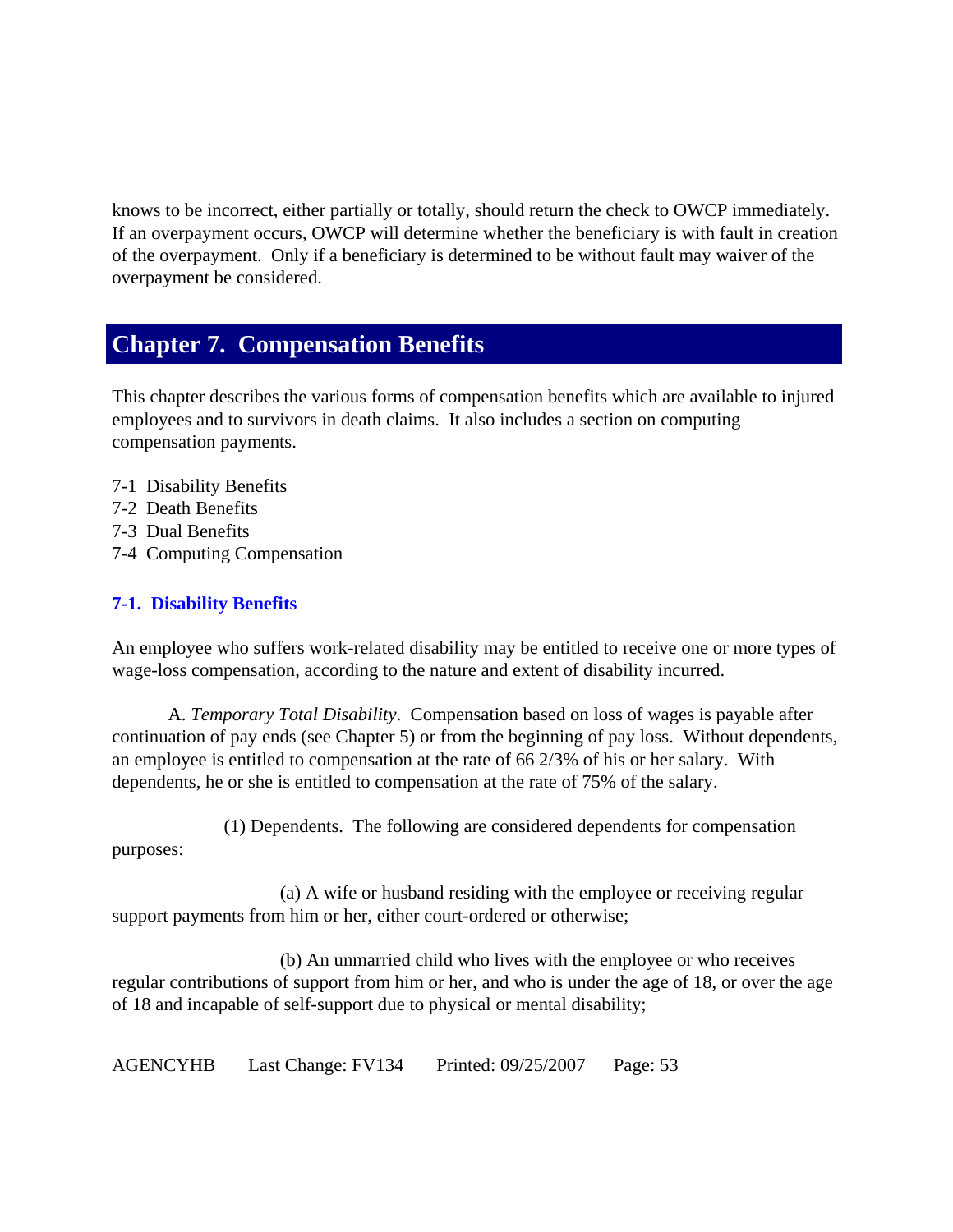knows to be incorrect, either partially or totally, should return the check to OWCP immediately. If an overpayment occurs, OWCP will determine whether the beneficiary is with fault in creation of the overpayment. Only if a beneficiary is determined to be without fault may waiver of the overpayment be considered.

## **Chapter 7. Compensation Benefits**

This chapter describes the various forms of compensation benefits which are available to injured employees and to survivors in death claims. It also includes a section on computing compensation payments.

- 7-1 Disability Benefits
- 7-2 Death Benefits
- 7-3 Dual Benefits

purposes:

7-4 Computing Compensation

## **7-1. Disability Benefits**

An employee who suffers work-related disability may be entitled to receive one or more types of wage-loss compensation, according to the nature and extent of disability incurred.

 A. *Temporary Total Disability*. Compensation based on loss of wages is payable after continuation of pay ends (see Chapter 5) or from the beginning of pay loss. Without dependents, an employee is entitled to compensation at the rate of 66 2/3% of his or her salary. With dependents, he or she is entitled to compensation at the rate of 75% of the salary.

(1) Dependents. The following are considered dependents for compensation

 (a) A wife or husband residing with the employee or receiving regular support payments from him or her, either court-ordered or otherwise;

 (b) An unmarried child who lives with the employee or who receives regular contributions of support from him or her, and who is under the age of 18, or over the age of 18 and incapable of self-support due to physical or mental disability;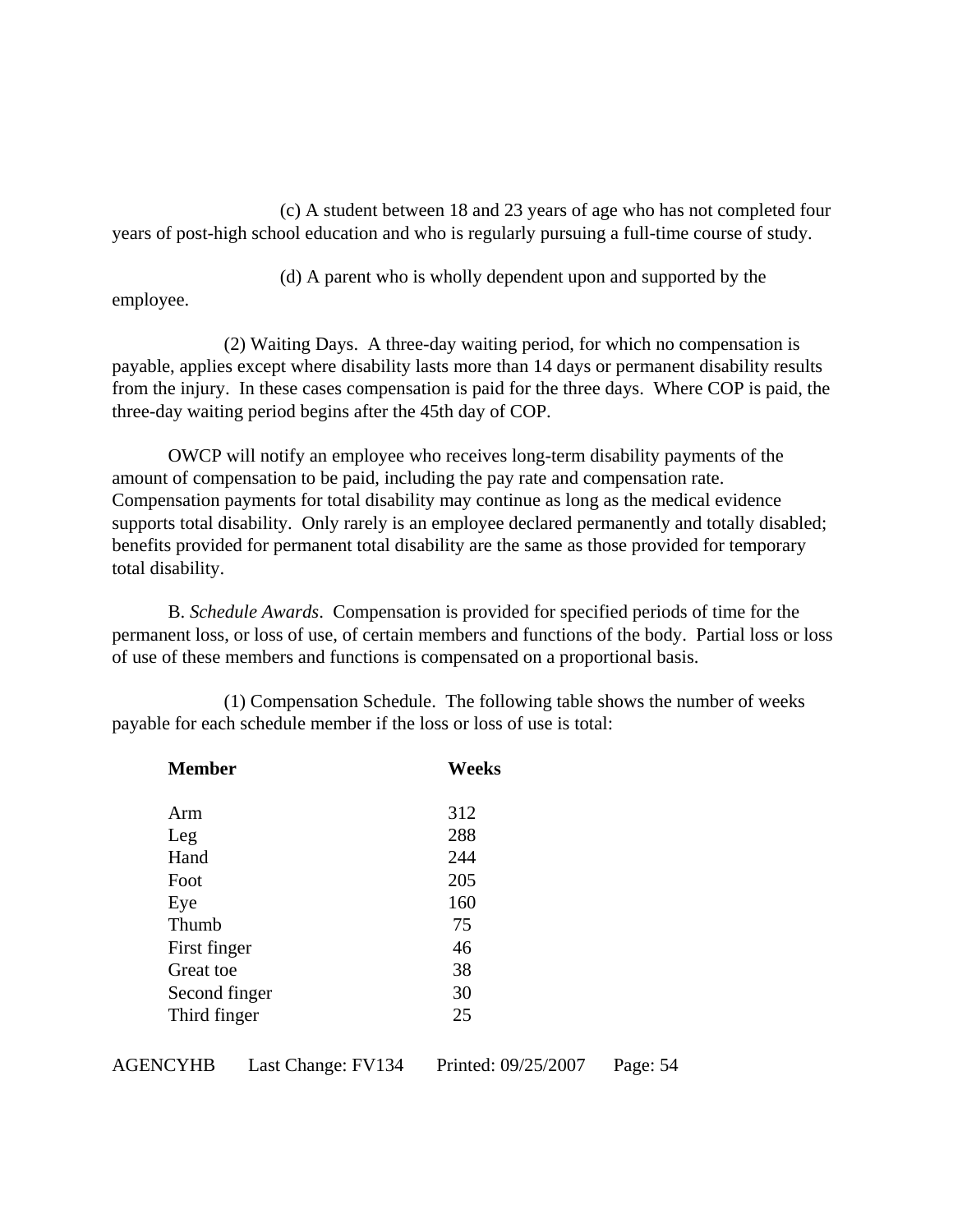(c) A student between 18 and 23 years of age who has not completed four years of post-high school education and who is regularly pursuing a full-time course of study.

(d) A parent who is wholly dependent upon and supported by the

employee.

 (2) Waiting Days. A three-day waiting period, for which no compensation is payable, applies except where disability lasts more than 14 days or permanent disability results from the injury. In these cases compensation is paid for the three days. Where COP is paid, the three-day waiting period begins after the 45th day of COP.

 OWCP will notify an employee who receives long-term disability payments of the amount of compensation to be paid, including the pay rate and compensation rate. Compensation payments for total disability may continue as long as the medical evidence supports total disability. Only rarely is an employee declared permanently and totally disabled; benefits provided for permanent total disability are the same as those provided for temporary total disability.

 B. *Schedule Awards*. Compensation is provided for specified periods of time for the permanent loss, or loss of use, of certain members and functions of the body. Partial loss or loss of use of these members and functions is compensated on a proportional basis.

 (1) Compensation Schedule. The following table shows the number of weeks payable for each schedule member if the loss or loss of use is total:

| <b>Member</b> | <b>Weeks</b> |
|---------------|--------------|
| Arm           | 312          |
| Leg           | 288          |
| Hand          | 244          |
| Foot          | 205          |
| Eye           | 160          |
| Thumb         | 75           |
| First finger  | 46           |
| Great toe     | 38           |
| Second finger | 30           |
| Third finger  | 25           |

| <b>AGENCYHB</b> | Last Change: FV134 | Printed: 09/25/2007 | Page: 54 |
|-----------------|--------------------|---------------------|----------|
|-----------------|--------------------|---------------------|----------|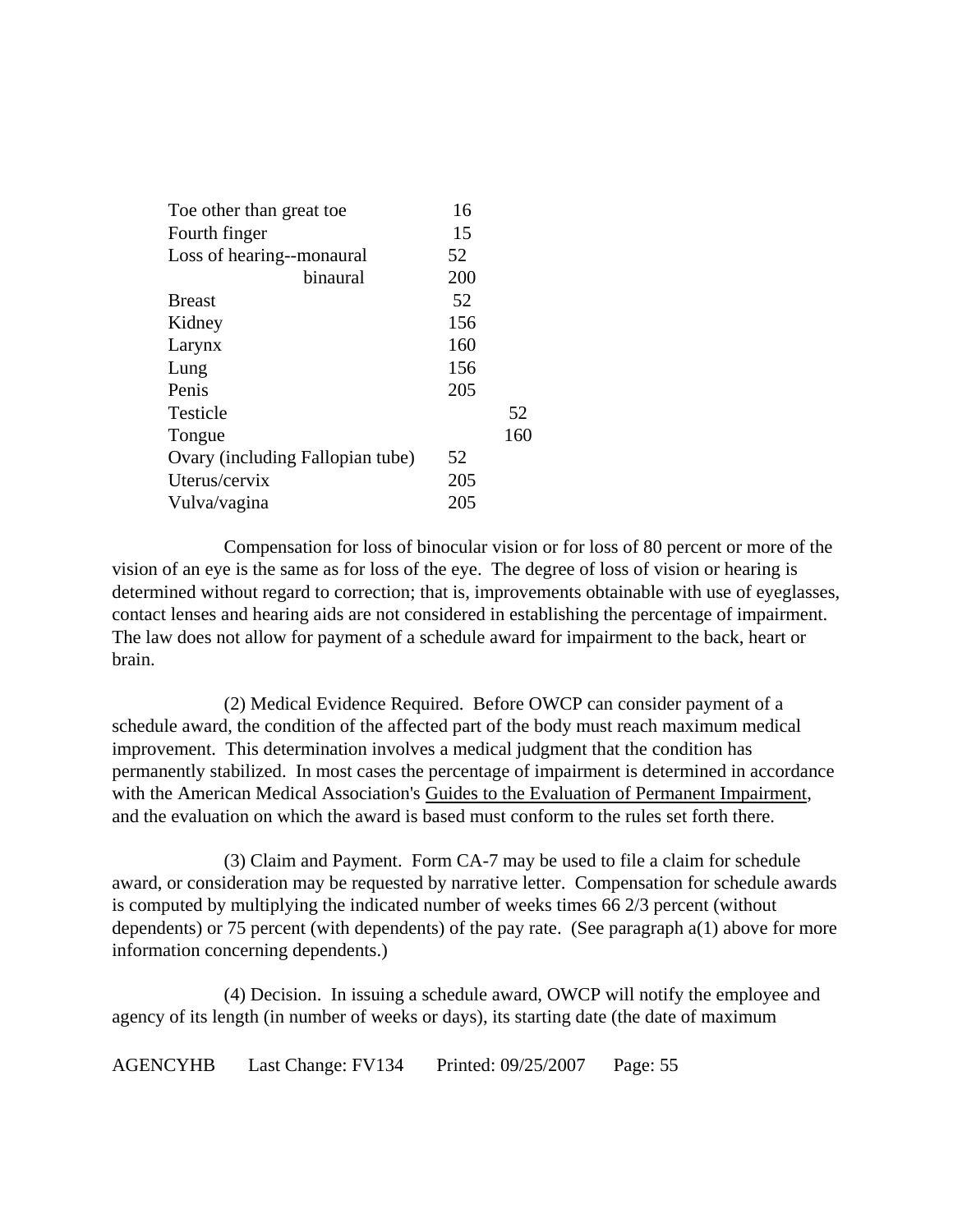| 16  |     |
|-----|-----|
| 15  |     |
| 52  |     |
| 200 |     |
| 52  |     |
| 156 |     |
| 160 |     |
| 156 |     |
| 205 |     |
|     | 52  |
|     | 160 |
| 52  |     |
| 205 |     |
| 205 |     |
|     |     |

 Compensation for loss of binocular vision or for loss of 80 percent or more of the vision of an eye is the same as for loss of the eye. The degree of loss of vision or hearing is determined without regard to correction; that is, improvements obtainable with use of eyeglasses, contact lenses and hearing aids are not considered in establishing the percentage of impairment. The law does not allow for payment of a schedule award for impairment to the back, heart or brain.

 (2) Medical Evidence Required. Before OWCP can consider payment of a schedule award, the condition of the affected part of the body must reach maximum medical improvement. This determination involves a medical judgment that the condition has permanently stabilized. In most cases the percentage of impairment is determined in accordance with the American Medical Association's Guides to the Evaluation of Permanent Impairment, and the evaluation on which the award is based must conform to the rules set forth there.

 (3) Claim and Payment. Form CA-7 may be used to file a claim for schedule award, or consideration may be requested by narrative letter. Compensation for schedule awards is computed by multiplying the indicated number of weeks times 66 2/3 percent (without dependents) or 75 percent (with dependents) of the pay rate. (See paragraph a(1) above for more information concerning dependents.)

 (4) Decision. In issuing a schedule award, OWCP will notify the employee and agency of its length (in number of weeks or days), its starting date (the date of maximum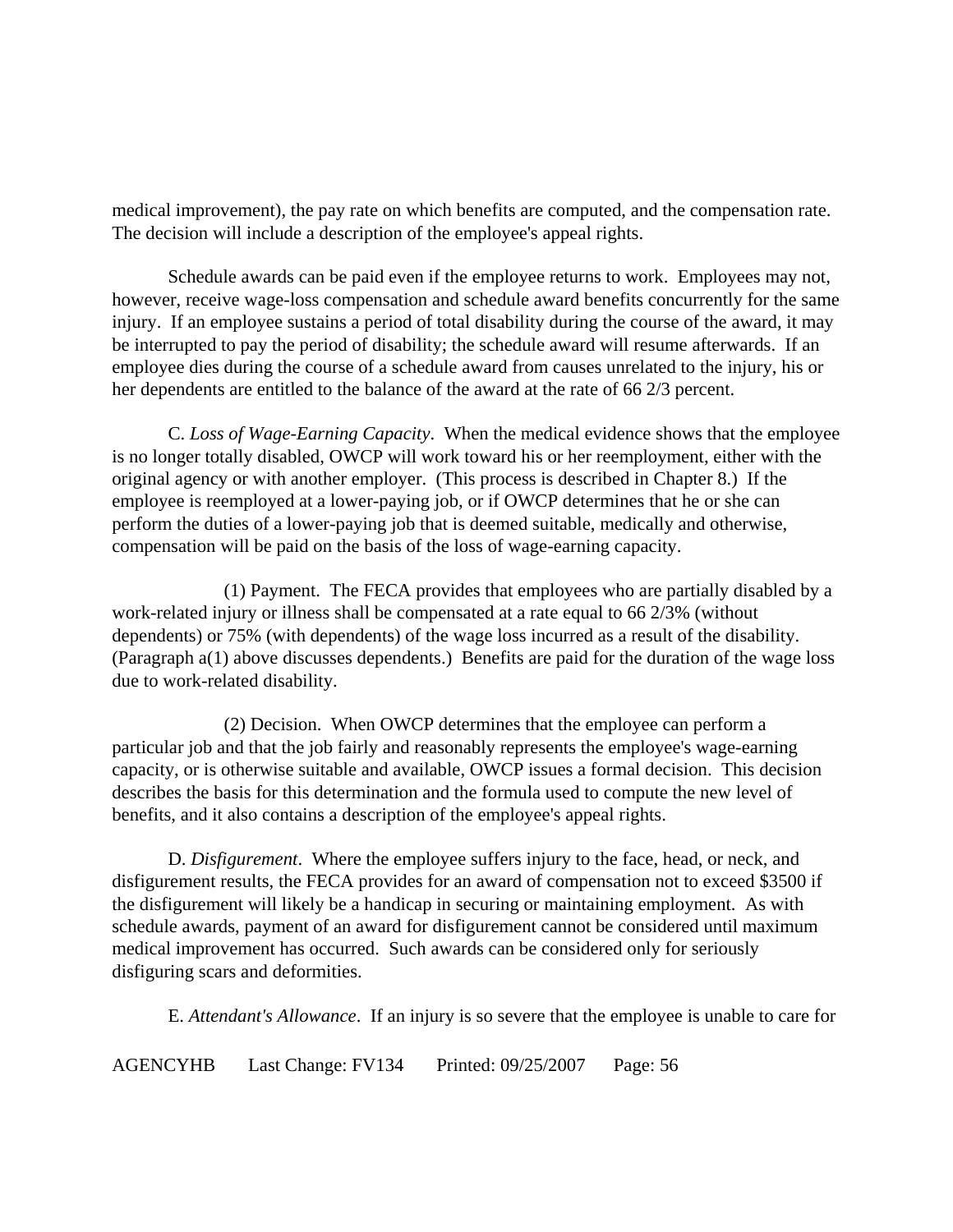medical improvement), the pay rate on which benefits are computed, and the compensation rate. The decision will include a description of the employee's appeal rights.

 Schedule awards can be paid even if the employee returns to work. Employees may not, however, receive wage-loss compensation and schedule award benefits concurrently for the same injury. If an employee sustains a period of total disability during the course of the award, it may be interrupted to pay the period of disability; the schedule award will resume afterwards. If an employee dies during the course of a schedule award from causes unrelated to the injury, his or her dependents are entitled to the balance of the award at the rate of 66 2/3 percent.

 C. *Loss of Wage-Earning Capacity*. When the medical evidence shows that the employee is no longer totally disabled, OWCP will work toward his or her reemployment, either with the original agency or with another employer. (This process is described in Chapter 8.) If the employee is reemployed at a lower-paying job, or if OWCP determines that he or she can perform the duties of a lower-paying job that is deemed suitable, medically and otherwise, compensation will be paid on the basis of the loss of wage-earning capacity.

 (1) Payment. The FECA provides that employees who are partially disabled by a work-related injury or illness shall be compensated at a rate equal to 66 2/3% (without dependents) or 75% (with dependents) of the wage loss incurred as a result of the disability. (Paragraph a(1) above discusses dependents.) Benefits are paid for the duration of the wage loss due to work-related disability.

 (2) Decision. When OWCP determines that the employee can perform a particular job and that the job fairly and reasonably represents the employee's wage-earning capacity, or is otherwise suitable and available, OWCP issues a formal decision. This decision describes the basis for this determination and the formula used to compute the new level of benefits, and it also contains a description of the employee's appeal rights.

 D. *Disfigurement*. Where the employee suffers injury to the face, head, or neck, and disfigurement results, the FECA provides for an award of compensation not to exceed \$3500 if the disfigurement will likely be a handicap in securing or maintaining employment. As with schedule awards, payment of an award for disfigurement cannot be considered until maximum medical improvement has occurred. Such awards can be considered only for seriously disfiguring scars and deformities.

E. *Attendant's Allowance*. If an injury is so severe that the employee is unable to care for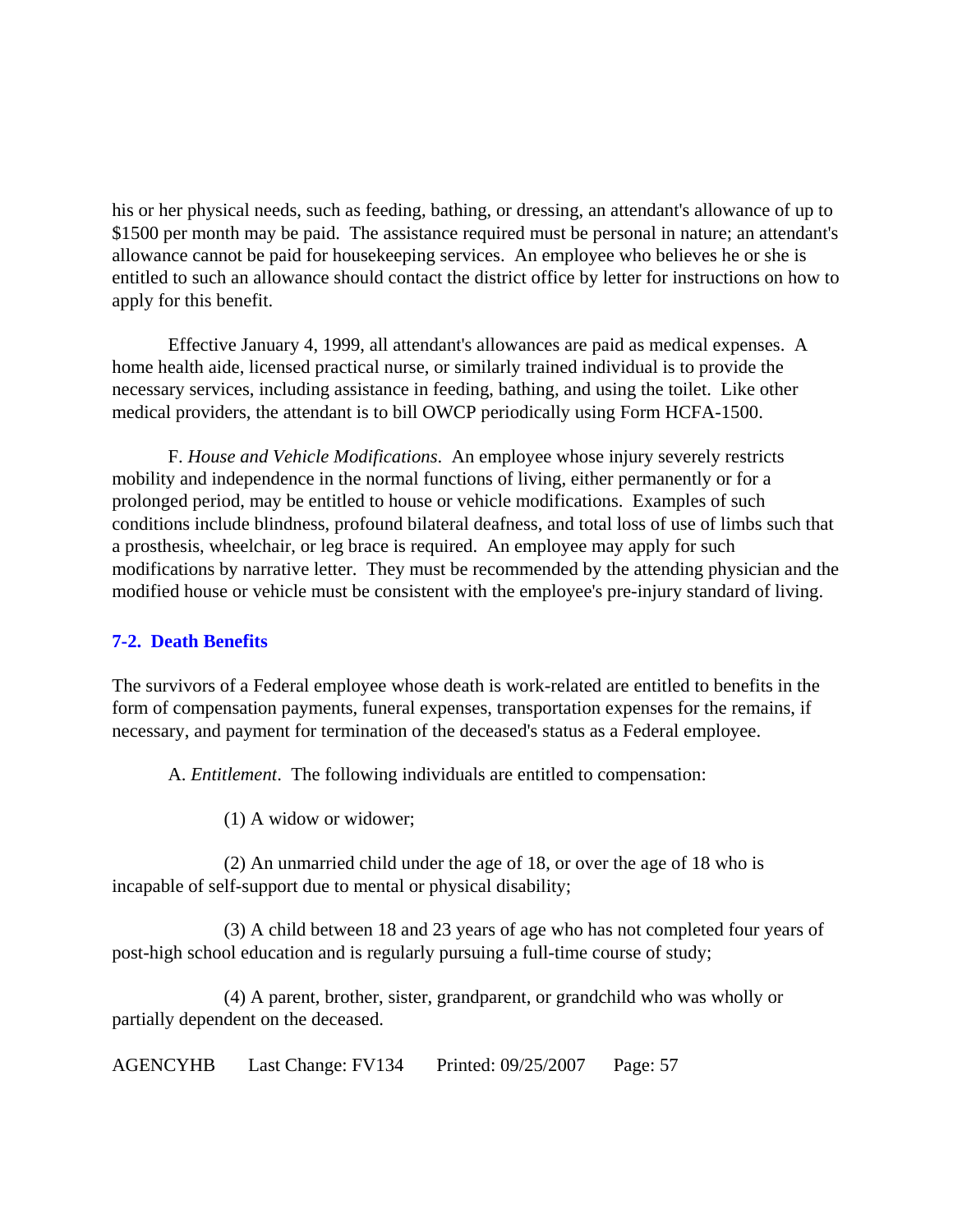his or her physical needs, such as feeding, bathing, or dressing, an attendant's allowance of up to \$1500 per month may be paid. The assistance required must be personal in nature; an attendant's allowance cannot be paid for housekeeping services. An employee who believes he or she is entitled to such an allowance should contact the district office by letter for instructions on how to apply for this benefit.

 Effective January 4, 1999, all attendant's allowances are paid as medical expenses. A home health aide, licensed practical nurse, or similarly trained individual is to provide the necessary services, including assistance in feeding, bathing, and using the toilet. Like other medical providers, the attendant is to bill OWCP periodically using Form HCFA-1500.

 F. *House and Vehicle Modifications*. An employee whose injury severely restricts mobility and independence in the normal functions of living, either permanently or for a prolonged period, may be entitled to house or vehicle modifications. Examples of such conditions include blindness, profound bilateral deafness, and total loss of use of limbs such that a prosthesis, wheelchair, or leg brace is required. An employee may apply for such modifications by narrative letter. They must be recommended by the attending physician and the modified house or vehicle must be consistent with the employee's pre-injury standard of living.

## **7-2. Death Benefits**

The survivors of a Federal employee whose death is work-related are entitled to benefits in the form of compensation payments, funeral expenses, transportation expenses for the remains, if necessary, and payment for termination of the deceased's status as a Federal employee.

A. *Entitlement*. The following individuals are entitled to compensation:

(1) A widow or widower;

 (2) An unmarried child under the age of 18, or over the age of 18 who is incapable of self-support due to mental or physical disability;

 (3) A child between 18 and 23 years of age who has not completed four years of post-high school education and is regularly pursuing a full-time course of study;

 (4) A parent, brother, sister, grandparent, or grandchild who was wholly or partially dependent on the deceased.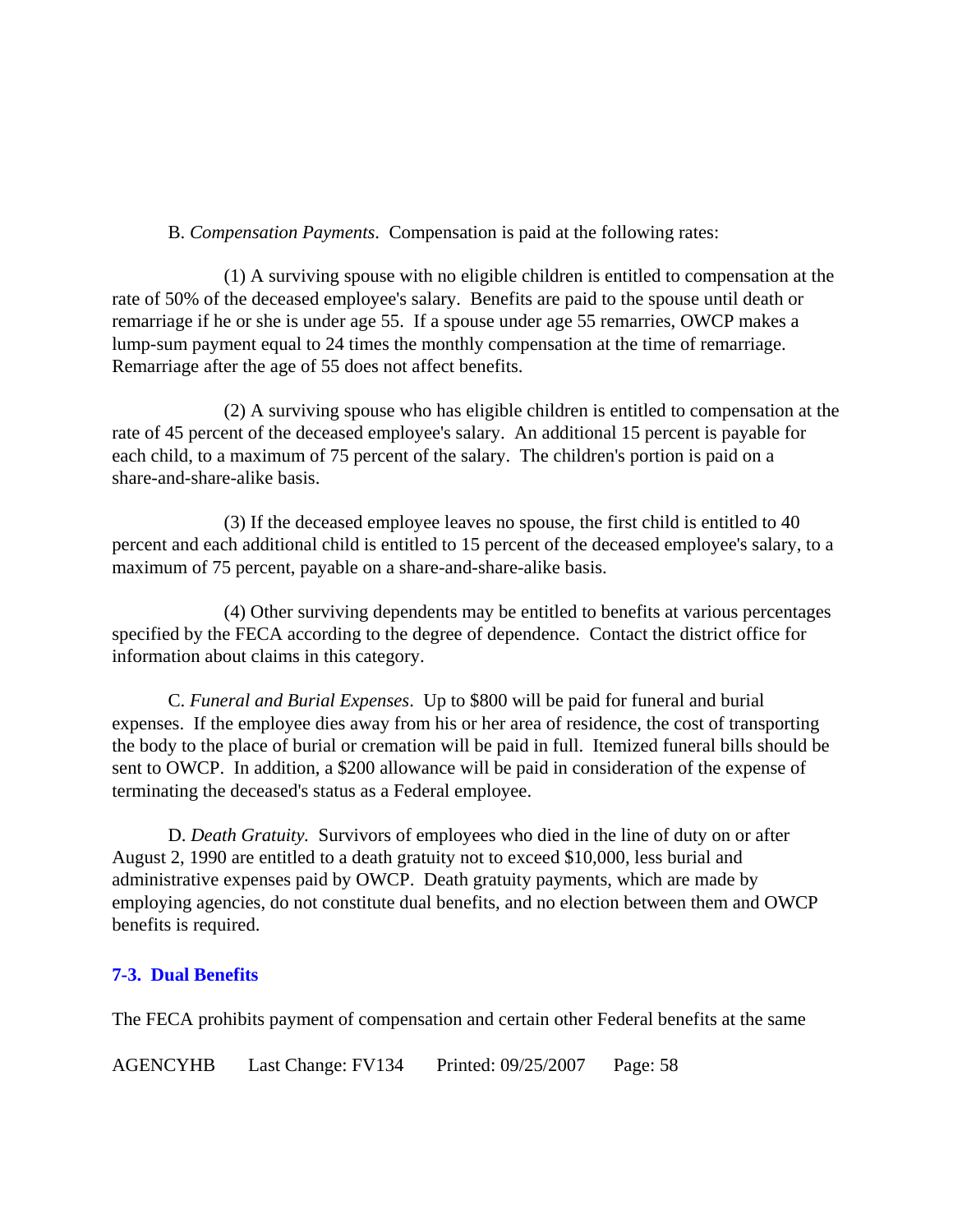### B. *Compensation Payments*. Compensation is paid at the following rates:

 (1) A surviving spouse with no eligible children is entitled to compensation at the rate of 50% of the deceased employee's salary. Benefits are paid to the spouse until death or remarriage if he or she is under age 55. If a spouse under age 55 remarries, OWCP makes a lump-sum payment equal to 24 times the monthly compensation at the time of remarriage. Remarriage after the age of 55 does not affect benefits.

 (2) A surviving spouse who has eligible children is entitled to compensation at the rate of 45 percent of the deceased employee's salary. An additional 15 percent is payable for each child, to a maximum of 75 percent of the salary. The children's portion is paid on a share-and-share-alike basis.

 (3) If the deceased employee leaves no spouse, the first child is entitled to 40 percent and each additional child is entitled to 15 percent of the deceased employee's salary, to a maximum of 75 percent, payable on a share-and-share-alike basis.

 (4) Other surviving dependents may be entitled to benefits at various percentages specified by the FECA according to the degree of dependence. Contact the district office for information about claims in this category.

 C. *Funeral and Burial Expenses*. Up to \$800 will be paid for funeral and burial expenses. If the employee dies away from his or her area of residence, the cost of transporting the body to the place of burial or cremation will be paid in full. Itemized funeral bills should be sent to OWCP. In addition, a \$200 allowance will be paid in consideration of the expense of terminating the deceased's status as a Federal employee.

 D. *Death Gratuity.* Survivors of employees who died in the line of duty on or after August 2, 1990 are entitled to a death gratuity not to exceed \$10,000, less burial and administrative expenses paid by OWCP. Death gratuity payments, which are made by employing agencies, do not constitute dual benefits, and no election between them and OWCP benefits is required.

### **7-3. Dual Benefits**

The FECA prohibits payment of compensation and certain other Federal benefits at the same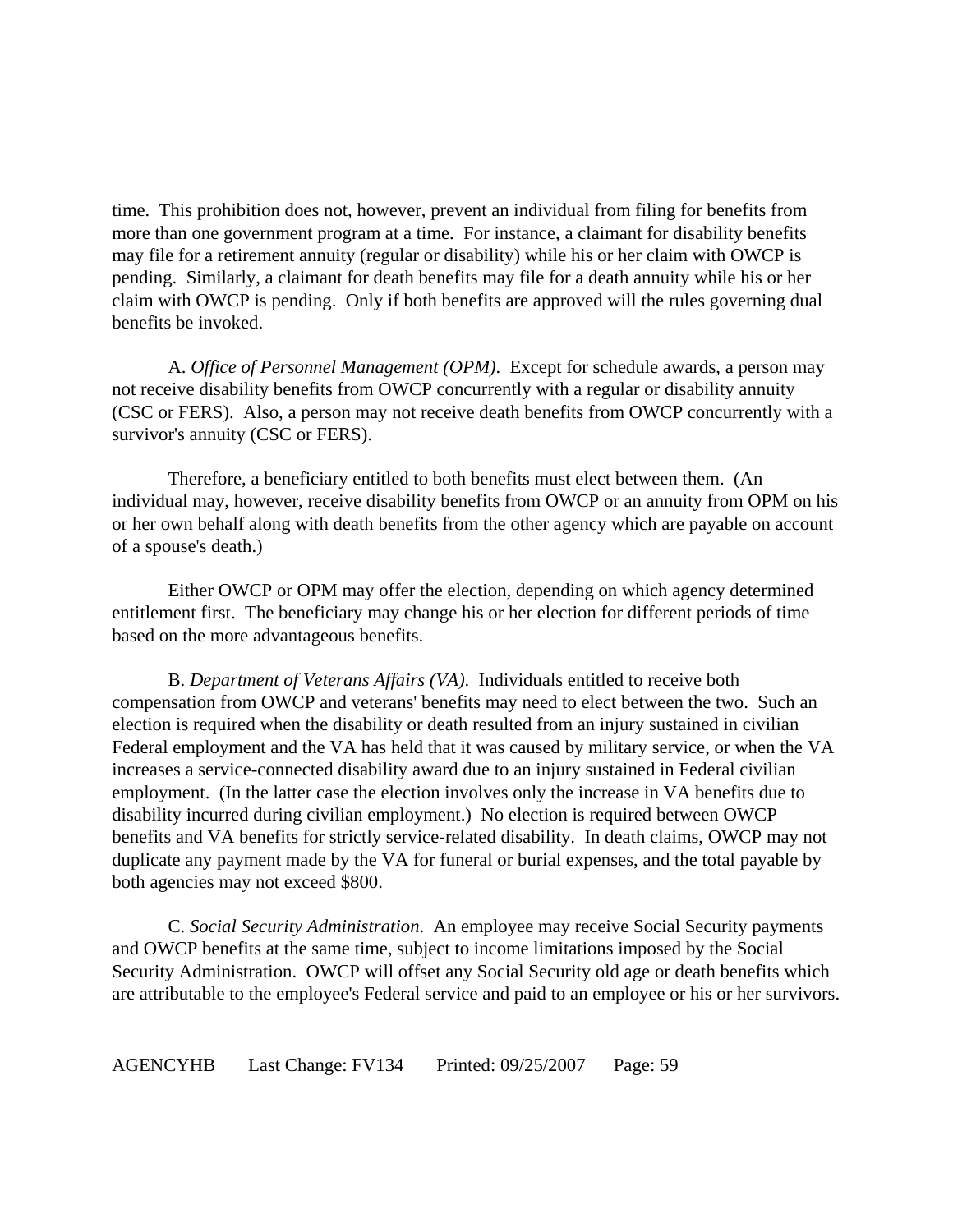time. This prohibition does not, however, prevent an individual from filing for benefits from more than one government program at a time. For instance, a claimant for disability benefits may file for a retirement annuity (regular or disability) while his or her claim with OWCP is pending. Similarly, a claimant for death benefits may file for a death annuity while his or her claim with OWCP is pending. Only if both benefits are approved will the rules governing dual benefits be invoked.

 A. *Office of Personnel Management (OPM)*. Except for schedule awards, a person may not receive disability benefits from OWCP concurrently with a regular or disability annuity (CSC or FERS). Also, a person may not receive death benefits from OWCP concurrently with a survivor's annuity (CSC or FERS).

 Therefore, a beneficiary entitled to both benefits must elect between them. (An individual may, however, receive disability benefits from OWCP or an annuity from OPM on his or her own behalf along with death benefits from the other agency which are payable on account of a spouse's death.)

 Either OWCP or OPM may offer the election, depending on which agency determined entitlement first. The beneficiary may change his or her election for different periods of time based on the more advantageous benefits.

 B. *Department of Veterans Affairs (VA)*. Individuals entitled to receive both compensation from OWCP and veterans' benefits may need to elect between the two. Such an election is required when the disability or death resulted from an injury sustained in civilian Federal employment and the VA has held that it was caused by military service, or when the VA increases a service-connected disability award due to an injury sustained in Federal civilian employment. (In the latter case the election involves only the increase in VA benefits due to disability incurred during civilian employment.) No election is required between OWCP benefits and VA benefits for strictly service-related disability. In death claims, OWCP may not duplicate any payment made by the VA for funeral or burial expenses, and the total payable by both agencies may not exceed \$800.

 C. *Social Security Administration*. An employee may receive Social Security payments and OWCP benefits at the same time, subject to income limitations imposed by the Social Security Administration. OWCP will offset any Social Security old age or death benefits which are attributable to the employee's Federal service and paid to an employee or his or her survivors.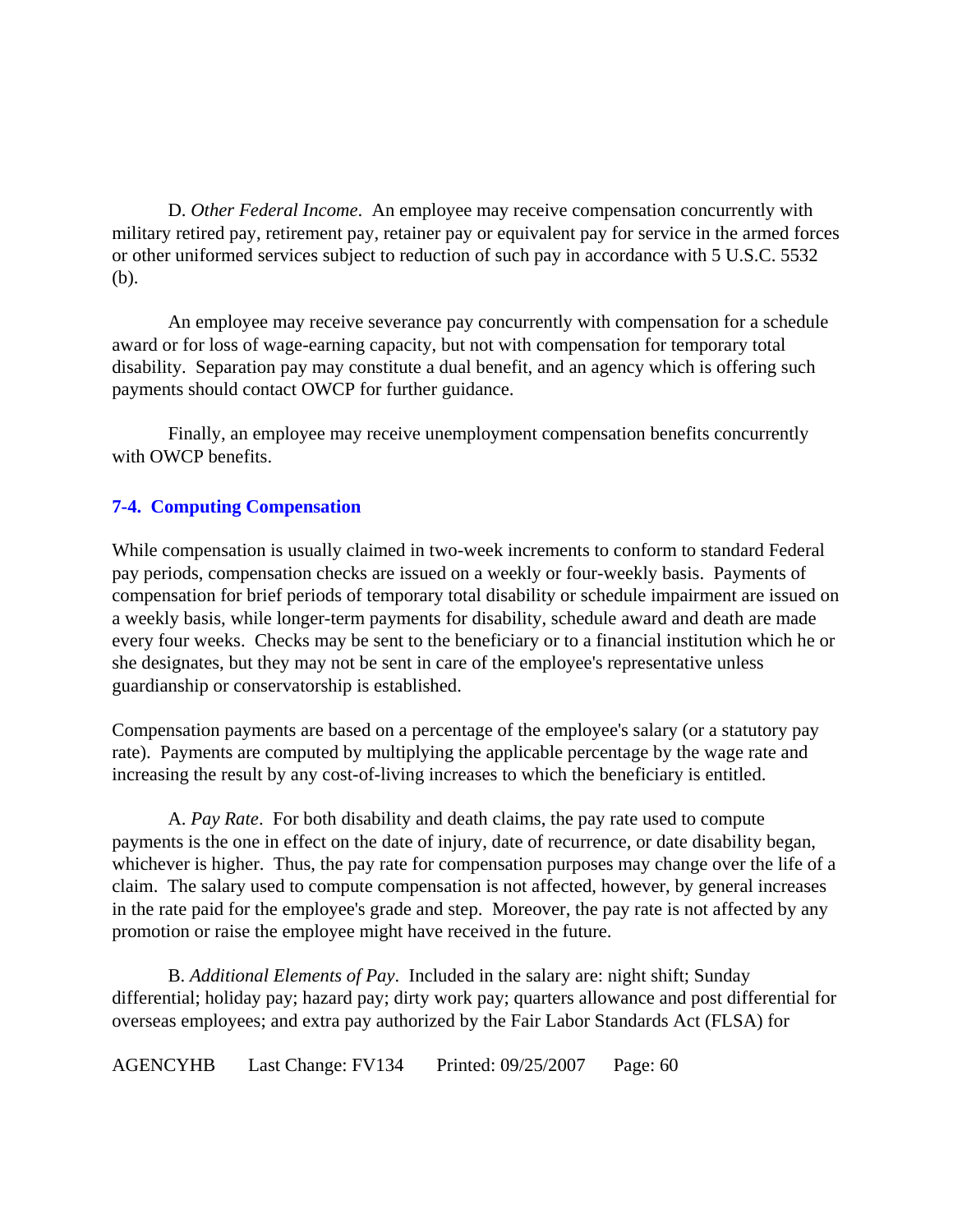D. *Other Federal Income*. An employee may receive compensation concurrently with military retired pay, retirement pay, retainer pay or equivalent pay for service in the armed forces or other uniformed services subject to reduction of such pay in accordance with 5 U.S.C. 5532 (b).

 An employee may receive severance pay concurrently with compensation for a schedule award or for loss of wage-earning capacity, but not with compensation for temporary total disability. Separation pay may constitute a dual benefit, and an agency which is offering such payments should contact OWCP for further guidance.

 Finally, an employee may receive unemployment compensation benefits concurrently with OWCP benefits.

### **7-4. Computing Compensation**

While compensation is usually claimed in two-week increments to conform to standard Federal pay periods, compensation checks are issued on a weekly or four-weekly basis. Payments of compensation for brief periods of temporary total disability or schedule impairment are issued on a weekly basis, while longer-term payments for disability, schedule award and death are made every four weeks. Checks may be sent to the beneficiary or to a financial institution which he or she designates, but they may not be sent in care of the employee's representative unless guardianship or conservatorship is established.

Compensation payments are based on a percentage of the employee's salary (or a statutory pay rate). Payments are computed by multiplying the applicable percentage by the wage rate and increasing the result by any cost-of-living increases to which the beneficiary is entitled.

 A. *Pay Rate*. For both disability and death claims, the pay rate used to compute payments is the one in effect on the date of injury, date of recurrence, or date disability began, whichever is higher. Thus, the pay rate for compensation purposes may change over the life of a claim. The salary used to compute compensation is not affected, however, by general increases in the rate paid for the employee's grade and step. Moreover, the pay rate is not affected by any promotion or raise the employee might have received in the future.

 B. *Additional Elements of Pay*. Included in the salary are: night shift; Sunday differential; holiday pay; hazard pay; dirty work pay; quarters allowance and post differential for overseas employees; and extra pay authorized by the Fair Labor Standards Act (FLSA) for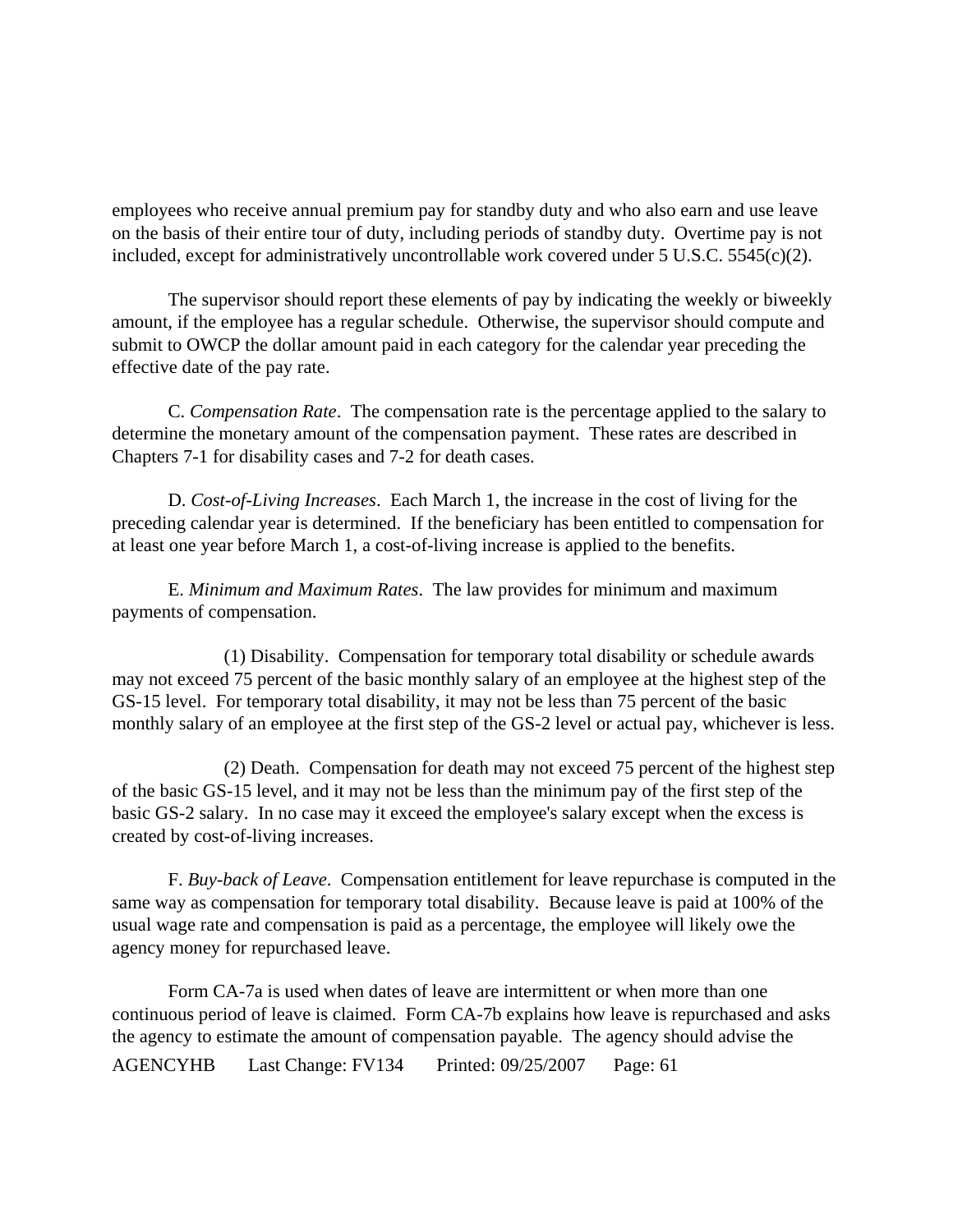employees who receive annual premium pay for standby duty and who also earn and use leave on the basis of their entire tour of duty, including periods of standby duty. Overtime pay is not included, except for administratively uncontrollable work covered under 5 U.S.C. 5545(c)(2).

 The supervisor should report these elements of pay by indicating the weekly or biweekly amount, if the employee has a regular schedule. Otherwise, the supervisor should compute and submit to OWCP the dollar amount paid in each category for the calendar year preceding the effective date of the pay rate.

 C. *Compensation Rate*. The compensation rate is the percentage applied to the salary to determine the monetary amount of the compensation payment. These rates are described in Chapters 7-1 for disability cases and 7-2 for death cases.

 D. *Cost-of-Living Increases*. Each March 1, the increase in the cost of living for the preceding calendar year is determined. If the beneficiary has been entitled to compensation for at least one year before March 1, a cost-of-living increase is applied to the benefits.

 E. *Minimum and Maximum Rates*. The law provides for minimum and maximum payments of compensation.

 (1) Disability. Compensation for temporary total disability or schedule awards may not exceed 75 percent of the basic monthly salary of an employee at the highest step of the GS-15 level. For temporary total disability, it may not be less than 75 percent of the basic monthly salary of an employee at the first step of the GS-2 level or actual pay, whichever is less.

 (2) Death. Compensation for death may not exceed 75 percent of the highest step of the basic GS-15 level, and it may not be less than the minimum pay of the first step of the basic GS-2 salary. In no case may it exceed the employee's salary except when the excess is created by cost-of-living increases.

 F. *Buy-back of Leave*. Compensation entitlement for leave repurchase is computed in the same way as compensation for temporary total disability. Because leave is paid at 100% of the usual wage rate and compensation is paid as a percentage, the employee will likely owe the agency money for repurchased leave.

AGENCYHB Last Change: FV134 Printed: 09/25/2007 Page: 61 Form CA-7a is used when dates of leave are intermittent or when more than one continuous period of leave is claimed. Form CA-7b explains how leave is repurchased and asks the agency to estimate the amount of compensation payable. The agency should advise the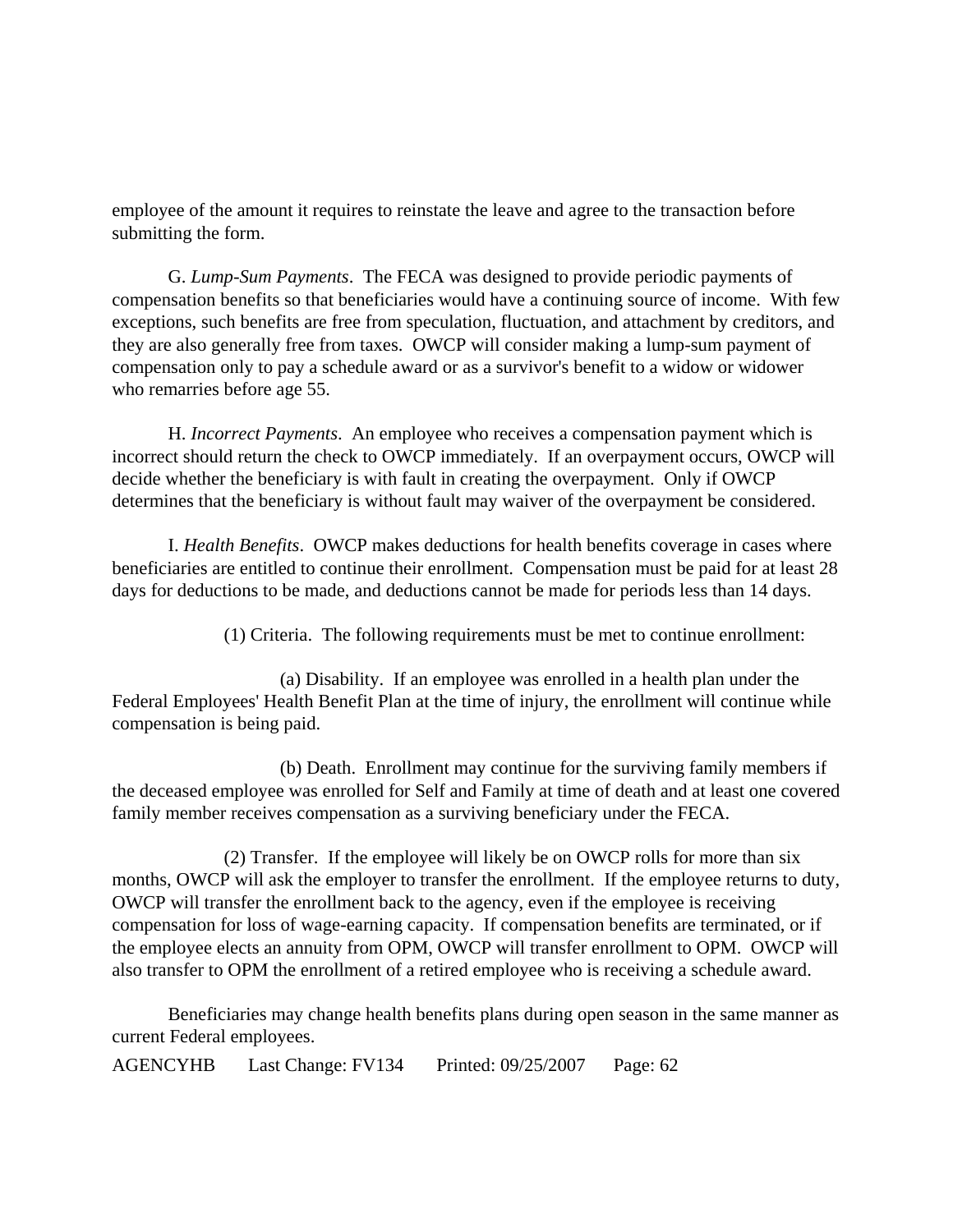employee of the amount it requires to reinstate the leave and agree to the transaction before submitting the form.

 G. *Lump-Sum Payments*. The FECA was designed to provide periodic payments of compensation benefits so that beneficiaries would have a continuing source of income. With few exceptions, such benefits are free from speculation, fluctuation, and attachment by creditors, and they are also generally free from taxes. OWCP will consider making a lump-sum payment of compensation only to pay a schedule award or as a survivor's benefit to a widow or widower who remarries before age 55.

 H. *Incorrect Payments*. An employee who receives a compensation payment which is incorrect should return the check to OWCP immediately. If an overpayment occurs, OWCP will decide whether the beneficiary is with fault in creating the overpayment. Only if OWCP determines that the beneficiary is without fault may waiver of the overpayment be considered.

 I. *Health Benefits*. OWCP makes deductions for health benefits coverage in cases where beneficiaries are entitled to continue their enrollment. Compensation must be paid for at least 28 days for deductions to be made, and deductions cannot be made for periods less than 14 days.

(1) Criteria. The following requirements must be met to continue enrollment:

 (a) Disability. If an employee was enrolled in a health plan under the Federal Employees' Health Benefit Plan at the time of injury, the enrollment will continue while compensation is being paid.

 (b) Death. Enrollment may continue for the surviving family members if the deceased employee was enrolled for Self and Family at time of death and at least one covered family member receives compensation as a surviving beneficiary under the FECA.

 (2) Transfer. If the employee will likely be on OWCP rolls for more than six months, OWCP will ask the employer to transfer the enrollment. If the employee returns to duty, OWCP will transfer the enrollment back to the agency, even if the employee is receiving compensation for loss of wage-earning capacity. If compensation benefits are terminated, or if the employee elects an annuity from OPM, OWCP will transfer enrollment to OPM. OWCP will also transfer to OPM the enrollment of a retired employee who is receiving a schedule award.

 Beneficiaries may change health benefits plans during open season in the same manner as current Federal employees.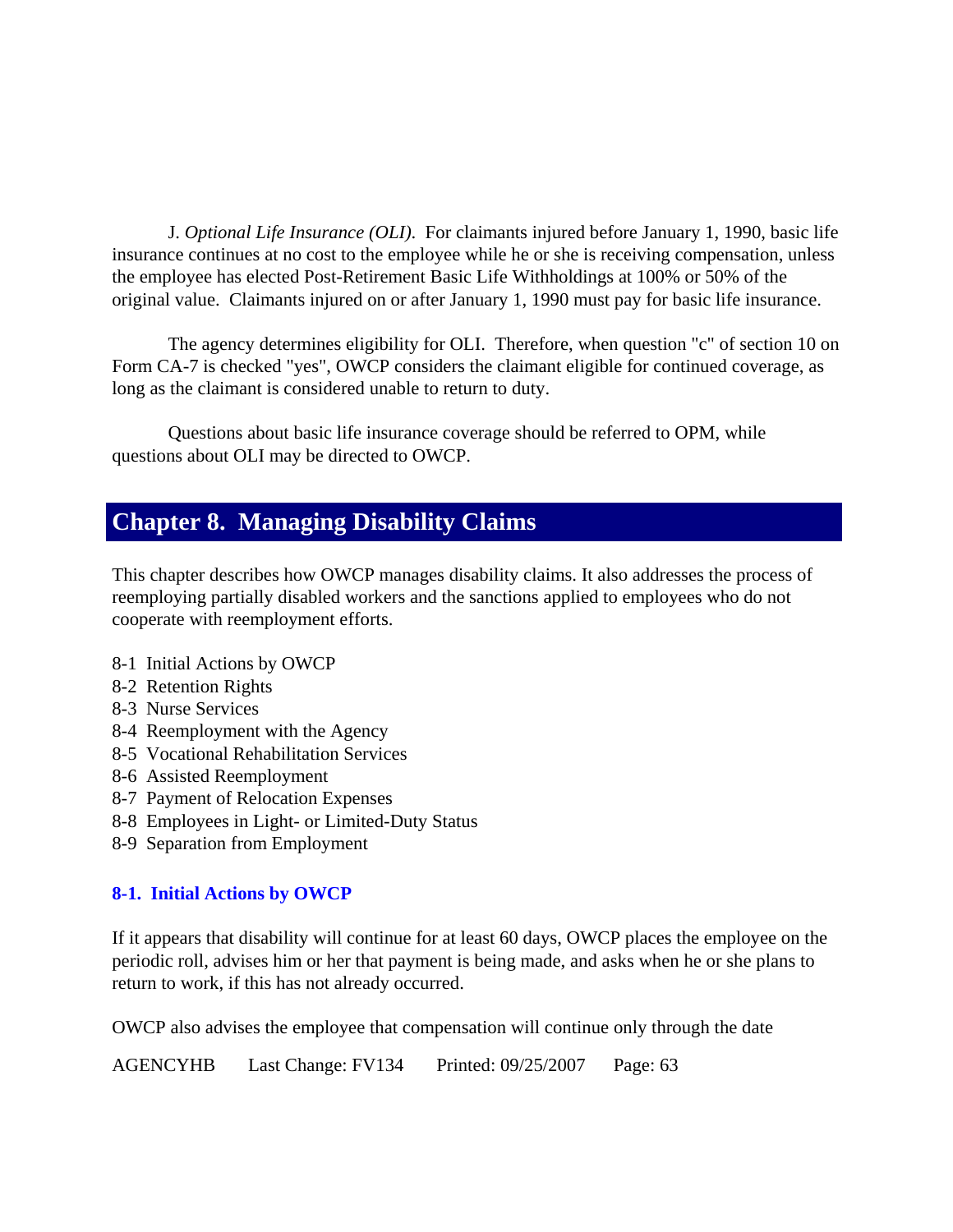J. *Optional Life Insurance (OLI)*. For claimants injured before January 1, 1990, basic life insurance continues at no cost to the employee while he or she is receiving compensation, unless the employee has elected Post-Retirement Basic Life Withholdings at 100% or 50% of the original value. Claimants injured on or after January 1, 1990 must pay for basic life insurance.

 The agency determines eligibility for OLI. Therefore, when question "c" of section 10 on Form CA-7 is checked "yes", OWCP considers the claimant eligible for continued coverage, as long as the claimant is considered unable to return to duty.

 Questions about basic life insurance coverage should be referred to OPM, while questions about OLI may be directed to OWCP.

## **Chapter 8. Managing Disability Claims**

This chapter describes how OWCP manages disability claims. It also addresses the process of reemploying partially disabled workers and the sanctions applied to employees who do not cooperate with reemployment efforts.

- 8-1 Initial Actions by OWCP
- 8-2 Retention Rights
- 8-3 Nurse Services
- 8-4 Reemployment with the Agency
- 8-5 Vocational Rehabilitation Services
- 8-6 Assisted Reemployment
- 8-7 Payment of Relocation Expenses
- 8-8 Employees in Light- or Limited-Duty Status
- 8-9 Separation from Employment

## **8-1. Initial Actions by OWCP**

If it appears that disability will continue for at least 60 days, OWCP places the employee on the periodic roll, advises him or her that payment is being made, and asks when he or she plans to return to work, if this has not already occurred.

OWCP also advises the employee that compensation will continue only through the date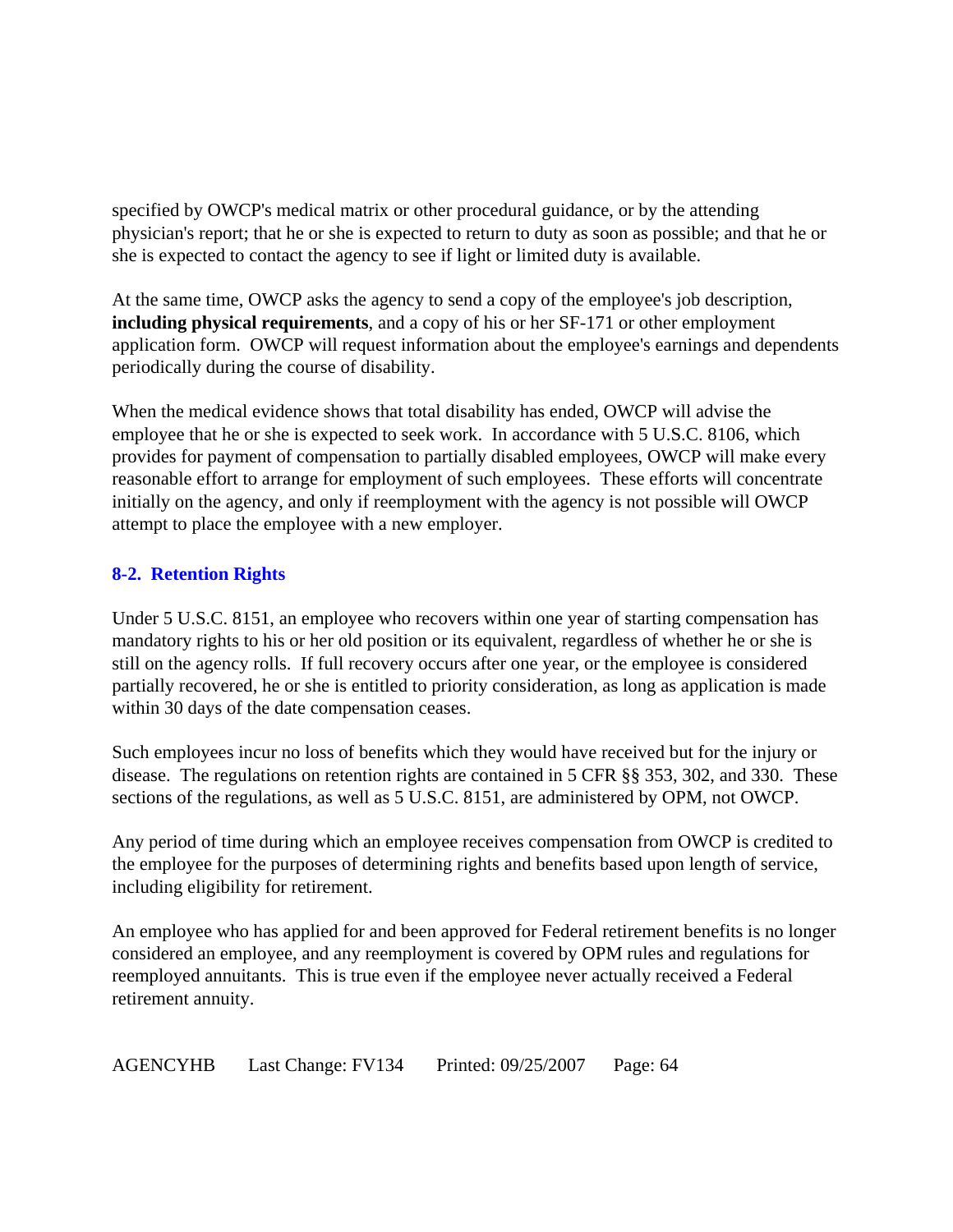specified by OWCP's medical matrix or other procedural guidance, or by the attending physician's report; that he or she is expected to return to duty as soon as possible; and that he or she is expected to contact the agency to see if light or limited duty is available.

At the same time, OWCP asks the agency to send a copy of the employee's job description, **including physical requirements**, and a copy of his or her SF-171 or other employment application form. OWCP will request information about the employee's earnings and dependents periodically during the course of disability.

When the medical evidence shows that total disability has ended, OWCP will advise the employee that he or she is expected to seek work. In accordance with 5 U.S.C. 8106, which provides for payment of compensation to partially disabled employees, OWCP will make every reasonable effort to arrange for employment of such employees. These efforts will concentrate initially on the agency, and only if reemployment with the agency is not possible will OWCP attempt to place the employee with a new employer.

## **8-2. Retention Rights**

Under 5 U.S.C. 8151, an employee who recovers within one year of starting compensation has mandatory rights to his or her old position or its equivalent, regardless of whether he or she is still on the agency rolls. If full recovery occurs after one year, or the employee is considered partially recovered, he or she is entitled to priority consideration, as long as application is made within 30 days of the date compensation ceases.

Such employees incur no loss of benefits which they would have received but for the injury or disease. The regulations on retention rights are contained in 5 CFR §§ 353, 302, and 330. These sections of the regulations, as well as 5 U.S.C. 8151, are administered by OPM, not OWCP.

Any period of time during which an employee receives compensation from OWCP is credited to the employee for the purposes of determining rights and benefits based upon length of service, including eligibility for retirement.

An employee who has applied for and been approved for Federal retirement benefits is no longer considered an employee, and any reemployment is covered by OPM rules and regulations for reemployed annuitants. This is true even if the employee never actually received a Federal retirement annuity.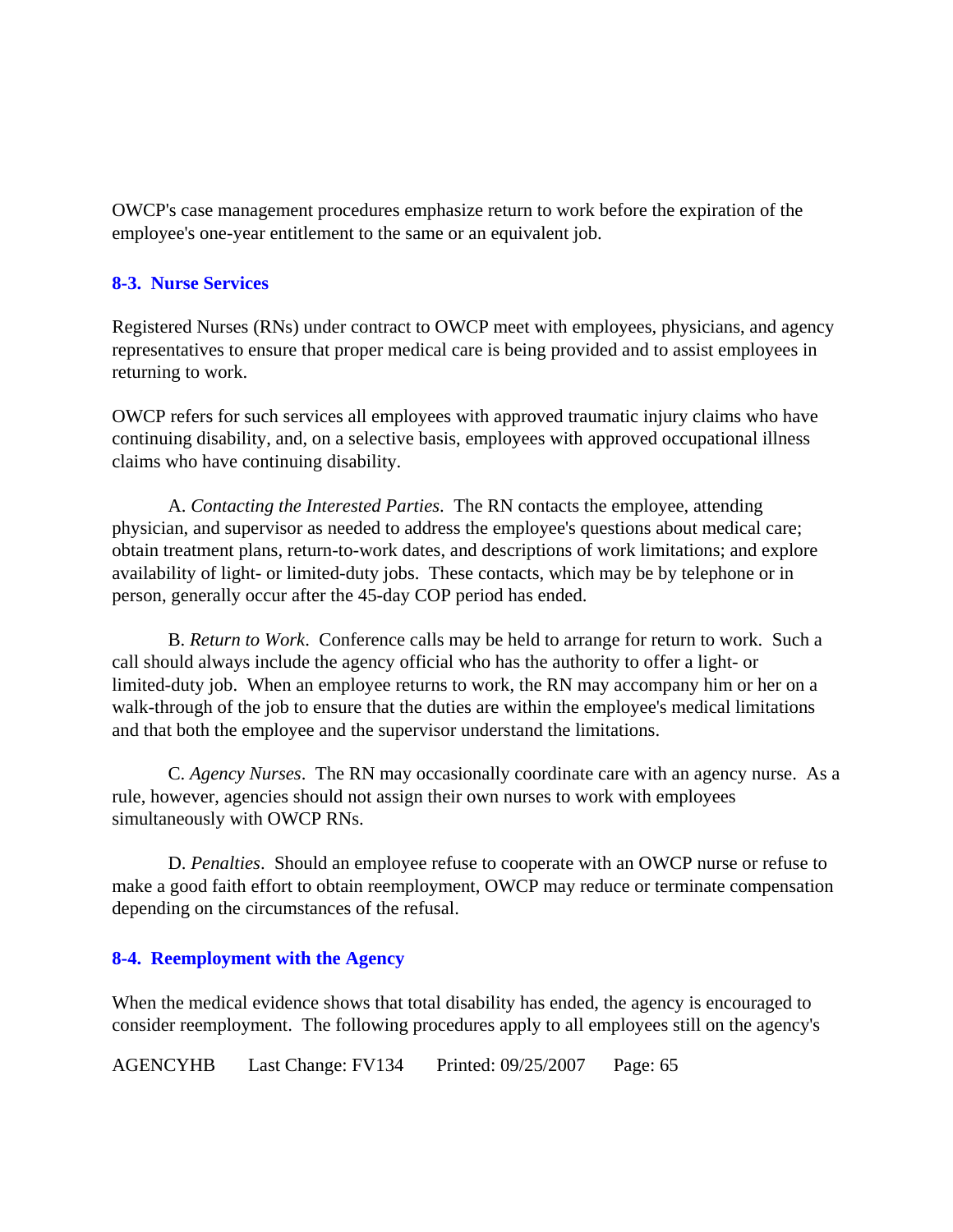OWCP's case management procedures emphasize return to work before the expiration of the employee's one-year entitlement to the same or an equivalent job.

### **8-3. Nurse Services**

Registered Nurses (RNs) under contract to OWCP meet with employees, physicians, and agency representatives to ensure that proper medical care is being provided and to assist employees in returning to work.

OWCP refers for such services all employees with approved traumatic injury claims who have continuing disability, and, on a selective basis, employees with approved occupational illness claims who have continuing disability.

 A. *Contacting the Interested Parties*. The RN contacts the employee, attending physician, and supervisor as needed to address the employee's questions about medical care; obtain treatment plans, return-to-work dates, and descriptions of work limitations; and explore availability of light- or limited-duty jobs. These contacts, which may be by telephone or in person, generally occur after the 45-day COP period has ended.

 B. *Return to Work*. Conference calls may be held to arrange for return to work. Such a call should always include the agency official who has the authority to offer a light- or limited-duty job. When an employee returns to work, the RN may accompany him or her on a walk-through of the job to ensure that the duties are within the employee's medical limitations and that both the employee and the supervisor understand the limitations.

 C. *Agency Nurses*. The RN may occasionally coordinate care with an agency nurse. As a rule, however, agencies should not assign their own nurses to work with employees simultaneously with OWCP RNs.

 D. *Penalties*. Should an employee refuse to cooperate with an OWCP nurse or refuse to make a good faith effort to obtain reemployment, OWCP may reduce or terminate compensation depending on the circumstances of the refusal.

### **8-4. Reemployment with the Agency**

When the medical evidence shows that total disability has ended, the agency is encouraged to consider reemployment. The following procedures apply to all employees still on the agency's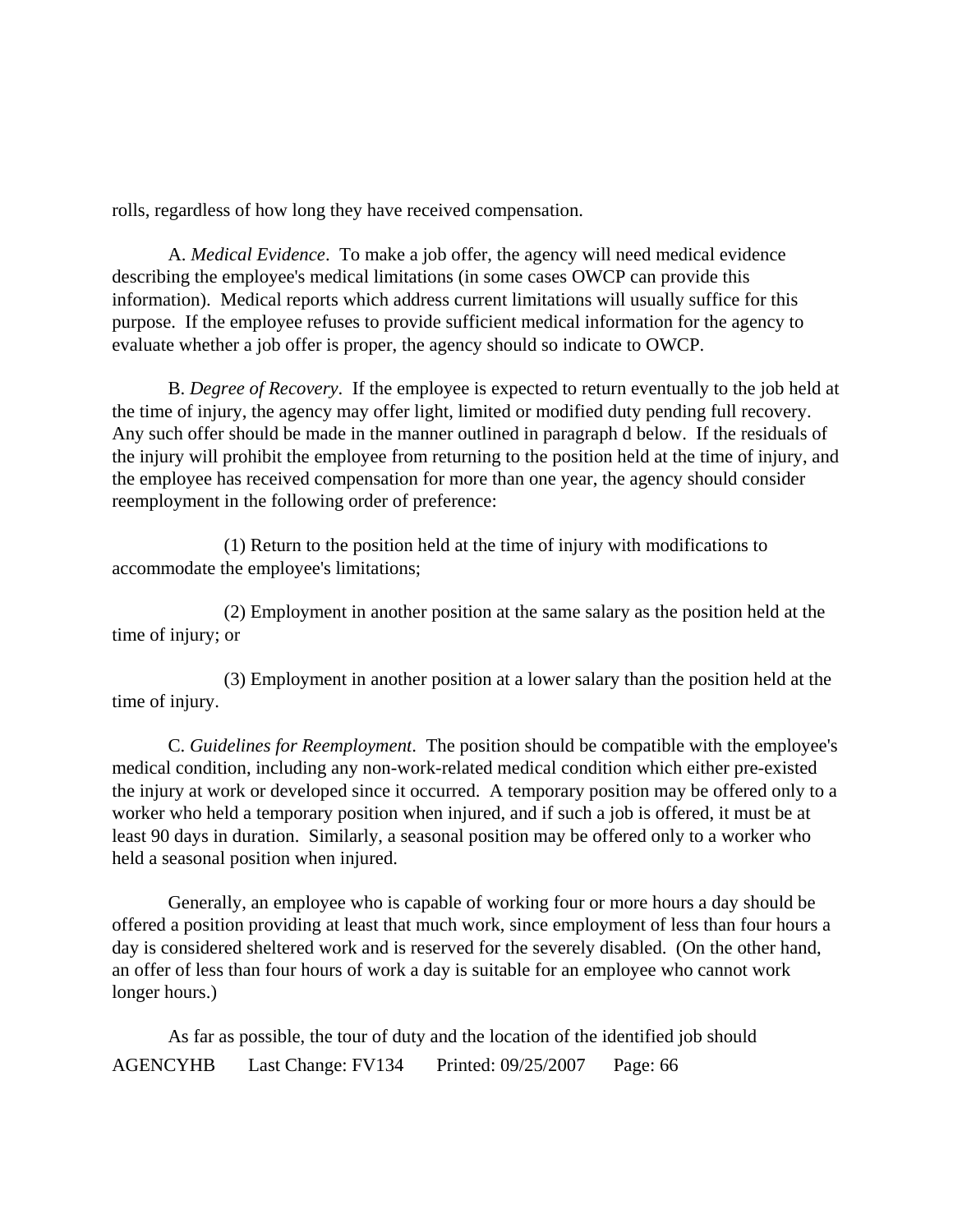rolls, regardless of how long they have received compensation.

 A. *Medical Evidence*. To make a job offer, the agency will need medical evidence describing the employee's medical limitations (in some cases OWCP can provide this information). Medical reports which address current limitations will usually suffice for this purpose. If the employee refuses to provide sufficient medical information for the agency to evaluate whether a job offer is proper, the agency should so indicate to OWCP.

 B. *Degree of Recovery*. If the employee is expected to return eventually to the job held at the time of injury, the agency may offer light, limited or modified duty pending full recovery. Any such offer should be made in the manner outlined in paragraph d below. If the residuals of the injury will prohibit the employee from returning to the position held at the time of injury, and the employee has received compensation for more than one year, the agency should consider reemployment in the following order of preference:

 (1) Return to the position held at the time of injury with modifications to accommodate the employee's limitations;

 (2) Employment in another position at the same salary as the position held at the time of injury; or

 (3) Employment in another position at a lower salary than the position held at the time of injury.

 C. *Guidelines for Reemployment*. The position should be compatible with the employee's medical condition, including any non-work-related medical condition which either pre-existed the injury at work or developed since it occurred. A temporary position may be offered only to a worker who held a temporary position when injured, and if such a job is offered, it must be at least 90 days in duration. Similarly, a seasonal position may be offered only to a worker who held a seasonal position when injured.

 Generally, an employee who is capable of working four or more hours a day should be offered a position providing at least that much work, since employment of less than four hours a day is considered sheltered work and is reserved for the severely disabled. (On the other hand, an offer of less than four hours of work a day is suitable for an employee who cannot work longer hours.)

AGENCYHB Last Change: FV134 Printed: 09/25/2007 Page: 66 As far as possible, the tour of duty and the location of the identified job should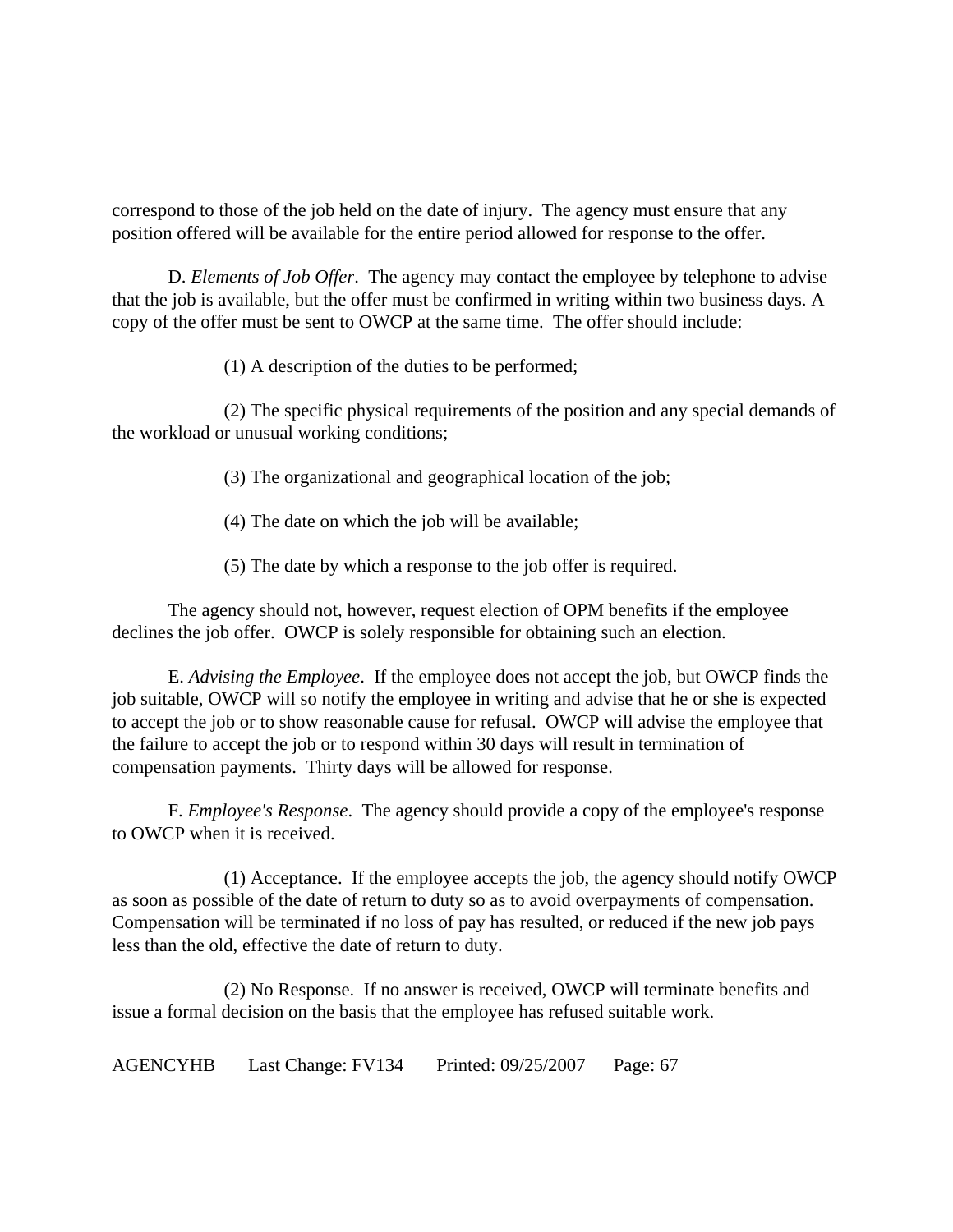correspond to those of the job held on the date of injury. The agency must ensure that any position offered will be available for the entire period allowed for response to the offer.

 D. *Elements of Job Offer*. The agency may contact the employee by telephone to advise that the job is available, but the offer must be confirmed in writing within two business days. A copy of the offer must be sent to OWCP at the same time. The offer should include:

(1) A description of the duties to be performed;

 (2) The specific physical requirements of the position and any special demands of the workload or unusual working conditions;

- (3) The organizational and geographical location of the job;
- (4) The date on which the job will be available;
- (5) The date by which a response to the job offer is required.

 The agency should not, however, request election of OPM benefits if the employee declines the job offer. OWCP is solely responsible for obtaining such an election.

 E. *Advising the Employee*. If the employee does not accept the job, but OWCP finds the job suitable, OWCP will so notify the employee in writing and advise that he or she is expected to accept the job or to show reasonable cause for refusal. OWCP will advise the employee that the failure to accept the job or to respond within 30 days will result in termination of compensation payments. Thirty days will be allowed for response.

 F. *Employee's Response*. The agency should provide a copy of the employee's response to OWCP when it is received.

 (1) Acceptance. If the employee accepts the job, the agency should notify OWCP as soon as possible of the date of return to duty so as to avoid overpayments of compensation. Compensation will be terminated if no loss of pay has resulted, or reduced if the new job pays less than the old, effective the date of return to duty.

 (2) No Response. If no answer is received, OWCP will terminate benefits and issue a formal decision on the basis that the employee has refused suitable work.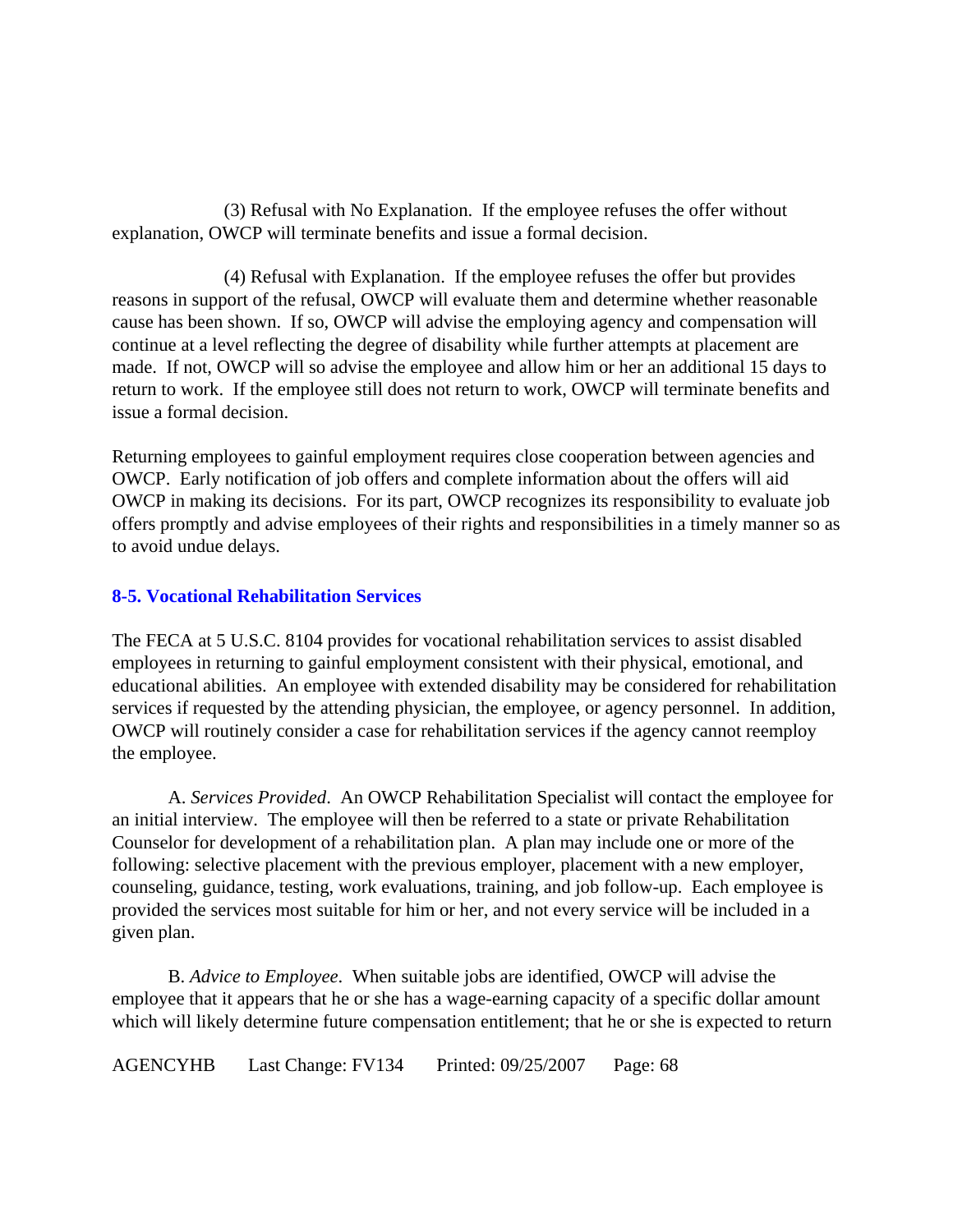(3) Refusal with No Explanation. If the employee refuses the offer without explanation, OWCP will terminate benefits and issue a formal decision.

 (4) Refusal with Explanation. If the employee refuses the offer but provides reasons in support of the refusal, OWCP will evaluate them and determine whether reasonable cause has been shown. If so, OWCP will advise the employing agency and compensation will continue at a level reflecting the degree of disability while further attempts at placement are made. If not, OWCP will so advise the employee and allow him or her an additional 15 days to return to work. If the employee still does not return to work, OWCP will terminate benefits and issue a formal decision.

Returning employees to gainful employment requires close cooperation between agencies and OWCP. Early notification of job offers and complete information about the offers will aid OWCP in making its decisions. For its part, OWCP recognizes its responsibility to evaluate job offers promptly and advise employees of their rights and responsibilities in a timely manner so as to avoid undue delays.

### **8-5. Vocational Rehabilitation Services**

The FECA at 5 U.S.C. 8104 provides for vocational rehabilitation services to assist disabled employees in returning to gainful employment consistent with their physical, emotional, and educational abilities. An employee with extended disability may be considered for rehabilitation services if requested by the attending physician, the employee, or agency personnel. In addition, OWCP will routinely consider a case for rehabilitation services if the agency cannot reemploy the employee.

 A. *Services Provided*. An OWCP Rehabilitation Specialist will contact the employee for an initial interview. The employee will then be referred to a state or private Rehabilitation Counselor for development of a rehabilitation plan. A plan may include one or more of the following: selective placement with the previous employer, placement with a new employer, counseling, guidance, testing, work evaluations, training, and job follow-up. Each employee is provided the services most suitable for him or her, and not every service will be included in a given plan.

 B. *Advice to Employee*. When suitable jobs are identified, OWCP will advise the employee that it appears that he or she has a wage-earning capacity of a specific dollar amount which will likely determine future compensation entitlement; that he or she is expected to return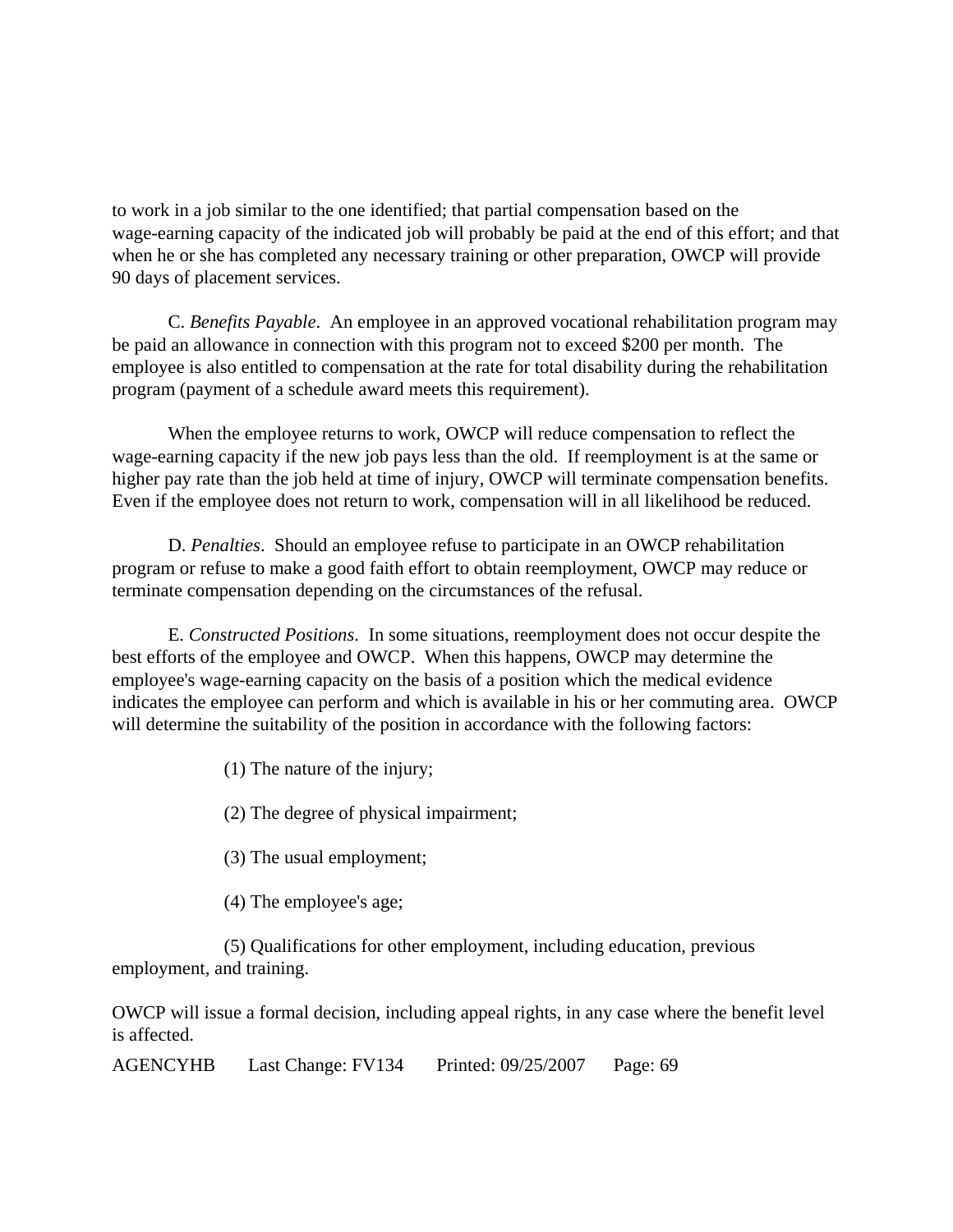to work in a job similar to the one identified; that partial compensation based on the wage-earning capacity of the indicated job will probably be paid at the end of this effort; and that when he or she has completed any necessary training or other preparation, OWCP will provide 90 days of placement services.

 C. *Benefits Payable*. An employee in an approved vocational rehabilitation program may be paid an allowance in connection with this program not to exceed \$200 per month. The employee is also entitled to compensation at the rate for total disability during the rehabilitation program (payment of a schedule award meets this requirement).

 When the employee returns to work, OWCP will reduce compensation to reflect the wage-earning capacity if the new job pays less than the old. If reemployment is at the same or higher pay rate than the job held at time of injury, OWCP will terminate compensation benefits. Even if the employee does not return to work, compensation will in all likelihood be reduced.

 D. *Penalties*. Should an employee refuse to participate in an OWCP rehabilitation program or refuse to make a good faith effort to obtain reemployment, OWCP may reduce or terminate compensation depending on the circumstances of the refusal.

 E. *Constructed Positions*. In some situations, reemployment does not occur despite the best efforts of the employee and OWCP. When this happens, OWCP may determine the employee's wage-earning capacity on the basis of a position which the medical evidence indicates the employee can perform and which is available in his or her commuting area. OWCP will determine the suitability of the position in accordance with the following factors:

(1) The nature of the injury;

(2) The degree of physical impairment;

(3) The usual employment;

(4) The employee's age;

 (5) Qualifications for other employment, including education, previous employment, and training.

OWCP will issue a formal decision, including appeal rights, in any case where the benefit level is affected.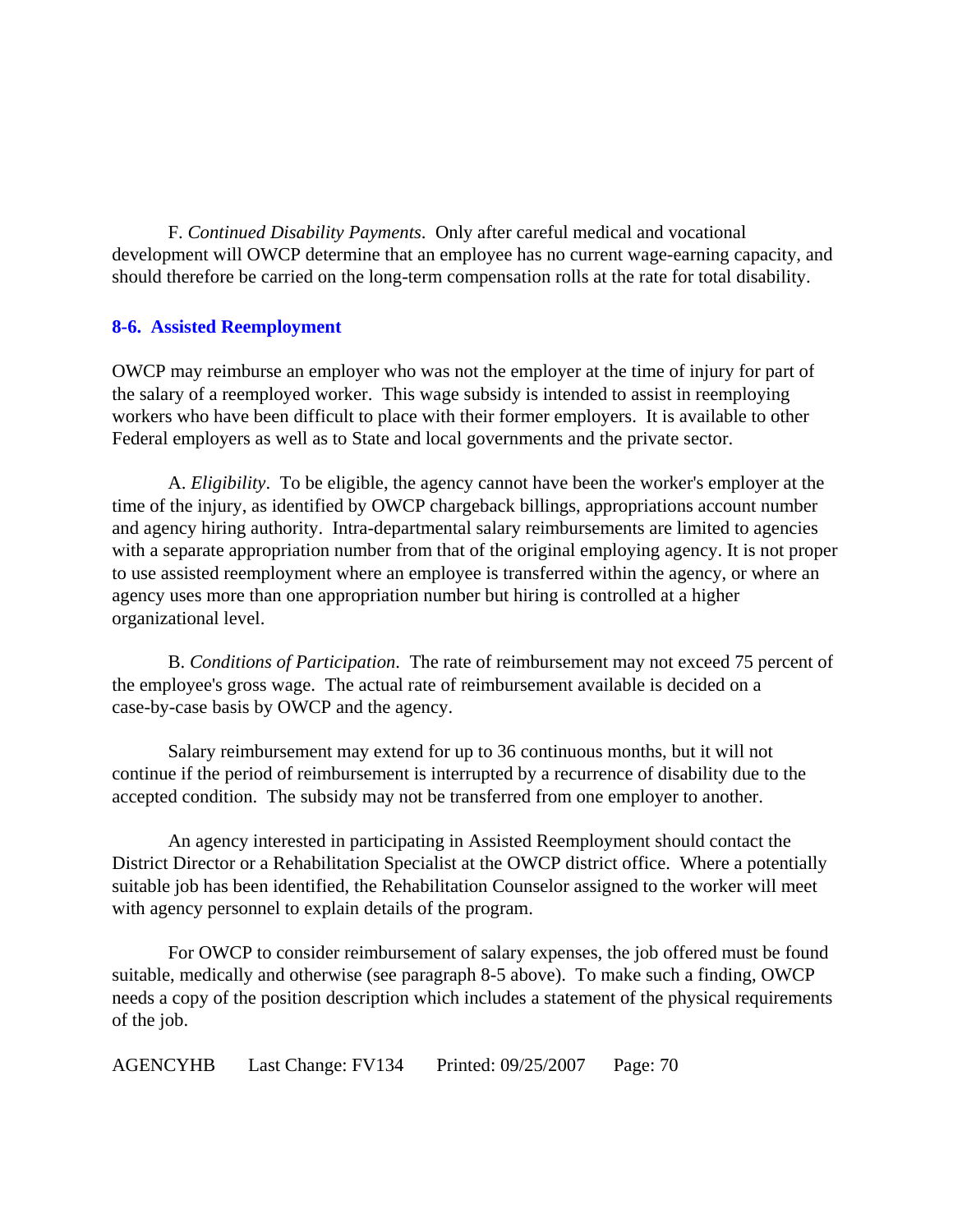F. *Continued Disability Payments*. Only after careful medical and vocational development will OWCP determine that an employee has no current wage-earning capacity, and should therefore be carried on the long-term compensation rolls at the rate for total disability.

### **8-6. Assisted Reemployment**

OWCP may reimburse an employer who was not the employer at the time of injury for part of the salary of a reemployed worker. This wage subsidy is intended to assist in reemploying workers who have been difficult to place with their former employers. It is available to other Federal employers as well as to State and local governments and the private sector.

 A. *Eligibility*. To be eligible, the agency cannot have been the worker's employer at the time of the injury, as identified by OWCP chargeback billings, appropriations account number and agency hiring authority. Intra-departmental salary reimbursements are limited to agencies with a separate appropriation number from that of the original employing agency. It is not proper to use assisted reemployment where an employee is transferred within the agency, or where an agency uses more than one appropriation number but hiring is controlled at a higher organizational level.

 B. *Conditions of Participation*. The rate of reimbursement may not exceed 75 percent of the employee's gross wage. The actual rate of reimbursement available is decided on a case-by-case basis by OWCP and the agency.

 Salary reimbursement may extend for up to 36 continuous months, but it will not continue if the period of reimbursement is interrupted by a recurrence of disability due to the accepted condition. The subsidy may not be transferred from one employer to another.

 An agency interested in participating in Assisted Reemployment should contact the District Director or a Rehabilitation Specialist at the OWCP district office. Where a potentially suitable job has been identified, the Rehabilitation Counselor assigned to the worker will meet with agency personnel to explain details of the program.

 For OWCP to consider reimbursement of salary expenses, the job offered must be found suitable, medically and otherwise (see paragraph 8-5 above). To make such a finding, OWCP needs a copy of the position description which includes a statement of the physical requirements of the job.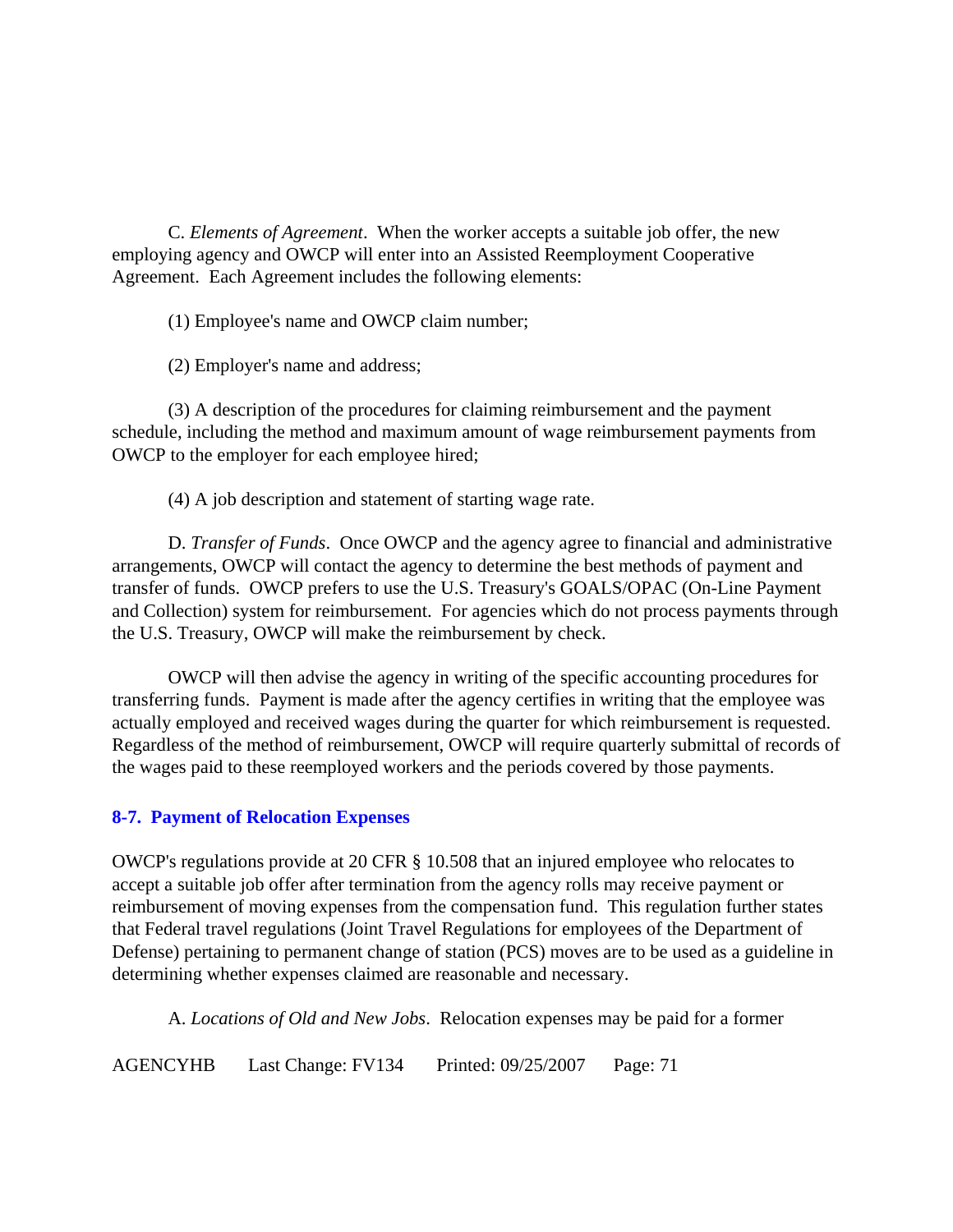C. *Elements of Agreement*. When the worker accepts a suitable job offer, the new employing agency and OWCP will enter into an Assisted Reemployment Cooperative Agreement. Each Agreement includes the following elements:

(1) Employee's name and OWCP claim number;

(2) Employer's name and address;

 (3) A description of the procedures for claiming reimbursement and the payment schedule, including the method and maximum amount of wage reimbursement payments from OWCP to the employer for each employee hired;

(4) A job description and statement of starting wage rate.

 D. *Transfer of Funds*. Once OWCP and the agency agree to financial and administrative arrangements, OWCP will contact the agency to determine the best methods of payment and transfer of funds. OWCP prefers to use the U.S. Treasury's GOALS/OPAC (On-Line Payment and Collection) system for reimbursement. For agencies which do not process payments through the U.S. Treasury, OWCP will make the reimbursement by check.

 OWCP will then advise the agency in writing of the specific accounting procedures for transferring funds. Payment is made after the agency certifies in writing that the employee was actually employed and received wages during the quarter for which reimbursement is requested. Regardless of the method of reimbursement, OWCP will require quarterly submittal of records of the wages paid to these reemployed workers and the periods covered by those payments.

### **8-7. Payment of Relocation Expenses**

OWCP's regulations provide at 20 CFR § 10.508 that an injured employee who relocates to accept a suitable job offer after termination from the agency rolls may receive payment or reimbursement of moving expenses from the compensation fund. This regulation further states that Federal travel regulations (Joint Travel Regulations for employees of the Department of Defense) pertaining to permanent change of station (PCS) moves are to be used as a guideline in determining whether expenses claimed are reasonable and necessary.

A. *Locations of Old and New Jobs*. Relocation expenses may be paid for a former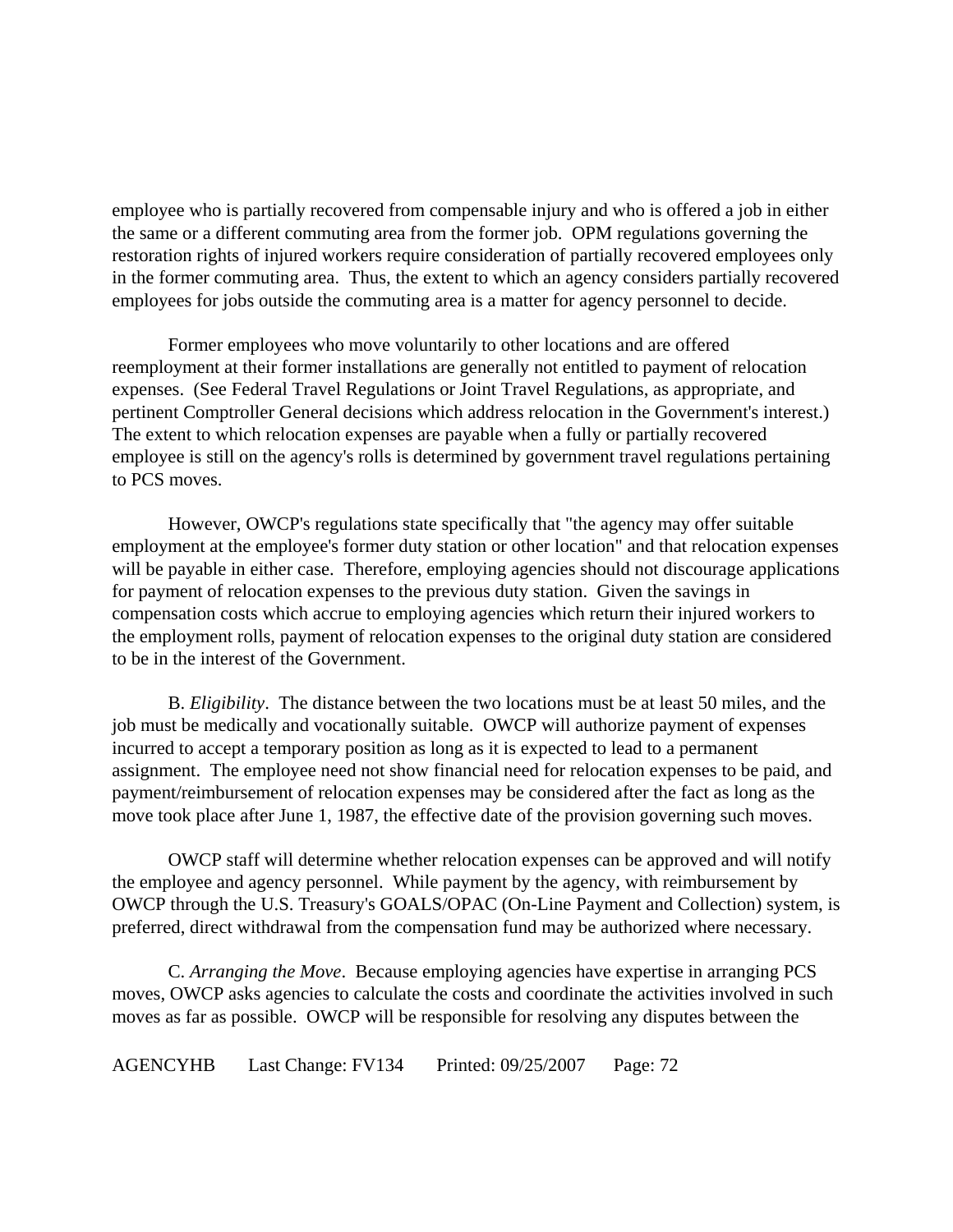employee who is partially recovered from compensable injury and who is offered a job in either the same or a different commuting area from the former job. OPM regulations governing the restoration rights of injured workers require consideration of partially recovered employees only in the former commuting area. Thus, the extent to which an agency considers partially recovered employees for jobs outside the commuting area is a matter for agency personnel to decide.

 Former employees who move voluntarily to other locations and are offered reemployment at their former installations are generally not entitled to payment of relocation expenses. (See Federal Travel Regulations or Joint Travel Regulations, as appropriate, and pertinent Comptroller General decisions which address relocation in the Government's interest.) The extent to which relocation expenses are payable when a fully or partially recovered employee is still on the agency's rolls is determined by government travel regulations pertaining to PCS moves.

 However, OWCP's regulations state specifically that "the agency may offer suitable employment at the employee's former duty station or other location" and that relocation expenses will be payable in either case. Therefore, employing agencies should not discourage applications for payment of relocation expenses to the previous duty station. Given the savings in compensation costs which accrue to employing agencies which return their injured workers to the employment rolls, payment of relocation expenses to the original duty station are considered to be in the interest of the Government.

 B. *Eligibility*. The distance between the two locations must be at least 50 miles, and the job must be medically and vocationally suitable. OWCP will authorize payment of expenses incurred to accept a temporary position as long as it is expected to lead to a permanent assignment. The employee need not show financial need for relocation expenses to be paid, and payment/reimbursement of relocation expenses may be considered after the fact as long as the move took place after June 1, 1987, the effective date of the provision governing such moves.

 OWCP staff will determine whether relocation expenses can be approved and will notify the employee and agency personnel. While payment by the agency, with reimbursement by OWCP through the U.S. Treasury's GOALS/OPAC (On-Line Payment and Collection) system, is preferred, direct withdrawal from the compensation fund may be authorized where necessary.

 C. *Arranging the Move*. Because employing agencies have expertise in arranging PCS moves, OWCP asks agencies to calculate the costs and coordinate the activities involved in such moves as far as possible. OWCP will be responsible for resolving any disputes between the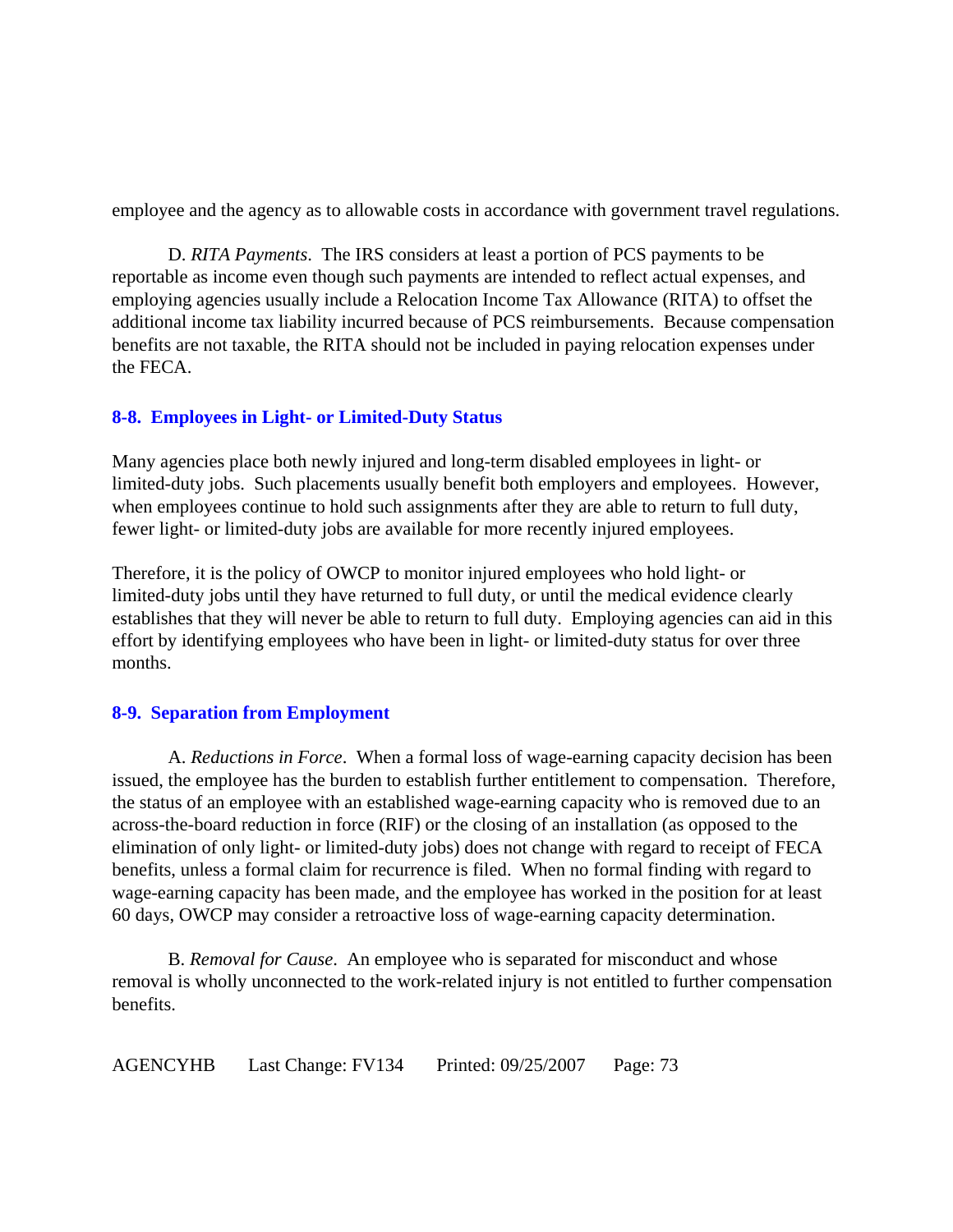employee and the agency as to allowable costs in accordance with government travel regulations.

 D. *RITA Payments*. The IRS considers at least a portion of PCS payments to be reportable as income even though such payments are intended to reflect actual expenses, and employing agencies usually include a Relocation Income Tax Allowance (RITA) to offset the additional income tax liability incurred because of PCS reimbursements. Because compensation benefits are not taxable, the RITA should not be included in paying relocation expenses under the FECA.

# **8-8. Employees in Light- or Limited-Duty Status**

Many agencies place both newly injured and long-term disabled employees in light- or limited-duty jobs. Such placements usually benefit both employers and employees. However, when employees continue to hold such assignments after they are able to return to full duty, fewer light- or limited-duty jobs are available for more recently injured employees.

Therefore, it is the policy of OWCP to monitor injured employees who hold light- or limited-duty jobs until they have returned to full duty, or until the medical evidence clearly establishes that they will never be able to return to full duty. Employing agencies can aid in this effort by identifying employees who have been in light- or limited-duty status for over three months.

# **8-9. Separation from Employment**

 A. *Reductions in Force*. When a formal loss of wage-earning capacity decision has been issued, the employee has the burden to establish further entitlement to compensation. Therefore, the status of an employee with an established wage-earning capacity who is removed due to an across-the-board reduction in force (RIF) or the closing of an installation (as opposed to the elimination of only light- or limited-duty jobs) does not change with regard to receipt of FECA benefits, unless a formal claim for recurrence is filed. When no formal finding with regard to wage-earning capacity has been made, and the employee has worked in the position for at least 60 days, OWCP may consider a retroactive loss of wage-earning capacity determination.

 B. *Removal for Cause*. An employee who is separated for misconduct and whose removal is wholly unconnected to the work-related injury is not entitled to further compensation benefits.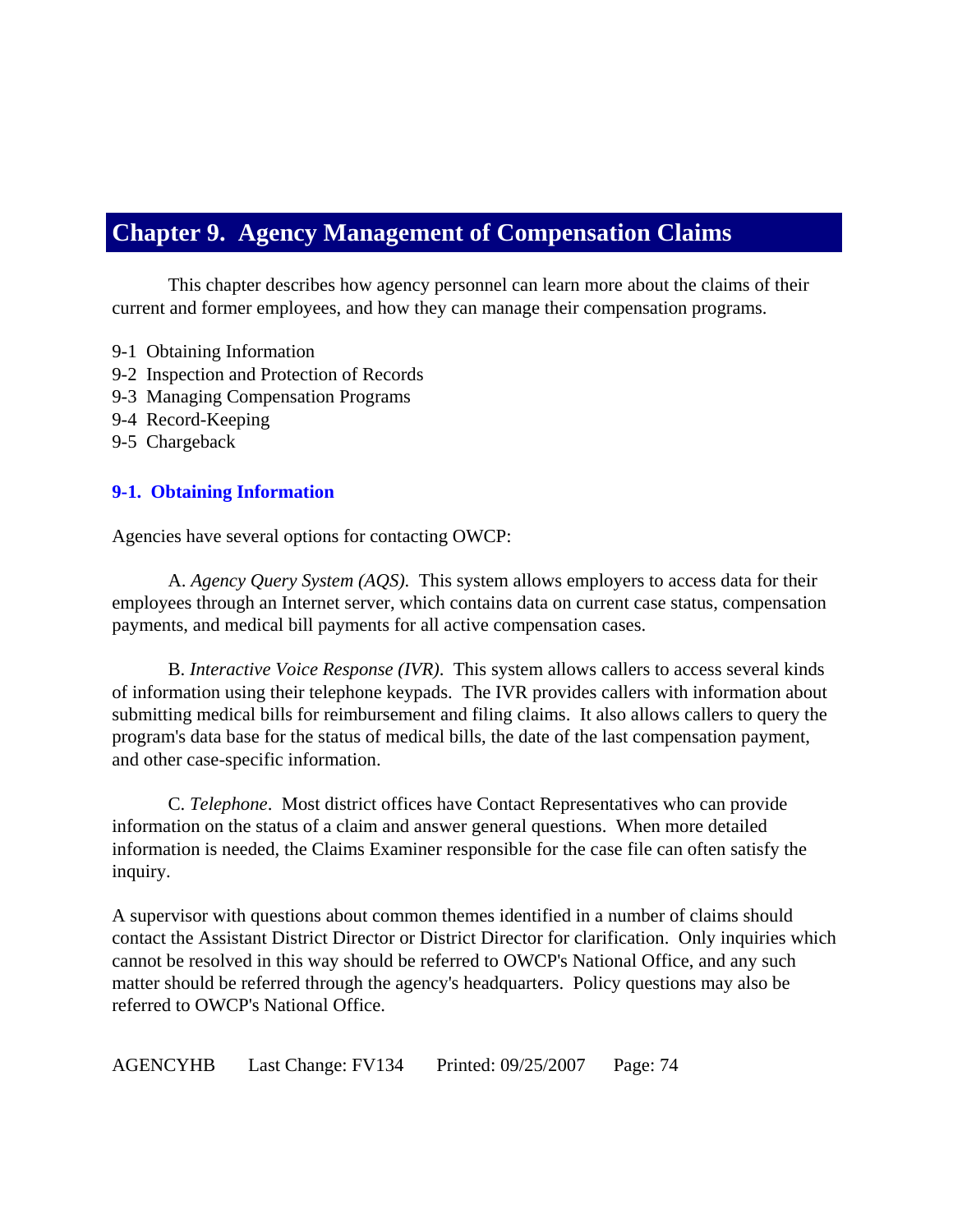# **Chapter 9. Agency Management of Compensation Claims**

 This chapter describes how agency personnel can learn more about the claims of their current and former employees, and how they can manage their compensation programs.

- 9-1 Obtaining Information
- 9-2 Inspection and Protection of Records
- 9-3 Managing Compensation Programs
- 9-4 Record-Keeping
- 9-5 Chargeback

#### **9-1. Obtaining Information**

Agencies have several options for contacting OWCP:

 A. *Agency Query System (AQS)*. This system allows employers to access data for their employees through an Internet server, which contains data on current case status, compensation payments, and medical bill payments for all active compensation cases.

 B. *Interactive Voice Response (IVR)*. This system allows callers to access several kinds of information using their telephone keypads. The IVR provides callers with information about submitting medical bills for reimbursement and filing claims. It also allows callers to query the program's data base for the status of medical bills, the date of the last compensation payment, and other case-specific information.

 C. *Telephone*. Most district offices have Contact Representatives who can provide information on the status of a claim and answer general questions. When more detailed information is needed, the Claims Examiner responsible for the case file can often satisfy the inquiry.

A supervisor with questions about common themes identified in a number of claims should contact the Assistant District Director or District Director for clarification. Only inquiries which cannot be resolved in this way should be referred to OWCP's National Office, and any such matter should be referred through the agency's headquarters. Policy questions may also be referred to OWCP's National Office.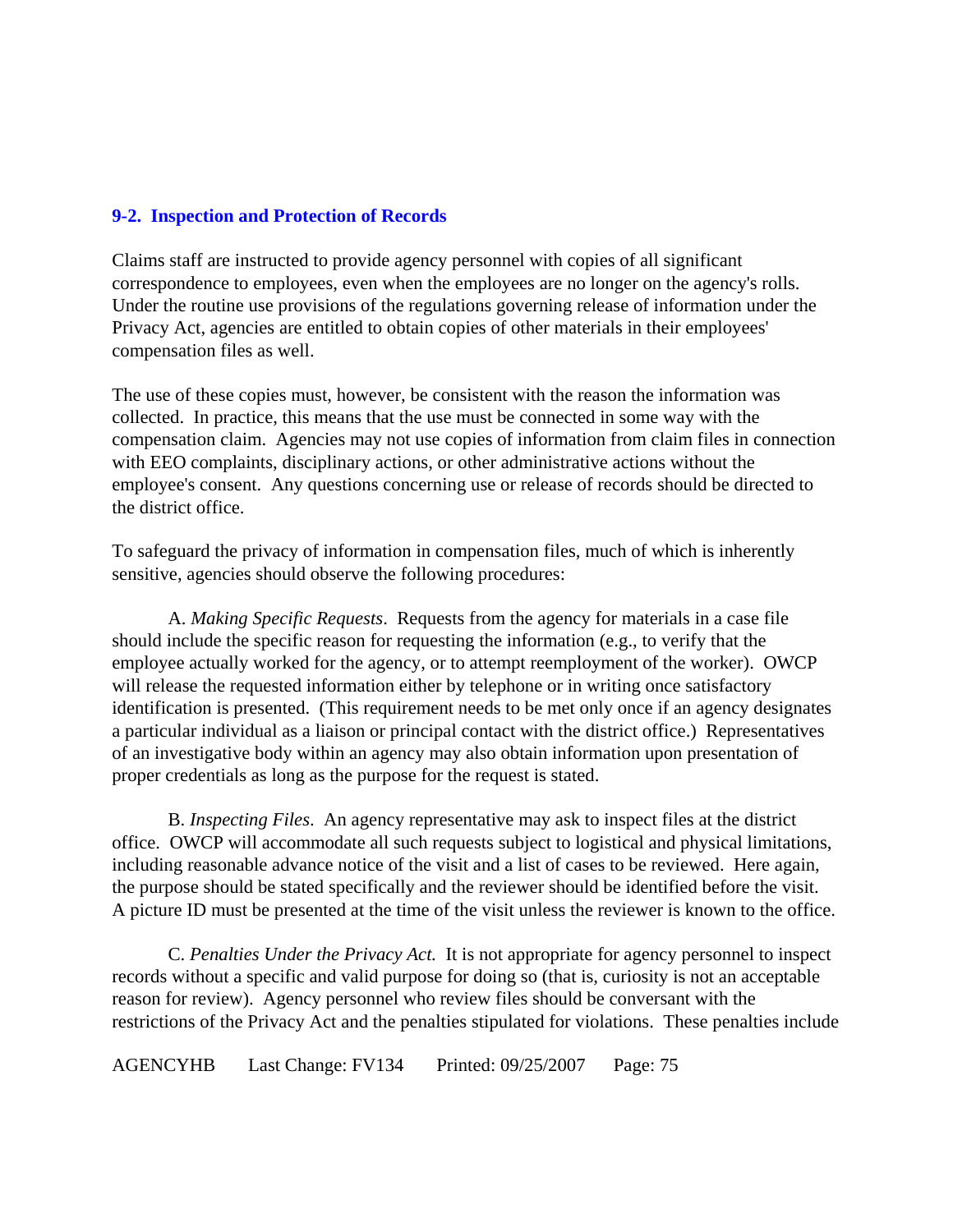## **9-2. Inspection and Protection of Records**

Claims staff are instructed to provide agency personnel with copies of all significant correspondence to employees, even when the employees are no longer on the agency's rolls. Under the routine use provisions of the regulations governing release of information under the Privacy Act, agencies are entitled to obtain copies of other materials in their employees' compensation files as well.

The use of these copies must, however, be consistent with the reason the information was collected. In practice, this means that the use must be connected in some way with the compensation claim. Agencies may not use copies of information from claim files in connection with EEO complaints, disciplinary actions, or other administrative actions without the employee's consent. Any questions concerning use or release of records should be directed to the district office.

To safeguard the privacy of information in compensation files, much of which is inherently sensitive, agencies should observe the following procedures:

 A. *Making Specific Requests*. Requests from the agency for materials in a case file should include the specific reason for requesting the information (e.g., to verify that the employee actually worked for the agency, or to attempt reemployment of the worker). OWCP will release the requested information either by telephone or in writing once satisfactory identification is presented. (This requirement needs to be met only once if an agency designates a particular individual as a liaison or principal contact with the district office.) Representatives of an investigative body within an agency may also obtain information upon presentation of proper credentials as long as the purpose for the request is stated.

 B. *Inspecting Files*. An agency representative may ask to inspect files at the district office. OWCP will accommodate all such requests subject to logistical and physical limitations, including reasonable advance notice of the visit and a list of cases to be reviewed. Here again, the purpose should be stated specifically and the reviewer should be identified before the visit. A picture ID must be presented at the time of the visit unless the reviewer is known to the office.

 C. *Penalties Under the Privacy Act.* It is not appropriate for agency personnel to inspect records without a specific and valid purpose for doing so (that is, curiosity is not an acceptable reason for review). Agency personnel who review files should be conversant with the restrictions of the Privacy Act and the penalties stipulated for violations. These penalties include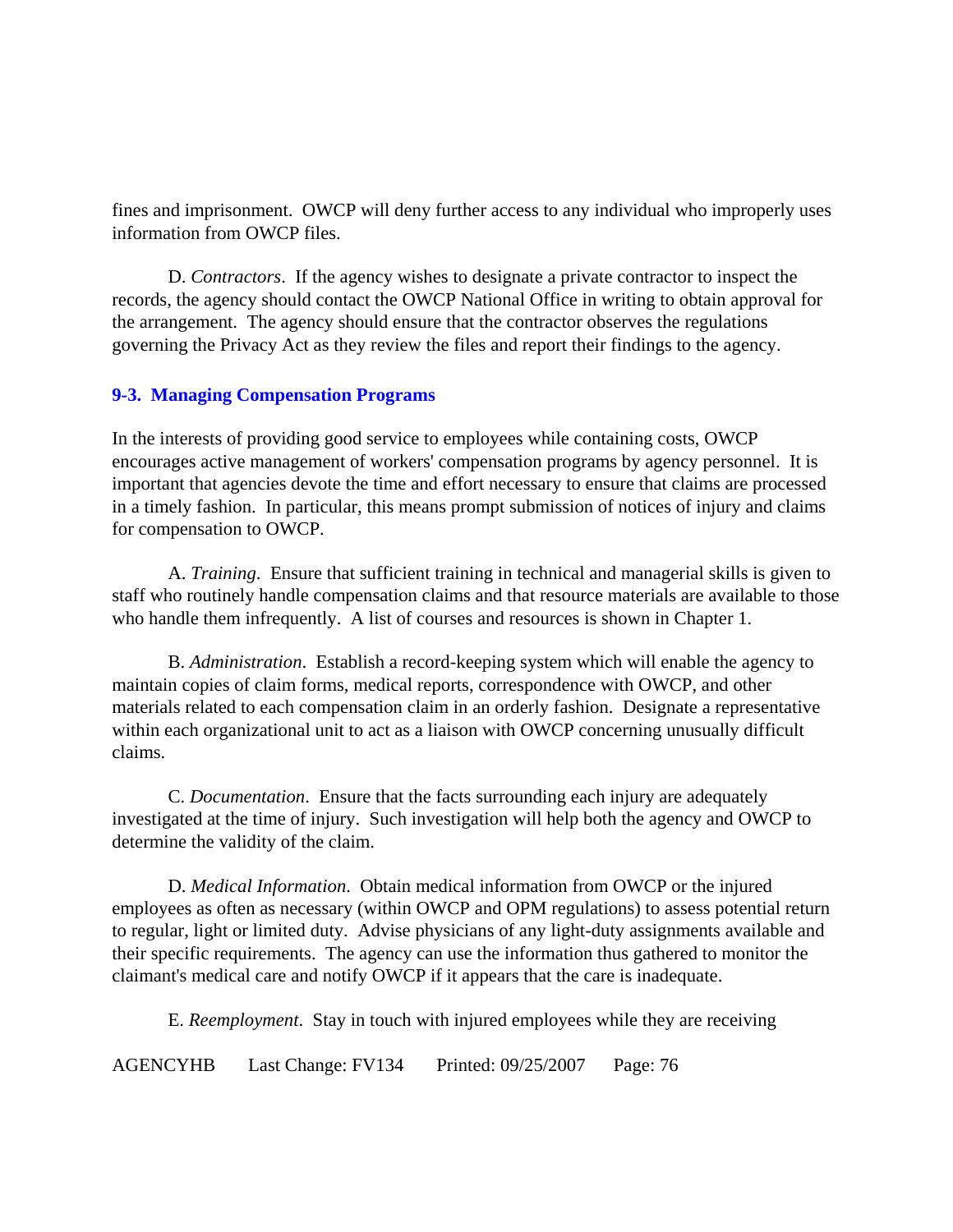fines and imprisonment. OWCP will deny further access to any individual who improperly uses information from OWCP files.

 D. *Contractors*. If the agency wishes to designate a private contractor to inspect the records, the agency should contact the OWCP National Office in writing to obtain approval for the arrangement. The agency should ensure that the contractor observes the regulations governing the Privacy Act as they review the files and report their findings to the agency.

## **9-3. Managing Compensation Programs**

In the interests of providing good service to employees while containing costs, OWCP encourages active management of workers' compensation programs by agency personnel. It is important that agencies devote the time and effort necessary to ensure that claims are processed in a timely fashion. In particular, this means prompt submission of notices of injury and claims for compensation to OWCP.

 A. *Training*. Ensure that sufficient training in technical and managerial skills is given to staff who routinely handle compensation claims and that resource materials are available to those who handle them infrequently. A list of courses and resources is shown in Chapter 1.

 B. *Administration*. Establish a record-keeping system which will enable the agency to maintain copies of claim forms, medical reports, correspondence with OWCP, and other materials related to each compensation claim in an orderly fashion. Designate a representative within each organizational unit to act as a liaison with OWCP concerning unusually difficult claims.

 C. *Documentation*. Ensure that the facts surrounding each injury are adequately investigated at the time of injury. Such investigation will help both the agency and OWCP to determine the validity of the claim.

 D. *Medical Information*. Obtain medical information from OWCP or the injured employees as often as necessary (within OWCP and OPM regulations) to assess potential return to regular, light or limited duty. Advise physicians of any light-duty assignments available and their specific requirements. The agency can use the information thus gathered to monitor the claimant's medical care and notify OWCP if it appears that the care is inadequate.

E. *Reemployment*. Stay in touch with injured employees while they are receiving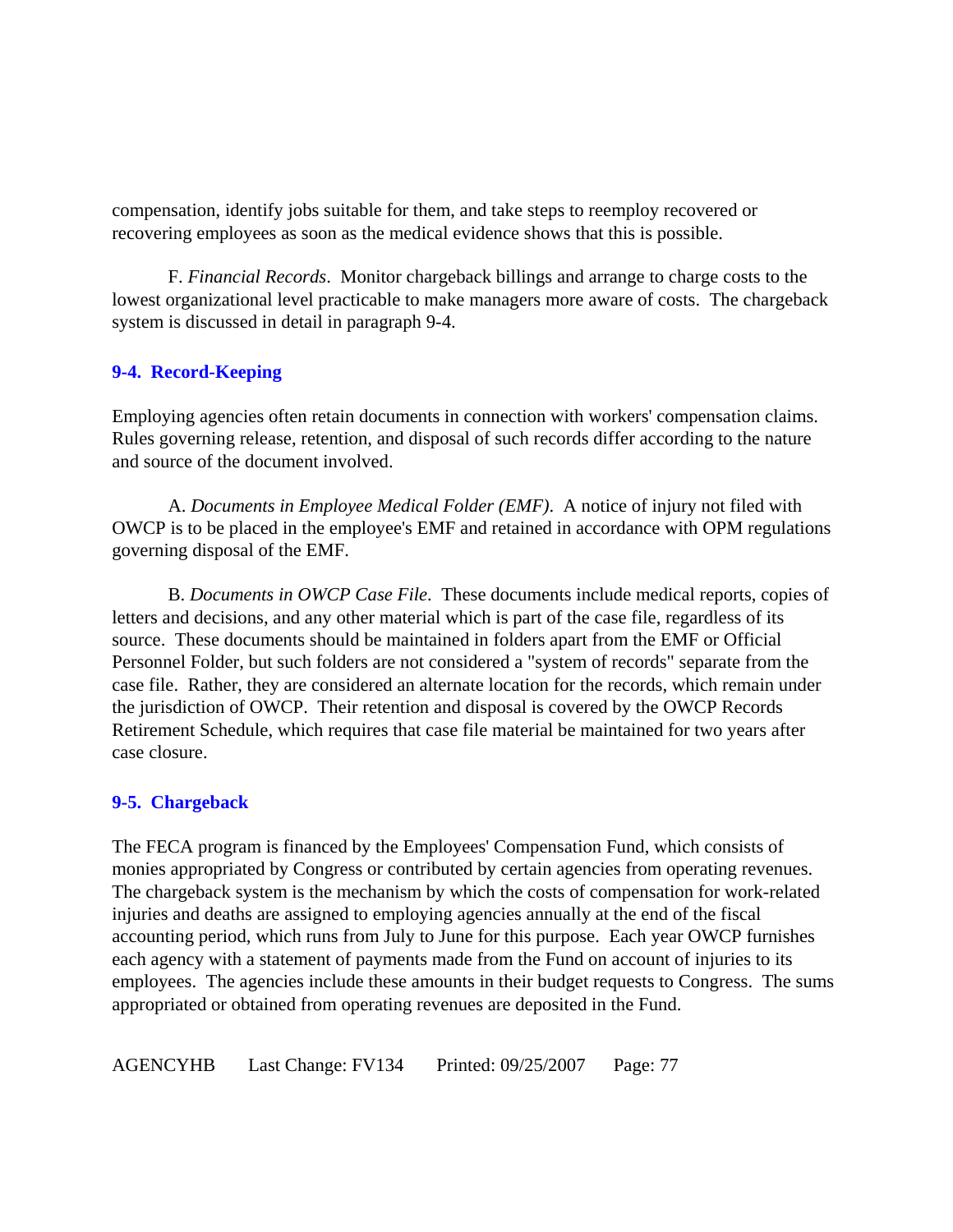compensation, identify jobs suitable for them, and take steps to reemploy recovered or recovering employees as soon as the medical evidence shows that this is possible.

 F. *Financial Records*. Monitor chargeback billings and arrange to charge costs to the lowest organizational level practicable to make managers more aware of costs. The chargeback system is discussed in detail in paragraph 9-4.

# **9-4. Record-Keeping**

Employing agencies often retain documents in connection with workers' compensation claims. Rules governing release, retention, and disposal of such records differ according to the nature and source of the document involved.

 A. *Documents in Employee Medical Folder (EMF)*. A notice of injury not filed with OWCP is to be placed in the employee's EMF and retained in accordance with OPM regulations governing disposal of the EMF.

 B. *Documents in OWCP Case File*. These documents include medical reports, copies of letters and decisions, and any other material which is part of the case file, regardless of its source. These documents should be maintained in folders apart from the EMF or Official Personnel Folder, but such folders are not considered a "system of records" separate from the case file. Rather, they are considered an alternate location for the records, which remain under the jurisdiction of OWCP. Their retention and disposal is covered by the OWCP Records Retirement Schedule, which requires that case file material be maintained for two years after case closure.

# **9-5. Chargeback**

The FECA program is financed by the Employees' Compensation Fund, which consists of monies appropriated by Congress or contributed by certain agencies from operating revenues. The chargeback system is the mechanism by which the costs of compensation for work-related injuries and deaths are assigned to employing agencies annually at the end of the fiscal accounting period, which runs from July to June for this purpose. Each year OWCP furnishes each agency with a statement of payments made from the Fund on account of injuries to its employees. The agencies include these amounts in their budget requests to Congress. The sums appropriated or obtained from operating revenues are deposited in the Fund.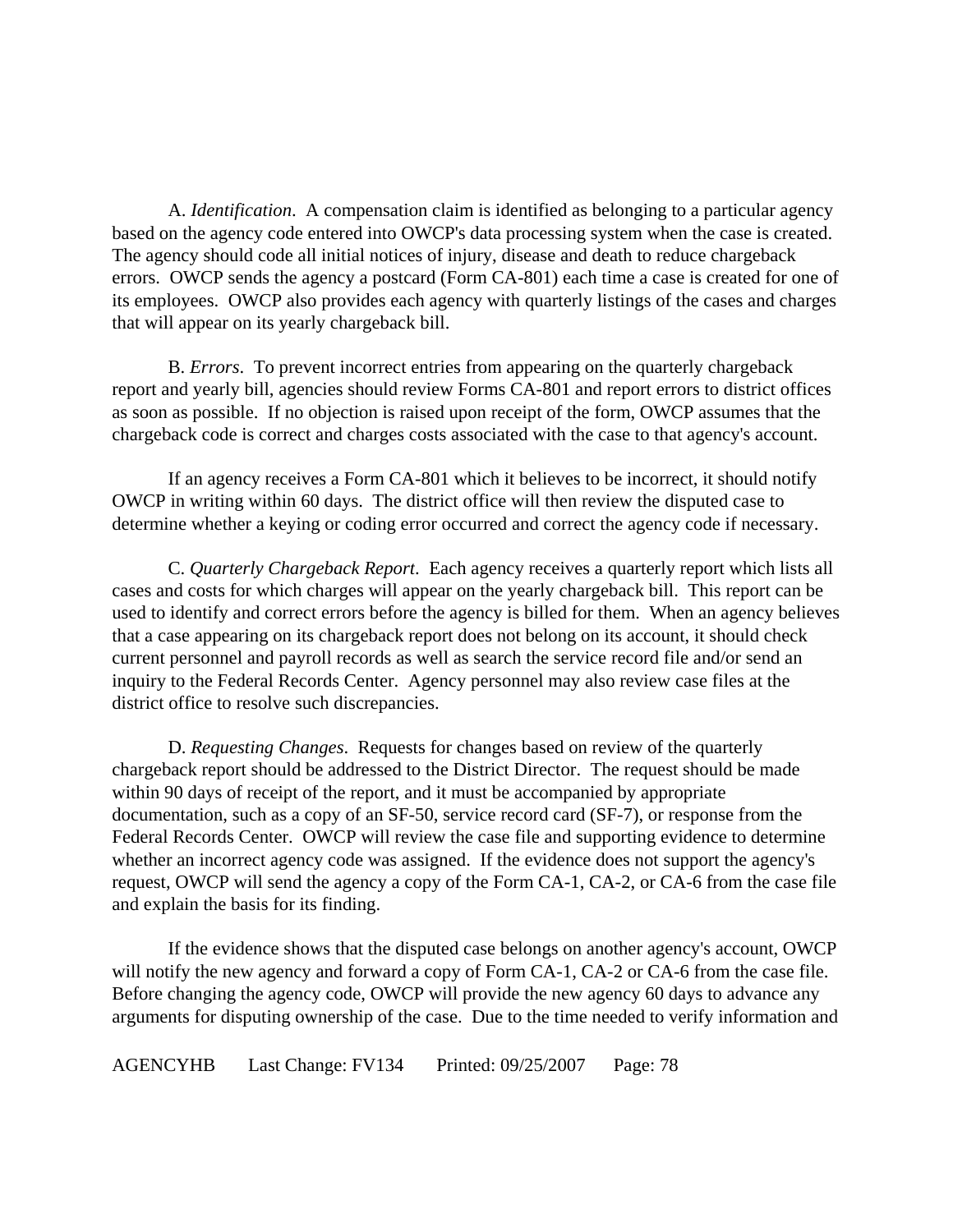A. *Identification*. A compensation claim is identified as belonging to a particular agency based on the agency code entered into OWCP's data processing system when the case is created. The agency should code all initial notices of injury, disease and death to reduce chargeback errors. OWCP sends the agency a postcard (Form CA-801) each time a case is created for one of its employees. OWCP also provides each agency with quarterly listings of the cases and charges that will appear on its yearly chargeback bill.

 B. *Errors*. To prevent incorrect entries from appearing on the quarterly chargeback report and yearly bill, agencies should review Forms CA-801 and report errors to district offices as soon as possible. If no objection is raised upon receipt of the form, OWCP assumes that the chargeback code is correct and charges costs associated with the case to that agency's account.

 If an agency receives a Form CA-801 which it believes to be incorrect, it should notify OWCP in writing within 60 days. The district office will then review the disputed case to determine whether a keying or coding error occurred and correct the agency code if necessary.

 C. *Quarterly Chargeback Report*. Each agency receives a quarterly report which lists all cases and costs for which charges will appear on the yearly chargeback bill. This report can be used to identify and correct errors before the agency is billed for them. When an agency believes that a case appearing on its chargeback report does not belong on its account, it should check current personnel and payroll records as well as search the service record file and/or send an inquiry to the Federal Records Center. Agency personnel may also review case files at the district office to resolve such discrepancies.

 D. *Requesting Changes*. Requests for changes based on review of the quarterly chargeback report should be addressed to the District Director. The request should be made within 90 days of receipt of the report, and it must be accompanied by appropriate documentation, such as a copy of an SF-50, service record card (SF-7), or response from the Federal Records Center. OWCP will review the case file and supporting evidence to determine whether an incorrect agency code was assigned. If the evidence does not support the agency's request, OWCP will send the agency a copy of the Form CA-1, CA-2, or CA-6 from the case file and explain the basis for its finding.

 If the evidence shows that the disputed case belongs on another agency's account, OWCP will notify the new agency and forward a copy of Form CA-1, CA-2 or CA-6 from the case file. Before changing the agency code, OWCP will provide the new agency 60 days to advance any arguments for disputing ownership of the case. Due to the time needed to verify information and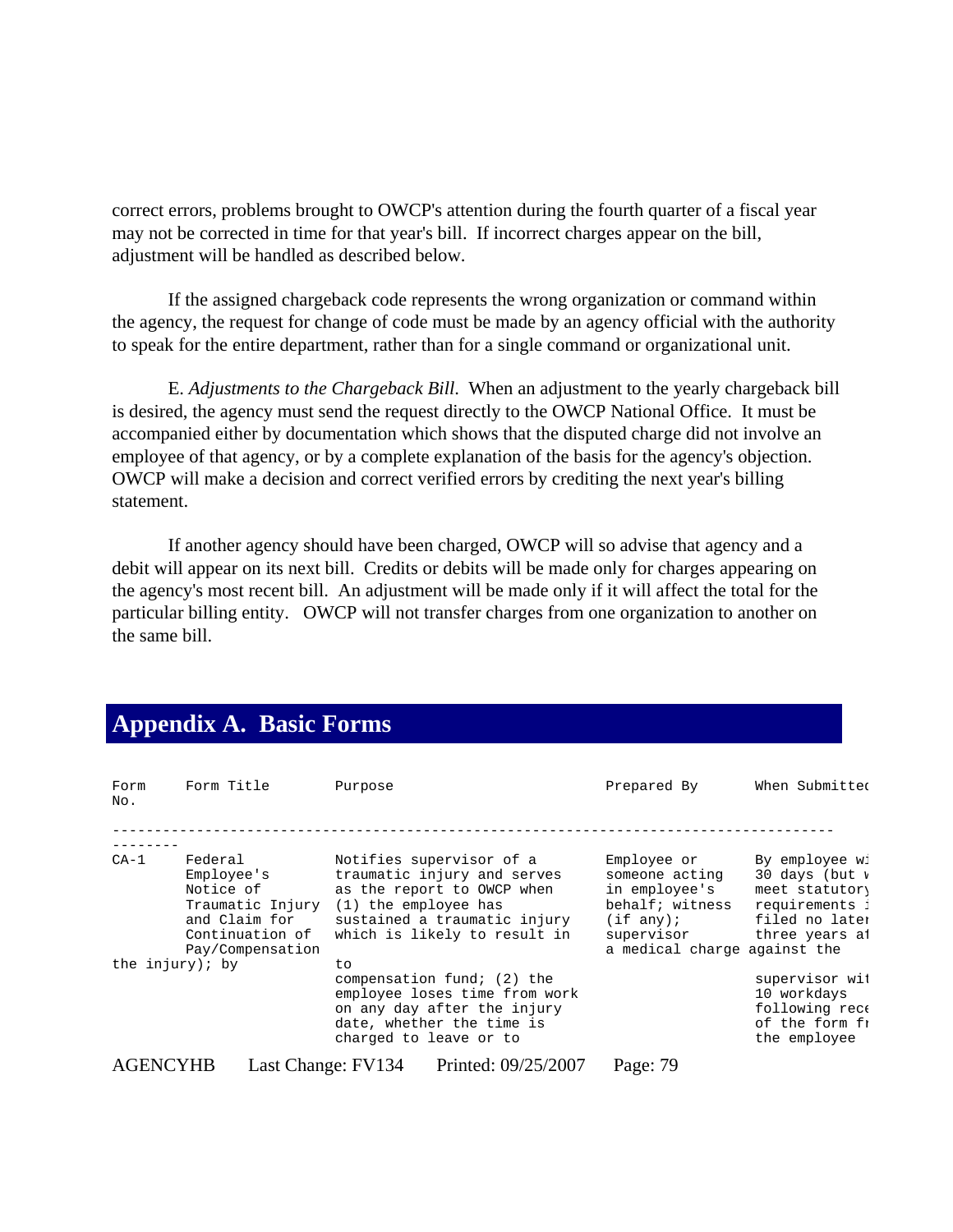correct errors, problems brought to OWCP's attention during the fourth quarter of a fiscal year may not be corrected in time for that year's bill. If incorrect charges appear on the bill, adjustment will be handled as described below.

 If the assigned chargeback code represents the wrong organization or command within the agency, the request for change of code must be made by an agency official with the authority to speak for the entire department, rather than for a single command or organizational unit.

 E. *Adjustments to the Chargeback Bill*. When an adjustment to the yearly chargeback bill is desired, the agency must send the request directly to the OWCP National Office. It must be accompanied either by documentation which shows that the disputed charge did not involve an employee of that agency, or by a complete explanation of the basis for the agency's objection. OWCP will make a decision and correct verified errors by crediting the next year's billing statement.

 If another agency should have been charged, OWCP will so advise that agency and a debit will appear on its next bill. Credits or debits will be made only for charges appearing on the agency's most recent bill. An adjustment will be made only if it will affect the total for the particular billing entity. OWCP will not transfer charges from one organization to another on the same bill.

# **Appendix A. Basic Forms**

| Form<br>No.               | Form Title                                                                                                     | Purpose                                                                                                                                                                             | Prepared By                                                                                                                     | When Submitted                                                                                                 |
|---------------------------|----------------------------------------------------------------------------------------------------------------|-------------------------------------------------------------------------------------------------------------------------------------------------------------------------------------|---------------------------------------------------------------------------------------------------------------------------------|----------------------------------------------------------------------------------------------------------------|
|                           |                                                                                                                |                                                                                                                                                                                     |                                                                                                                                 |                                                                                                                |
| $CA-1$<br>the injury); by | Federal<br>Employee's<br>Notice of<br>Traumatic Injury<br>and Claim for<br>Continuation of<br>Pay/Compensation | Notifies supervisor of a<br>traumatic injury and serves<br>as the report to OWCP when<br>(1) the employee has<br>sustained a traumatic injury<br>which is likely to result in<br>to | Employee or<br>someone acting<br>in employee's<br>behalf; witness<br>$(if any)$ ;<br>supervisor<br>a medical charge against the | By employee wi<br>$30$ days (but $\nu$<br>meet statutory<br>requirements i<br>filed no later<br>three years af |
|                           |                                                                                                                | compensation fund; (2) the<br>employee loses time from work<br>on any day after the injury<br>date, whether the time is<br>charged to leave or to                                   |                                                                                                                                 | supervisor wit<br>10 workdays<br>following rece<br>of the form fi<br>the employee                              |
| <b>AGENCYHB</b>           | Last Change: FV134                                                                                             | Printed: 09/25/2007                                                                                                                                                                 | Page: 79                                                                                                                        |                                                                                                                |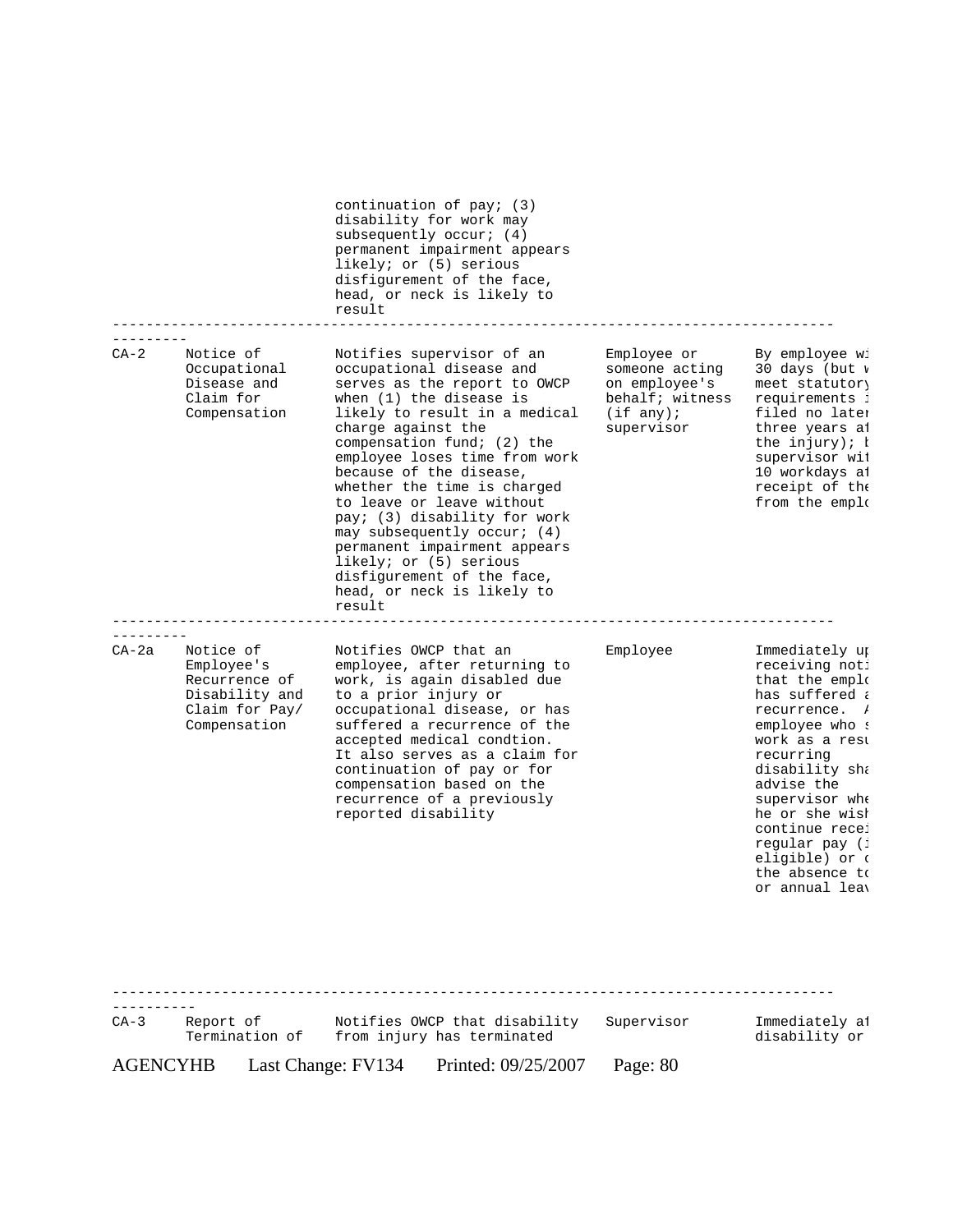|          |                                                                                              | continuation of $pay: (3)$<br>disability for work may<br>subsequently occur; (4)<br>permanent impairment appears<br>likely; or (5) serious<br>disfigurement of the face,<br>head, or neck is likely to<br>result                                                                                                                                                                                                                                                                                                               |                                                                                                 |                                                                                                                                                                                                                                                                                                      |
|----------|----------------------------------------------------------------------------------------------|--------------------------------------------------------------------------------------------------------------------------------------------------------------------------------------------------------------------------------------------------------------------------------------------------------------------------------------------------------------------------------------------------------------------------------------------------------------------------------------------------------------------------------|-------------------------------------------------------------------------------------------------|------------------------------------------------------------------------------------------------------------------------------------------------------------------------------------------------------------------------------------------------------------------------------------------------------|
| CA-2     | Notice of<br>Occupational<br>Disease and<br>Claim for<br>Compensation                        | Notifies supervisor of an<br>occupational disease and<br>serves as the report to OWCP<br>when (1) the disease is<br>likely to result in a medical<br>charge against the<br>compensation fund; (2) the<br>employee loses time from work<br>because of the disease,<br>whether the time is charged<br>to leave or leave without<br>pay; (3) disability for work<br>may subsequently occur; $(4)$<br>permanent impairment appears<br>likely; or (5) serious<br>disfigurement of the face,<br>head, or neck is likely to<br>result | Employee or<br>someone acting<br>on employee's<br>behalf; witness<br>$(if any)$ ;<br>supervisor | By employee wi<br>$30$ days (but $\nu$<br>meet statutory<br>requirements i<br>filed no later<br>three years af<br>the injury); ł<br>supervisor wit<br>10 workdays af<br>receipt of the<br>from the emplo                                                                                             |
| CA-2a    | Notice of<br>Employee's<br>Recurrence of<br>Disability and<br>Claim for Pay/<br>Compensation | Notifies OWCP that an<br>employee, after returning to<br>work, is again disabled due<br>to a prior injury or<br>occupational disease, or has<br>suffered a recurrence of the<br>accepted medical condtion.<br>It also serves as a claim for<br>continuation of pay or for<br>compensation based on the<br>recurrence of a previously<br>reported disability                                                                                                                                                                    | Employee                                                                                        | Immediately up<br>receiving noti<br>that the emplo<br>has suffered a<br>recurrence. l<br>employee who s<br>work as a resu<br>recurring<br>disability sha<br>advise the<br>supervisor whe<br>he or she wish<br>continue recei<br>regular pay (i<br>eligible) or q<br>the absence to<br>or annual leay |
| CA-3     | Report of<br>Termination of                                                                  | Notifies OWCP that disability<br>from injury has terminated                                                                                                                                                                                                                                                                                                                                                                                                                                                                    | Supervisor                                                                                      | Immediately af<br>disability or                                                                                                                                                                                                                                                                      |
| AGENCYHB |                                                                                              | Last Change: FV134<br>Printed: 09/25/2007                                                                                                                                                                                                                                                                                                                                                                                                                                                                                      | Page: 80                                                                                        |                                                                                                                                                                                                                                                                                                      |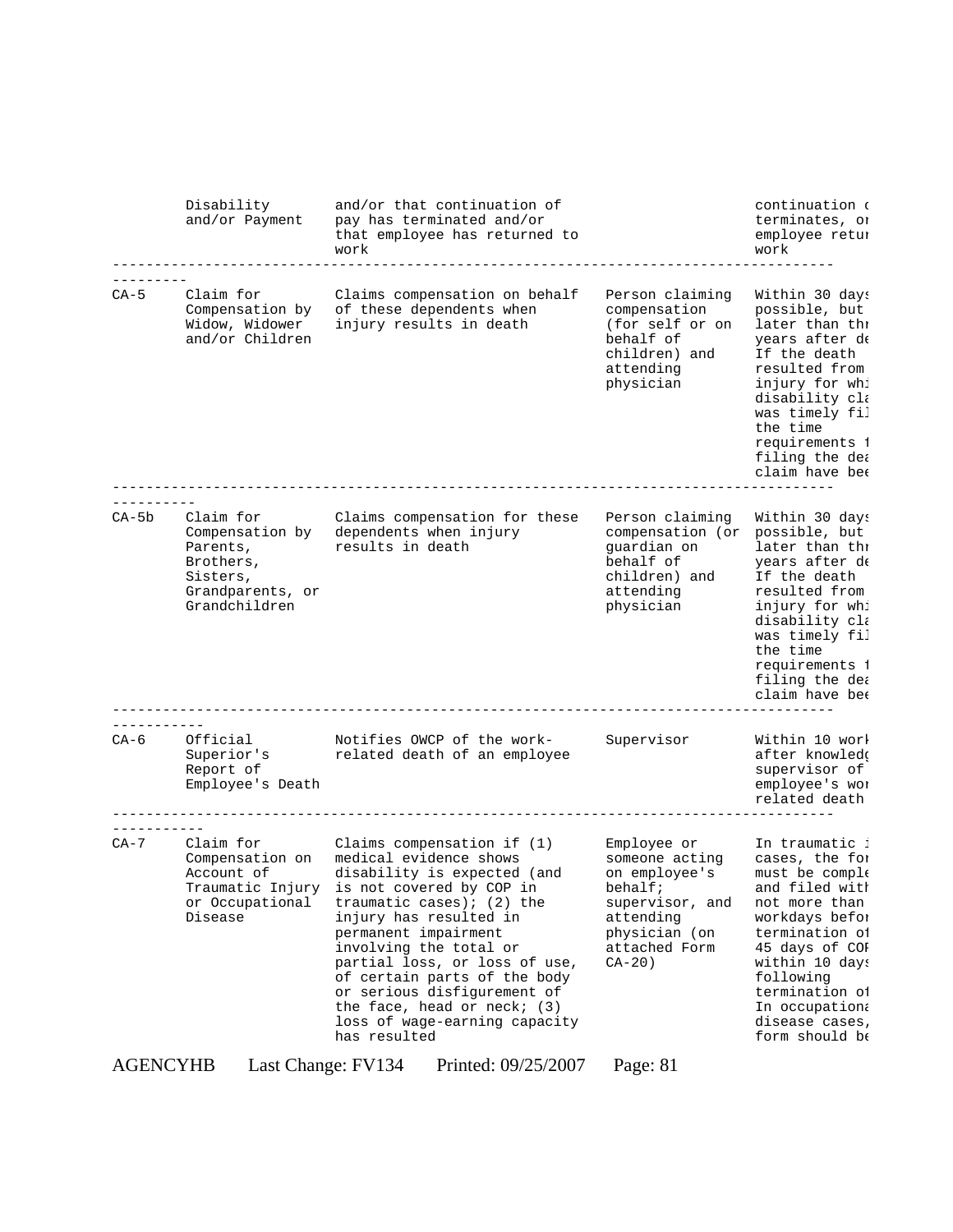|                 | Disability<br>and/or Payment                                                                           | and/or that continuation of<br>pay has terminated and/or<br>that employee has returned to<br>work                                                                                                                                                                                                                                                                                                            |                                                                                                                                          | continuation o<br>terminates, or<br>employee retui<br>work                                                                                                                                                                                                     |
|-----------------|--------------------------------------------------------------------------------------------------------|--------------------------------------------------------------------------------------------------------------------------------------------------------------------------------------------------------------------------------------------------------------------------------------------------------------------------------------------------------------------------------------------------------------|------------------------------------------------------------------------------------------------------------------------------------------|----------------------------------------------------------------------------------------------------------------------------------------------------------------------------------------------------------------------------------------------------------------|
| $CA-5$          | Claim for<br>Compensation by<br>Widow, Widower<br>and/or Children                                      | Claims compensation on behalf<br>of these dependents when<br>injury results in death                                                                                                                                                                                                                                                                                                                         | Person claiming<br>compensation<br>(for self or on<br>behalf of<br>children) and<br>attending<br>physician                               | Within 30 day:<br>possible, but<br>later than thi<br>years after de<br>If the death<br>resulted from<br>injury for whi<br>disability cla<br>was timely fil<br>the time<br>requirements i<br>filing the dea<br>claim have bee                                   |
| _ _ _ _ _ _ _ _ |                                                                                                        |                                                                                                                                                                                                                                                                                                                                                                                                              |                                                                                                                                          |                                                                                                                                                                                                                                                                |
| $CA-5b$         | Claim for<br>Compensation by<br>Parents,<br>Brothers,<br>Sisters,<br>Grandparents, or<br>Grandchildren | Claims compensation for these<br>dependents when injury<br>results in death                                                                                                                                                                                                                                                                                                                                  | Person claiming<br>compensation (or<br>quardian on<br>behalf of<br>children) and<br>attending<br>physician                               | Within 30 day:<br>possible, but<br>later than thi<br>years after de<br>If the death<br>resulted from<br>injury for whi<br>disability cla<br>was timely fil<br>the time<br>requirements i<br>filing the dea<br>claim have bee                                   |
|                 |                                                                                                        |                                                                                                                                                                                                                                                                                                                                                                                                              |                                                                                                                                          |                                                                                                                                                                                                                                                                |
| $CA-6$          | Official<br>Superior's<br>Report of<br>Employee's Death                                                | Notifies OWCP of the work-<br>related death of an employee                                                                                                                                                                                                                                                                                                                                                   | Supervisor                                                                                                                               | Within 10 worl<br>after knowledo<br>supervisor of<br>employee's wor<br>related death                                                                                                                                                                           |
| ----------      |                                                                                                        |                                                                                                                                                                                                                                                                                                                                                                                                              |                                                                                                                                          |                                                                                                                                                                                                                                                                |
| $CA-7$          | Claim for<br>Compensation on<br>Account of<br>Traumatic Injury<br>or Occupational<br>Disease           | Claims compensation if (1)<br>medical evidence shows<br>disability is expected (and<br>is not covered by COP in<br>traumatic cases); $(2)$ the<br>injury has resulted in<br>permanent impairment<br>involving the total or<br>partial loss, or loss of use,<br>of certain parts of the body<br>or serious disfigurement of<br>the face, head or neck; $(3)$<br>loss of wage-earning capacity<br>has resulted | Employee or<br>someone acting<br>on employee's<br>behalf;<br>supervisor, and<br>attending<br>physician (on<br>attached Form<br>$CA-20$ ) | In traumatic i<br>cases, the for<br>must be compl <sub>f</sub><br>and filed with<br>not more than<br>workdays befol<br>termination of<br>45 days of COI<br>within 10 days<br>following<br>termination of<br>In occupationa<br>disease cases,<br>form should be |
| <b>AGENCYHB</b> |                                                                                                        | Last Change: FV134<br>Printed: 09/25/2007                                                                                                                                                                                                                                                                                                                                                                    | Page: 81                                                                                                                                 |                                                                                                                                                                                                                                                                |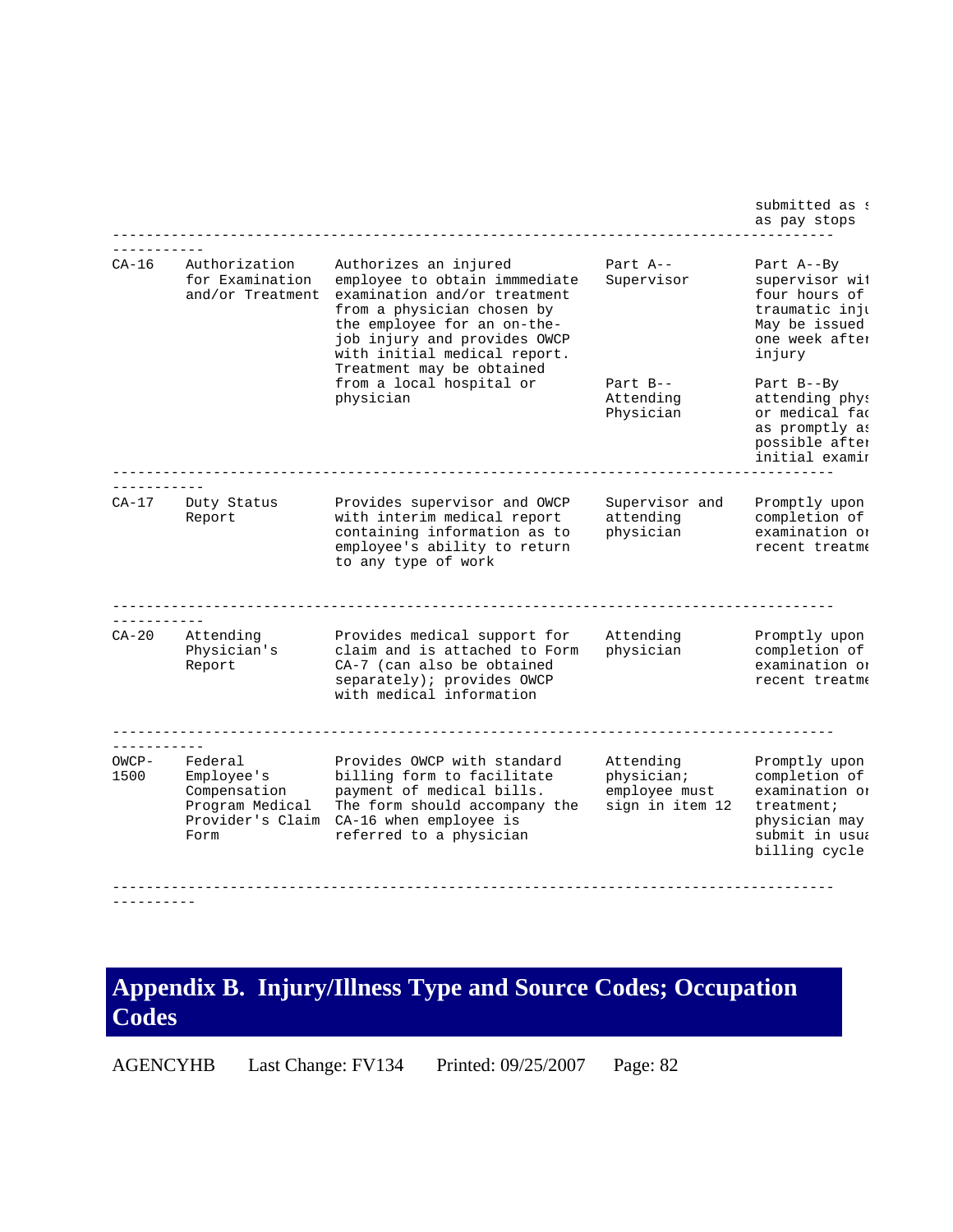submitted as s as pay stops

| Authorization<br>for Examination<br>and/or Treatment                         | Authorizes an injured<br>employee to obtain immmediate<br>examination and/or treatment<br>from a physician chosen by<br>the employee for an on-the-<br>job injury and provides OWCP<br>with initial medical report.<br>Treatment may be obtained<br>from a local hospital or<br>physician | Part A--<br>Supervisor                                      | Part A--By<br>supervisor wit<br>four hours of<br>traumatic inju<br>May be issued<br>one week after<br>injury          |
|------------------------------------------------------------------------------|-------------------------------------------------------------------------------------------------------------------------------------------------------------------------------------------------------------------------------------------------------------------------------------------|-------------------------------------------------------------|-----------------------------------------------------------------------------------------------------------------------|
|                                                                              |                                                                                                                                                                                                                                                                                           | Part B--<br>Attending<br>Physician                          | Part B--By<br>attending phys<br>or medical fac<br>as promptly as<br>possible after<br>initial examir                  |
| Duty Status<br>Report                                                        | Provides supervisor and OWCP<br>with interim medical report<br>containing information as to<br>employee's ability to return<br>to any type of work                                                                                                                                        | Supervisor and<br>attending<br>physician                    | Promptly upon<br>completion of<br>examination or<br>recent treatme                                                    |
| Attending<br>Physician's<br>Report                                           | Provides medical support for<br>claim and is attached to Form<br>CA-7 (can also be obtained<br>separately); provides OWCP<br>with medical information                                                                                                                                     | Attending<br>physician                                      | Promptly upon<br>completion of<br>examination of<br>recent treatme                                                    |
| --------<br>Federal<br>Employee's<br>Compensation<br>Program Medical<br>Form | Provides OWCP with standard<br>billing form to facilitate<br>payment of medical bills.<br>The form should accompany the<br>referred to a physician                                                                                                                                        | Attending<br>physician;<br>employee must<br>sign in item 12 | Promptly upon<br>completion of<br>examination or<br>$t$ reatment;<br>physician may<br>submit in usua<br>billing cycle |
|                                                                              |                                                                                                                                                                                                                                                                                           | Provider's Claim CA-16 when employee is                     |                                                                                                                       |

----------

# **Appendix B. Injury/Illness Type and Source Codes; Occupation Codes**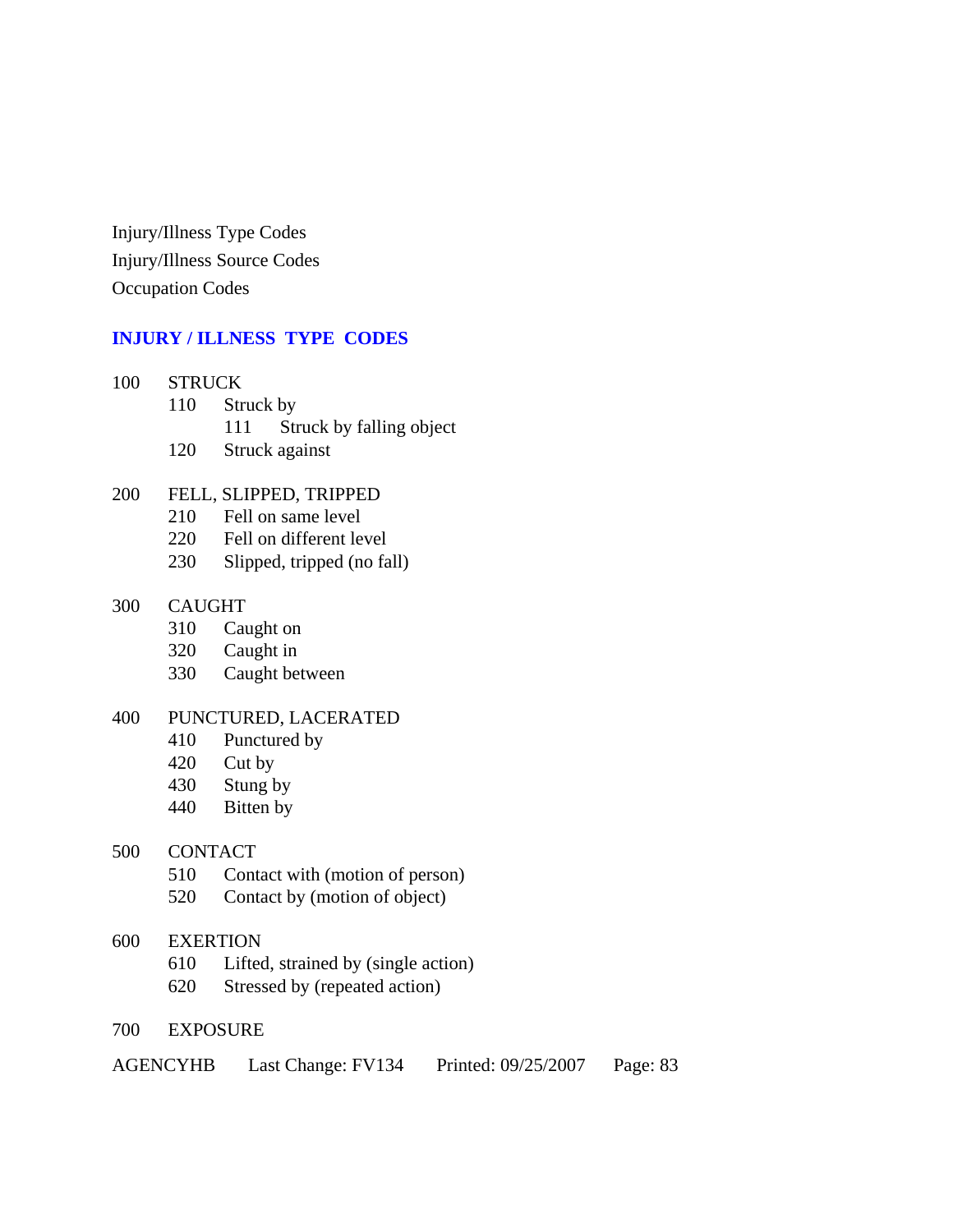Injury/Illness Type Codes Injury/Illness Source Codes Occupation Codes

## **INJURY / ILLNESS TYPE CODES**

100 STRUCK 110 Struck by 111 Struck by falling object 120 Struck against

# 200 FELL, SLIPPED, TRIPPED

- 210 Fell on same level
- 220 Fell on different level
- 230 Slipped, tripped (no fall)

#### 300 CAUGHT

- 310 Caught on
- 320 Caught in
- 330 Caught between

### 400 PUNCTURED, LACERATED

- 410 Punctured by
- 420 Cut by
- 430 Stung by
- 440 Bitten by

#### 500 CONTACT

- 510 Contact with (motion of person)
- 520 Contact by (motion of object)
- 600 EXERTION
	- 610 Lifted, strained by (single action)
	- 620 Stressed by (repeated action)
- 700 EXPOSURE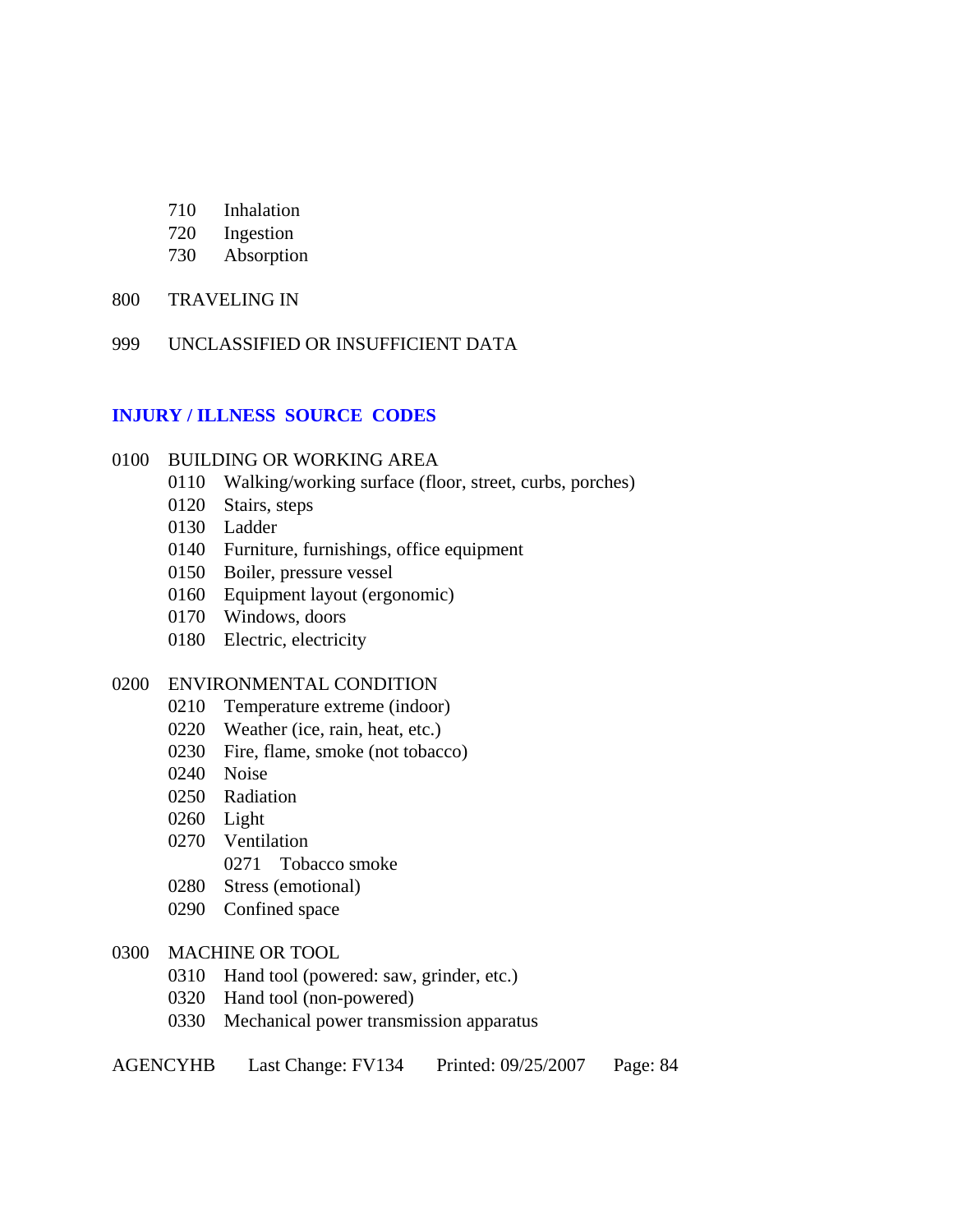- 710 Inhalation
- 720 Ingestion
- 730 Absorption
- 800 TRAVELING IN
- 999 UNCLASSIFIED OR INSUFFICIENT DATA

#### **INJURY / ILLNESS SOURCE CODES**

#### 0100 BUILDING OR WORKING AREA

- 0110 Walking/working surface (floor, street, curbs, porches)
- 0120 Stairs, steps
- 0130 Ladder
- 0140 Furniture, furnishings, office equipment
- 0150 Boiler, pressure vessel
- 0160 Equipment layout (ergonomic)
- 0170 Windows, doors
- 0180 Electric, electricity

#### 0200 ENVIRONMENTAL CONDITION

- 0210 Temperature extreme (indoor)
- 0220 Weather (ice, rain, heat, etc.)
- 0230 Fire, flame, smoke (not tobacco)
- 0240 Noise
- 0250 Radiation
- 0260 Light
- 0270 Ventilation
	- 0271 Tobacco smoke
- 0280 Stress (emotional)
- 0290 Confined space

#### 0300 MACHINE OR TOOL

- 0310 Hand tool (powered: saw, grinder, etc.)
- 0320 Hand tool (non-powered)
- 0330 Mechanical power transmission apparatus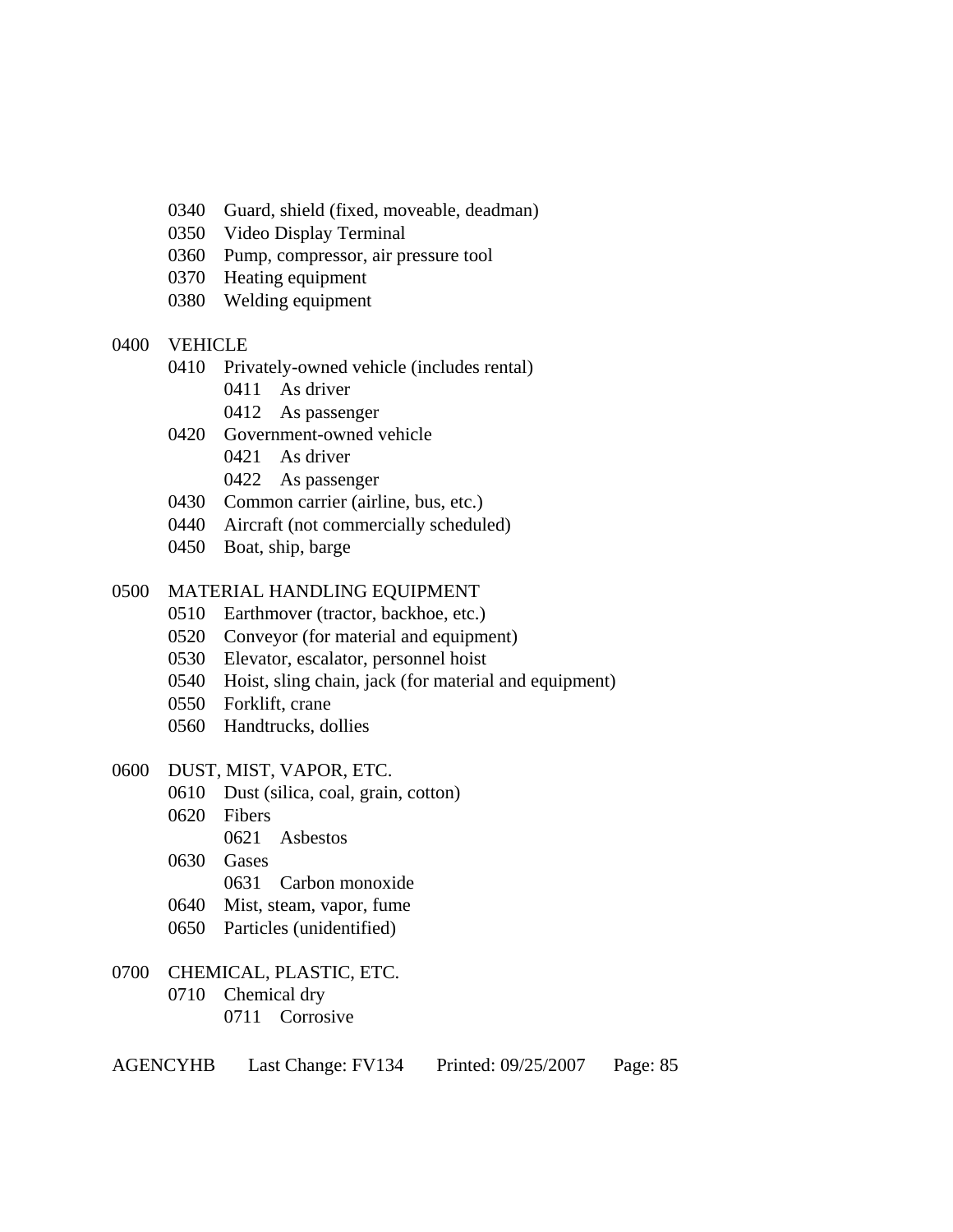- 0340 Guard, shield (fixed, moveable, deadman)
- 0350 Video Display Terminal
- 0360 Pump, compressor, air pressure tool
- 0370 Heating equipment
- 0380 Welding equipment
- 0400 VEHICLE
	- 0410 Privately-owned vehicle (includes rental)
		- 0411 As driver
		- 0412 As passenger
	- 0420 Government-owned vehicle
		- 0421 As driver
		- 0422 As passenger
	- 0430 Common carrier (airline, bus, etc.)
	- 0440 Aircraft (not commercially scheduled)
	- 0450 Boat, ship, barge

#### 0500 MATERIAL HANDLING EQUIPMENT

- 0510 Earthmover (tractor, backhoe, etc.)
- 0520 Conveyor (for material and equipment)
- 0530 Elevator, escalator, personnel hoist
- 0540 Hoist, sling chain, jack (for material and equipment)
- 0550 Forklift, crane
- 0560 Handtrucks, dollies
- 0600 DUST, MIST, VAPOR, ETC.
	- 0610 Dust (silica, coal, grain, cotton)
	- 0620 Fibers
		- 0621 Asbestos
	- 0630 Gases 0631 Carbon monoxide
	- 0640 Mist, steam, vapor, fume
	- 0650 Particles (unidentified)

#### 0700 CHEMICAL, PLASTIC, ETC.

0710 Chemical dry 0711 Corrosive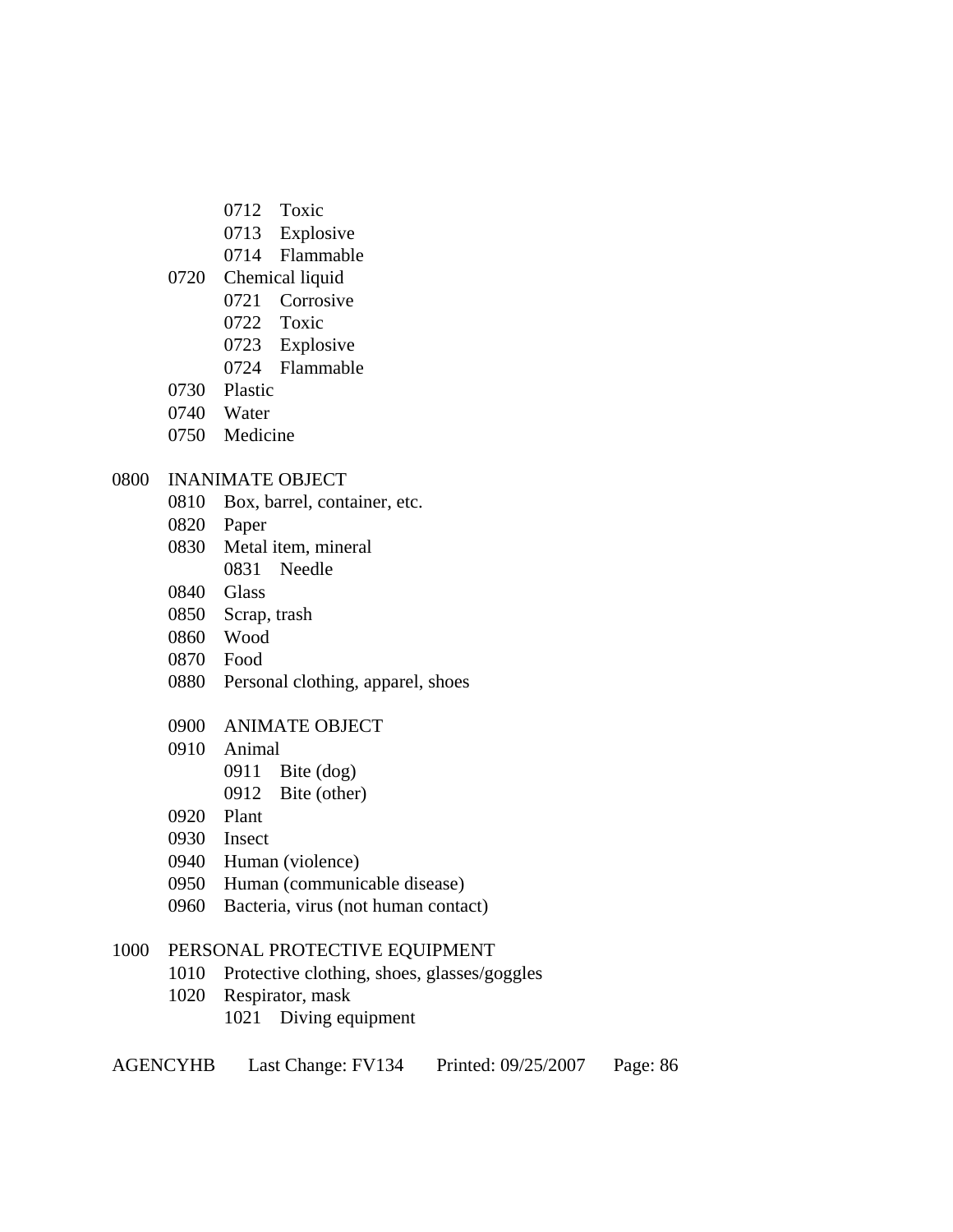- 0712 Toxic
- 0713 Explosive
- 0714 Flammable
- 0720 Chemical liquid
	- 0721 Corrosive
	- 0722 Toxic
	- 0723 Explosive
	- 0724 Flammable
- 0730 Plastic
- 0740 Water
- 0750 Medicine

#### 0800 INANIMATE OBJECT

- 0810 Box, barrel, container, etc.
- 0820 Paper
- 0830 Metal item, mineral 0831 Needle
- 0840 Glass
- 0850 Scrap, trash
- 0860 Wood
- 0870 Food
- 0880 Personal clothing, apparel, shoes
- 0900 ANIMATE OBJECT
- 0910 Animal
	- 0911 Bite (dog)
	- 0912 Bite (other)
- 0920 Plant
- 0930 Insect
- 0940 Human (violence)
- 0950 Human (communicable disease)
- 0960 Bacteria, virus (not human contact)

#### 1000 PERSONAL PROTECTIVE EQUIPMENT

- 1010 Protective clothing, shoes, glasses/goggles
- 1020 Respirator, mask
	- 1021 Diving equipment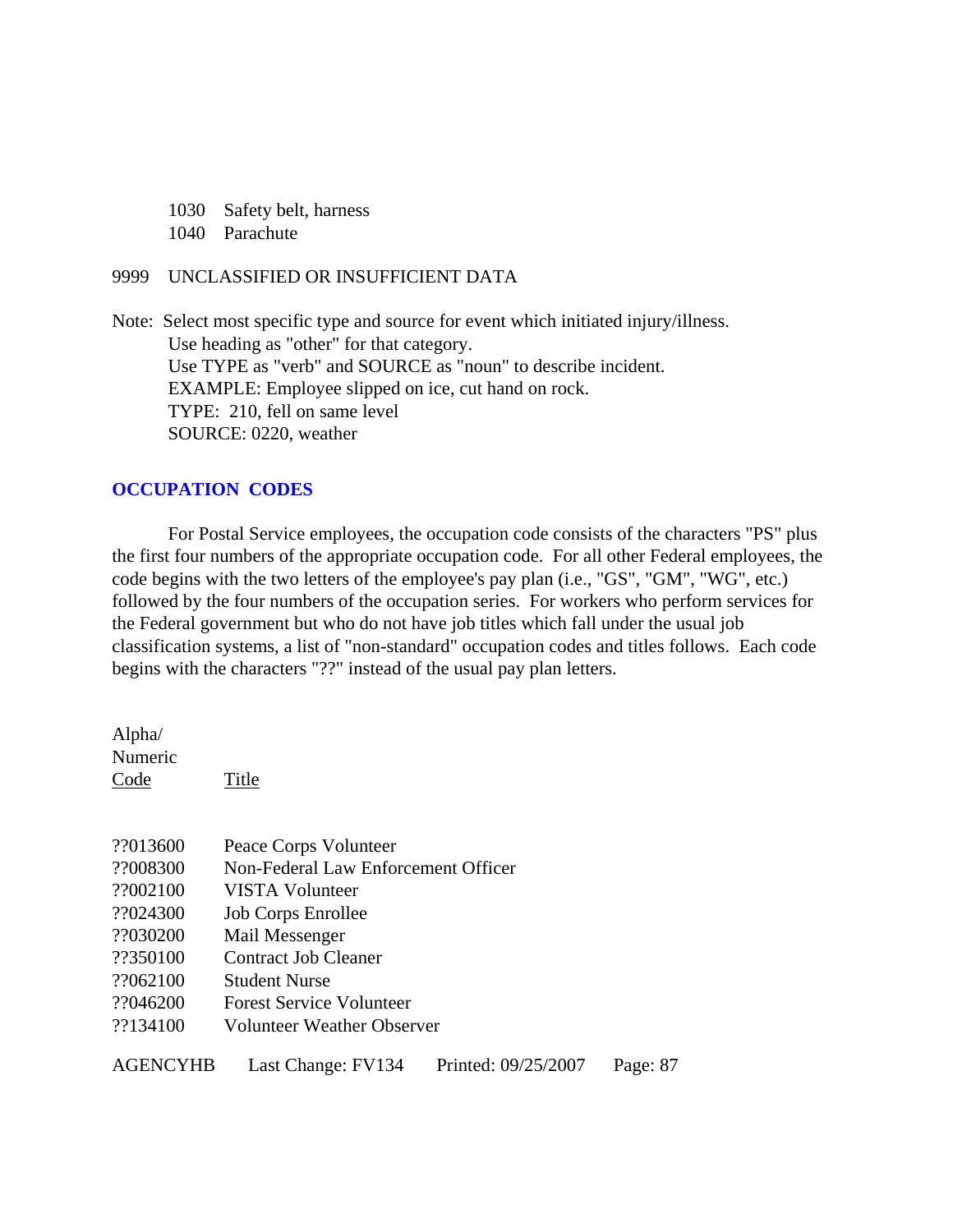- 1030 Safety belt, harness
- 1040 Parachute

#### 9999 UNCLASSIFIED OR INSUFFICIENT DATA

Note: Select most specific type and source for event which initiated injury/illness. Use heading as "other" for that category. Use TYPE as "verb" and SOURCE as "noun" to describe incident. EXAMPLE: Employee slipped on ice, cut hand on rock. TYPE: 210, fell on same level SOURCE: 0220, weather

#### **OCCUPATION CODES**

 For Postal Service employees, the occupation code consists of the characters "PS" plus the first four numbers of the appropriate occupation code. For all other Federal employees, the code begins with the two letters of the employee's pay plan (i.e., "GS", "GM", "WG", etc.) followed by the four numbers of the occupation series. For workers who perform services for the Federal government but who do not have job titles which fall under the usual job classification systems, a list of "non-standard" occupation codes and titles follows. Each code begins with the characters "??" instead of the usual pay plan letters.

| Alpha/<br>Numeric |                                     |
|-------------------|-------------------------------------|
| Code              | Title                               |
|                   |                                     |
| ??013600          | Peace Corps Volunteer               |
| ??008300          | Non-Federal Law Enforcement Officer |
| ??002100          | <b>VISTA Volunteer</b>              |
| ??024300          | <b>Job Corps Enrollee</b>           |
| ??030200          | Mail Messenger                      |
| ??350100          | <b>Contract Job Cleaner</b>         |
| ??062100          | <b>Student Nurse</b>                |
| ??046200          | <b>Forest Service Volunteer</b>     |
| ??134100          | Volunteer Weather Observer          |
|                   |                                     |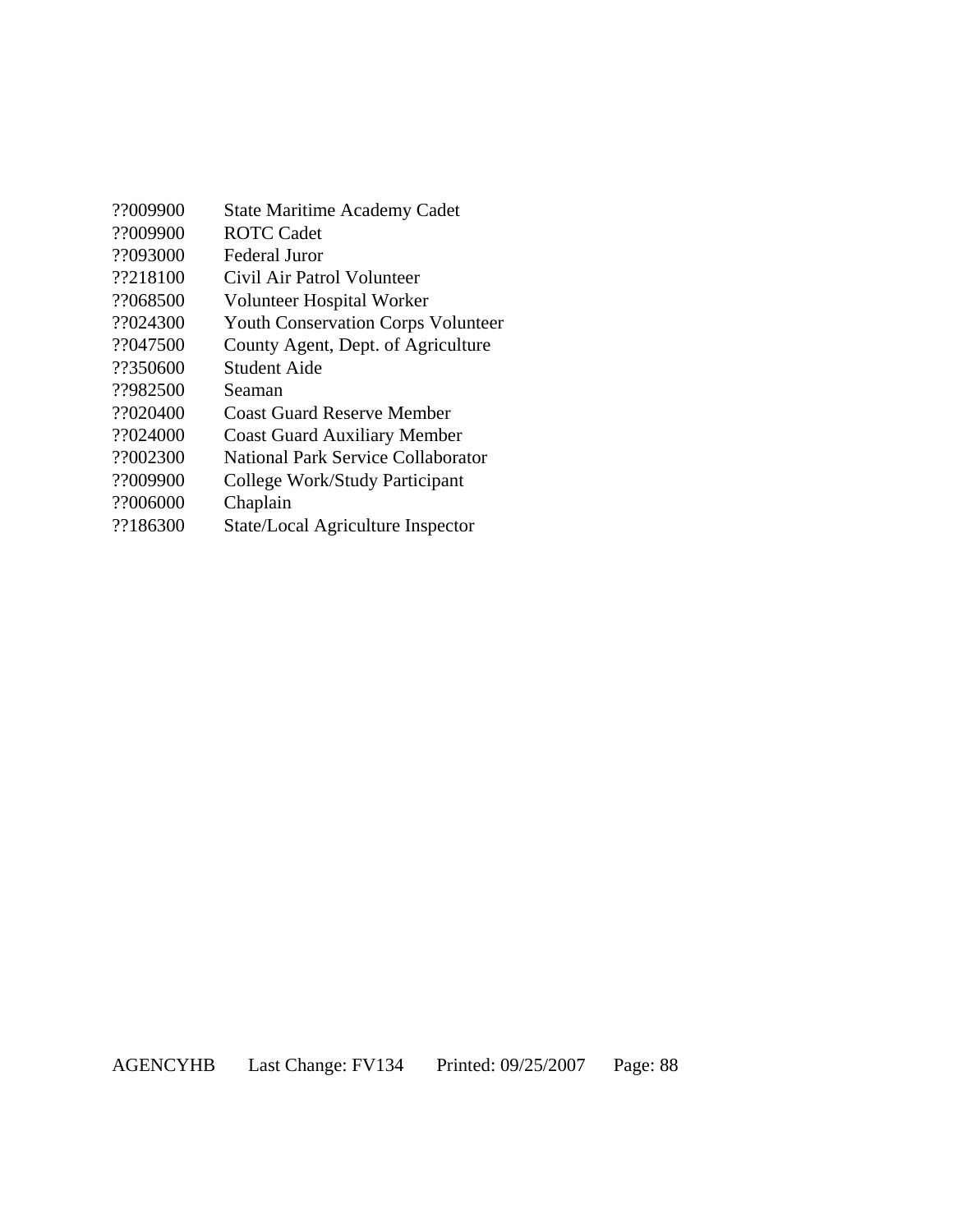| ??009900 | <b>State Maritime Academy Cadet</b>       |
|----------|-------------------------------------------|
| ??009900 | ROTC Cadet                                |
| ??093000 | Federal Juror                             |
| ??218100 | Civil Air Patrol Volunteer                |
| ??068500 | Volunteer Hospital Worker                 |
| ??024300 | <b>Youth Conservation Corps Volunteer</b> |
| ??047500 | County Agent, Dept. of Agriculture        |
| ??350600 | Student Aide                              |
| ??982500 | Seaman                                    |
| ??020400 | <b>Coast Guard Reserve Member</b>         |
| ??024000 | <b>Coast Guard Auxiliary Member</b>       |
| ??002300 | National Park Service Collaborator        |
| ??009900 | College Work/Study Participant            |
| ??006000 | Chaplain                                  |
| ??186300 | State/Local Agriculture Inspector         |
|          |                                           |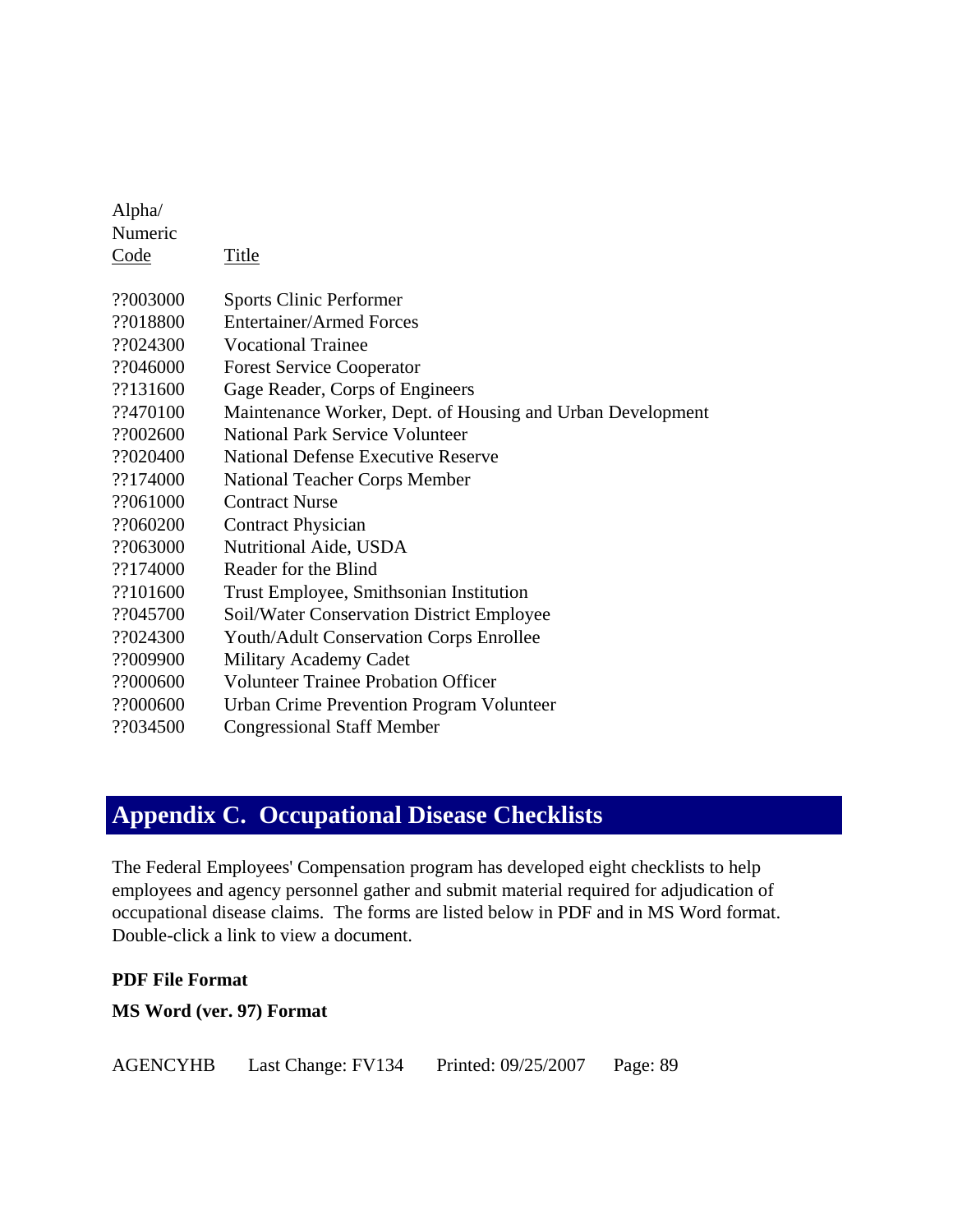| Alpha/<br>Numeric |                                                            |
|-------------------|------------------------------------------------------------|
| Code              | Title                                                      |
| ??003000          | Sports Clinic Performer                                    |
| ??018800          | <b>Entertainer/Armed Forces</b>                            |
| ??024300          | <b>Vocational Trainee</b>                                  |
| ??046000          | <b>Forest Service Cooperator</b>                           |
| ??131600          | Gage Reader, Corps of Engineers                            |
| ??470100          | Maintenance Worker, Dept. of Housing and Urban Development |
| ??002600          | National Park Service Volunteer                            |
| ??020400          | <b>National Defense Executive Reserve</b>                  |
| ??174000          | <b>National Teacher Corps Member</b>                       |
| ??061000          | <b>Contract Nurse</b>                                      |
| ??060200          | <b>Contract Physician</b>                                  |
| ??063000          | Nutritional Aide, USDA                                     |
| ??174000          | Reader for the Blind                                       |
| ??101600          | Trust Employee, Smithsonian Institution                    |
| ??045700          | Soil/Water Conservation District Employee                  |
| ??024300          | Youth/Adult Conservation Corps Enrollee                    |
| ??009900          | Military Academy Cadet                                     |
| ??000600          | <b>Volunteer Trainee Probation Officer</b>                 |
| ??000600          | <b>Urban Crime Prevention Program Volunteer</b>            |
| 0.0001500         | $\sim$ $\sim$ $\sim$ $\sim$ $\sim$                         |

# ??034500 Congressional Staff Member

# **Appendix C. Occupational Disease Checklists**

The Federal Employees' Compensation program has developed eight checklists to help employees and agency personnel gather and submit material required for adjudication of occupational disease claims. The forms are listed below in PDF and in MS Word format. Double-click a link to view a document.

#### **PDF File Format**

**MS Word (ver. 97) Format**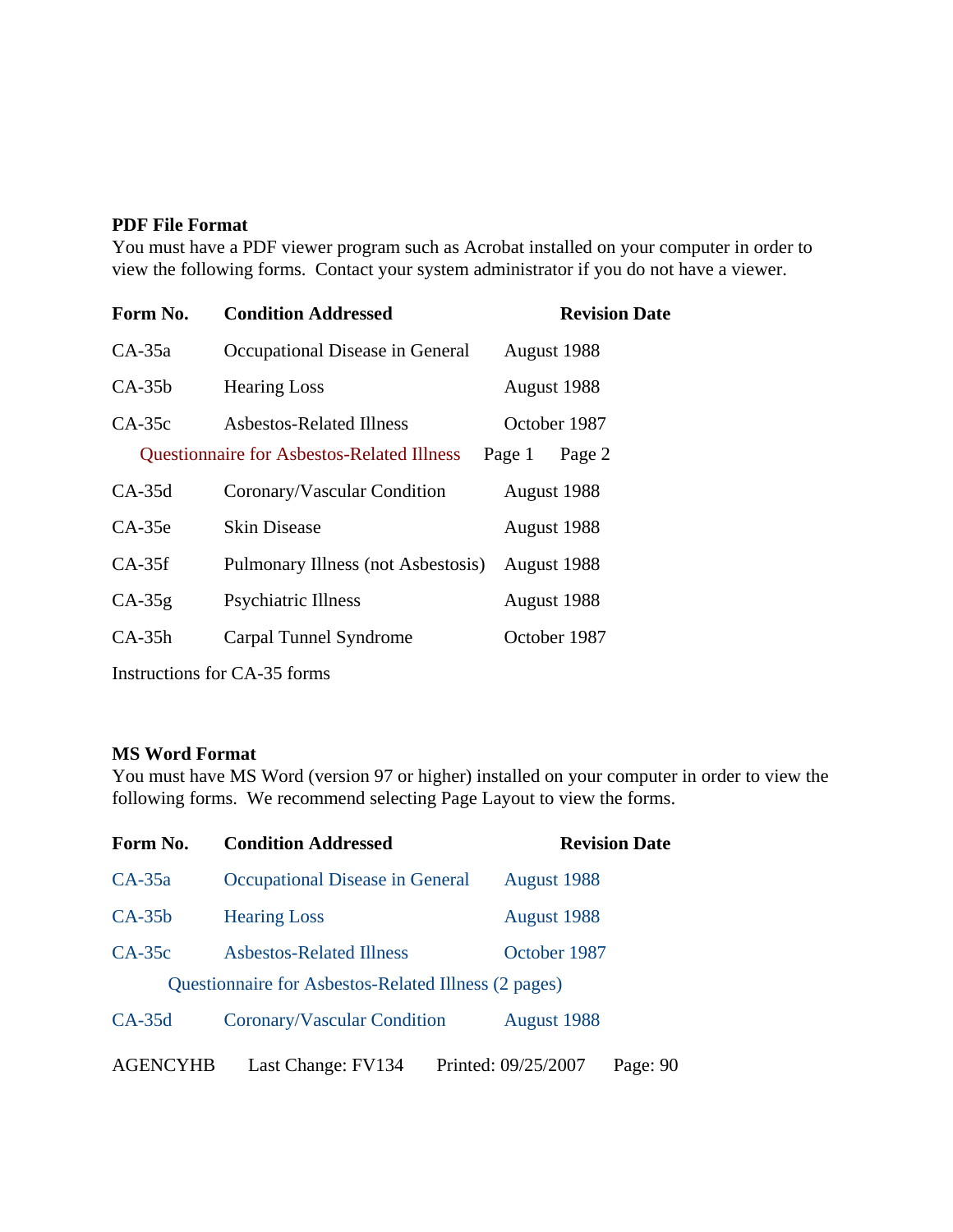# **PDF File Format**

You must have a PDF viewer program such as Acrobat installed on your computer in order to view the following forms. Contact your system administrator if you do not have a viewer.

| Form No. | <b>Condition Addressed</b>                        |             | <b>Revision Date</b> |
|----------|---------------------------------------------------|-------------|----------------------|
| $CA-35a$ | Occupational Disease in General                   | August 1988 |                      |
| $CA-35b$ | <b>Hearing Loss</b>                               | August 1988 |                      |
| $CA-35c$ | Asbestos-Related Illness                          |             | October 1987         |
|          | <b>Questionnaire for Asbestos-Related Illness</b> | Page 1      | Page 2               |
| $CA-35d$ | Coronary/Vascular Condition                       | August 1988 |                      |
| $CA-35e$ | <b>Skin Disease</b>                               | August 1988 |                      |
| $CA-35f$ | Pulmonary Illness (not Asbestosis)                | August 1988 |                      |
| $CA-35g$ | Psychiatric Illness                               | August 1988 |                      |
| $CA-35h$ | Carpal Tunnel Syndrome                            |             | October 1987         |
|          |                                                   |             |                      |

Instructions for CA-35 forms

#### **MS Word Format**

You must have MS Word (version 97 or higher) installed on your computer in order to view the following forms. We recommend selecting Page Layout to view the forms.

| Form No.        | <b>Condition Addressed</b>                           | <b>Revision Date</b>            |
|-----------------|------------------------------------------------------|---------------------------------|
| $CA-35a$        | <b>Occupational Disease in General</b>               | August 1988                     |
| $CA-35b$        | <b>Hearing Loss</b>                                  | August 1988                     |
| $CA-35c$        | <b>Asbestos-Related Illness</b>                      | October 1987                    |
|                 | Questionnaire for Asbestos-Related Illness (2 pages) |                                 |
| $CA-35d$        | Coronary/Vascular Condition                          | August 1988                     |
| <b>AGENCYHB</b> | Last Change: FV134                                   | Printed: 09/25/2007<br>Page: 90 |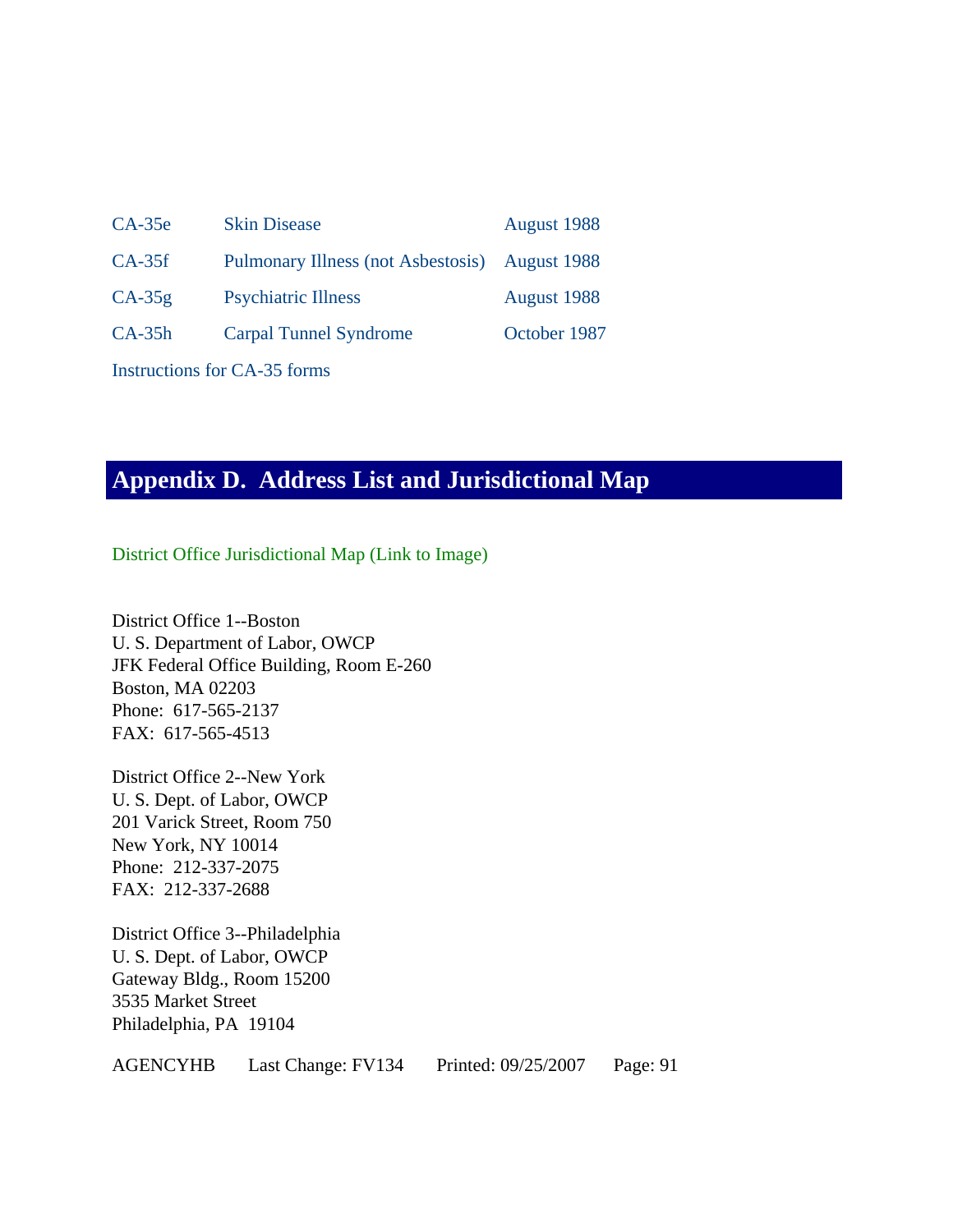| $CA-35e$                     | <b>Skin Disease</b>                | August 1988  |  |
|------------------------------|------------------------------------|--------------|--|
| $CA-35f$                     | Pulmonary Illness (not Asbestosis) | August 1988  |  |
| $CA-35g$                     | <b>Psychiatric Illness</b>         | August 1988  |  |
| $CA-35h$                     | <b>Carpal Tunnel Syndrome</b>      | October 1987 |  |
| Instructions for CA-35 forms |                                    |              |  |

# **Appendix D. Address List and Jurisdictional Map**

District Office Jurisdictional Map (Link to Image)

District Office 1--Boston U. S. Department of Labor, OWCP JFK Federal Office Building, Room E-260 Boston, MA 02203 Phone: 617-565-2137 FAX: 617-565-4513

District Office 2--New York U. S. Dept. of Labor, OWCP 201 Varick Street, Room 750 New York, NY 10014 Phone: 212-337-2075 FAX: 212-337-2688

District Office 3--Philadelphia U. S. Dept. of Labor, OWCP Gateway Bldg., Room 15200 3535 Market Street Philadelphia, PA 19104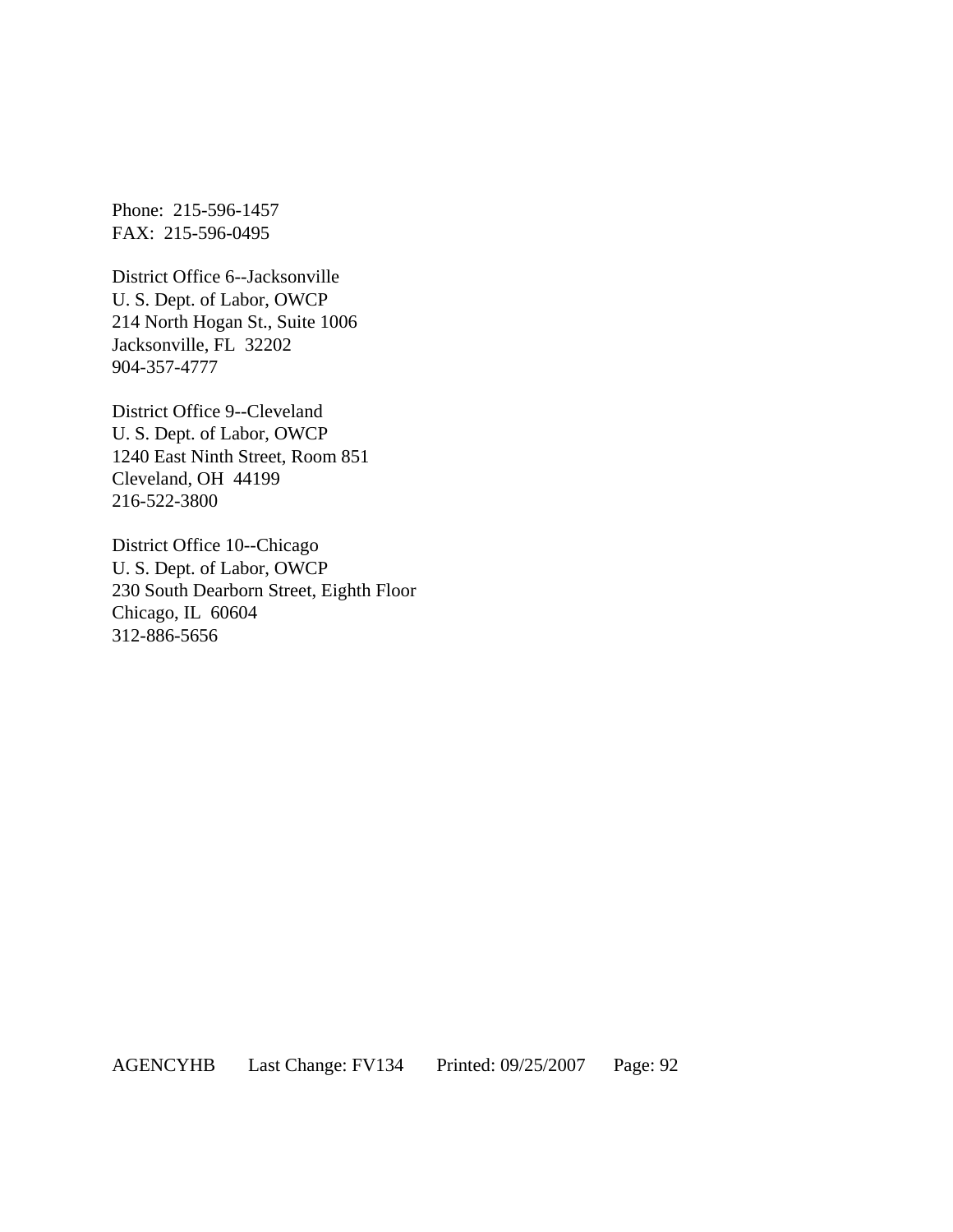Phone: 215-596-1457 FAX: 215-596-0495

District Office 6--Jacksonville U. S. Dept. of Labor, OWCP 214 North Hogan St., Suite 1006 Jacksonville, FL 32202 904-357-4777

District Office 9--Cleveland U. S. Dept. of Labor, OWCP 1240 East Ninth Street, Room 851 Cleveland, OH 44199 216-522-3800

District Office 10--Chicago U. S. Dept. of Labor, OWCP 230 South Dearborn Street, Eighth Floor Chicago, IL 60604 312-886-5656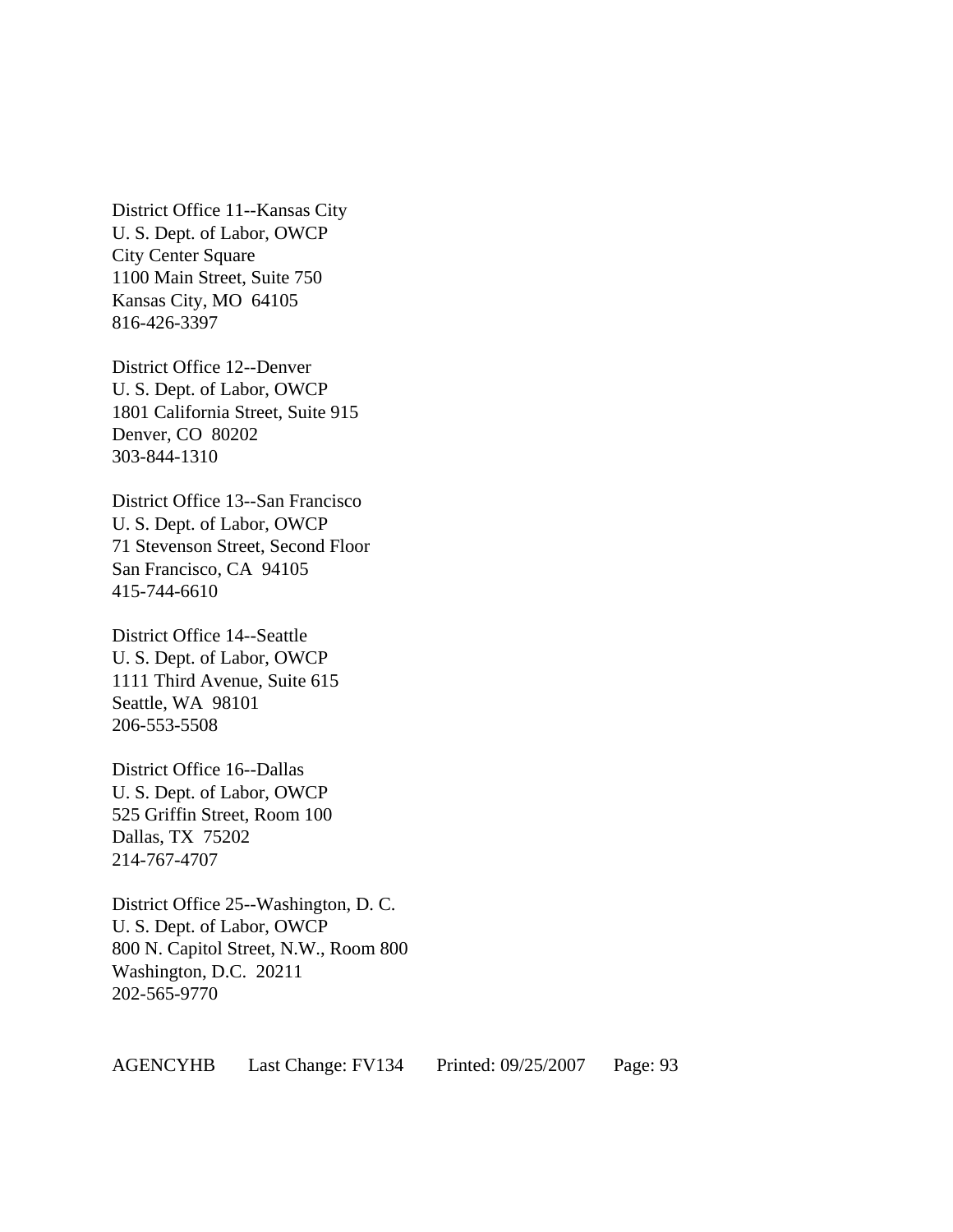District Office 11--Kansas City U. S. Dept. of Labor, OWCP City Center Square 1100 Main Street, Suite 750 Kansas City, MO 64105 816-426-3397

District Office 12--Denver U. S. Dept. of Labor, OWCP 1801 California Street, Suite 915 Denver, CO 80202 303-844-1310

District Office 13--San Francisco U. S. Dept. of Labor, OWCP 71 Stevenson Street, Second Floor San Francisco, CA 94105 415-744-6610

District Office 14--Seattle U. S. Dept. of Labor, OWCP 1111 Third Avenue, Suite 615 Seattle, WA 98101 206-553-5508

District Office 16--Dallas U. S. Dept. of Labor, OWCP 525 Griffin Street, Room 100 Dallas, TX 75202 214-767-4707

District Office 25--Washington, D. C. U. S. Dept. of Labor, OWCP 800 N. Capitol Street, N.W., Room 800 Washington, D.C. 20211 202-565-9770